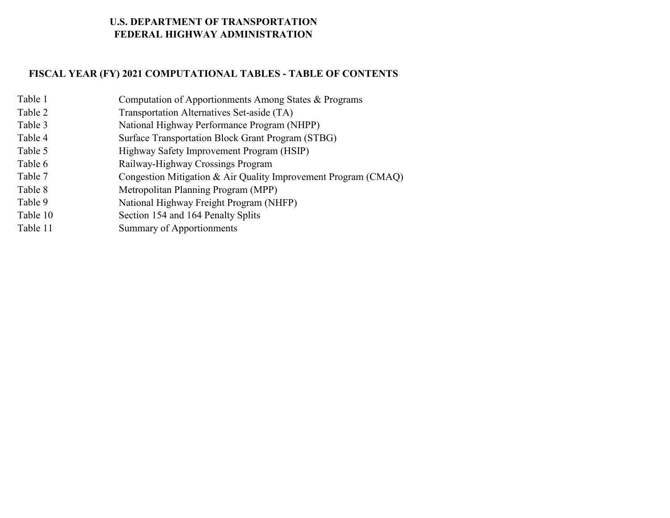# **U.S. DEPARTMENT OF TRANSPORTATION FEDERAL HIGHWAY ADMINISTRATION**

# **FISCAL YEAR (FY) 2021 COMPUTATIONAL TABLES - TABLE OF CONTENTS**

| Table 1  | Computation of Apportionments Among States & Programs          |
|----------|----------------------------------------------------------------|
| Table 2  | Transportation Alternatives Set-aside (TA)                     |
| Table 3  | National Highway Performance Program (NHPP)                    |
| Table 4  | Surface Transportation Block Grant Program (STBG)              |
| Table 5  | Highway Safety Improvement Program (HSIP)                      |
| Table 6  | Railway-Highway Crossings Program                              |
| Table 7  | Congestion Mitigation & Air Quality Improvement Program (CMAQ) |
| Table 8  | Metropolitan Planning Program (MPP)                            |
| Table 9  | National Highway Freight Program (NHFP)                        |
| Table 10 | Section 154 and 164 Penalty Splits                             |
| Table 11 | <b>Summary of Apportionments</b>                               |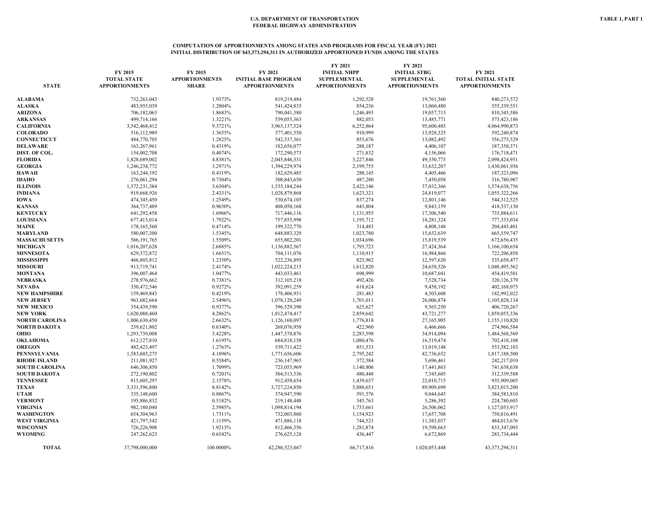#### **COMPUTATION OF APPORTIONMENTS AMONG STATES AND PROGRAMS FOR FISCAL YEAR (FY) 2021 INITIAL DISTRIBUTION OF \$43,373,294,311 IN AUTHORIZED APPORTIONED FUNDS AMONG THE STATES**

| <b>STATE</b>          | FY 2015<br><b>TOTAL STATE</b><br><b>APPORTIONMENTS</b> | FY 2015<br><b>APPORTIONMENTS</b><br><b>SHARE</b> | FY 2021<br><b>INITIAL BASE PROGRAM</b><br><b>APPORTIONMENTS</b> | FY 2021<br><b>INITIAL NHPP</b><br><b>SUPPLEMENTAL</b><br><b>APPORTIONMENTS</b> | FY 2021<br><b>INITIAL STBG</b><br><b>SUPPLEMENTAL</b><br><b>APPORTIONMENTS</b> | FY 2021<br><b>TOTAL INITIAL STATE</b><br><b>APPORTIONMENTS</b> |
|-----------------------|--------------------------------------------------------|--------------------------------------------------|-----------------------------------------------------------------|--------------------------------------------------------------------------------|--------------------------------------------------------------------------------|----------------------------------------------------------------|
| <b>ALABAMA</b>        | 732,263,043                                            | 1.9373%                                          | 819,219,484                                                     | 1,292,528                                                                      | 19,761,560                                                                     | 840,273,572                                                    |
| <b>ALASKA</b>         | 483,955,039                                            | 1.2804%                                          | 541,424,835                                                     | 854,236                                                                        | 13,060,480                                                                     | 555,339,551                                                    |
| <b>ARIZONA</b>        | 706,182,063                                            | 1.8683%                                          | 790,041,380                                                     | 1,246,493                                                                      | 19,057,713                                                                     | 810,345,586                                                    |
| <b>ARKANSAS</b>       | 499,714,166                                            | 1.3221%                                          | 559,055,363                                                     | 882,053                                                                        | 13,485,771                                                                     | 573,423,186                                                    |
| <b>CALIFORNIA</b>     | 3,542,468,412                                          | 9.3721%                                          | 3,963,137,524                                                   | 6,252,864                                                                      | 95,600,485                                                                     | 4,064,990,873                                                  |
| <b>COLORADO</b>       | 516,112,989                                            | 1.3655%                                          | 577,401,550                                                     | 910,999                                                                        | 13,928,325                                                                     | 592,240,874                                                    |
| <b>CONNECTICUT</b>    | 484,770,705                                            | 1.2825%                                          | 542,337,361                                                     | 855,676                                                                        | 13,082,492                                                                     | 556,275,529                                                    |
| <b>DELAWARE</b>       | 163,267,961                                            | 0.4319%                                          | 182,656,077                                                     | 288,187                                                                        | 4,406,107                                                                      | 187,350,371                                                    |
| DIST. OF COL.         | 154,002,708                                            | 0.4074%                                          | 172,290,573                                                     | 271,832                                                                        | 4,156,066                                                                      | 176,718,471                                                    |
| <b>FLORIDA</b>        | 1,828,689,002                                          | 4.8381%                                          | 2,045,846,331                                                   | 3,227,846                                                                      | 49,350,773                                                                     | 2,098,424,951                                                  |
| <b>GEORGIA</b>        | 1,246,238,772                                          | 3.2971%                                          | 1,394,229,974                                                   | 2,199,755                                                                      | 33,632,207                                                                     | 1,430,061,936                                                  |
| <b>HAWAII</b>         | 163,244,192                                            | 0.4319%                                          | 182,629,485                                                     | 288,145                                                                        | 4,405,466                                                                      | 187,323,096                                                    |
| <b>IDAHO</b>          | 276,061,294                                            | 0.7304%                                          | 308,843,650                                                     | 487,280                                                                        | 7,450,058                                                                      | 316,780,987                                                    |
| <b>ILLINOIS</b>       | 1,372,231,384                                          | 3.6304%                                          | 1,535,184,244                                                   | 2,422,146                                                                      | 37,032,366                                                                     | 1,574,638,756                                                  |
| <b>INDIANA</b>        | 919,668,926                                            | 2.4331%                                          | 1,028,879,868                                                   | 1,623,321                                                                      | 24,819,077                                                                     | 1,055,322,266                                                  |
| IOWA                  | 474,345,450                                            | 1.2549%                                          | 530,674,105                                                     | 837,274                                                                        | 12,801,146                                                                     | 544,312,525                                                    |
| <b>KANSAS</b>         | 364,737,489                                            | 0.9650%                                          | 408,050,168                                                     | 643,804                                                                        | 9,843,159                                                                      | 418,537,130                                                    |
| <b>KENTUCKY</b>       | 641,292,458                                            | 1.6966%                                          | 717,446,116                                                     | 1,131,955                                                                      | 17,306,540                                                                     | 735,884,611                                                    |
| <b>LOUISIANA</b>      | 677,413,014                                            | 1.7922%                                          | 757,855,998                                                     | 1,195,712                                                                      | 18,281,324                                                                     | 777,333,034                                                    |
| <b>MAINE</b>          | 178,165,560                                            | 0.4714%                                          | 199,322,770                                                     | 314,483                                                                        | 4,808,148                                                                      | 204,445,401                                                    |
| MARYLAND              | 580,007,300                                            | 1.5345%                                          | 648,883,329                                                     | 1,023,780                                                                      | 15,652,639                                                                     | 665,559,747                                                    |
| <b>MASSACHUSETTS</b>  | 586,191,765                                            | 1.5509%                                          | 655,802,201                                                     | 1,034,696                                                                      | 15,819,539                                                                     | 672,656,435                                                    |
| <b>MICHIGAN</b>       | 1,016,207,628                                          | 2.6885%                                          | 1,136,882,567                                                   | 1,793,723                                                                      | 27,424,364                                                                     | 1,166,100,654                                                  |
| <b>MINNESOTA</b>      | 629,372,872                                            | 1.6651%                                          | 704,111,076                                                     | 1,110,915                                                                      | 16,984,866                                                                     | 722,206,858                                                    |
| <b>MISSISSIPPI</b>    | 466,803,812                                            | 1.2350%                                          | 522,236,895                                                     | 823,962                                                                        | 12,597,620                                                                     | 535,658,477                                                    |
| <b>MISSOURI</b>       | 913,719,741                                            | 2.4174%                                          | 1,022,224,215                                                   | 1,612,820                                                                      | 24,658,526                                                                     | 1,048,495,562                                                  |
| MONTANA               | 396,007,464                                            | 1.0477%                                          | 443,033,461                                                     | 698,999                                                                        | 10,687,041                                                                     | 454,419,501                                                    |
| NEBRASKA              | 278,976,662                                            | 0.7381%                                          | 312,105,218                                                     | 492,426                                                                        | 7,528,734                                                                      | 320,126,379                                                    |
| NEVADA                | 350,472,546                                            | 0.9272%                                          | 392,091,259                                                     | 618,624                                                                        | 9,458,192                                                                      | 402,168,075                                                    |
| <b>NEW HAMPSHIRE</b>  | 159,469,843                                            | 0.4219%                                          | 178,406,931                                                     | 281,483                                                                        | 4,303,608                                                                      | 182,992,022                                                    |
| <b>NEW JERSEY</b>     | 963,682,664                                            | 2.5496%                                          | 1,078,120,249                                                   | 1,701,011                                                                      | 26,006,874                                                                     | 1,105,828,134                                                  |
| <b>NEW MEXICO</b>     | 354,439,590                                            | 0.9377%                                          | 396,529,390                                                     | 625,627                                                                        | 9,565,250                                                                      | 406,720,267                                                    |
| <b>NEW YORK</b>       | 1,620,088,460                                          | 4.2862%                                          | 1,812,474,417                                                   | 2,859,642                                                                      | 43,721,277                                                                     | 1,859,055,336                                                  |
| NORTH CAROLINA        | 1,006,630,450                                          | 2.6632%                                          | 1,126,168,097                                                   | 1,776,818                                                                      | 27,165,905                                                                     | 1,155,110,820                                                  |
| NORTH DAKOTA          | 239,621,802                                            | 0.6340%                                          | 268,076,958                                                     | 422,960                                                                        | 6,466,666                                                                      | 274,966,584                                                    |
| ОНЮ                   | 1,293,739,008                                          | 3.4228%                                          | 1,447,370,876                                                   | 2,283,598                                                                      | 34,914,094                                                                     | 1,484,568,569                                                  |
| OKLAHOMA              | 612,127,810                                            | 1.6195%                                          | 684,818,158                                                     | 1,080,476                                                                      | 16,519,474                                                                     | 702,418,108                                                    |
| <b>OREGON</b>         | 482, 423, 497                                          | 1.2763%                                          | 539,711,422                                                     | 851,533                                                                        | 13,019,148                                                                     | 553,582,103                                                    |
| PENNSYLVANIA          | 1,583,603,275                                          | 4.1896%                                          | 1,771,656,606                                                   | 2,795,242                                                                      | 42,736,652                                                                     | 1,817,188,500                                                  |
| <b>RHODE ISLAND</b>   | 211,081,927                                            | 0.5584%                                          | 236,147,965                                                     | 372,584                                                                        | 5,696,461                                                                      | 242,217,010                                                    |
| <b>SOUTH CAROLINA</b> | 646,306,850                                            | 1.7099%                                          | 723,055,969                                                     | 1,140,806                                                                      | 17,441,863                                                                     | 741,638,638                                                    |
| SOUTH DAKOTA          | 272,190,802                                            | 0.7201%                                          | 304,513,536                                                     | 480,448                                                                        | 7,345,605                                                                      | 312,339,588                                                    |
| <b>TENNESSEE</b>      | 815,605,297                                            | 2.1578%                                          | 912,458,654                                                     | 1,439,637                                                                      | 22,010,715                                                                     | 935,909,005                                                    |
| TEXAS                 | 3,331,596,800                                          | 8.8142%                                          | 3,727,224,850                                                   | 5,880,651                                                                      | 89,909,699                                                                     | 3,823,015,200                                                  |
| <b>UTAH</b>           | 335,148,600                                            | 0.8867%                                          | 374,947,590                                                     | 591,576                                                                        | 9,044,645                                                                      | 384,583,810                                                    |
| <b>VERMONT</b>        | 195,886,832                                            | 0.5182%                                          | 219,148,448                                                     | 345,763                                                                        | 5,286,392                                                                      | 224,780,603                                                    |
| <b>VIRGINIA</b>       | 982,180,040                                            | 2.5985%                                          | 1,098,814,194                                                   | 1,733,661                                                                      | 26,506,062                                                                     | 1,127,053,917                                                  |
| WASHINGTON            | 654,304,963                                            | 1.7311%                                          | 732,003,860                                                     | 1,154,923                                                                      | 17,657,708                                                                     | 750,816,491                                                    |
| WEST VIRGINIA         | 421,797,542                                            | 1.1159%                                          | 471,886,118                                                     | 744,521                                                                        | 11,383,037                                                                     | 484,013,676                                                    |
| WISCONSIN             | 726,226,908                                            | 1.9213%                                          | 812,466,556                                                     | 1,281,874                                                                      | 19,598,663                                                                     | 833,347,093                                                    |
| <b>WYOMING</b>        | 247,262,623                                            | 0.6542%                                          | 276,625,128                                                     | 436,447                                                                        | 6,672,869                                                                      | 283,734,444                                                    |
| <b>TOTAL</b>          | 37,798,000,000                                         | 100.0000%                                        | 42,286,523,047                                                  | 66,717,816                                                                     | 1,020,053,448                                                                  | 43,373,294,311                                                 |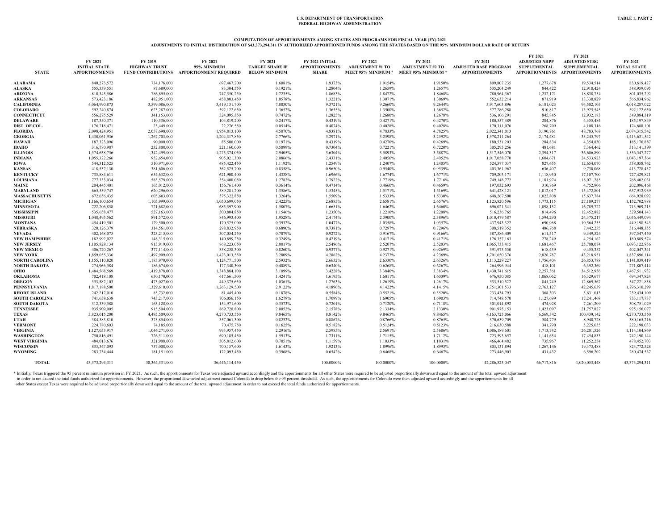#### **COMPUTATION OF APPORTIONMENTS AMONG STATES AND PROGRAMS FOR FISCAL YEAR (FY) 2021**

#### **ADJUSTMENTS TO INITIAL DISTRIBUTION OF \$43,373,294,311 IN AUTHORIZED APPORTIONED FUNDS AMONG THE STATES BASED ON THE 95% MINIMUM DOLLAR RATE OF RETURN**

|                       | FY 2021               | <b>FY 2019</b>       | FY 2021                                   | FY 2021                | FY 2021 INITIAL       | FY 2021                   | FY 2021                   | FY 2021                      | FY 2021<br><b>ADJUSTED NHPP</b> | FY 2021<br><b>ADJUSTED STBG</b> | FY 2021               |
|-----------------------|-----------------------|----------------------|-------------------------------------------|------------------------|-----------------------|---------------------------|---------------------------|------------------------------|---------------------------------|---------------------------------|-----------------------|
|                       | <b>INITIAL STATE</b>  | <b>HIGHWAY TRUST</b> | 95% MINIMUM                               | <b>TARGET SHARE IF</b> | <b>APPORTIONMENTS</b> | <b>ADJUSTMENT #1 TO</b>   | <b>ADJUSTMENT #2 TO</b>   | <b>ADJUSTED BASE PROGRAM</b> | <b>SUPPLEMENTAL</b>             | <b>SUPPLEMENTAL</b>             | <b>TOTAL STATE</b>    |
| <b>STATE</b>          | <b>APPORTIONMENTS</b> |                      | FUND CONTRIBUTIONS APPORTIONMENT REQUIRED | <b>BELOW MINIMUM</b>   | <b>SHARE</b>          | <b>MEET 95% MINIMUM *</b> | <b>MEET 95% MINIMUM *</b> | <b>APPORTIONMENTS</b>        |                                 | APPORTIONMENTS APPORTIONMENTS   | <b>APPORTIONMENTS</b> |
|                       |                       |                      |                                           |                        |                       |                           |                           |                              |                                 |                                 |                       |
| <b>ALABAMA</b>        | 840.273.572           | 734,176,000          | 697,467,200                               | 1.6081%                | 1.9373%               | 1.9154%                   | 1.9150%                   | 809,807,235                  | 1,277,678                       | 19,534,514                      | 830,619,427           |
| <b>ALASKA</b>         | 555,339,551           | 87,689,000           | 83,304,550                                | 0.1921%                | 1.2804%               | 1.2659%                   | 1.2657%                   | 535,204,249                  | 844,422                         | 12,910,424                      | 548,959,095           |
| <b>ARIZONA</b>        | 810,345,586           | 786,895,000          | 747,550,250                               | 1.7235%                | 1.8683%               | 1.8472%                   | 1.8468%                   | 780,964,367                  | 1,232,171                       | 18,838,754                      | 801,035,292           |
| <b>ARKANSAS</b>       | 573,423,186           | 482,951,000          | 458,803,450                               | 1.0578%                | 1.3221%               | 1.3071%                   | 1.3069%                   | 552,632,214                  | 871.919                         | 13,330,829                      | 566,834,962           |
| <b>CALIFORNIA</b>     | 4,064,990,873         | 3,599,086,000        | 3,419,131,700                             | 7.8830%                | 9.3721%               | 9.2660%                   | 9.2644%                   | 3,917,603,896                | 6,181,023                       | 94,502,103                      | 4,018,287,022         |
| <b>COLORADO</b>       | 592,240,874           | 623,287,000          | 592,122,650                               | 1.3652%                | 1.3655%               | 1.3500%                   | 1.3652%                   | 577,286,288                  | 910,817                         | 13,925,545                      | 592,122,650           |
| <b>CONNECTICUT</b>    | 556,275,529           | 341,153,000          | 324,095,350                               | 0.7472%                | 1.2825%               | 1.2680%                   | 1.2678%                   | 536,106,291                  | 845,845                         | 12,932,183                      | 549,884,319           |
| <b>DELAWARE</b>       | 187,350,371           | 110,336,000          | 104,819,200                               | 0.2417%                | 0.4319%               | 0.4271%                   | 0.4270%                   | 180,557,489                  | 284,876                         | 4,355,484                       | 185, 197, 849         |
| DIST. OF COL.         | 176,718,471           | 23,449,000           | 22,276,550                                | 0.0514%                | 0.4074%               | 0.4028%                   | 0.4028%                   | 170,311,076                  | 268,709                         | 4,108,316                       | 174,688,101           |
| <b>FLORIDA</b>        | 2,098,424,951         | 2,057,698,000        | 1,954,813,100                             | 4.5070%                | 4.8381%               | 4.7833%                   | 4.7825%                   | 2,022,341,013                | 3,190,761                       | 48,783,768                      | 2,074,315,542         |
| <b>GEORGIA</b>        | 1,430,061,936         | 1,267,703,000        | 1,204,317,850                             | 2.7766%                | 3.2971%               | 3.2598%                   | 3.2592%                   | 1,378,211,264                | 2,174,481                       | 33,245,797                      | 1,413,631,542         |
| <b>HAWAII</b>         | 187,323,096           | 90,000,000           | 85,500,000                                | 0.1971%                | 0.4319%               | 0.4270%                   | 0.4269%                   | 180,531,203                  | 284,834                         | 4,354,850                       | 185,170,887           |
| <b>IDAHO</b>          | 316,780,987           | 232,800,000          | 221,160,000                               | 0.5099%                | 0.7304%               | 0.7221%                   | 0.7220%                   | 305,295,256                  | 481,681                         | 7,364,462                       | 313, 141, 399         |
| <b>ILLINOIS</b>       | 1,574,638,756         | 1,342,499,000        | 1,275,374,050                             | 2.9405%                | 3.6304%               | 3.5893%                   | 3.5887%                   | 1,517,546,070                | 2,394,317                       | 36,606,890                      | 1,556,547,277         |
|                       | 1,055,322,266         | 952,654,000          | 905,021,300                               |                        |                       | 2.4056%                   | 2.4052%                   | 1,017,058,770                |                                 | 24,533,923                      | 1,043,197,364         |
| <b>INDIANA</b>        |                       |                      |                                           | 2.0866%                | 2.4331%               |                           |                           |                              | 1,604,671                       |                                 |                       |
| <b>IOWA</b>           | 544,312,525           | 510,971,000          | 485,422,450                               | 1.1192%                | 1.2549%               | 1.2407%                   | 1.2405%                   | 524,577,037                  | 827,655                         | 12,654,070                      | 538,058,762           |
| <b>KANSAS</b>         | 418,537,130           | 381,606,000          | 362,525,700                               | 0.8358%                | 0.9650%               | 0.9540%                   | 0.9539%                   | 403,361,962                  | 636,407                         | 9,730,068                       | 413,728,437           |
| <b>KENTUCKY</b>       | 735,884,611           | 654,632,000          | 621,900,400                               | 1.4338%                | 1.6966%               | 1.6774%                   | 1.6771%                   | 709,203,171                  | 1,118,950                       | 17,107,700                      | 727,429,821           |
| <b>LOUISIANA</b>      | 777,333,034           | 583,579,000          | 554,400,050                               | 1.2782%                | 1.7922%               | 1.7719%                   | 1.7716%                   | 749,148,772                  | 1,181,974                       | 18,071,285                      | 768,402,031           |
| MAINE                 | 204,445,401           | 165,012,000          | 156,761,400                               | 0.3614%                | 0.4714%               | 0.4660%                   | 0.4659%                   | 197,032,693                  | 310,869                         | 4,752,906                       | 202,096,468           |
| <b>MARYLAND</b>       | 665,559,747           | 620,296,000          | 589,281,200                               | 1.3586%                | 1.5345%               | 1.5171%                   | 1.5169%                   | 641, 428, 121                | 1,012,017                       | 15,472,801                      | 657,912,939           |
| <b>MASSACHUSETTS</b>  | 672,656,435           | 605,603,000          | 575,322,850                               | 1.3264%                | 1.5509%               | 1.5333%                   | 1.5330%                   | 648,267,500                  | 1,022,808                       | 15,637,784                      | 664,928,092           |
| <b>MICHIGAN</b>       | 1,166,100,654         | 1,105,999,000        | 1,050,699,050                             | 2.4225%                | 2.6885%               | 2.6581%                   | 2.6576%                   | 1,123,820,596                | 1,773,115                       | 27,109,277                      | 1,152,702,988         |
| <b>MINNESOTA</b>      | 722,206,858           | 721,682,000          | 685,597,900                               | 1.5807%                | 1.6651%               | 1.6462%                   | 1.6460%                   | 696,021,341                  | 1,098,152                       | 16,789,722                      | 713,909,215           |
| <b>MISSISSIPPI</b>    | 535,658,477           | 527,163,000          | 500,804,850                               | 1.1546%                | 1.2350%               | 1.2210%                   | 1.2208%                   | 516,236,765                  | 814.496                         | 12,452,882                      | 529,504,143           |
| <b>MISSOURI</b>       | 1,048,495,562         | 891,572,000          | 846,993,400                               | 1.9528%                | 2.4174%               | 2.3900%                   | 2.3896%                   | 1,010,479,587                | 1,594,290                       | 24,375,217                      | 1,036,449,094         |
| <b>MONTANA</b>        | 454,419,501           | 179,500,000          | 170,525,000                               | 0.3932%                | 1.0477%               | 1.0358%                   | 1.0357%                   | 437,943,322                  | 690,968                         | 10,564,255                      | 449,198,545           |
| <b>NEBRASKA</b>       | 320,126,379           | 314,561,000          | 298,832,950                               | 0.6890%                | 0.7381%               | 0.7297%                   | 0.7296%                   | 308,519,352                  | 486,768                         | 7,442,235                       | 316,448,355           |
| <b>NEVADA</b>         | 402,168,075           | 323,215,000          | 307,054,250                               | 0.7079%                | 0.9272%               | 0.9167%                   | 0.9166%                   | 387,586,409                  | 611,517                         | 9,349,524                       | 397,547,450           |
| <b>NEW HAMPSHIRE</b>  | 182,992,022           | 148,315,000          | 140,899,250                               | 0.3249%                | 0.4219%               | 0.4171%                   | 0.4171%                   | 176, 357, 163                | 278,249                         | 4,254,162                       | 180,889,574           |
| <b>NEW JERSEY</b>     | 1,105,828,134         | 913,919,000          | 868,223,050                               | 2.0017%                | 2.5496%               | 2.5207%                   | 2.5203%                   | 1,065,733,415                | 1,681,467                       | 25,708,074                      | 1,093,122,956         |
| <b>NEW MEXICO</b>     | 406,720,267           | 377,114,000          | 358,258,300                               | 0.8260%                | 0.9377%               | 0.9271%                   | 0.9269%                   | 391,973,550                  | 618,439                         | 9,455,352                       | 402,047,341           |
| <b>NEW YORK</b>       | 1,859,055,336         | 1,497,909,000        | 1,423,013,550                             | 3.2809%                | 4.2862%               | 4.2377%                   | 4.2369%                   | 1,791,650,376                | 2,826,787                       | 43,218,951                      | 1,837,696,114         |
| <b>NORTH CAROLINA</b> | 1,155,110,820         | 1,183,970,000        | 1,124,771,500                             | 2.5932%                | 2.6632%               | 2.6330%                   | 2.6326%                   | 1,113,229,227                | 1,756,404                       | 26,853,788                      | 1,141,839,419         |
| NORTH DAKOTA          | 274,966,584           | 186,674,000          | 177,340,300                               | 0.4089%                | 0.6340%               | 0.6268%                   | 0.6267%                   | 264,996,944                  | 418,101                         | 6,392,369                       | 271,807,414           |
| оню                   | 1,484,568,569         | 1,419,878,000        | 1,348,884,100                             | 3.1099%                | 3.4228%               | 3.3840%                   | 3.3834%                   | 1,430,741,615                | 2,257,361                       | 34,512,956                      | 1,467,511,932         |
| OKLAHOMA              | 702,418,108           | 650,170,000          | 617,661,500                               | 1.4241%                | 1.6195%               | 1.6011%                   | 1.6009%                   | 676,950,085                  | 1,068,062                       | 16,329,677                      | 694,347,824           |
| <b>OREGON</b>         | 553,582,103           | 473,027,000          | 449,375,650                               | 1.0361%                | 1.2763%               | 1.2619%                   | 1.2617%                   | 533,510,522                  | 841,749                         | 12,869,567                      | 547,221,838           |
| <b>PENNSYLVANIA</b>   | 1,817,188,500         | 1,329,610,000        | 1,263,129,500                             | 2.9122%                | 4.1896%               | 4.1422%                   | 4.1415%                   | 1,751,301,533                | 2,763,127                       | 42,245,639                      | 1,796,310,299         |
| <b>RHODE ISLAND</b>   | 242,217,010           | 85,732,000           | 81,445,400                                | 0.1878%                | 0.5584%               | 0.5521%                   | 0.5520%                   | 233,434,793                  | 368,303                         | 5,631,013                       | 239,434,109           |
| <b>SOUTH CAROLINA</b> | 741,638,638           | 743,217,000          | 706,056,150                               | 1.6279%                | 1.7099%               | 1.6905%                   | 1.6903%                   | 714,748,570                  | 1,127,699                       | 17,241,468                      | 733,117,737           |
| SOUTH DAKOTA          | 312,339,588           | 163,128,000          | 154,971,600                               | 0.3573%                | 0.7201%               | 0.7120%                   | 0.7118%                   | 301,014,892                  | 474,928                         | 7,261,209                       | 308,751,029           |
| <b>TENNESSEE</b>      | 935,909,005           | 915,504,000          | 869,728,800                               | 2.0052%                | 2.1578%               | 2.1334%                   | 2.1330%                   | 901,975,153                  | 1,423,097                       | 21,757,827                      | 925,156,077           |
| <b>TEXAS</b>          | 3,823,015,200         | 4,495,509,000        | 4,270,733,550                             | 9.8465%                | 8.8142%               | 9.8465%                   | 9.8465%                   | 4,163,725,066                | 6,569,342                       | 100,439,142                     | 4,270,733,550         |
| UTAH                  | 384,583,810           | 375,854,000          | 357,061,300                               | 0.8232%                | 0.8867%               | 0.8766%                   | 0.8765%                   | 370,639,709                  | 584,779                         | 8,940,728                       | 380,165,216           |
| <b>VERMONT</b>        | 224,780,603           | 74,185,000           | 70,475,750                                | 0.1625%                | 0.5182%               | 0.5124%                   | 0.5123%                   | 216,630,588                  | 341,790                         | 5,225,655                       | 222,198,033           |
|                       |                       |                      |                                           |                        |                       |                           |                           |                              |                                 |                                 |                       |
| <b>VIRGINIA</b>       | 1,127,053,917         | 1,046,271,000        | 993,957,450                               | 2.2916%                | 2.5985%               | 2.5691%                   | 2.5686%                   | 1,086,189,601                | 1,713,742                       | 26,201,526                      | 1,114,104,869         |
| <b>WASHINGTON</b>     | 750,816,491           | 726,511,000          | 690,185,450                               | 1.5913%                | 1.7311%               | 1.7115%                   | 1.7112%                   | 723,593,657                  | 1,141,654                       | 17,454,833                      | 742,190,144           |
| <b>WEST VIRGINIA</b>  | 484,013,676           | 321,908,000          | 305,812,600                               | 0.7051%                | 1.1159%               | 1.1033%                   | 1.1031%                   | 466, 464, 482                | 735,967                         | 11,252,254                      | 478,452,703           |
| <b>WISCONSIN</b>      | 833,347,093           | 737,008,000          | 700,157,600                               | 1.6143%                | 1.9213%               | 1.8996%                   | 1.8993%                   | 803,131,894                  | 1,267,146                       | 19,373,488                      | 823,772,528           |
| <b>WYOMING</b>        | 283,734,444           | 181,151,000          | 172,093,450                               | 0.3968%                | 0.6542%               | 0.6468%                   | 0.6467%                   | 273,446,903                  | 431,432                         | 6,596,202                       | 280,474,537           |
| <b>TOTAL</b>          | 43,373,294,311        | 38, 364, 331, 000    | 36,446,114,450                            |                        | 100,0000%             | 100,0000%                 | 100,0000%                 | 42.286.523.047               | 66,717,816                      | 1,020,053,448                   | 43,373,294,311        |

\* Initially, Texas triggered the 95 percent minimum provision in FY 2021. As such, the apportionments for Texas were adjusted upward accordingly and the apportionments for all other States were required to be adjusted prop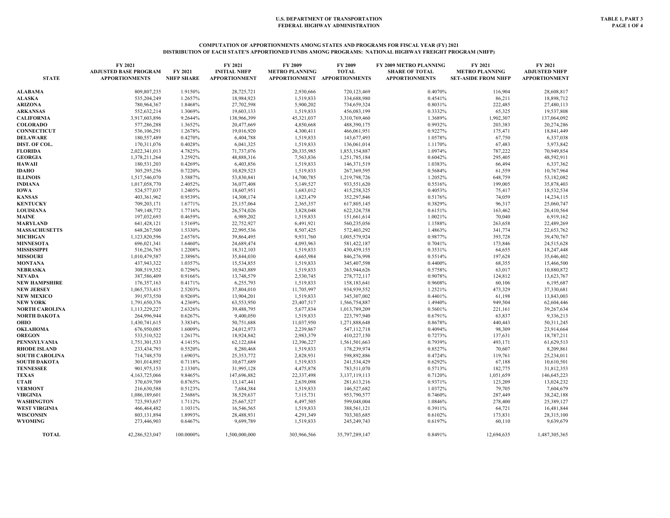## **COMPUTATION OF APPORTIONMENTS AMONG STATES AND PROGRAMS FOR FISCAL YEAR (FY) 2021 DISTRIBUTION OF EACH STATE'S APPORTIONED FUNDS AMONG PROGRAMS: NATIONAL HIGHWAY FREIGHT PROGRAM (NHFP)**

|                            | FY 2021                      |                    | FY 2021                  | FY 2009                | FY 2009                      | FY 2009 METRO PLANNING | FY 2021                    | FY 2021                  |
|----------------------------|------------------------------|--------------------|--------------------------|------------------------|------------------------------|------------------------|----------------------------|--------------------------|
|                            | <b>ADJUSTED BASE PROGRAM</b> | FY 2021            | <b>INITIAL NHFP</b>      | <b>METRO PLANNING</b>  | <b>TOTAL</b>                 | <b>SHARE OF TOTAL</b>  | <b>METRO PLANNING</b>      | <b>ADJUSTED NHFP</b>     |
| <b>STATE</b>               | <b>APPORTIONMENTS</b>        | <b>NHFP SHARE</b>  | <b>APPORTIONMENT</b>     |                        | APPORTIONMENT APPORTIONMENTS | <b>APPORTIONMENTS</b>  | <b>SET-ASIDE FROM NHFP</b> | <b>APPORTIONMENT</b>     |
| ALABAMA                    | 809,807,235                  | 1.9150%            | 28,725,721               | 2,930,666              | 720,123,469                  | 0.4070%                | 116,904                    | 28,608,817               |
| <b>ALASKA</b>              | 535,204,249                  | 1.2657%            | 18,984,923               | 1,519,833              | 334,688,980                  | 0.4541%                | 86,211                     | 18,898,712               |
| <b>ARIZONA</b>             | 780,964,367                  | 1.8468%            | 27,702,598               | 5,900,202              | 734,659,324                  | 0.8031%                | 222,485                    | 27,480,113               |
| ARKANSAS                   | 552,632,214                  | 1.3069%            | 19,603,133               | 1,519,833              | 456,083,199                  | 0.3332%                | 65,325                     | 19,537,808               |
| <b>CALIFORNIA</b>          | 3,917,603,896                | 9.2644%            | 138,966,399              | 45,321,037             | 3,310,769,460                | 1.3689%                | 1,902,307                  | 137,064,092              |
| <b>COLORADO</b>            | 577,286,288                  | 1.3652%            | 20,477,669               | 4,850,668              | 488,390,175                  | 0.9932%                | 203,383                    | 20,274,286               |
| <b>CONNECTICUT</b>         | 536,106,291                  | 1.2678%            | 19,016,920               | 4,300,411              | 466,061,951                  | 0.9227%                | 175,471                    | 18,841,449               |
| DELAWARE                   | 180,557,489                  | 0.4270%            | 6,404,788                | 1,519,833              | 143,677,493                  | 1.0578%                | 67,750                     | 6,337,038                |
| DIST. OF COL.              | 170,311,076                  | 0.4028%            | 6,041,325                | 1,519,833              | 136,061,014                  | 1.1170%                | 67,483                     | 5,973,842                |
| <b>FLORIDA</b>             | 2,022,341,013                | 4.7825%            | 71,737,076               | 20,335,985             | 1,853,154,887                | 1.0974%                | 787,222                    | 70,949,854               |
| <b>GEORGIA</b>             | 1,378,211,264                | 3.2592%            | 48,888,316               | 7,563,836              | 1,251,785,184                | 0.6042%                | 295,405                    | 48,592,911               |
| HAWAII                     | 180,531,203                  | 0.4269%            | 6,403,856                | 1,519,833              | 146, 371, 519                | 1.0383%                | 66,494                     | 6,337,362                |
| IDAHO                      | 305,295,256                  | 0.7220%            | 10,829,523               | 1,519,833              | 267,369,595                  | 0.5684%                | 61,559                     | 10,767,964               |
| <b>ILLINOIS</b>            | 1,517,546,070                | 3.5887%            | 53,830,841               | 14,700,785             | 1,219,798,726                | 1.2052%                | 648,759                    | 53,182,082               |
| <b>INDIANA</b>             | 1,017,058,770                | 2.4052%            | 36,077,408               | 5,149,527              | 933,551,620                  | 0.5516%                | 199,005                    | 35,878,403               |
| IOWA                       | 524,577,037                  | 1.2405%            | 18,607,951               | 1,683,012              | 415,258,325                  | 0.4053%                | 75,417                     | 18,532,534               |
| <b>KANSAS</b>              | 403,361,962                  | 0.9539%            | 14,308,174               | 1,823,479              | 352,297,846                  | 0.5176%                | 74,059                     | 14,234,115               |
| <b>KENTUCKY</b>            | 709,203,171                  | 1.6771%            | 25,157,064               | 2,365,357              | 617,805,145                  | 0.3829%                | 96,317                     | 25,060,747               |
| <b>LOUISIANA</b>           | 749,148,772                  | 1.7716%            | 26,574,026               | 3,828,048              | 622,324,758                  | 0.6151%                | 163,462                    | 26,410,564               |
| MAINE                      | 197,032,693                  | 0.4659%            | 6,989,202                | 1,519,833              | 151,661,614                  | 1.0021%                | 70,040                     | 6,919,162                |
| MARYLAND                   | 641,428,121                  | 1.5169%            | 22,752,927               | 6,491,921              | 560,235,056                  | 1.1588%                | 263,658                    | 22,489,269               |
| <b>MASSACHUSETTS</b>       | 648,267,500                  | 1.5330%            | 22,995,536               | 8,507,425              | 572,403,292                  | 1.4863%                | 341,774                    | 22,653,762               |
| MICHIGAN                   | 1,123,820,596                | 2.6576%            | 39,864,495               | 9,931,760              | 1,005,579,924                | 0.9877%                | 393,728                    | 39,470,767               |
| <b>MINNESOTA</b>           | 696,021,341                  | 1.6460%            | 24,689,474               | 4,093,963              | 581,422,187                  | 0.7041%                | 173,846                    | 24,515,628               |
| MISSISSIPPI                |                              |                    |                          |                        |                              |                        |                            |                          |
|                            | 516,236,765                  | 1.2208%            | 18,312,103               | 1,519,833              | 430,459,155                  | 0.3531%                | 64,655                     | 18,247,448               |
| <b>MISSOURI</b><br>MONTANA | 1,010,479,587<br>437,943,322 | 2.3896%<br>1.0357% | 35,844,030<br>15,534,855 | 4,665,984<br>1,519,833 | 846,276,998<br>345,407,598   | 0.5514%<br>0.4400%     | 197,628<br>68,355          | 35,646,402<br>15,466,500 |
| NEBRASKA                   | 308,519,352                  | 0.7296%            | 10,943,889               |                        | 263,944,626                  | 0.5758%                | 63,017                     |                          |
|                            |                              |                    |                          | 1,519,833              |                              |                        |                            | 10,880,872               |
| NEVADA                     | 387,586,409                  | 0.9166%            | 13,748,579               | 2,530,745              | 278,772,117                  | 0.9078%                | 124,812                    | 13,623,767               |
| <b>NEW HAMPSHIRE</b>       | 176,357,163                  | 0.4171%            | 6,255,793                | 1,519,833              | 158,183,641                  | 0.9608%                | 60,106                     | 6,195,687                |
| <b>NEW JERSEY</b>          | 1,065,733,415                | 2.5203%            | 37,804,010               | 11,705,997             | 934,939,552                  | 1.2521%                | 473,329                    | 37,330,681               |
| <b>NEW MEXICO</b>          | 391,973,550                  | 0.9269%            | 13,904,201               | 1,519,833              | 345,307,002                  | 0.4401%                | 61,198                     | 13,843,003               |
| <b>NEW YORK</b>            | 1,791,650,376                | 4.2369%            | 63,553,950               | 23,407,517             | 1,566,754,887                | 1.4940%                | 949,504                    | 62,604,446               |
| <b>NORTH CAROLINA</b>      | 1,113,229,227                | 2.6326%            | 39,488,795               | 5,677,834              | 1,013,789,209                | 0.5601%                | 221,161                    | 39,267,634               |
| NORTH DAKOTA               | 264,996,944                  | 0.6267%            | 9,400,050                | 1,519,833              | 223,797,940                  | 0.6791%                | 63,837                     | 9,336,213                |
| OHIO                       | 1,430,741,615                | 3.3834%            | 50,751,688               | 11,037,950             | 1,271,888,648                | 0.8678%                | 440,443                    | 50,311,245               |
| OKLAHOMA                   | 676,950,085                  | 1.6009%            | 24,012,973               | 2,239,867              | 547,112,718                  | 0.4094%                | 98,309                     | 23,914,664               |
| <b>OREGON</b>              | 533,510,522                  | 1.2617%            | 18,924,842               | 2,983,379              | 410,227,150                  | 0.7273%                | 137,631                    | 18,787,211               |
| <b>PENNSYLVANIA</b>        | 1,751,301,533                | 4.1415%            | 62,122,684               | 12,396,227             | 1,561,501,663                | 0.7939%                | 493,171                    | 61,629,513               |
| <b>RHODE ISLAND</b>        | 233,434,793                  | 0.5520%            | 8,280,468                | 1,519,833              | 178,239,974                  | 0.8527%                | 70,607                     | 8,209,861                |
| <b>SOUTH CAROLINA</b>      | 714,748,570                  | 1.6903%            | 25,353,772               | 2,828,931              | 598,892,886                  | 0.4724%                | 119,761                    | 25,234,011               |
| <b>SOUTH DAKOTA</b>        | 301,014,892                  | 0.7118%            | 10,677,689               | 1,519,833              | 241,534,429                  | 0.6292%                | 67,188                     | 10,610,501               |
| <b>TENNESSEE</b>           | 901,975,153                  | 2.1330%            | 31,995,128               | 4,475,878              | 783,511,070                  | 0.5713%                | 182,775                    | 31,812,353               |
| TEXAS                      | 4,163,725,066                | 9.8465%            | 147,696,882              | 22,337,498             | 3,137,119,113                | 0.7120%                | 1,051,659                  | 146,645,223              |
| UTAH                       | 370,639,709                  | 0.8765%            | 13, 147, 441             | 2,639,098              | 281,613,216                  | 0.9371%                | 123,209                    | 13,024,232               |
| <b>VERMONT</b>             | 216,630,588                  | 0.5123%            | 7,684,384                | 1,519,833              | 146,527,682                  | 1.0372%                | 79,705                     | 7,604,679                |
| <b>VIRGINIA</b>            | 1,086,189,601                | 2.5686%            | 38,529,637               | 7,115,731              | 953,790,577                  | 0.7460%                | 287,449                    | 38,242,188               |
| WASHINGTON                 | 723,593,657                  | 1.7112%            | 25,667,527               | 6,497,505              | 599,048,004                  | 1.0846%                | 278,400                    | 25,389,127               |
| <b>WEST VIRGINIA</b>       | 466,464,482                  | 1.1031%            | 16,546,565               | 1,519,833              | 388,561,121                  | 0.3911%                | 64,721                     | 16,481,844               |
| <b>WISCONSIN</b>           | 803,131,894                  | 1.8993%            | 28,488,931               | 4,291,349              | 703,303,685                  | 0.6102%                | 173,831                    | 28,315,100               |
| <b>WYOMING</b>             | 273,446,903                  | 0.6467%            | 9,699,789                | 1,519,833              | 245,249,743                  | 0.6197%                | 60,110                     | 9,639,679                |
| <b>TOTAL</b>               | 42,286,523,047               | 100.0000%          | 1,500,000,000            | 303,966,566            | 35,797,289,147               | 0.8491%                | 12,694,635                 | 1,487,305,365            |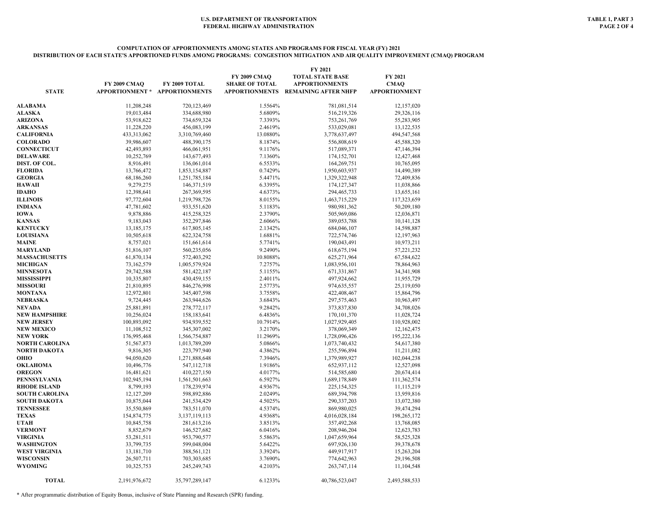#### **COMPUTATION OF APPORTIONMENTS AMONG STATES AND PROGRAMS FOR FISCAL YEAR (FY) 2021 DISTRIBUTION OF EACH STATE'S APPORTIONED FUNDS AMONG PROGRAMS: CONGESTION MITIGATION AND AIR QUALITY IMPROVEMENT (CMAQ) PROGRAM**

| FY 2009 CMAO<br><b>TOTAL STATE BASE</b><br>FY 2021<br>FY 2009 CMAO<br>FY 2009 TOTAL<br><b>SHARE OF TOTAL</b><br><b>APPORTIONMENTS</b><br><b>CMAO</b><br><b>STATE</b><br>APPORTIONMENT * APPORTIONMENTS<br><b>APPORTIONMENTS</b><br><b>REMAINING AFTER NHFP</b><br><b>APPORTIONMENT</b><br>11.208.248<br>720,123,469<br>1.5564%<br>781.081.514<br>12,157,020<br>ALABAMA<br>5.6809%<br>ALASKA<br>19,013,484<br>334,688,980<br>516,219,326<br>29,326,116<br><b>ARIZONA</b><br>53,918,622<br>734,659,324<br>7.3393%<br>753,261,769<br>55,283,905<br>11,228,220<br>2.4619%<br><b>ARKANSAS</b><br>456,083,199<br>533,029,081<br>13,122,535<br><b>CALIFORNIA</b><br>433,313,062<br>13.0880%<br>3,310,769,460<br>3,778,637,497<br>494,547,568<br>488,390,175<br><b>COLORADO</b><br>39,986,607<br>8.1874%<br>556,808,619<br>45,588,320<br>9.1176%<br><b>CONNECTICUT</b><br>42,493,893<br>466,061,951<br>517,089,371<br>47,146,394<br><b>DELAWARE</b><br>10,252,769<br>143,677,493<br>7.1360%<br>174,152,701<br>12,427,468<br>6.5533%<br>DIST. OF COL.<br>8,916,491<br>136,061,014<br>164,269,751<br>10,765,095<br>0.7429%<br>FLORIDA<br>13,766,472<br>1,853,154,887<br>1,950,603,937<br>14,490,389<br>5.4471%<br>1,329,322,948<br><b>GEORGIA</b><br>68,186,260<br>1,251,785,184<br>72,409,836<br><b>HAWAII</b><br>9,279,275<br>6.3395%<br>146, 371, 519<br>174, 127, 347<br>11,038,866<br>4.6373%<br><b>IDAHO</b><br>12,398,641<br>267,369,595<br>294, 465, 733<br>13,655,161<br><b>ILLINOIS</b><br>8.0155%<br>97,772,604<br>1,219,798,726<br>1,463,715,229<br>117,323,659<br><b>INDIANA</b><br>47,781,602<br>5.1183%<br>980,981,362<br>933,551,620<br>50,209,180<br><b>IOWA</b><br>9,878,886<br>2.3790%<br>505,969,086<br>12,036,871<br>415,258,325<br><b>KANSAS</b><br>9,183,043<br>352,297,846<br>2.6066%<br>389,053,788<br>10,141,128<br><b>KENTUCKY</b><br>2.1342%<br>13,185,175<br>617,805,145<br>684,046,107<br>14,598,887<br><b>LOUISIANA</b><br>10,505,618<br>1.6881%<br>622,324,758<br>722,574,746<br>12,197,963<br><b>MAINE</b><br>8,757,021<br>151,661,614<br>5.7741%<br>190,043,491<br>10,973,211<br><b>MARYLAND</b><br>51,816,107<br>560,235,056<br>9.2490%<br>57,221,232<br>618, 675, 194<br><b>MASSACHUSETTS</b><br>61,870,134<br>572,403,292<br>10.8088%<br>625,271,964<br>67,584,622<br>73,162,579<br>1,005,579,924<br>7.2757%<br>1,083,956,101<br>78,864,963<br>29,742,588<br>5.1155%<br>671,331,867<br>581,422,187<br>34,341,908<br>2.4011%<br>497,924,662<br>10,335,807<br>430,459,155<br>11,955,729<br>21,810,895<br>846,276,998<br>2.5773%<br>974,635,557<br>25,119,050<br>12,972,801<br>345,407,598<br>3.7558%<br>422,408,467<br>15,864,796<br>9,724,445<br>263,944,626<br>3.6843%<br>297,575,463<br>10,963,497<br>9.2842%<br>25,881,891<br>278,772,117<br>373,837,830<br>34,708,026<br>10,256,024<br>158,183,641<br>6.4836%<br>170, 101, 370<br>11,028,724<br>100,893,092<br>934,939,552<br>10.7914%<br>1,027,929,405<br>110,928,002<br>11,108,512<br>345,307,002<br>3.2170%<br>378,069,349<br>12,162,475<br>11.2969%<br>176,995,468<br>1,566,754,887<br>1,728,096,426<br>195,222,136<br>5.0866%<br>51,567,873<br>1,013,789,209<br>1,073,740,432<br>54,617,380<br>9,816,305<br>223,797,940<br>4.3862%<br>255,596,894<br>11,211,082<br>7.3946%<br>94,050,620<br>1,271,888,648<br>1,379,989,927<br>102,044,238<br>10,496,776<br>547,112,718<br>1.9186%<br>652,937,112<br>12,527,098<br>16,481,621<br>410,227,150<br>4.0177%<br>514,585,680<br>20,674,414<br>6.5927%<br>102,945,194<br>1,561,501,663<br>1,689,178,849<br>111,362,574<br>8,799,193<br>4.9367%<br>178,239,974<br>225, 154, 325<br>11,115,219<br>2.0249%<br><b>SOUTH CAROLINA</b><br>12,127,209<br>598,892,886<br>689,394,798<br>13,959,816<br>4.5025%<br>10,875,044<br>241,534,429<br>290,337,203<br>SOUTH DAKOTA<br>13,072,380<br>35,550,869<br>4.5374%<br>869,980,025<br>TENNESSEE<br>783,511,070<br>39,474,294<br><b>TEXAS</b><br>154,874,775<br>4.9368%<br>3, 137, 119, 113<br>4,016,028,184<br>198,265,172<br>3.8513%<br>UTAH<br>10,845,758<br>281,613,216<br>357,492,268<br>13,768,085<br><b>VERMONT</b><br>8,852,679<br>6.0416%<br>208,946,204<br>146,527,682<br>12,623,783<br>953,790,577<br>5.5863%<br><b>VIRGINIA</b><br>53,281,511<br>1,047,659,964<br>58,525,328<br>WASHINGTON<br>33,799,735<br>599,048,004<br>5.6422%<br>697,926,130<br>39,378,678<br>3.3924%<br>WEST VIRGINIA<br>13,181,710<br>388,561,121<br>449,917,917<br>15,263,204<br>WISCONSIN<br>26,507,711<br>703,303,685<br>3.7690%<br>774,642,963<br>29,196,508<br>WYOMING<br>10,325,753<br>245,249,743<br>4.2103%<br>263,747,114<br>11,104,548 |                       |               |                |         | FY 2021        |               |
|----------------------------------------------------------------------------------------------------------------------------------------------------------------------------------------------------------------------------------------------------------------------------------------------------------------------------------------------------------------------------------------------------------------------------------------------------------------------------------------------------------------------------------------------------------------------------------------------------------------------------------------------------------------------------------------------------------------------------------------------------------------------------------------------------------------------------------------------------------------------------------------------------------------------------------------------------------------------------------------------------------------------------------------------------------------------------------------------------------------------------------------------------------------------------------------------------------------------------------------------------------------------------------------------------------------------------------------------------------------------------------------------------------------------------------------------------------------------------------------------------------------------------------------------------------------------------------------------------------------------------------------------------------------------------------------------------------------------------------------------------------------------------------------------------------------------------------------------------------------------------------------------------------------------------------------------------------------------------------------------------------------------------------------------------------------------------------------------------------------------------------------------------------------------------------------------------------------------------------------------------------------------------------------------------------------------------------------------------------------------------------------------------------------------------------------------------------------------------------------------------------------------------------------------------------------------------------------------------------------------------------------------------------------------------------------------------------------------------------------------------------------------------------------------------------------------------------------------------------------------------------------------------------------------------------------------------------------------------------------------------------------------------------------------------------------------------------------------------------------------------------------------------------------------------------------------------------------------------------------------------------------------------------------------------------------------------------------------------------------------------------------------------------------------------------------------------------------------------------------------------------------------------------------------------------------------------------------------------------------------------------------------------------------------------------------------------------------------------------------------------------------------------------------------------------------------------------------------------------------------------------------------------------------------------------------------------------------------------------------------------------------------------------------------------------------------------------------------------------------------------------------------------------------------------------------------------------------------------------------------------------------------------------------------------------------------------------------------------------------------------------------------------------------------------------------------------------------------------------------------------------------------------------------------------------------------------------------------------|-----------------------|---------------|----------------|---------|----------------|---------------|
|                                                                                                                                                                                                                                                                                                                                                                                                                                                                                                                                                                                                                                                                                                                                                                                                                                                                                                                                                                                                                                                                                                                                                                                                                                                                                                                                                                                                                                                                                                                                                                                                                                                                                                                                                                                                                                                                                                                                                                                                                                                                                                                                                                                                                                                                                                                                                                                                                                                                                                                                                                                                                                                                                                                                                                                                                                                                                                                                                                                                                                                                                                                                                                                                                                                                                                                                                                                                                                                                                                                                                                                                                                                                                                                                                                                                                                                                                                                                                                                                                                                                                                                                                                                                                                                                                                                                                                                                                                                                                                                                                                                                    |                       |               |                |         |                |               |
|                                                                                                                                                                                                                                                                                                                                                                                                                                                                                                                                                                                                                                                                                                                                                                                                                                                                                                                                                                                                                                                                                                                                                                                                                                                                                                                                                                                                                                                                                                                                                                                                                                                                                                                                                                                                                                                                                                                                                                                                                                                                                                                                                                                                                                                                                                                                                                                                                                                                                                                                                                                                                                                                                                                                                                                                                                                                                                                                                                                                                                                                                                                                                                                                                                                                                                                                                                                                                                                                                                                                                                                                                                                                                                                                                                                                                                                                                                                                                                                                                                                                                                                                                                                                                                                                                                                                                                                                                                                                                                                                                                                                    |                       |               |                |         |                |               |
|                                                                                                                                                                                                                                                                                                                                                                                                                                                                                                                                                                                                                                                                                                                                                                                                                                                                                                                                                                                                                                                                                                                                                                                                                                                                                                                                                                                                                                                                                                                                                                                                                                                                                                                                                                                                                                                                                                                                                                                                                                                                                                                                                                                                                                                                                                                                                                                                                                                                                                                                                                                                                                                                                                                                                                                                                                                                                                                                                                                                                                                                                                                                                                                                                                                                                                                                                                                                                                                                                                                                                                                                                                                                                                                                                                                                                                                                                                                                                                                                                                                                                                                                                                                                                                                                                                                                                                                                                                                                                                                                                                                                    |                       |               |                |         |                |               |
|                                                                                                                                                                                                                                                                                                                                                                                                                                                                                                                                                                                                                                                                                                                                                                                                                                                                                                                                                                                                                                                                                                                                                                                                                                                                                                                                                                                                                                                                                                                                                                                                                                                                                                                                                                                                                                                                                                                                                                                                                                                                                                                                                                                                                                                                                                                                                                                                                                                                                                                                                                                                                                                                                                                                                                                                                                                                                                                                                                                                                                                                                                                                                                                                                                                                                                                                                                                                                                                                                                                                                                                                                                                                                                                                                                                                                                                                                                                                                                                                                                                                                                                                                                                                                                                                                                                                                                                                                                                                                                                                                                                                    |                       |               |                |         |                |               |
|                                                                                                                                                                                                                                                                                                                                                                                                                                                                                                                                                                                                                                                                                                                                                                                                                                                                                                                                                                                                                                                                                                                                                                                                                                                                                                                                                                                                                                                                                                                                                                                                                                                                                                                                                                                                                                                                                                                                                                                                                                                                                                                                                                                                                                                                                                                                                                                                                                                                                                                                                                                                                                                                                                                                                                                                                                                                                                                                                                                                                                                                                                                                                                                                                                                                                                                                                                                                                                                                                                                                                                                                                                                                                                                                                                                                                                                                                                                                                                                                                                                                                                                                                                                                                                                                                                                                                                                                                                                                                                                                                                                                    |                       |               |                |         |                |               |
|                                                                                                                                                                                                                                                                                                                                                                                                                                                                                                                                                                                                                                                                                                                                                                                                                                                                                                                                                                                                                                                                                                                                                                                                                                                                                                                                                                                                                                                                                                                                                                                                                                                                                                                                                                                                                                                                                                                                                                                                                                                                                                                                                                                                                                                                                                                                                                                                                                                                                                                                                                                                                                                                                                                                                                                                                                                                                                                                                                                                                                                                                                                                                                                                                                                                                                                                                                                                                                                                                                                                                                                                                                                                                                                                                                                                                                                                                                                                                                                                                                                                                                                                                                                                                                                                                                                                                                                                                                                                                                                                                                                                    |                       |               |                |         |                |               |
|                                                                                                                                                                                                                                                                                                                                                                                                                                                                                                                                                                                                                                                                                                                                                                                                                                                                                                                                                                                                                                                                                                                                                                                                                                                                                                                                                                                                                                                                                                                                                                                                                                                                                                                                                                                                                                                                                                                                                                                                                                                                                                                                                                                                                                                                                                                                                                                                                                                                                                                                                                                                                                                                                                                                                                                                                                                                                                                                                                                                                                                                                                                                                                                                                                                                                                                                                                                                                                                                                                                                                                                                                                                                                                                                                                                                                                                                                                                                                                                                                                                                                                                                                                                                                                                                                                                                                                                                                                                                                                                                                                                                    |                       |               |                |         |                |               |
|                                                                                                                                                                                                                                                                                                                                                                                                                                                                                                                                                                                                                                                                                                                                                                                                                                                                                                                                                                                                                                                                                                                                                                                                                                                                                                                                                                                                                                                                                                                                                                                                                                                                                                                                                                                                                                                                                                                                                                                                                                                                                                                                                                                                                                                                                                                                                                                                                                                                                                                                                                                                                                                                                                                                                                                                                                                                                                                                                                                                                                                                                                                                                                                                                                                                                                                                                                                                                                                                                                                                                                                                                                                                                                                                                                                                                                                                                                                                                                                                                                                                                                                                                                                                                                                                                                                                                                                                                                                                                                                                                                                                    |                       |               |                |         |                |               |
|                                                                                                                                                                                                                                                                                                                                                                                                                                                                                                                                                                                                                                                                                                                                                                                                                                                                                                                                                                                                                                                                                                                                                                                                                                                                                                                                                                                                                                                                                                                                                                                                                                                                                                                                                                                                                                                                                                                                                                                                                                                                                                                                                                                                                                                                                                                                                                                                                                                                                                                                                                                                                                                                                                                                                                                                                                                                                                                                                                                                                                                                                                                                                                                                                                                                                                                                                                                                                                                                                                                                                                                                                                                                                                                                                                                                                                                                                                                                                                                                                                                                                                                                                                                                                                                                                                                                                                                                                                                                                                                                                                                                    |                       |               |                |         |                |               |
|                                                                                                                                                                                                                                                                                                                                                                                                                                                                                                                                                                                                                                                                                                                                                                                                                                                                                                                                                                                                                                                                                                                                                                                                                                                                                                                                                                                                                                                                                                                                                                                                                                                                                                                                                                                                                                                                                                                                                                                                                                                                                                                                                                                                                                                                                                                                                                                                                                                                                                                                                                                                                                                                                                                                                                                                                                                                                                                                                                                                                                                                                                                                                                                                                                                                                                                                                                                                                                                                                                                                                                                                                                                                                                                                                                                                                                                                                                                                                                                                                                                                                                                                                                                                                                                                                                                                                                                                                                                                                                                                                                                                    |                       |               |                |         |                |               |
|                                                                                                                                                                                                                                                                                                                                                                                                                                                                                                                                                                                                                                                                                                                                                                                                                                                                                                                                                                                                                                                                                                                                                                                                                                                                                                                                                                                                                                                                                                                                                                                                                                                                                                                                                                                                                                                                                                                                                                                                                                                                                                                                                                                                                                                                                                                                                                                                                                                                                                                                                                                                                                                                                                                                                                                                                                                                                                                                                                                                                                                                                                                                                                                                                                                                                                                                                                                                                                                                                                                                                                                                                                                                                                                                                                                                                                                                                                                                                                                                                                                                                                                                                                                                                                                                                                                                                                                                                                                                                                                                                                                                    |                       |               |                |         |                |               |
|                                                                                                                                                                                                                                                                                                                                                                                                                                                                                                                                                                                                                                                                                                                                                                                                                                                                                                                                                                                                                                                                                                                                                                                                                                                                                                                                                                                                                                                                                                                                                                                                                                                                                                                                                                                                                                                                                                                                                                                                                                                                                                                                                                                                                                                                                                                                                                                                                                                                                                                                                                                                                                                                                                                                                                                                                                                                                                                                                                                                                                                                                                                                                                                                                                                                                                                                                                                                                                                                                                                                                                                                                                                                                                                                                                                                                                                                                                                                                                                                                                                                                                                                                                                                                                                                                                                                                                                                                                                                                                                                                                                                    |                       |               |                |         |                |               |
|                                                                                                                                                                                                                                                                                                                                                                                                                                                                                                                                                                                                                                                                                                                                                                                                                                                                                                                                                                                                                                                                                                                                                                                                                                                                                                                                                                                                                                                                                                                                                                                                                                                                                                                                                                                                                                                                                                                                                                                                                                                                                                                                                                                                                                                                                                                                                                                                                                                                                                                                                                                                                                                                                                                                                                                                                                                                                                                                                                                                                                                                                                                                                                                                                                                                                                                                                                                                                                                                                                                                                                                                                                                                                                                                                                                                                                                                                                                                                                                                                                                                                                                                                                                                                                                                                                                                                                                                                                                                                                                                                                                                    |                       |               |                |         |                |               |
|                                                                                                                                                                                                                                                                                                                                                                                                                                                                                                                                                                                                                                                                                                                                                                                                                                                                                                                                                                                                                                                                                                                                                                                                                                                                                                                                                                                                                                                                                                                                                                                                                                                                                                                                                                                                                                                                                                                                                                                                                                                                                                                                                                                                                                                                                                                                                                                                                                                                                                                                                                                                                                                                                                                                                                                                                                                                                                                                                                                                                                                                                                                                                                                                                                                                                                                                                                                                                                                                                                                                                                                                                                                                                                                                                                                                                                                                                                                                                                                                                                                                                                                                                                                                                                                                                                                                                                                                                                                                                                                                                                                                    |                       |               |                |         |                |               |
|                                                                                                                                                                                                                                                                                                                                                                                                                                                                                                                                                                                                                                                                                                                                                                                                                                                                                                                                                                                                                                                                                                                                                                                                                                                                                                                                                                                                                                                                                                                                                                                                                                                                                                                                                                                                                                                                                                                                                                                                                                                                                                                                                                                                                                                                                                                                                                                                                                                                                                                                                                                                                                                                                                                                                                                                                                                                                                                                                                                                                                                                                                                                                                                                                                                                                                                                                                                                                                                                                                                                                                                                                                                                                                                                                                                                                                                                                                                                                                                                                                                                                                                                                                                                                                                                                                                                                                                                                                                                                                                                                                                                    |                       |               |                |         |                |               |
|                                                                                                                                                                                                                                                                                                                                                                                                                                                                                                                                                                                                                                                                                                                                                                                                                                                                                                                                                                                                                                                                                                                                                                                                                                                                                                                                                                                                                                                                                                                                                                                                                                                                                                                                                                                                                                                                                                                                                                                                                                                                                                                                                                                                                                                                                                                                                                                                                                                                                                                                                                                                                                                                                                                                                                                                                                                                                                                                                                                                                                                                                                                                                                                                                                                                                                                                                                                                                                                                                                                                                                                                                                                                                                                                                                                                                                                                                                                                                                                                                                                                                                                                                                                                                                                                                                                                                                                                                                                                                                                                                                                                    |                       |               |                |         |                |               |
|                                                                                                                                                                                                                                                                                                                                                                                                                                                                                                                                                                                                                                                                                                                                                                                                                                                                                                                                                                                                                                                                                                                                                                                                                                                                                                                                                                                                                                                                                                                                                                                                                                                                                                                                                                                                                                                                                                                                                                                                                                                                                                                                                                                                                                                                                                                                                                                                                                                                                                                                                                                                                                                                                                                                                                                                                                                                                                                                                                                                                                                                                                                                                                                                                                                                                                                                                                                                                                                                                                                                                                                                                                                                                                                                                                                                                                                                                                                                                                                                                                                                                                                                                                                                                                                                                                                                                                                                                                                                                                                                                                                                    |                       |               |                |         |                |               |
|                                                                                                                                                                                                                                                                                                                                                                                                                                                                                                                                                                                                                                                                                                                                                                                                                                                                                                                                                                                                                                                                                                                                                                                                                                                                                                                                                                                                                                                                                                                                                                                                                                                                                                                                                                                                                                                                                                                                                                                                                                                                                                                                                                                                                                                                                                                                                                                                                                                                                                                                                                                                                                                                                                                                                                                                                                                                                                                                                                                                                                                                                                                                                                                                                                                                                                                                                                                                                                                                                                                                                                                                                                                                                                                                                                                                                                                                                                                                                                                                                                                                                                                                                                                                                                                                                                                                                                                                                                                                                                                                                                                                    |                       |               |                |         |                |               |
|                                                                                                                                                                                                                                                                                                                                                                                                                                                                                                                                                                                                                                                                                                                                                                                                                                                                                                                                                                                                                                                                                                                                                                                                                                                                                                                                                                                                                                                                                                                                                                                                                                                                                                                                                                                                                                                                                                                                                                                                                                                                                                                                                                                                                                                                                                                                                                                                                                                                                                                                                                                                                                                                                                                                                                                                                                                                                                                                                                                                                                                                                                                                                                                                                                                                                                                                                                                                                                                                                                                                                                                                                                                                                                                                                                                                                                                                                                                                                                                                                                                                                                                                                                                                                                                                                                                                                                                                                                                                                                                                                                                                    |                       |               |                |         |                |               |
|                                                                                                                                                                                                                                                                                                                                                                                                                                                                                                                                                                                                                                                                                                                                                                                                                                                                                                                                                                                                                                                                                                                                                                                                                                                                                                                                                                                                                                                                                                                                                                                                                                                                                                                                                                                                                                                                                                                                                                                                                                                                                                                                                                                                                                                                                                                                                                                                                                                                                                                                                                                                                                                                                                                                                                                                                                                                                                                                                                                                                                                                                                                                                                                                                                                                                                                                                                                                                                                                                                                                                                                                                                                                                                                                                                                                                                                                                                                                                                                                                                                                                                                                                                                                                                                                                                                                                                                                                                                                                                                                                                                                    |                       |               |                |         |                |               |
|                                                                                                                                                                                                                                                                                                                                                                                                                                                                                                                                                                                                                                                                                                                                                                                                                                                                                                                                                                                                                                                                                                                                                                                                                                                                                                                                                                                                                                                                                                                                                                                                                                                                                                                                                                                                                                                                                                                                                                                                                                                                                                                                                                                                                                                                                                                                                                                                                                                                                                                                                                                                                                                                                                                                                                                                                                                                                                                                                                                                                                                                                                                                                                                                                                                                                                                                                                                                                                                                                                                                                                                                                                                                                                                                                                                                                                                                                                                                                                                                                                                                                                                                                                                                                                                                                                                                                                                                                                                                                                                                                                                                    |                       |               |                |         |                |               |
|                                                                                                                                                                                                                                                                                                                                                                                                                                                                                                                                                                                                                                                                                                                                                                                                                                                                                                                                                                                                                                                                                                                                                                                                                                                                                                                                                                                                                                                                                                                                                                                                                                                                                                                                                                                                                                                                                                                                                                                                                                                                                                                                                                                                                                                                                                                                                                                                                                                                                                                                                                                                                                                                                                                                                                                                                                                                                                                                                                                                                                                                                                                                                                                                                                                                                                                                                                                                                                                                                                                                                                                                                                                                                                                                                                                                                                                                                                                                                                                                                                                                                                                                                                                                                                                                                                                                                                                                                                                                                                                                                                                                    |                       |               |                |         |                |               |
|                                                                                                                                                                                                                                                                                                                                                                                                                                                                                                                                                                                                                                                                                                                                                                                                                                                                                                                                                                                                                                                                                                                                                                                                                                                                                                                                                                                                                                                                                                                                                                                                                                                                                                                                                                                                                                                                                                                                                                                                                                                                                                                                                                                                                                                                                                                                                                                                                                                                                                                                                                                                                                                                                                                                                                                                                                                                                                                                                                                                                                                                                                                                                                                                                                                                                                                                                                                                                                                                                                                                                                                                                                                                                                                                                                                                                                                                                                                                                                                                                                                                                                                                                                                                                                                                                                                                                                                                                                                                                                                                                                                                    |                       |               |                |         |                |               |
|                                                                                                                                                                                                                                                                                                                                                                                                                                                                                                                                                                                                                                                                                                                                                                                                                                                                                                                                                                                                                                                                                                                                                                                                                                                                                                                                                                                                                                                                                                                                                                                                                                                                                                                                                                                                                                                                                                                                                                                                                                                                                                                                                                                                                                                                                                                                                                                                                                                                                                                                                                                                                                                                                                                                                                                                                                                                                                                                                                                                                                                                                                                                                                                                                                                                                                                                                                                                                                                                                                                                                                                                                                                                                                                                                                                                                                                                                                                                                                                                                                                                                                                                                                                                                                                                                                                                                                                                                                                                                                                                                                                                    |                       |               |                |         |                |               |
|                                                                                                                                                                                                                                                                                                                                                                                                                                                                                                                                                                                                                                                                                                                                                                                                                                                                                                                                                                                                                                                                                                                                                                                                                                                                                                                                                                                                                                                                                                                                                                                                                                                                                                                                                                                                                                                                                                                                                                                                                                                                                                                                                                                                                                                                                                                                                                                                                                                                                                                                                                                                                                                                                                                                                                                                                                                                                                                                                                                                                                                                                                                                                                                                                                                                                                                                                                                                                                                                                                                                                                                                                                                                                                                                                                                                                                                                                                                                                                                                                                                                                                                                                                                                                                                                                                                                                                                                                                                                                                                                                                                                    |                       |               |                |         |                |               |
|                                                                                                                                                                                                                                                                                                                                                                                                                                                                                                                                                                                                                                                                                                                                                                                                                                                                                                                                                                                                                                                                                                                                                                                                                                                                                                                                                                                                                                                                                                                                                                                                                                                                                                                                                                                                                                                                                                                                                                                                                                                                                                                                                                                                                                                                                                                                                                                                                                                                                                                                                                                                                                                                                                                                                                                                                                                                                                                                                                                                                                                                                                                                                                                                                                                                                                                                                                                                                                                                                                                                                                                                                                                                                                                                                                                                                                                                                                                                                                                                                                                                                                                                                                                                                                                                                                                                                                                                                                                                                                                                                                                                    |                       |               |                |         |                |               |
|                                                                                                                                                                                                                                                                                                                                                                                                                                                                                                                                                                                                                                                                                                                                                                                                                                                                                                                                                                                                                                                                                                                                                                                                                                                                                                                                                                                                                                                                                                                                                                                                                                                                                                                                                                                                                                                                                                                                                                                                                                                                                                                                                                                                                                                                                                                                                                                                                                                                                                                                                                                                                                                                                                                                                                                                                                                                                                                                                                                                                                                                                                                                                                                                                                                                                                                                                                                                                                                                                                                                                                                                                                                                                                                                                                                                                                                                                                                                                                                                                                                                                                                                                                                                                                                                                                                                                                                                                                                                                                                                                                                                    |                       |               |                |         |                |               |
|                                                                                                                                                                                                                                                                                                                                                                                                                                                                                                                                                                                                                                                                                                                                                                                                                                                                                                                                                                                                                                                                                                                                                                                                                                                                                                                                                                                                                                                                                                                                                                                                                                                                                                                                                                                                                                                                                                                                                                                                                                                                                                                                                                                                                                                                                                                                                                                                                                                                                                                                                                                                                                                                                                                                                                                                                                                                                                                                                                                                                                                                                                                                                                                                                                                                                                                                                                                                                                                                                                                                                                                                                                                                                                                                                                                                                                                                                                                                                                                                                                                                                                                                                                                                                                                                                                                                                                                                                                                                                                                                                                                                    | <b>MICHIGAN</b>       |               |                |         |                |               |
|                                                                                                                                                                                                                                                                                                                                                                                                                                                                                                                                                                                                                                                                                                                                                                                                                                                                                                                                                                                                                                                                                                                                                                                                                                                                                                                                                                                                                                                                                                                                                                                                                                                                                                                                                                                                                                                                                                                                                                                                                                                                                                                                                                                                                                                                                                                                                                                                                                                                                                                                                                                                                                                                                                                                                                                                                                                                                                                                                                                                                                                                                                                                                                                                                                                                                                                                                                                                                                                                                                                                                                                                                                                                                                                                                                                                                                                                                                                                                                                                                                                                                                                                                                                                                                                                                                                                                                                                                                                                                                                                                                                                    | <b>MINNESOTA</b>      |               |                |         |                |               |
|                                                                                                                                                                                                                                                                                                                                                                                                                                                                                                                                                                                                                                                                                                                                                                                                                                                                                                                                                                                                                                                                                                                                                                                                                                                                                                                                                                                                                                                                                                                                                                                                                                                                                                                                                                                                                                                                                                                                                                                                                                                                                                                                                                                                                                                                                                                                                                                                                                                                                                                                                                                                                                                                                                                                                                                                                                                                                                                                                                                                                                                                                                                                                                                                                                                                                                                                                                                                                                                                                                                                                                                                                                                                                                                                                                                                                                                                                                                                                                                                                                                                                                                                                                                                                                                                                                                                                                                                                                                                                                                                                                                                    | <b>MISSISSIPPI</b>    |               |                |         |                |               |
|                                                                                                                                                                                                                                                                                                                                                                                                                                                                                                                                                                                                                                                                                                                                                                                                                                                                                                                                                                                                                                                                                                                                                                                                                                                                                                                                                                                                                                                                                                                                                                                                                                                                                                                                                                                                                                                                                                                                                                                                                                                                                                                                                                                                                                                                                                                                                                                                                                                                                                                                                                                                                                                                                                                                                                                                                                                                                                                                                                                                                                                                                                                                                                                                                                                                                                                                                                                                                                                                                                                                                                                                                                                                                                                                                                                                                                                                                                                                                                                                                                                                                                                                                                                                                                                                                                                                                                                                                                                                                                                                                                                                    | <b>MISSOURI</b>       |               |                |         |                |               |
|                                                                                                                                                                                                                                                                                                                                                                                                                                                                                                                                                                                                                                                                                                                                                                                                                                                                                                                                                                                                                                                                                                                                                                                                                                                                                                                                                                                                                                                                                                                                                                                                                                                                                                                                                                                                                                                                                                                                                                                                                                                                                                                                                                                                                                                                                                                                                                                                                                                                                                                                                                                                                                                                                                                                                                                                                                                                                                                                                                                                                                                                                                                                                                                                                                                                                                                                                                                                                                                                                                                                                                                                                                                                                                                                                                                                                                                                                                                                                                                                                                                                                                                                                                                                                                                                                                                                                                                                                                                                                                                                                                                                    | <b>MONTANA</b>        |               |                |         |                |               |
|                                                                                                                                                                                                                                                                                                                                                                                                                                                                                                                                                                                                                                                                                                                                                                                                                                                                                                                                                                                                                                                                                                                                                                                                                                                                                                                                                                                                                                                                                                                                                                                                                                                                                                                                                                                                                                                                                                                                                                                                                                                                                                                                                                                                                                                                                                                                                                                                                                                                                                                                                                                                                                                                                                                                                                                                                                                                                                                                                                                                                                                                                                                                                                                                                                                                                                                                                                                                                                                                                                                                                                                                                                                                                                                                                                                                                                                                                                                                                                                                                                                                                                                                                                                                                                                                                                                                                                                                                                                                                                                                                                                                    | <b>NEBRASKA</b>       |               |                |         |                |               |
|                                                                                                                                                                                                                                                                                                                                                                                                                                                                                                                                                                                                                                                                                                                                                                                                                                                                                                                                                                                                                                                                                                                                                                                                                                                                                                                                                                                                                                                                                                                                                                                                                                                                                                                                                                                                                                                                                                                                                                                                                                                                                                                                                                                                                                                                                                                                                                                                                                                                                                                                                                                                                                                                                                                                                                                                                                                                                                                                                                                                                                                                                                                                                                                                                                                                                                                                                                                                                                                                                                                                                                                                                                                                                                                                                                                                                                                                                                                                                                                                                                                                                                                                                                                                                                                                                                                                                                                                                                                                                                                                                                                                    | <b>NEVADA</b>         |               |                |         |                |               |
|                                                                                                                                                                                                                                                                                                                                                                                                                                                                                                                                                                                                                                                                                                                                                                                                                                                                                                                                                                                                                                                                                                                                                                                                                                                                                                                                                                                                                                                                                                                                                                                                                                                                                                                                                                                                                                                                                                                                                                                                                                                                                                                                                                                                                                                                                                                                                                                                                                                                                                                                                                                                                                                                                                                                                                                                                                                                                                                                                                                                                                                                                                                                                                                                                                                                                                                                                                                                                                                                                                                                                                                                                                                                                                                                                                                                                                                                                                                                                                                                                                                                                                                                                                                                                                                                                                                                                                                                                                                                                                                                                                                                    | <b>NEW HAMPSHIRE</b>  |               |                |         |                |               |
|                                                                                                                                                                                                                                                                                                                                                                                                                                                                                                                                                                                                                                                                                                                                                                                                                                                                                                                                                                                                                                                                                                                                                                                                                                                                                                                                                                                                                                                                                                                                                                                                                                                                                                                                                                                                                                                                                                                                                                                                                                                                                                                                                                                                                                                                                                                                                                                                                                                                                                                                                                                                                                                                                                                                                                                                                                                                                                                                                                                                                                                                                                                                                                                                                                                                                                                                                                                                                                                                                                                                                                                                                                                                                                                                                                                                                                                                                                                                                                                                                                                                                                                                                                                                                                                                                                                                                                                                                                                                                                                                                                                                    | NEW JERSEY            |               |                |         |                |               |
|                                                                                                                                                                                                                                                                                                                                                                                                                                                                                                                                                                                                                                                                                                                                                                                                                                                                                                                                                                                                                                                                                                                                                                                                                                                                                                                                                                                                                                                                                                                                                                                                                                                                                                                                                                                                                                                                                                                                                                                                                                                                                                                                                                                                                                                                                                                                                                                                                                                                                                                                                                                                                                                                                                                                                                                                                                                                                                                                                                                                                                                                                                                                                                                                                                                                                                                                                                                                                                                                                                                                                                                                                                                                                                                                                                                                                                                                                                                                                                                                                                                                                                                                                                                                                                                                                                                                                                                                                                                                                                                                                                                                    | <b>NEW MEXICO</b>     |               |                |         |                |               |
|                                                                                                                                                                                                                                                                                                                                                                                                                                                                                                                                                                                                                                                                                                                                                                                                                                                                                                                                                                                                                                                                                                                                                                                                                                                                                                                                                                                                                                                                                                                                                                                                                                                                                                                                                                                                                                                                                                                                                                                                                                                                                                                                                                                                                                                                                                                                                                                                                                                                                                                                                                                                                                                                                                                                                                                                                                                                                                                                                                                                                                                                                                                                                                                                                                                                                                                                                                                                                                                                                                                                                                                                                                                                                                                                                                                                                                                                                                                                                                                                                                                                                                                                                                                                                                                                                                                                                                                                                                                                                                                                                                                                    | <b>NEW YORK</b>       |               |                |         |                |               |
|                                                                                                                                                                                                                                                                                                                                                                                                                                                                                                                                                                                                                                                                                                                                                                                                                                                                                                                                                                                                                                                                                                                                                                                                                                                                                                                                                                                                                                                                                                                                                                                                                                                                                                                                                                                                                                                                                                                                                                                                                                                                                                                                                                                                                                                                                                                                                                                                                                                                                                                                                                                                                                                                                                                                                                                                                                                                                                                                                                                                                                                                                                                                                                                                                                                                                                                                                                                                                                                                                                                                                                                                                                                                                                                                                                                                                                                                                                                                                                                                                                                                                                                                                                                                                                                                                                                                                                                                                                                                                                                                                                                                    | <b>NORTH CAROLINA</b> |               |                |         |                |               |
|                                                                                                                                                                                                                                                                                                                                                                                                                                                                                                                                                                                                                                                                                                                                                                                                                                                                                                                                                                                                                                                                                                                                                                                                                                                                                                                                                                                                                                                                                                                                                                                                                                                                                                                                                                                                                                                                                                                                                                                                                                                                                                                                                                                                                                                                                                                                                                                                                                                                                                                                                                                                                                                                                                                                                                                                                                                                                                                                                                                                                                                                                                                                                                                                                                                                                                                                                                                                                                                                                                                                                                                                                                                                                                                                                                                                                                                                                                                                                                                                                                                                                                                                                                                                                                                                                                                                                                                                                                                                                                                                                                                                    | NORTH DAKOTA          |               |                |         |                |               |
|                                                                                                                                                                                                                                                                                                                                                                                                                                                                                                                                                                                                                                                                                                                                                                                                                                                                                                                                                                                                                                                                                                                                                                                                                                                                                                                                                                                                                                                                                                                                                                                                                                                                                                                                                                                                                                                                                                                                                                                                                                                                                                                                                                                                                                                                                                                                                                                                                                                                                                                                                                                                                                                                                                                                                                                                                                                                                                                                                                                                                                                                                                                                                                                                                                                                                                                                                                                                                                                                                                                                                                                                                                                                                                                                                                                                                                                                                                                                                                                                                                                                                                                                                                                                                                                                                                                                                                                                                                                                                                                                                                                                    | OHIO                  |               |                |         |                |               |
|                                                                                                                                                                                                                                                                                                                                                                                                                                                                                                                                                                                                                                                                                                                                                                                                                                                                                                                                                                                                                                                                                                                                                                                                                                                                                                                                                                                                                                                                                                                                                                                                                                                                                                                                                                                                                                                                                                                                                                                                                                                                                                                                                                                                                                                                                                                                                                                                                                                                                                                                                                                                                                                                                                                                                                                                                                                                                                                                                                                                                                                                                                                                                                                                                                                                                                                                                                                                                                                                                                                                                                                                                                                                                                                                                                                                                                                                                                                                                                                                                                                                                                                                                                                                                                                                                                                                                                                                                                                                                                                                                                                                    | <b>OKLAHOMA</b>       |               |                |         |                |               |
|                                                                                                                                                                                                                                                                                                                                                                                                                                                                                                                                                                                                                                                                                                                                                                                                                                                                                                                                                                                                                                                                                                                                                                                                                                                                                                                                                                                                                                                                                                                                                                                                                                                                                                                                                                                                                                                                                                                                                                                                                                                                                                                                                                                                                                                                                                                                                                                                                                                                                                                                                                                                                                                                                                                                                                                                                                                                                                                                                                                                                                                                                                                                                                                                                                                                                                                                                                                                                                                                                                                                                                                                                                                                                                                                                                                                                                                                                                                                                                                                                                                                                                                                                                                                                                                                                                                                                                                                                                                                                                                                                                                                    | <b>OREGON</b>         |               |                |         |                |               |
|                                                                                                                                                                                                                                                                                                                                                                                                                                                                                                                                                                                                                                                                                                                                                                                                                                                                                                                                                                                                                                                                                                                                                                                                                                                                                                                                                                                                                                                                                                                                                                                                                                                                                                                                                                                                                                                                                                                                                                                                                                                                                                                                                                                                                                                                                                                                                                                                                                                                                                                                                                                                                                                                                                                                                                                                                                                                                                                                                                                                                                                                                                                                                                                                                                                                                                                                                                                                                                                                                                                                                                                                                                                                                                                                                                                                                                                                                                                                                                                                                                                                                                                                                                                                                                                                                                                                                                                                                                                                                                                                                                                                    | PENNSYLVANIA          |               |                |         |                |               |
|                                                                                                                                                                                                                                                                                                                                                                                                                                                                                                                                                                                                                                                                                                                                                                                                                                                                                                                                                                                                                                                                                                                                                                                                                                                                                                                                                                                                                                                                                                                                                                                                                                                                                                                                                                                                                                                                                                                                                                                                                                                                                                                                                                                                                                                                                                                                                                                                                                                                                                                                                                                                                                                                                                                                                                                                                                                                                                                                                                                                                                                                                                                                                                                                                                                                                                                                                                                                                                                                                                                                                                                                                                                                                                                                                                                                                                                                                                                                                                                                                                                                                                                                                                                                                                                                                                                                                                                                                                                                                                                                                                                                    | <b>RHODE ISLAND</b>   |               |                |         |                |               |
|                                                                                                                                                                                                                                                                                                                                                                                                                                                                                                                                                                                                                                                                                                                                                                                                                                                                                                                                                                                                                                                                                                                                                                                                                                                                                                                                                                                                                                                                                                                                                                                                                                                                                                                                                                                                                                                                                                                                                                                                                                                                                                                                                                                                                                                                                                                                                                                                                                                                                                                                                                                                                                                                                                                                                                                                                                                                                                                                                                                                                                                                                                                                                                                                                                                                                                                                                                                                                                                                                                                                                                                                                                                                                                                                                                                                                                                                                                                                                                                                                                                                                                                                                                                                                                                                                                                                                                                                                                                                                                                                                                                                    |                       |               |                |         |                |               |
|                                                                                                                                                                                                                                                                                                                                                                                                                                                                                                                                                                                                                                                                                                                                                                                                                                                                                                                                                                                                                                                                                                                                                                                                                                                                                                                                                                                                                                                                                                                                                                                                                                                                                                                                                                                                                                                                                                                                                                                                                                                                                                                                                                                                                                                                                                                                                                                                                                                                                                                                                                                                                                                                                                                                                                                                                                                                                                                                                                                                                                                                                                                                                                                                                                                                                                                                                                                                                                                                                                                                                                                                                                                                                                                                                                                                                                                                                                                                                                                                                                                                                                                                                                                                                                                                                                                                                                                                                                                                                                                                                                                                    |                       |               |                |         |                |               |
|                                                                                                                                                                                                                                                                                                                                                                                                                                                                                                                                                                                                                                                                                                                                                                                                                                                                                                                                                                                                                                                                                                                                                                                                                                                                                                                                                                                                                                                                                                                                                                                                                                                                                                                                                                                                                                                                                                                                                                                                                                                                                                                                                                                                                                                                                                                                                                                                                                                                                                                                                                                                                                                                                                                                                                                                                                                                                                                                                                                                                                                                                                                                                                                                                                                                                                                                                                                                                                                                                                                                                                                                                                                                                                                                                                                                                                                                                                                                                                                                                                                                                                                                                                                                                                                                                                                                                                                                                                                                                                                                                                                                    |                       |               |                |         |                |               |
|                                                                                                                                                                                                                                                                                                                                                                                                                                                                                                                                                                                                                                                                                                                                                                                                                                                                                                                                                                                                                                                                                                                                                                                                                                                                                                                                                                                                                                                                                                                                                                                                                                                                                                                                                                                                                                                                                                                                                                                                                                                                                                                                                                                                                                                                                                                                                                                                                                                                                                                                                                                                                                                                                                                                                                                                                                                                                                                                                                                                                                                                                                                                                                                                                                                                                                                                                                                                                                                                                                                                                                                                                                                                                                                                                                                                                                                                                                                                                                                                                                                                                                                                                                                                                                                                                                                                                                                                                                                                                                                                                                                                    |                       |               |                |         |                |               |
|                                                                                                                                                                                                                                                                                                                                                                                                                                                                                                                                                                                                                                                                                                                                                                                                                                                                                                                                                                                                                                                                                                                                                                                                                                                                                                                                                                                                                                                                                                                                                                                                                                                                                                                                                                                                                                                                                                                                                                                                                                                                                                                                                                                                                                                                                                                                                                                                                                                                                                                                                                                                                                                                                                                                                                                                                                                                                                                                                                                                                                                                                                                                                                                                                                                                                                                                                                                                                                                                                                                                                                                                                                                                                                                                                                                                                                                                                                                                                                                                                                                                                                                                                                                                                                                                                                                                                                                                                                                                                                                                                                                                    |                       |               |                |         |                |               |
|                                                                                                                                                                                                                                                                                                                                                                                                                                                                                                                                                                                                                                                                                                                                                                                                                                                                                                                                                                                                                                                                                                                                                                                                                                                                                                                                                                                                                                                                                                                                                                                                                                                                                                                                                                                                                                                                                                                                                                                                                                                                                                                                                                                                                                                                                                                                                                                                                                                                                                                                                                                                                                                                                                                                                                                                                                                                                                                                                                                                                                                                                                                                                                                                                                                                                                                                                                                                                                                                                                                                                                                                                                                                                                                                                                                                                                                                                                                                                                                                                                                                                                                                                                                                                                                                                                                                                                                                                                                                                                                                                                                                    |                       |               |                |         |                |               |
|                                                                                                                                                                                                                                                                                                                                                                                                                                                                                                                                                                                                                                                                                                                                                                                                                                                                                                                                                                                                                                                                                                                                                                                                                                                                                                                                                                                                                                                                                                                                                                                                                                                                                                                                                                                                                                                                                                                                                                                                                                                                                                                                                                                                                                                                                                                                                                                                                                                                                                                                                                                                                                                                                                                                                                                                                                                                                                                                                                                                                                                                                                                                                                                                                                                                                                                                                                                                                                                                                                                                                                                                                                                                                                                                                                                                                                                                                                                                                                                                                                                                                                                                                                                                                                                                                                                                                                                                                                                                                                                                                                                                    |                       |               |                |         |                |               |
|                                                                                                                                                                                                                                                                                                                                                                                                                                                                                                                                                                                                                                                                                                                                                                                                                                                                                                                                                                                                                                                                                                                                                                                                                                                                                                                                                                                                                                                                                                                                                                                                                                                                                                                                                                                                                                                                                                                                                                                                                                                                                                                                                                                                                                                                                                                                                                                                                                                                                                                                                                                                                                                                                                                                                                                                                                                                                                                                                                                                                                                                                                                                                                                                                                                                                                                                                                                                                                                                                                                                                                                                                                                                                                                                                                                                                                                                                                                                                                                                                                                                                                                                                                                                                                                                                                                                                                                                                                                                                                                                                                                                    |                       |               |                |         |                |               |
|                                                                                                                                                                                                                                                                                                                                                                                                                                                                                                                                                                                                                                                                                                                                                                                                                                                                                                                                                                                                                                                                                                                                                                                                                                                                                                                                                                                                                                                                                                                                                                                                                                                                                                                                                                                                                                                                                                                                                                                                                                                                                                                                                                                                                                                                                                                                                                                                                                                                                                                                                                                                                                                                                                                                                                                                                                                                                                                                                                                                                                                                                                                                                                                                                                                                                                                                                                                                                                                                                                                                                                                                                                                                                                                                                                                                                                                                                                                                                                                                                                                                                                                                                                                                                                                                                                                                                                                                                                                                                                                                                                                                    |                       |               |                |         |                |               |
|                                                                                                                                                                                                                                                                                                                                                                                                                                                                                                                                                                                                                                                                                                                                                                                                                                                                                                                                                                                                                                                                                                                                                                                                                                                                                                                                                                                                                                                                                                                                                                                                                                                                                                                                                                                                                                                                                                                                                                                                                                                                                                                                                                                                                                                                                                                                                                                                                                                                                                                                                                                                                                                                                                                                                                                                                                                                                                                                                                                                                                                                                                                                                                                                                                                                                                                                                                                                                                                                                                                                                                                                                                                                                                                                                                                                                                                                                                                                                                                                                                                                                                                                                                                                                                                                                                                                                                                                                                                                                                                                                                                                    |                       |               |                |         |                |               |
|                                                                                                                                                                                                                                                                                                                                                                                                                                                                                                                                                                                                                                                                                                                                                                                                                                                                                                                                                                                                                                                                                                                                                                                                                                                                                                                                                                                                                                                                                                                                                                                                                                                                                                                                                                                                                                                                                                                                                                                                                                                                                                                                                                                                                                                                                                                                                                                                                                                                                                                                                                                                                                                                                                                                                                                                                                                                                                                                                                                                                                                                                                                                                                                                                                                                                                                                                                                                                                                                                                                                                                                                                                                                                                                                                                                                                                                                                                                                                                                                                                                                                                                                                                                                                                                                                                                                                                                                                                                                                                                                                                                                    |                       |               |                |         |                |               |
|                                                                                                                                                                                                                                                                                                                                                                                                                                                                                                                                                                                                                                                                                                                                                                                                                                                                                                                                                                                                                                                                                                                                                                                                                                                                                                                                                                                                                                                                                                                                                                                                                                                                                                                                                                                                                                                                                                                                                                                                                                                                                                                                                                                                                                                                                                                                                                                                                                                                                                                                                                                                                                                                                                                                                                                                                                                                                                                                                                                                                                                                                                                                                                                                                                                                                                                                                                                                                                                                                                                                                                                                                                                                                                                                                                                                                                                                                                                                                                                                                                                                                                                                                                                                                                                                                                                                                                                                                                                                                                                                                                                                    |                       |               |                |         |                |               |
|                                                                                                                                                                                                                                                                                                                                                                                                                                                                                                                                                                                                                                                                                                                                                                                                                                                                                                                                                                                                                                                                                                                                                                                                                                                                                                                                                                                                                                                                                                                                                                                                                                                                                                                                                                                                                                                                                                                                                                                                                                                                                                                                                                                                                                                                                                                                                                                                                                                                                                                                                                                                                                                                                                                                                                                                                                                                                                                                                                                                                                                                                                                                                                                                                                                                                                                                                                                                                                                                                                                                                                                                                                                                                                                                                                                                                                                                                                                                                                                                                                                                                                                                                                                                                                                                                                                                                                                                                                                                                                                                                                                                    | <b>TOTAL</b>          | 2,191,976,672 | 35,797,289,147 | 6.1233% | 40,786,523,047 | 2,493,588,533 |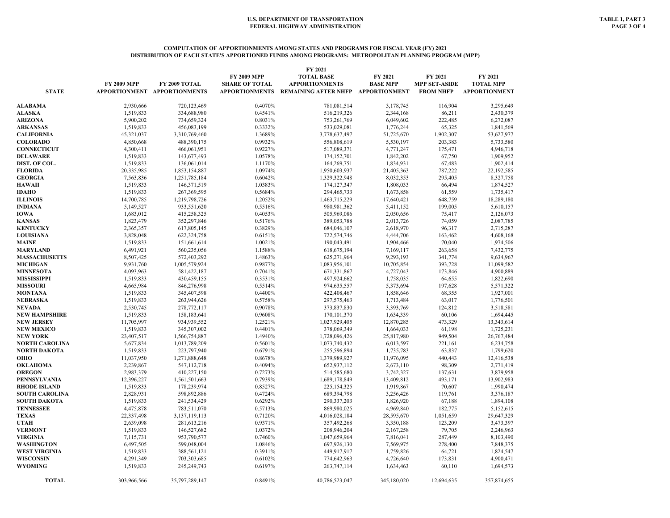#### **COMPUTATION OF APPORTIONMENTS AMONG STATES AND PROGRAMS FOR FISCAL YEAR (FY) 2021 DISTRIBUTION OF EACH STATE'S APPORTIONED FUNDS AMONG PROGRAMS: METROPOLITAN PLANNING PROGRAM (MPP)**

|                       |                    |                              |                       | FY 2021                            |                 |                      |                      |
|-----------------------|--------------------|------------------------------|-----------------------|------------------------------------|-----------------|----------------------|----------------------|
|                       |                    |                              | <b>FY 2009 MPP</b>    | <b>TOTAL BASE</b>                  | FY 2021         | FY 2021              | FY 2021              |
|                       | <b>FY 2009 MPP</b> | FY 2009 TOTAL                | <b>SHARE OF TOTAL</b> | <b>APPORTIONMENTS</b>              | <b>BASE MPP</b> | <b>MPP SET-ASIDE</b> | <b>TOTAL MPP</b>     |
| <b>STATE</b>          |                    | APPORTIONMENT APPORTIONMENTS | <b>APPORTIONMENTS</b> | REMAINING AFTER NHFP APPORTIONMENT |                 | <b>FROM NHFP</b>     | <b>APPORTIONMENT</b> |
|                       |                    |                              |                       |                                    |                 |                      |                      |
| <b>ALABAMA</b>        | 2,930,666          | 720,123,469                  | 0.4070%               | 781,081,514                        | 3,178,745       | 116,904              | 3,295,649            |
| <b>ALASKA</b>         | 1,519,833          | 334,688,980                  | 0.4541%               | 516,219,326                        | 2,344,168       | 86,211               | 2,430,379            |
| ARIZONA               | 5,900,202          | 734,659,324                  | 0.8031%               | 753, 261, 769                      | 6,049,602       | 222,485              | 6,272,087            |
| <b>ARKANSAS</b>       | 1,519,833          | 456,083,199                  | 0.3332%               | 533,029,081                        | 1,776,244       | 65,325               | 1,841,569            |
| <b>CALIFORNIA</b>     | 45,321,037         | 3,310,769,460                | 1.3689%               | 3,778,637,497                      | 51,725,670      | 1,902,307            | 53,627,977           |
| <b>COLORADO</b>       | 4,850,668          | 488,390,175                  | 0.9932%               | 556,808,619                        | 5,530,197       | 203,383              | 5,733,580            |
| <b>CONNECTICUT</b>    | 4,300,411          | 466,061,951                  | 0.9227%               | 517,089,371                        | 4,771,247       | 175,471              | 4,946,718            |
| <b>DELAWARE</b>       | 1,519,833          | 143,677,493                  | 1.0578%               | 174,152,701                        | 1,842,202       | 67,750               | 1,909,952            |
| DIST. OF COL.         | 1,519,833          | 136,061,014                  | 1.1170%               | 164,269,751                        | 1,834,931       | 67,483               | 1,902,414            |
| <b>FLORIDA</b>        | 20,335,985         | 1,853,154,887                | 1.0974%               | 1,950,603,937                      | 21,405,363      | 787,222              | 22,192,585           |
| <b>GEORGIA</b>        | 7,563,836          | 1,251,785,184                | 0.6042%               | 1,329,322,948                      | 8,032,353       | 295,405              | 8,327,758            |
| HAWAII                | 1,519,833          | 146, 371, 519                | 1.0383%               | 174, 127, 347                      | 1,808,033       | 66,494               | 1,874,527            |
| <b>IDAHO</b>          | 1,519,833          | 267,369,595                  | 0.5684%               | 294,465,733                        | 1,673,858       | 61,559               | 1,735,417            |
| <b>ILLINOIS</b>       | 14,700,785         | 1,219,798,726                | 1.2052%               | 1,463,715,229                      | 17,640,421      | 648,759              | 18,289,180           |
| <b>INDIANA</b>        | 5,149,527          | 933,551,620                  | 0.5516%               | 980,981,362                        | 5,411,152       | 199,005              | 5,610,157            |
| <b>IOWA</b>           | 1,683,012          | 415,258,325                  | 0.4053%               | 505,969,086                        | 2,050,656       | 75,417               | 2,126,073            |
| <b>KANSAS</b>         | 1,823,479          | 352,297,846                  | 0.5176%               | 389,053,788                        | 2,013,726       | 74,059               | 2,087,785            |
| <b>KENTUCKY</b>       | 2,365,357          | 617,805,145                  | 0.3829%               | 684,046,107                        | 2,618,970       | 96,317               | 2,715,287            |
| <b>LOUISIANA</b>      | 3,828,048          | 622,324,758                  | 0.6151%               | 722,574,746                        | 4,444,706       | 163.462              | 4,608,168            |
| <b>MAINE</b>          | 1,519,833          | 151,661,614                  | 1.0021%               | 190,043,491                        | 1,904,466       | 70,040               | 1,974,506            |
| <b>MARYLAND</b>       | 6,491,921          | 560,235,056                  | 1.1588%               | 618,675,194                        | 7,169,117       | 263,658              | 7,432,775            |
| <b>MASSACHUSETTS</b>  | 8,507,425          | 572,403,292                  | 1.4863%               | 625,271,964                        | 9,293,193       | 341,774              | 9,634,967            |
| <b>MICHIGAN</b>       | 9,931,760          | 1,005,579,924                | 0.9877%               | 1,083,956,101                      | 10,705,854      | 393,728              | 11,099,582           |
| <b>MINNESOTA</b>      | 4,093,963          | 581,422,187                  | 0.7041%               | 671,331,867                        | 4,727,043       | 173,846              | 4,900,889            |
| <b>MISSISSIPPI</b>    | 1,519,833          | 430,459,155                  | 0.3531%               | 497,924,662                        | 1,758,035       | 64,655               | 1,822,690            |
| <b>MISSOURI</b>       | 4,665,984          | 846,276,998                  | 0.5514%               | 974,635,557                        | 5,373,694       | 197,628              | 5,571,322            |
| MONTANA               | 1,519,833          | 345,407,598                  | 0.4400%               | 422,408,467                        | 1,858,646       | 68,355               | 1,927,001            |
| <b>NEBRASKA</b>       | 1,519,833          | 263,944,626                  | 0.5758%               | 297,575,463                        | 1,713,484       | 63,017               | 1,776,501            |
| <b>NEVADA</b>         | 2,530,745          | 278,772,117                  | 0.9078%               | 373,837,830                        | 3,393,769       | 124,812              | 3,518,581            |
| <b>NEW HAMPSHIRE</b>  | 1,519,833          | 158,183,641                  | 0.9608%               | 170,101,370                        | 1,634,339       | 60,106               | 1,694,445            |
| <b>NEW JERSEY</b>     | 11,705,997         | 934,939,552                  | 1.2521%               | 1,027,929,405                      | 12,870,285      | 473,329              | 13,343,614           |
| <b>NEW MEXICO</b>     | 1,519,833          | 345,307,002                  | 0.4401%               | 378,069,349                        | 1,664,033       | 61,198               | 1,725,231            |
| <b>NEW YORK</b>       | 23,407,517         | 1,566,754,887                | 1.4940%               | 1,728,096,426                      | 25,817,980      | 949,504              | 26,767,484           |
| <b>NORTH CAROLINA</b> | 5,677,834          | 1,013,789,209                | 0.5601%               | 1,073,740,432                      | 6,013,597       | 221,161              | 6,234,758            |
| <b>NORTH DAKOTA</b>   | 1,519,833          | 223,797,940                  | 0.6791%               | 255,596,894                        | 1,735,783       | 63,837               | 1,799,620            |
| OHIO                  | 11,037,950         | 1,271,888,648                | 0.8678%               | 1,379,989,927                      | 11,976,095      | 440,443              | 12,416,538           |
| <b>OKLAHOMA</b>       | 2,239,867          | 547,112,718                  | 0.4094%               | 652,937,112                        | 2,673,110       | 98,309               | 2,771,419            |
| <b>OREGON</b>         | 2,983,379          | 410,227,150                  | 0.7273%               | 514,585,680                        | 3,742,327       | 137,631              | 3,879,958            |
| PENNSYLVANIA          | 12,396,227         | 1,561,501,663                | 0.7939%               | 1,689,178,849                      | 13,409,812      | 493,171              | 13,902,983           |
| <b>RHODE ISLAND</b>   | 1,519,833          | 178,239,974                  | 0.8527%               | 225,154,325                        | 1,919,867       | 70,607               | 1,990,474            |
| <b>SOUTH CAROLINA</b> | 2,828,931          | 598,892,886                  | 0.4724%               | 689,394,798                        | 3,256,426       | 119,761              | 3,376,187            |
| <b>SOUTH DAKOTA</b>   | 1,519,833          | 241,534,429                  | 0.6292%               | 290,337,203                        | 1,826,920       | 67,188               | 1,894,108            |
| <b>TENNESSEE</b>      | 4,475,878          | 783,511,070                  | 0.5713%               | 869,980,025                        | 4,969,840       | 182,775              | 5,152,615            |
| <b>TEXAS</b>          | 22,337,498         | 3,137,119,113                | 0.7120%               | 4,016,028,184                      | 28,595,670      | 1,051,659            | 29,647,329           |
| <b>UTAH</b>           | 2,639,098          | 281,613,216                  | 0.9371%               | 357,492,268                        | 3,350,188       | 123,209              | 3,473,397            |
| <b>VERMONT</b>        | 1,519,833          | 146,527,682                  | 1.0372%               | 208,946,204                        | 2,167,258       | 79,705               | 2,246,963            |
| <b>VIRGINIA</b>       | 7,115,731          | 953,790,577                  | 0.7460%               | 1.047.659.964                      | 7,816,041       | 287,449              | 8.103.490            |
| <b>WASHINGTON</b>     | 6,497,505          | 599,048,004                  | 1.0846%               | 697,926,130                        | 7,569,975       | 278,400              | 7,848,375            |
| <b>WEST VIRGINIA</b>  | 1,519,833          | 388,561,121                  | 0.3911%               | 449,917,917                        | 1,759,826       | 64,721               | 1,824,547            |
| WISCONSIN             | 4,291,349          | 703,303,685                  | 0.6102%               | 774,642,963                        | 4,726,640       | 173,831              | 4,900,471            |
| <b>WYOMING</b>        | 1,519,833          | 245, 249, 743                | 0.6197%               | 263,747,114                        | 1,634,463       | 60,110               | 1,694,573            |
|                       |                    |                              |                       |                                    |                 |                      |                      |
| <b>TOTAL</b>          | 303,966,566        | 35,797,289,147               | 0.8491%               | 40,786,523,047                     | 345,180,020     | 12,694,635           | 357,874,655          |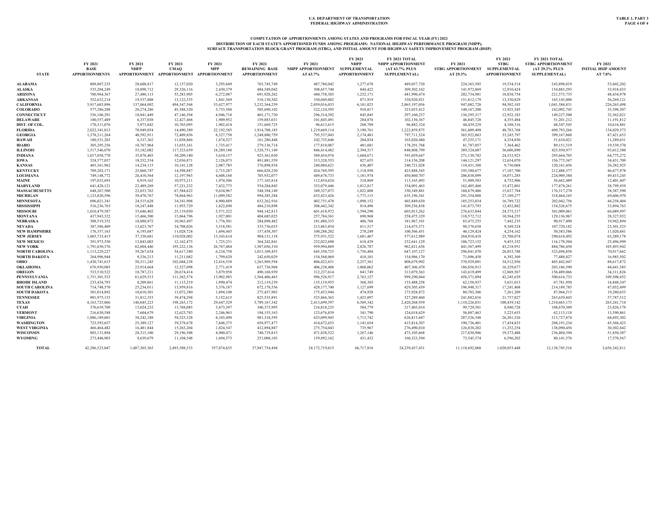# COMPUTATION OF APPORTIONMENTS AMONG STATES AND PROGRAMS FOR FISCAL YEAR (FY) 2021<br>DISTRIBUTION OF EACH STATE'S APPORTIONED FUNDS AMONG PROGRAMS: NATIONAL HIGHWAY PERFORMANCE PROGRAM (NHPP),<br>SURFACE TRANSPORTATION BLOCK GRA

| <b>STATE</b>          | FY 2021<br><b>BASE</b><br><b>APPORTIONMENTS</b> | FY 2021<br><b>NHFP</b> | FY 2021<br><b>CMAO</b><br>APPORTIONMENT APPORTIONMENT APPORTIONMENT | FY 2021<br><b>MPP</b> | FY 2021<br><b>REMAINING BASE</b><br><b>APPORTIONMENT</b> | FY 2021<br>NHPP APPORTIONMENT SUPPLEMENTAL<br>AT 63.7% | FY 2021<br><b>NHPP</b><br><b>APPORTIONMENT</b> | FY 2021 TOTAL<br>NHPP APPORTIONMENT<br>(AT 63.7% PLUS<br><b>SUPPLEMENTAL)</b> | FY 2021<br>STBG APPORTIONMENT SUPPLEMENTAL<br>AT 29.3% | FY 2021<br><b>STBG</b><br><b>APPORTIONMENT</b> | FY 2021 TOTAL<br><b>STBG APPORTIONMENT</b><br>(AT 29.3% PLUS<br><b>SUPPLEMENTAL)</b> | FY 2021<br><b>INITIAL HSIP AMOUNT</b><br>AT 7.0% |
|-----------------------|-------------------------------------------------|------------------------|---------------------------------------------------------------------|-----------------------|----------------------------------------------------------|--------------------------------------------------------|------------------------------------------------|-------------------------------------------------------------------------------|--------------------------------------------------------|------------------------------------------------|--------------------------------------------------------------------------------------|--------------------------------------------------|
| ALABAMA               | 809,807,235                                     | 28,608,817             | 12,157,020                                                          | 3,295,649             | 765,745,749                                              | 487,780,042                                            | 1,277,678                                      | 489,057,720                                                                   | 224,363,505                                            | 19,534.514                                     | 243,898,019                                                                          | 53,602,202                                       |
| <b>ALASKA</b>         | 535,204,249                                     | 18,898,712             | 29,326,116                                                          | 2,430,379             | 484,549,042                                              | 308,657,740                                            | 844,422                                        | 309,502,162                                                                   | 141,972,869                                            | 12,910,424                                     | 154,883,293                                                                          | 33,918,433                                       |
| ARIZONA               | 780,964,367                                     | 27,480,113             | 55,283,905                                                          | 6,272,087             | 691,928,262                                              | 440,758,303                                            | 1,232,171                                      | 441,990,474                                                                   | 202,734,981                                            | 18,838,754                                     | 221, 573, 735                                                                        | 48,434,978                                       |
| ARKANSAS              | 552,632,214                                     | 19,537,808             | 13,122,535                                                          | 1,841,569             | 518,130,302                                              | 330,049,002                                            | 871,919                                        | 330,920,921                                                                   | 151,812,179                                            | 13,330,829                                     | 165,143,008                                                                          | 36,269,121                                       |
| <b>CALIFORNIA</b>     | 3,917,603,896                                   | 137,064,092            | 494,547,568                                                         | 53,627,977            | 3,232,364,259                                            | 2,059,016,033                                          | 6,181,023                                      | 2,065,197,056                                                                 | 947,082,728                                            | 94,502,103                                     | 1,041,584,831                                                                        | 226,265,498                                      |
| <b>COLORADO</b>       | 577,286,288                                     | 20,274,286             | 45,588,320                                                          | 5,733,580             | 505,690,102                                              | 322,124,595                                            | 910,817                                        | 323,035,412                                                                   | 148, 167, 200                                          | 13,925,545                                     | 162,092,745                                                                          | 35,398,307                                       |
| <b>CONNECTICUT</b>    | 536,106,291                                     | 18,841,449             | 47,146,394                                                          | 4,946,718             | 465,171,730                                              | 296,314,392                                            | 845,845                                        | 297,160,237                                                                   | 136,295,317                                            | 12,932,183                                     | 149,227,500                                                                          | 32,562,021                                       |
| <b>DELAWARE</b>       | 180,557,489                                     | 6,337,038              | 12,427,468                                                          | 1,909,952             | 159,883,031                                              | 101,845,491                                            | 284,876                                        | 102,130,367                                                                   | 46,845,728                                             | 4,355,484                                      | 51,201,212                                                                           | 11,191,812                                       |
| <b>DIST. OF COL</b>   | 170,311,076                                     | 5,973,842              | 10,765,095                                                          | 1,902,414             | 151,669,725                                              | 96,613,615                                             | 268,709                                        | 96,882,324                                                                    | 44,439,229                                             | 4,108,316                                      | 48,547,545                                                                           | 10,616,881                                       |
| <b>FLORIDA</b>        | 2,022,341,013                                   | 70,949,854             | 14,490,389                                                          | 22,192,585            | 1,914,708,185                                            | 1,219,669,114                                          | 3,190,761                                      | 1,222,859,875                                                                 | 561,009,498                                            | 48,783,768                                     | 609,793,266                                                                          | 134,029,573                                      |
| <b>GEORGIA</b>        | 1,378,211,264                                   | 48,592,911             | 72,409,836                                                          | 8,327,758             | 1,248,880,759                                            | 795,537,043                                            | 2,174,481                                      | 797,711,524                                                                   | 365,922,063                                            | 33,245,797                                     | 399,167,860                                                                          | 87,421,653                                       |
| <b>HAWAII</b>         | 180,531,203                                     | 6,337,362              | 11,038,866                                                          | 1,874,527             | 161,280,448                                              | 102,735,646                                            | 284,834                                        | 103,020,480                                                                   | 47,255,171                                             | 4,354,850                                      | 51,610,021                                                                           | 11,289,631                                       |
| <b>IDAHO</b>          | 305,295,256                                     | 10,767,964             | 13,655,161                                                          | 1,735,417             | 279,136,714                                              | 177,810,087                                            | 481,681                                        | 178,291,768                                                                   | 81,787,057                                             | 7,364,462                                      | 89,151,519                                                                           | 19,539,570                                       |
| <b>ILLINOIS</b>       | 1,517,546,070                                   | 53,182,082             | 117,323,659                                                         | 18,289,180            | 1,328,751,149                                            | 846,414,482                                            | 2,394,317                                      | 848,808,799                                                                   | 389,324,087                                            | 36,606,890                                     | 425,930,977                                                                          | 93,012,580                                       |
| <b>INDIANA</b>        | 1,017,058,770                                   | 35,878,403             | 50,209,180                                                          | 5,610,157             | 925,361,030                                              | 589,454,976                                            | 1,604,671                                      | 591,059,647                                                                   | 271,130,782                                            | 24,533,923                                     | 295,664,705                                                                          | 64,775,272                                       |
| IOWA                  | 524,577,037                                     | 18,532,534             | 12,036,871                                                          | 2,126,073             | 491,881,559                                              | 313,328,553                                            | 827,655                                        | 314,156,208                                                                   | 144, 121, 297                                          | 12,654,070                                     | 156,775,367                                                                          | 34,431,709                                       |
| <b>KANSAS</b>         | 403,361,962                                     | 14,234,115             | 10,141,128                                                          | 2,087,785             | 376,898,934                                              | 240,084,621                                            | 636,407                                        | 240,721,028                                                                   | 110,431,388                                            | 9,730,068                                      | 120,161,456                                                                          | 26,382,925                                       |
| <b>KENTUCKY</b>       | 709,203,171                                     | 25,060,747             | 14,598,887                                                          | 2,715,287             | 666,828,250                                              | 424,769,595                                            | 1,118,950                                      | 425,888,545                                                                   | 195,380,677                                            | 17,107,700                                     | 212,488,377                                                                          | 46,677,978                                       |
| <b>LOUISIANA</b>      | 749,148,772                                     | 26,410,564             | 12,197,963                                                          | 4,608,168             | 705,932,077                                              | 449,678,733                                            | 1,181,974                                      | 450,860,707                                                                   | 206,838,099                                            | 18,071,285                                     | 224,909,384                                                                          | 49,415,245                                       |
| <b>MAINE</b>          | 197,032,693                                     | 6,919,162              | 10,973,211                                                          | 1,974,506             | 177,165,814                                              | 112,854,624                                            | 310,869                                        | 113,165,493                                                                   | 51,909,583                                             | 4.752,906                                      | 56,662,489                                                                           | 12,401,607                                       |
| <b>MARYLAND</b>       | 641,428,121                                     | 22,489,269             | 57,221,232                                                          | 7,432,775             | 554,284,845                                              | 353,079,446                                            | 1,012,017                                      | 354,091,463                                                                   | 162,405,460                                            | 15,472,801                                     | 177,878,261                                                                          | 38,799,939                                       |
| <b>MASSACHUSETTS</b>  | 648,267,500                                     | 22,653,762             | 67,584,622                                                          | 9.634.967             | 548,394,149                                              | 349,327,073                                            | 1.022,808                                      | 350,349,881                                                                   | 160,679,486                                            | 15,637,784                                     | 176,317,270                                                                          | 38,387,590                                       |
| <b>MICHIGAN</b>       | 1,123,820,596                                   | 39,470,767             | 78,864,963                                                          | 11,099,582            | 994,385,284                                              | 633,423,426                                            | 1,773,115                                      | 635,196,541                                                                   | 291,354,888                                            | 27,109,277                                     | 318,464,165                                                                          | 69,606,970                                       |
| <b>MINNESOTA</b>      | 696,021,341                                     | 24,515,628             | 34,341,908                                                          | 4,900,889             | 632,262,916                                              | 402,751,478                                            | 1,098,152                                      | 403,849,630                                                                   | 185,253,034                                            | 16,789,722                                     | 202,042,756                                                                          | 44,258,404                                       |
| <b>MISSISSIPPI</b>    | 516,236,765                                     | 18,247,448             | 11,955,729                                                          | 1,822,690             | 484,210,898                                              | 308,442,342                                            | 814,496                                        | 309,256,838                                                                   | 141,873,793                                            | 12,452,882                                     | 154,326,675                                                                          | 33,894,763                                       |
| <b>MISSOURI</b>       | 1,010,479,587                                   | 35,646,402             | 25,119,050                                                          | 5,571,322             | 944,142,813                                              | 601,418,972                                            | 1,594,290                                      | 603,013,262                                                                   | 276,633,844                                            | 24,375,217                                     | 301,009,061                                                                          | 66,089,997                                       |
| <b>MONTANA</b>        | 437,943,322                                     | 15,466,500             | 15,864,796                                                          | 1,927,001             | 404,685,025                                              | 257,784,361                                            | 690,968                                        | 258,475,329                                                                   | 118,572,712                                            | 10.564.255                                     | 129,136,967                                                                          | 28,327,952                                       |
| <b>NEBRASKA</b>       | 308,519,352                                     | 10,880,872             | 10,963,497                                                          | 1,776,501             | 284,898,482                                              | 181,480,333                                            | 486,768                                        | 181,967,101                                                                   | 83,475,255                                             | 7,442,235                                      | 90,917,490                                                                           | 19,942,894                                       |
| <b>NEVADA</b>         | 387,586,409                                     | 13,623,767             | 34,708,026                                                          | 3,518,581             | 335,736,035                                              | 213,863,854                                            | 611,517                                        | 214,475,371                                                                   | 98,370,658                                             | 9,349,524                                      | 107,720,182                                                                          | 23,501,523                                       |
| <b>NEW HAMPSHIRE</b>  | 176,357,163                                     | 6,195,687              | 11,028,724                                                          | 1,694,445             | 157,438,307                                              | 100,288,202                                            | 278,249                                        | 100,566,451                                                                   | 46,129,424                                             | 4,254,162                                      | 50,383,586                                                                           | 11,020,681                                       |
| <b>NEW JERSEY</b>     | 1,065,733,415                                   | 37,330,681             | 110,928,002                                                         | 13,343,614            | 904,131,118                                              | 575,931,522                                            | 1,681,467                                      | 577,612,989                                                                   | 264,910,418                                            | 25,708,074                                     | 290,618,492                                                                          | 63,289,178                                       |
| <b>NEW MEXICO</b>     | 391,973,550                                     | 13,843,003             | 12,162,475                                                          | 1,725,231             | 364,242,841                                              | 232,022,690                                            | 618,439                                        | 232,641,129                                                                   | 106,723,152                                            | 9,455,352                                      | 116,178,504                                                                          | 25,496,999                                       |
| <b>NEW YORK</b>       | 1,791,650,376                                   | 62,604,446             | 195,222,136                                                         | 26,767,484            | 1,507,056,310                                            | 959,994,869                                            | 2,826,787                                      | 962,821,656                                                                   | 441,567,499                                            | 43,218,951                                     | 484,786,450                                                                          | 105,493,942                                      |
| <b>NORTH CAROLINA</b> | 1,113,229,227                                   | 39,267,634             | 54,617,380                                                          | 6,234,758             | 1,013,109,455                                            | 645,350,723                                            | 1,756,404                                      | 647, 107, 127                                                                 | 296,841,070                                            | 26,853,788                                     | 323,694,858                                                                          | 70,917,662                                       |
| <b>NORTH DAKOTA</b>   | 264,996,944                                     | 9,336,213              | 11,211,082                                                          | 1,799,620             | 242,650,029                                              | 154,568,069                                            | 418,101                                        | 154,986,170                                                                   | 71,096,458                                             | 6,392,369                                      | 77,488,827                                                                           | 16,985,502                                       |
| ОНЮ                   | 1,430,741,615                                   | 50,311,245             | 102,044,238                                                         | 12,416,538            | 1,265,969,594                                            | 806,422,631                                            | 2,257,361                                      | 808,679,992                                                                   | 370,929,091                                            | 34,512,956                                     | 405,442,047                                                                          | 88,617,872                                       |
| OKLAHOMA              | 676,950,085                                     | 23.914.664             | 12,527,098                                                          | 2,771,419             | 637,736,904                                              | 406,238,408                                            | 1,068,062                                      | 407,306,470                                                                   | 186,856,913                                            | 16,329,677                                     | 203,186,590                                                                          | 44,641,583                                       |
| <b>OREGON</b>         | 533,510,522                                     | 18,787,211             | 20,674,414                                                          | 3,879,958             | 490,168,939                                              | 312,237,614                                            | 841,749                                        | 313,079,363                                                                   | 143,619,499                                            | 12,869,567                                     | 156,489,066                                                                          | 34,311,826                                       |
| <b>PENNSYLVANIA</b>   | 1,751,301,533                                   | 61,629,513             | 111,362,574                                                         | 13,902,983            | 1,564,406,463                                            | 996,526,917                                            | 2,763,127                                      | 999,290,044                                                                   | 458,371,094                                            | 42,245,639                                     | 500,616,733                                                                          | 109,508,452                                      |
| <b>RHODE ISLAND</b>   | 233,434,793                                     | 8.209.861              | 11,115,219                                                          | 1,990,474             | 212,119,239                                              | 135,119,955                                            | 368,303                                        | 135,488,258                                                                   | 62,150,937                                             | 5,631,013                                      | 67,781,950                                                                           | 14,848,347                                       |
| <b>SOUTH CAROLINA</b> | 714,748,570                                     | 25,234,011             | 13,959,816                                                          | 3,376,187             | 672,178,556                                              | 428,177,740                                            | 1,127,699                                      | 429,305,439                                                                   | 196,948,317                                            | 17,241,468                                     | 214,189,785                                                                          | 47,052,499                                       |
| <b>SOUTH DAKOTA</b>   | 301,014,892                                     | 10,610,501             | 13,072,380                                                          | 1,894,108             | 275,437,903                                              | 175,453,944                                            | 474,928                                        | 175,928,872                                                                   | 80,703,306                                             | 7,261,209                                      | 87,964,515                                                                           | 19,280,653                                       |
| <b>TENNESSEE</b>      | 901,975,153                                     | 31,812,353             | 39,474,294                                                          | 5,152,615             | 825,535,891                                              | 525,866,363                                            | 1,423,097                                      | 527,289,460                                                                   | 241,882,016                                            | 21,757,827                                     | 263,639,843                                                                          | 57,787,512                                       |
| <b>TEXAS</b>          | 4,163,725,066                                   | 146,645,223            | 198,265,172                                                         | 29,647,329            | 3,789,167,342                                            | 2,413,699,597                                          | 6,569,342                                      | 2,420,268,939                                                                 | 1,110,226,031                                          | 100,439,142                                    | 1,210,665,173                                                                        | 265, 241, 714                                    |
| <b>UTAH</b>           | 370,639,709                                     | 13,024,232             | 13,768,085                                                          | 3,473,397             | 340,373,995                                              | 216,818,235                                            | 584,779                                        | 217,403,014                                                                   | 99,729,581                                             | 8,940,728                                      | 108,670,309                                                                          | 23,826,179                                       |
| <b>VERMONT</b>        | 216,630,588                                     | 7,604,679              | 12,623,783                                                          | 2,246,963             | 194,155,163                                              | 123,676,839                                            | 341,790                                        | 124,018,629                                                                   | 56,887,463                                             | 5,225,655                                      | 62,113,118                                                                           | 13,590,861                                       |
| <b>VIRGINIA</b>       | 1.086.189.601                                   | 38.242.188             | 58,525,328                                                          | 8.103.490             | 981.318.595                                              | 625,099,945                                            | 1,713,742                                      | 626,813,687                                                                   | 287,526,348                                            | 26,201,526                                     | 313,727,874                                                                          | 68,692,302                                       |
| <b>WASHINGTON</b>     | 723,593,657                                     | 25,389,127             | 39,378,678                                                          | 7,848,375             | 650,977,477                                              | 414,672,653                                            | 1,141,654                                      | 415,814,307                                                                   | 190,736,401                                            | 17,454,833                                     | 208,191,234                                                                          | 45,568,423                                       |
| <b>WEST VIRGINIA</b>  | 466,464,482                                     | 16,481,844             | 15,263,204                                                          | 1,824,547             | 432,894,887                                              | 275,754,043                                            | 735,967                                        | 276,490,010                                                                   | 126,838,202                                            | 11,252,254                                     | 138,090,456                                                                          | 30,302,642                                       |
| <b>WISCONSIN</b>      | 803,131,894                                     | 28,315,100             | 29,196,508                                                          | 4,900,471             | 740,719,815                                              | 471,838,522                                            | 1,267,146                                      | 473,105,668                                                                   | 217,030,906                                            | 19,373,488                                     | 236,404,394                                                                          | 51,850,387                                       |
| <b>WYOMING</b>        | 273,446,903                                     | 9,639,679              | 11,104,548                                                          | 1,694,573             | 251,008,103                                              | 159,892,162                                            | 431,432                                        | 160,323,594                                                                   | 73,545,374                                             | 6,596,202                                      | 80,141,576                                                                           | 17,570,567                                       |
| <b>TOTAL</b>          | 42,286,523,047                                  | 1,487,305,365          | 2.493.588.533                                                       | 357,874,655           | 37,947,754,494                                           | 24, 172, 719, 615                                      | 66,717,816                                     | 24,239,437,431                                                                | 11,118,692,068                                         | 1.020.053.448                                  | 12,138,745,516                                                                       | 2,656,342,811                                    |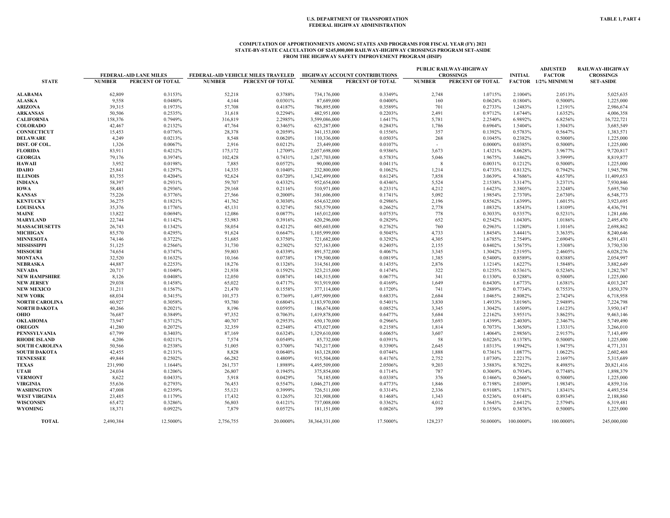### **COMPUTATION OF APPORTIONMENTS AMONG STATES AND PROGRAMS FOR FISCAL YEAR (FY) 2021 STATE-BY-STATE CALCULATION OF \$245,000,000 RAILWAY-HIGHWAY CROSSINGS PROGRAM SET-ASIDE FROM THE HIGHWAY SAFETY IMPROVEMENT PROGRAM (HSIP)**

|                       |               |                                                   |               |                                                        |                   |                                                          |               | PUBLIC RAILWAY-HIGHWAY |                | <b>ADJUSTED</b>     | RAILWAY-HIGHWAY  |
|-----------------------|---------------|---------------------------------------------------|---------------|--------------------------------------------------------|-------------------|----------------------------------------------------------|---------------|------------------------|----------------|---------------------|------------------|
|                       |               | <b>FEDERAL-AID LANE MILES</b><br>PERCENT OF TOTAL | <b>NUMBER</b> | FEDERAL-AID VEHICLE MILES TRAVELED<br>PERCENT OF TOTAL | <b>NUMBER</b>     | <b>HIGHWAY ACCOUNT CONTRIBUTIONS</b><br>PERCENT OF TOTAL | <b>NUMBER</b> | <b>CROSSINGS</b>       | <b>INITIAL</b> | <b>FACTOR</b>       | <b>CROSSINGS</b> |
| <b>STATE</b>          | <b>NUMBER</b> |                                                   |               |                                                        |                   |                                                          |               | PERCENT OF TOTAL       |                | FACTOR 1/2% MINIMUM | <b>SET-ASIDE</b> |
| <b>ALABAMA</b>        | 62,809        | 0.3153%                                           | 52,218        | 0.3788%                                                | 734,176,000       | 0.3349%                                                  | 2,748         | 1.0715%                | 2.1004%        | 2.0513%             | 5,025,635        |
| <b>ALASKA</b>         | 9,558         | 0.0480%                                           | 4,144         | 0.0301%                                                | 87,689,000        | 0.0400%                                                  | 160           | 0.0624%                | 0.1804%        | 0.5000%             | 1,225,000        |
| <b>ARIZONA</b>        | 39,315        | 0.1973%                                           | 57,708        | 0.4187%                                                | 786,895,000       | 0.3589%                                                  | 701           | 0.2733%                | 1.2483%        | 1.2191%             | 2,986,674        |
| ARKANSAS              | 50,506        | 0.2535%                                           | 31,618        | 0.2294%                                                | 482,951,000       | 0.2203%                                                  | 2,491         | 0.9712%                | 1.6744%        | 1.6352%             | 4,006,358        |
| <b>CALIFORNIA</b>     | 158,376       | 0.7949%                                           | 316,819       | 2.2985%                                                | 3,599,086,000     | 1.6417%                                                  | 5,781         | 2.2540%                | 6.9892%        | 6.8256%             | 16,722,721       |
| <b>COLORADO</b>       | 42,467        | 0.2132%                                           | 47,764        | 0.3465%                                                | 623,287,000       | 0.2843%                                                  | 1,786         | 0.6964%                | 1.5404%        | 1.5043%             | 3,685,549        |
| <b>CONNECTICUT</b>    | 15,453        | 0.0776%                                           | 28,378        | 0.2059%                                                | 341,153,000       | 0.1556%                                                  | 357           | 0.1392%                | 0.5783%        | 0.5647%             | 1,383,571        |
| <b>DELAWARE</b>       | 4,249         | 0.0213%                                           | 8,548         | 0.0620%                                                | 110,336,000       | 0.0503%                                                  | 268           | 0.1045%                | 0.2382%        | 0.5000%             | 1,225,000        |
| DIST. OF COL.         | 1,326         | 0.0067%                                           | 2,916         | 0.0212%                                                | 23,449,000        | 0.0107%                                                  | $\sim$        | 0.0000%                | 0.0385%        | 0.5000%             | 1,225,000        |
| <b>FLORIDA</b>        | 83,911        | 0.4212%                                           | 175,172       | 1.2709%                                                | 2,057,698,000     | 0.9386%                                                  | 3,673         | 1.4321%                | 4.0628%        | 3.9677%             | 9,720,817        |
| <b>GEORGIA</b>        | 79,176        | 0.3974%                                           | 102,428       | 0.7431%                                                | 1,267,703,000     | 0.5783%                                                  | 5,046         | 1.9675%                | 3.6862%        | 3.5999%             | 8,819,877        |
| HAWAII                | 3,952         | 0.0198%                                           | 7,885         | 0.0572%                                                | 90,000,000        | 0.0411%                                                  | 8             | 0.0031%                | 0.1212%        | 0.5000%             | 1,225,000        |
| IDAHO                 | 25,841        | 0.1297%                                           | 14,335        | 0.1040%                                                | 232,800,000       | 0.1062%                                                  | 1,214         | 0.4733%                | 0.8132%        | 0.7942%             | 1,945,798        |
| <b>ILLINOIS</b>       | 83,755        | 0.4204%                                           | 92,624        | 0.6720%                                                | 1,342,499,000     | 0.6124%                                                  | 7,858         | 3.0639%                | 4.7686%        | 4.6570%             | 11,409,653       |
| <b>INDIANA</b>        | 58,397        | 0.2931%                                           | 59,707        | 0.4332%                                                | 952,654,000       | 0.4346%                                                  | 5,524         | 2.1538%                | 3.3147%        | 3.2371%             | 7,930,846        |
| IOWA                  | 58,485        | 0.2936%                                           | 29,168        | 0.2116%                                                | 510,971,000       | 0.2331%                                                  | 4,212         | 1.6423%                | 2.3805%        | 2.3248%             | 5,695,760        |
| <b>KANSAS</b>         | 75,226        | 0.3776%                                           | 27,566        | 0.2000%                                                | 381,606,000       | 0.1741%                                                  | 5,092         | 1.9854%                | 2.7370%        | 2.6730%             | 6,548,773        |
| <b>KENTUCKY</b>       | 36,275        | 0.1821%                                           | 41,762        | 0.3030%                                                | 654,632,000       | 0.2986%                                                  | 2,196         | 0.8562%                | 1.6399%        | 1.6015%             | 3,923,695        |
| <b>LOUISIANA</b>      | 35,376        | 0.1776%                                           | 45,131        | 0.3274%                                                | 583,579,000       | 0.2662%                                                  | 2,778         | 1.0832%                | 1.8543%        | 1.8109%             | 4,436,791        |
| MAINE                 | 13,822        | 0.0694%                                           | 12,086        | 0.0877%                                                | 165,012,000       | 0.0753%                                                  | 778           | 0.3033%                | 0.5357%        | 0.5231%             | 1,281,686        |
| MARYLAND              | 22,744        | 0.1142%                                           | 53,983        | 0.3916%                                                | 620,296,000       | 0.2829%                                                  | 652           | 0.2542%                | 1.0430%        | 1.0186%             | 2,495,470        |
| <b>MASSACHUSETTS</b>  | 26,743        | 0.1342%                                           | 58,054        | 0.4212%                                                | 605,603,000       | 0.2762%                                                  | 760           | 0.2963%                | 1.1280%        | 1.1016%             | 2,698,862        |
| <b>MICHIGAN</b>       | 85,570        | 0.4295%                                           | 91,624        | 0.6647%                                                | 1,105,999,000     | 0.5045%                                                  | 4,733         | 1.8454%                | 3.4441%        | 3.3635%             | 8,240,646        |
| <b>MINNESOTA</b>      | 74,146        | 0.3722%                                           | 51,685        | 0.3750%                                                | 721,682,000       | 0.3292%                                                  | 4,305         | 1.6785%                | 2.7549%        | 2.6904%             | 6,591,431        |
| MISSISSIPPI           | 51,125        | 0.2566%                                           | 31,730        | 0.2302%                                                | 527,163,000       | 0.2405%                                                  | 2,155         | 0.8402%                | 1.5675%        | 1.5308%             | 3,750,530        |
| <b>MISSOURI</b>       | 74,654        | 0.3747%                                           | 59,803        | 0.4339%                                                | 891,572,000       | 0.4067%                                                  | 3,345         | 1.3042%                | 2.5195%        | 2.4605%             | 6,028,276        |
| <b>MONTANA</b>        | 32,520        | 0.1632%                                           | 10,166        | 0.0738%                                                | 179,500,000       | 0.0819%                                                  | 1,385         | 0.5400%                | 0.8589%        | 0.8388%             | 2,054,997        |
| NEBRASKA              | 44,887        | 0.2253%                                           | 18,276        | 0.1326%                                                | 314,561,000       | 0.1435%                                                  | 2,876         | 1.1214%                | 1.6227%        | 1.5848%             | 3,882,649        |
| NEVADA                | 20,717        | 0.1040%                                           | 21,938        | 0.1592%                                                | 323,215,000       | 0.1474%                                                  | 322           | 0.1255%                | 0.5361%        | 0.5236%             | 1,282,767        |
| NEW HAMPSHIRE         | 8,126         | 0.0408%                                           | 12,050        | 0.0874%                                                | 148,315,000       | 0.0677%                                                  | 341           | 0.1330%                | 0.3288%        | 0.5000%             | 1,225,000        |
| <b>NEW JERSEY</b>     | 29,038        | 0.1458%                                           | 65,022        | 0.4717%                                                | 913,919,000       | 0.4169%                                                  | 1,649         | 0.6430%                | 1.6773%        | 1.6381%             | 4,013,247        |
| <b>NEW MEXICO</b>     | 31,211        | 0.1567%                                           | 21,470        | 0.1558%                                                | 377,114,000       | 0.1720%                                                  | 741           | 0.2889%                | 0.7734%        | 0.7553%             | 1,850,379        |
| NEW YORK              | 68,034        | 0.3415%                                           | 101,573       | 0.7369%                                                | 1,497,909,000     | 0.6833%                                                  | 2,684         | 1.0465%                | 2.8082%        | 2.7424%             | 6,718,958        |
| <b>NORTH CAROLINA</b> | 60,927        | 0.3058%                                           | 93,780        | 0.6804%                                                | 1,183,970,000     | 0.5401%                                                  | 3,830         | 1.4933%                | 3.0196%        | 2.9489%             | 7,224,798        |
| NORTH DAKOTA          | 40,266        | 0.2021%                                           | 8,196         | 0.0595%                                                | 186,674,000       | 0.0852%                                                  | 3,345         | 1.3042%                | 1.6509%        | 1.6123%             | 3,950,147        |
| OHIO                  | 76,687        | 0.3849%                                           | 97,352        | 0.7063%                                                | 1,419,878,000     | 0.6477%                                                  | 5,684         | 2.2162%                | 3.9551%        | 3.8625%             | 9,463,146        |
| OKLAHOMA              | 73,947        | 0.3712%                                           | 40,707        | 0.2953%                                                | 650,170,000       | 0.2966%                                                  | 3,693         | 1.4399%                | 2.4030%        | 2.3467%             | 5,749,490        |
| <b>OREGON</b>         | 41,280        | 0.2072%                                           | 32,359        | 0.2348%                                                | 473,027,000       | 0.2158%                                                  | 1,814         | 0.7073%                | 1.3650%        | 1.3331%             | 3,266,010        |
| PENNSYLVANIA          | 67,799        | 0.3403%                                           | 87,169        | 0.6324%                                                | 1,329,610,000     | 0.6065%                                                  | 3,607         | 1.4064%                | 2.9856%        | 2.9157%             | 7,143,499        |
| <b>RHODE ISLAND</b>   | 4,206         | 0.0211%                                           | 7,574         | 0.0549%                                                | 85,732,000        | 0.0391%                                                  | 58            | 0.0226%                | 0.1378%        | 0.5000%             | 1,225,000        |
| <b>SOUTH CAROLINA</b> | 50,566        | 0.2538%                                           | 51,005        | 0.3700%                                                | 743,217,000       | 0.3390%                                                  | 2,645         | 1.0313%                | 1.9942%        | 1.9475%             | 4,771,331        |
| SOUTH DAKOTA          | 42,455        | 0.2131%                                           | 8,828         | 0.0640%                                                | 163,128,000       | 0.0744%                                                  | 1,888         | 0.7361%                | 1.0877%        | 1.0622%             | 2,602,468        |
| <b>TENNESSEE</b>      | 49,844        | 0.2502%                                           | 66,282        | 0.4809%                                                | 915,504,000       | 0.4176%                                                  | 2,752         | 1.0730%                | 2.2217%        | 2.1697%             | 5,315,689        |
| <b>TEXAS</b>          | 231,990       | 1.1644%                                           | 261,737       | 1.8989%                                                | 4,495,509,000     | 2.0506%                                                  | 9,203         | 3.5883%                | 8.7022%        | 8.4985%             | 20,821,416       |
| UTAH                  | 24,034        | 0.1206%                                           | 26,807        | 0.1945%                                                | 375,854,000       | 0.1714%                                                  | 787           | 0.3069%                | 0.7934%        | 0.7748%             | 1,898,379        |
| <b>VERMONT</b>        | 8,622         | 0.0433%                                           | 5,918         | 0.0429%                                                | 74,185,000        | 0.0338%                                                  | 376           | 0.1466%                | 0.2666%        | 0.5000%             | 1,225,000        |
| <b>VIRGINIA</b>       | 55,636        | 0.2793%                                           | 76,453        | 0.5547%                                                | 1,046,271,000     | 0.4773%                                                  | 1,846         | 0.7198%                | 2.0309%        | 1.9834%             | 4,859,316        |
| WASHINGTON            | 47,008        | 0.2359%                                           | 55,121        | 0.3999%                                                | 726,511,000       | 0.3314%                                                  | 2,336         | 0.9108%                | 1.8781%        | 1.8341%             | 4,493,554        |
| WEST VIRGINIA         | 23,485        | 0.1179%                                           | 17,432        | 0.1265%                                                | 321,908,000       | 0.1468%                                                  | 1,343         | 0.5236%                | 0.9148%        | 0.8934%             | 2,188,860        |
| WISCONSIN             | 65,472        | 0.3286%                                           | 56,803        | 0.4121%                                                | 737,008,000       | 0.3362%                                                  | 4,012         | 1.5643%                | 2.6412%        | 2.5794%             | 6,319,481        |
| <b>WYOMING</b>        | 18,371        | 0.0922%                                           | 7,879         | 0.0572%                                                | 181,151,000       | 0.0826%                                                  | 399           | 0.1556%                | 0.3876%        | 0.5000%             | 1,225,000        |
| <b>TOTAL</b>          | 2,490,384     | 12.5000%                                          | 2,756,755     | 20.0000%                                               | 38, 364, 331, 000 | 17.5000%                                                 | 128,237       | 50.0000%               | 100.0000%      | 100.0000%           | 245,000,000      |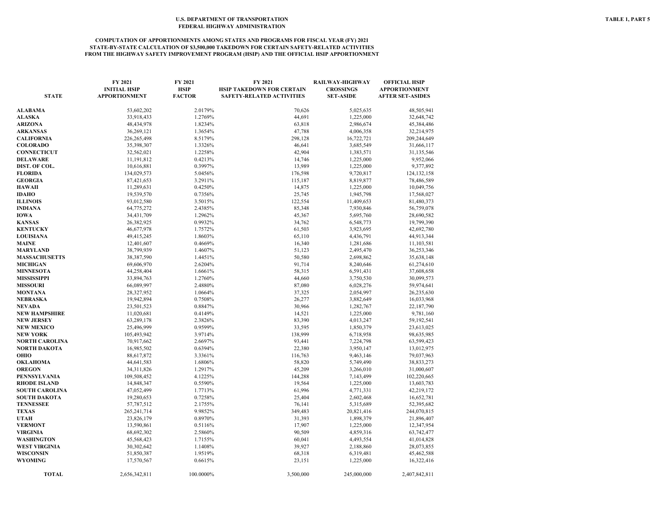#### **COMPUTATION OF APPORTIONMENTS AMONG STATES AND PROGRAMS FOR FISCAL YEAR (FY) 2021 STATE-BY-STATE CALCULATION OF \$3,500,000 TAKEDOWN FOR CERTAIN SAFETY-RELATED ACTIVITIES FROM THE HIGHWAY SAFETY IMPROVEMENT PROGRAM (HSIP) AND THE OFFICIAL HSIP APPORTIONMENT**

| <b>STATE</b>                          | FY 2021<br><b>INITIAL HSIP</b><br><b>APPORTIONMENT</b> | FY 2021<br><b>HSIP</b><br><b>FACTOR</b> | FY 2021<br><b>HSIP TAKEDOWN FOR CERTAIN</b><br><b>SAFETY-RELATED ACTIVITIES</b> | RAILWAY-HIGHWAY<br><b>CROSSINGS</b><br><b>SET-ASIDE</b> | <b>OFFICIAL HSIP</b><br><b>APPORTIONMENT</b><br><b>AFTER SET-ASIDES</b> |
|---------------------------------------|--------------------------------------------------------|-----------------------------------------|---------------------------------------------------------------------------------|---------------------------------------------------------|-------------------------------------------------------------------------|
| ALABAMA                               | 53,602,202                                             | 2.0179%                                 | 70,626                                                                          | 5,025,635                                               | 48,505,941                                                              |
| <b>ALASKA</b>                         | 33,918,433                                             | 1.2769%                                 | 44,691                                                                          | 1,225,000                                               | 32,648,742                                                              |
| <b>ARIZONA</b>                        | 48,434,978                                             | 1.8234%                                 | 63,818                                                                          | 2,986,674                                               | 45,384,486                                                              |
| <b>ARKANSAS</b>                       | 36,269,121                                             | 1.3654%                                 | 47,788                                                                          | 4,006,358                                               | 32,214,975                                                              |
| <b>CALIFORNIA</b>                     | 226,265,498                                            | 8.5179%                                 | 298,128                                                                         | 16,722,721                                              | 209,244,649                                                             |
| <b>COLORADO</b>                       | 35,398,307                                             | 1.3326%                                 | 46,641                                                                          | 3,685,549                                               | 31,666,117                                                              |
| <b>CONNECTICUT</b>                    | 32,562,021                                             | 1.2258%                                 | 42,904                                                                          | 1,383,571                                               | 31,135,546                                                              |
| DELAWARE                              | 11,191,812                                             | 0.4213%                                 | 14,746                                                                          | 1,225,000                                               | 9,952,066                                                               |
| DIST. OF COL.                         | 10,616,881                                             | 0.3997%                                 | 13,989                                                                          | 1,225,000                                               | 9,377,892                                                               |
| <b>FLORIDA</b>                        | 134,029,573                                            | 5.0456%                                 | 176,598                                                                         | 9,720,817                                               | 124, 132, 158                                                           |
| <b>GEORGIA</b>                        | 87,421,653                                             | 3.2911%                                 | 115,187                                                                         | 8,819,877                                               | 78,486,589                                                              |
| HAWAII                                | 11,289,631                                             | 0.4250%                                 | 14,875                                                                          | 1,225,000                                               | 10,049,756                                                              |
| <b>IDAHO</b>                          | 19,539,570                                             | 0.7356%                                 | 25,745                                                                          | 1,945,798                                               | 17,568,027                                                              |
| <b>ILLINOIS</b>                       | 93,012,580                                             | 3.5015%                                 | 122,554                                                                         | 11,409,653                                              | 81,480,373                                                              |
| <b>INDIANA</b>                        | 64,775,272                                             | 2.4385%                                 | 85,348                                                                          | 7,930,846                                               | 56,759,078                                                              |
| <b>IOWA</b>                           | 34,431,709                                             | 1.2962%                                 | 45,367                                                                          | 5,695,760                                               | 28,690,582                                                              |
| <b>KANSAS</b>                         | 26,382,925                                             | 0.9932%                                 | 34,762                                                                          | 6,548,773                                               | 19,799,390                                                              |
| <b>KENTUCKY</b>                       | 46,677,978                                             | 1.7572%                                 | 61,503                                                                          | 3,923,695                                               | 42,692,780                                                              |
| <b>LOUISIANA</b>                      | 49,415,245                                             | 1.8603%                                 | 65,110                                                                          | 4,436,791                                               | 44,913,344                                                              |
| MAINE                                 | 12,401,607                                             | 0.4669%                                 | 16,340                                                                          | 1,281,686                                               | 11,103,581                                                              |
| MARYLAND                              | 38,799,939                                             | 1.4607%                                 | 51,123                                                                          | 2,495,470                                               | 36,253,346                                                              |
| <b>MASSACHUSETTS</b>                  | 38,387,590                                             | 1.4451%                                 | 50,580                                                                          | 2,698,862                                               | 35,638,148                                                              |
| <b>MICHIGAN</b>                       | 69,606,970                                             | 2.6204%                                 | 91,714                                                                          | 8,240,646                                               | 61,274,610                                                              |
| <b>MINNESOTA</b>                      | 44,258,404                                             | 1.6661%                                 | 58,315                                                                          | 6,591,431                                               | 37,608,658                                                              |
| <b>MISSISSIPPI</b>                    | 33,894,763                                             | 1.2760%                                 | 44,660                                                                          | 3,750,530                                               | 30,099,573                                                              |
| <b>MISSOURI</b>                       | 66,089,997                                             | 2.4880%                                 | 87,080                                                                          | 6,028,276                                               | 59,974,641                                                              |
| MONTANA                               | 28,327,952                                             | 1.0664%                                 | 37,325                                                                          | 2,054,997                                               | 26,235,630                                                              |
| NEBRASKA                              | 19,942,894                                             | 0.7508%                                 | 26,277                                                                          | 3,882,649                                               | 16,033,968                                                              |
| NEVADA                                | 23,501,523                                             | 0.8847%                                 | 30,966                                                                          | 1,282,767                                               | 22,187,790                                                              |
| NEW HAMPSHIRE                         | 11,020,681                                             | 0.4149%                                 | 14,521                                                                          | 1,225,000                                               | 9,781,160                                                               |
| <b>NEW JERSEY</b>                     | 63,289,178                                             | 2.3826%                                 | 83,390                                                                          | 4,013,247                                               | 59,192,541                                                              |
| <b>NEW MEXICO</b>                     | 25,496,999                                             | 0.9599%                                 | 33,595                                                                          | 1,850,379                                               | 23,613,025                                                              |
| NEW YORK                              | 105,493,942                                            | 3.9714%                                 | 138,999                                                                         | 6,718,958                                               | 98,635,985                                                              |
| NORTH CAROLINA                        | 70,917,662                                             | 2.6697%                                 | 93,441                                                                          | 7,224,798                                               | 63,599,423                                                              |
| NORTH DAKOTA                          | 16,985,502                                             | 0.6394%                                 | 22,380                                                                          | 3,950,147                                               | 13,012,975                                                              |
| OHIO                                  | 88,617,872                                             | 3.3361%                                 | 116,763                                                                         | 9,463,146                                               | 79,037,963                                                              |
| OKLAHOMA                              | 44,641,583                                             | 1.6806%                                 | 58,820                                                                          | 5,749,490                                               | 38,833,273                                                              |
| <b>OREGON</b>                         | 34,311,826                                             | 1.2917%                                 | 45,209                                                                          | 3,266,010                                               | 31,000,607                                                              |
| PENNSYLVANIA                          | 109,508,452                                            | 4.1225%                                 | 144,288                                                                         | 7,143,499                                               | 102,220,665                                                             |
| <b>RHODE ISLAND</b>                   | 14,848,347                                             | 0.5590%                                 | 19,564                                                                          | 1,225,000                                               | 13,603,783                                                              |
| <b>SOUTH CAROLINA</b><br>SOUTH DAKOTA | 47,052,499                                             | 1.7713%<br>0.7258%                      | 61,996<br>25,404                                                                | 4,771,331                                               | 42,219,172                                                              |
| <b>TENNESSEE</b>                      | 19,280,653<br>57,787,512                               | 2.1755%                                 | 76,141                                                                          | 2,602,468<br>5,315,689                                  | 16,652,781<br>52,395,682                                                |
| <b>TEXAS</b>                          | 265, 241, 714                                          | 9.9852%                                 | 349,483                                                                         | 20,821,416                                              | 244,070,815                                                             |
| UTAH                                  |                                                        | 0.8970%                                 | 31,393                                                                          |                                                         | 21,896,407                                                              |
| <b>VERMONT</b>                        | 23,826,179<br>13,590,861                               | 0.5116%                                 | 17,907                                                                          | 1,898,379<br>1,225,000                                  | 12,347,954                                                              |
| <b>VIRGINIA</b>                       | 68,692,302                                             | 2.5860%                                 | 90,509                                                                          | 4,859,316                                               | 63,742,477                                                              |
| WASHINGTON                            | 45,568,423                                             | 1.7155%                                 | 60,041                                                                          | 4,493,554                                               | 41,014,828                                                              |
| <b>WEST VIRGINIA</b>                  | 30,302,642                                             | 1.1408%                                 | 39,927                                                                          | 2,188,860                                               | 28,073,855                                                              |
| WISCONSIN                             | 51,850,387                                             | 1.9519%                                 | 68,318                                                                          | 6,319,481                                               | 45,462,588                                                              |
| WYOMING                               | 17,570,567                                             | 0.6615%                                 | 23,151                                                                          | 1,225,000                                               | 16,322,416                                                              |
|                                       |                                                        |                                         |                                                                                 |                                                         |                                                                         |
| <b>TOTAL</b>                          | 2,656,342,811                                          | 100.0000%                               | 3,500,000                                                                       | 245,000,000                                             | 2,407,842,811                                                           |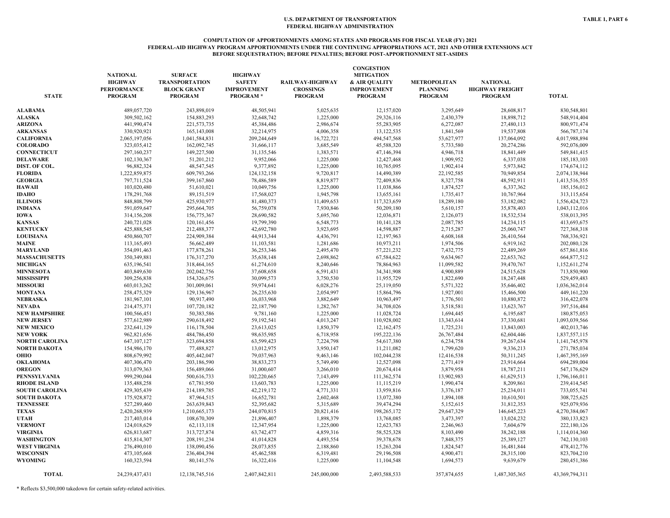#### **COMPUTATION OF APPORTIONMENTS AMONG STATES AND PROGRAMS FOR FISCAL YEAR (FY) 2021 FEDERAL-AID HIGHWAY PROGRAM APPORTIONMENTS UNDER THE CONTINUING APPROPRIATIONS ACT, 2021 AND OTHER EXTENSIONS ACT BEFORE SEQUESTRATION; BEFORE PENALTIES; BEFORE POST-APPORTIONMENT SET-ASIDES**

| <b>STATE</b>          | <b>NATIONAL</b><br><b>HIGHWAY</b><br><b>PERFORMANCE</b><br><b>PROGRAM</b> | <b>SURFACE</b><br><b>TRANSPORTATION</b><br><b>BLOCK GRANT</b><br><b>PROGRAM</b> | <b>HIGHWAY</b><br><b>SAFETY</b><br><b>IMPROVEMENT</b><br><b>PROGRAM*</b> | RAILWAY-HIGHWAY<br><b>CROSSINGS</b><br><b>PROGRAM</b> | <b>CONGESTION</b><br><b>MITIGATION</b><br>& AIR QUALITY<br><b>IMPROVEMENT</b><br><b>PROGRAM</b> | <b>METROPOLITAN</b><br><b>PLANNING</b><br><b>PROGRAM</b> | <b>NATIONAL</b><br><b>HIGHWAY FREIGHT</b><br><b>PROGRAM</b> | <b>TOTAL</b>   |
|-----------------------|---------------------------------------------------------------------------|---------------------------------------------------------------------------------|--------------------------------------------------------------------------|-------------------------------------------------------|-------------------------------------------------------------------------------------------------|----------------------------------------------------------|-------------------------------------------------------------|----------------|
| <b>ALABAMA</b>        | 489,057,720                                                               | 243,898,019                                                                     | 48,505,941                                                               | 5,025,635                                             | 12,157,020                                                                                      | 3,295,649                                                | 28,608,817                                                  | 830,548,801    |
| <b>ALASKA</b>         | 309,502,162                                                               | 154,883,293                                                                     | 32,648,742                                                               | 1,225,000                                             | 29,326,116                                                                                      | 2,430,379                                                | 18,898,712                                                  | 548,914,404    |
| <b>ARIZONA</b>        | 441,990,474                                                               | 221, 573, 735                                                                   | 45,384,486                                                               | 2,986,674                                             | 55,283,905                                                                                      | 6,272,087                                                | 27,480,113                                                  | 800,971,474    |
| <b>ARKANSAS</b>       | 330,920,921                                                               | 165,143,008                                                                     | 32,214,975                                                               | 4,006,358                                             | 13,122,535                                                                                      | 1,841,569                                                | 19,537,808                                                  | 566,787,174    |
| <b>CALIFORNIA</b>     | 2,065,197,056                                                             | 1,041,584,831                                                                   | 209,244,649                                                              | 16,722,721                                            | 494,547,568                                                                                     | 53,627,977                                               | 137,064,092                                                 | 4,017,988,894  |
| <b>COLORADO</b>       | 323,035,412                                                               | 162,092,745                                                                     | 31,666,117                                                               | 3,685,549                                             | 45,588,320                                                                                      | 5,733,580                                                | 20,274,286                                                  | 592,076,009    |
| <b>CONNECTICUT</b>    | 297,160,237                                                               | 149,227,500                                                                     | 31,135,546                                                               | 1,383,571                                             | 47,146,394                                                                                      | 4,946,718                                                | 18,841,449                                                  | 549,841,415    |
| <b>DELAWARE</b>       | 102,130,367                                                               | 51,201,212                                                                      | 9,952,066                                                                | 1,225,000                                             | 12,427,468                                                                                      | 1,909,952                                                | 6,337,038                                                   | 185, 183, 103  |
| DIST. OF COL.         | 96,882,324                                                                | 48,547,545                                                                      | 9.377.892                                                                | 1,225,000                                             | 10,765,095                                                                                      | 1,902,414                                                | 5,973,842                                                   | 174,674,112    |
| <b>FLORIDA</b>        | 1,222,859,875                                                             | 609,793,266                                                                     | 124, 132, 158                                                            | 9,720,817                                             | 14,490,389                                                                                      | 22,192,585                                               | 70,949,854                                                  | 2,074,138,944  |
| <b>GEORGIA</b>        | 797,711,524                                                               | 399,167,860                                                                     | 78,486,589                                                               | 8,819,877                                             | 72,409,836                                                                                      | 8,327,758                                                | 48,592,911                                                  | 1,413,516,355  |
| <b>HAWAII</b>         | 103,020,480                                                               | 51,610,021                                                                      | 10,049,756                                                               | 1,225,000                                             | 11,038,866                                                                                      | 1,874,527                                                | 6,337,362                                                   | 185,156,012    |
| <b>IDAHO</b>          | 178,291,768                                                               | 89,151,519                                                                      | 17,568,027                                                               | 1,945,798                                             | 13,655,161                                                                                      | 1,735,417                                                | 10,767,964                                                  | 313,115,654    |
| <b>ILLINOIS</b>       | 848,808,799                                                               | 425,930,977                                                                     | 81,480,373                                                               | 11,409,653                                            | 117,323,659                                                                                     | 18,289,180                                               | 53,182,082                                                  | 1,556,424,723  |
| <b>INDIANA</b>        | 591,059,647                                                               | 295,664,705                                                                     | 56,759,078                                                               | 7,930,846                                             | 50,209,180                                                                                      | 5,610,157                                                | 35,878,403                                                  | 1,043,112,016  |
|                       |                                                                           |                                                                                 | 28,690,582                                                               |                                                       |                                                                                                 |                                                          |                                                             |                |
| <b>IOWA</b>           | 314,156,208                                                               | 156,775,367                                                                     |                                                                          | 5,695,760                                             | 12,036,871                                                                                      | 2,126,073                                                | 18,532,534                                                  | 538,013,395    |
| <b>KANSAS</b>         | 240,721,028                                                               | 120, 161, 456                                                                   | 19,799,390                                                               | 6,548,773                                             | 10,141,128                                                                                      | 2,087,785                                                | 14,234,115                                                  | 413,693,675    |
| <b>KENTUCKY</b>       | 425,888,545                                                               | 212,488,377                                                                     | 42,692,780                                                               | 3,923,695                                             | 14,598,887                                                                                      | 2,715,287                                                | 25,060,747                                                  | 727,368,318    |
| <b>LOUISIANA</b>      | 450,860,707                                                               | 224,909,384                                                                     | 44,913,344                                                               | 4,436,791                                             | 12,197,963                                                                                      | 4,608,168                                                | 26,410,564                                                  | 768,336,921    |
| MAINE                 | 113, 165, 493                                                             | 56,662,489                                                                      | 11,103,581                                                               | 1,281,686                                             | 10,973,211                                                                                      | 1,974,506                                                | 6,919,162                                                   | 202,080,128    |
| <b>MARYLAND</b>       | 354,091,463                                                               | 177,878,261                                                                     | 36,253,346                                                               | 2,495,470                                             | 57,221,232                                                                                      | 7,432,775                                                | 22,489,269                                                  | 657,861,816    |
| <b>MASSACHUSETTS</b>  | 350,349,881                                                               | 176,317,270                                                                     | 35,638,148                                                               | 2,698,862                                             | 67,584,622                                                                                      | 9,634,967                                                | 22,653,762                                                  | 664,877,512    |
| <b>MICHIGAN</b>       | 635,196,541                                                               | 318,464,165                                                                     | 61,274,610                                                               | 8,240,646                                             | 78,864,963                                                                                      | 11,099,582                                               | 39,470,767                                                  | 1,152,611,274  |
| <b>MINNESOTA</b>      | 403,849,630                                                               | 202,042,756                                                                     | 37,608,658                                                               | 6,591,431                                             | 34,341,908                                                                                      | 4,900,889                                                | 24,515,628                                                  | 713,850,900    |
| <b>MISSISSIPPI</b>    | 309,256,838                                                               | 154,326,675                                                                     | 30,099,573                                                               | 3,750,530                                             | 11,955,729                                                                                      | 1,822,690                                                | 18,247,448                                                  | 529,459,483    |
| <b>MISSOURI</b>       | 603,013,262                                                               | 301,009,061                                                                     | 59,974,641                                                               | 6,028,276                                             | 25,119,050                                                                                      | 5,571,322                                                | 35,646,402                                                  | 1,036,362,014  |
| <b>MONTANA</b>        | 258,475,329                                                               | 129,136,967                                                                     | 26,235,630                                                               | 2,054,997                                             | 15,864,796                                                                                      | 1,927,001                                                | 15,466,500                                                  | 449, 161, 220  |
| <b>NEBRASKA</b>       | 181,967,101                                                               | 90,917,490                                                                      | 16,033,968                                                               | 3,882,649                                             | 10,963,497                                                                                      | 1,776,501                                                | 10,880,872                                                  | 316,422,078    |
| <b>NEVADA</b>         | 214,475,371                                                               | 107,720,182                                                                     | 22,187,790                                                               | 1,282,767                                             | 34,708,026                                                                                      | 3,518,581                                                | 13,623,767                                                  | 397,516,484    |
| <b>NEW HAMPSHIRE</b>  | 100,566,451                                                               | 50,383,586                                                                      | 9,781,160                                                                | 1,225,000                                             | 11,028,724                                                                                      | 1,694,445                                                | 6,195,687                                                   | 180,875,053    |
| <b>NEW JERSEY</b>     | 577,612,989                                                               | 290,618,492                                                                     | 59,192,541                                                               | 4,013,247                                             | 110,928,002                                                                                     | 13,343,614                                               | 37,330,681                                                  | 1,093,039,566  |
| <b>NEW MEXICO</b>     | 232,641,129                                                               | 116,178,504                                                                     | 23,613,025                                                               | 1,850,379                                             | 12,162,475                                                                                      | 1,725,231                                                | 13,843,003                                                  | 402,013,746    |
| <b>NEW YORK</b>       | 962,821,656                                                               | 484,786,450                                                                     | 98,635,985                                                               | 6,718,958                                             | 195,222,136                                                                                     | 26,767,484                                               | 62,604,446                                                  | 1,837,557,115  |
| <b>NORTH CAROLINA</b> | 647, 107, 127                                                             | 323,694,858                                                                     | 63,599,423                                                               | 7,224,798                                             | 54,617,380                                                                                      | 6,234,758                                                | 39,267,634                                                  | 1,141,745,978  |
| NORTH DAKOTA          | 154,986,170                                                               | 77,488,827                                                                      | 13,012,975                                                               | 3,950,147                                             | 11,211,082                                                                                      | 1,799,620                                                | 9,336,213                                                   | 271,785,034    |
| OHIO                  | 808,679,992                                                               | 405,442,047                                                                     | 79,037,963                                                               | 9,463,146                                             | 102,044,238                                                                                     | 12,416,538                                               | 50,311,245                                                  | 1,467,395,169  |
| <b>OKLAHOMA</b>       | 407,306,470                                                               | 203,186,590                                                                     | 38,833,273                                                               | 5,749,490                                             | 12,527,098                                                                                      | 2,771,419                                                | 23,914,664                                                  | 694,289,004    |
| <b>OREGON</b>         | 313,079,363                                                               | 156,489,066                                                                     | 31,000,607                                                               | 3,266,010                                             | 20,674,414                                                                                      | 3,879,958                                                | 18,787,211                                                  | 547,176,629    |
| <b>PENNSYLVANIA</b>   | 999,290,044                                                               | 500,616,733                                                                     | 102,220,665                                                              | 7,143,499                                             | 111,362,574                                                                                     | 13,902,983                                               | 61,629,513                                                  | 1,796,166,011  |
| <b>RHODE ISLAND</b>   | 135,488,258                                                               | 67,781,950                                                                      | 13,603,783                                                               | 1,225,000                                             | 11,115,219                                                                                      | 1,990,474                                                | 8,209,861                                                   | 239,414,545    |
| <b>SOUTH CAROLINA</b> | 429,305,439                                                               | 214,189,785                                                                     | 42,219,172                                                               | 4,771,331                                             | 13,959,816                                                                                      | 3,376,187                                                | 25,234,011                                                  | 733,055,741    |
|                       |                                                                           |                                                                                 |                                                                          |                                                       |                                                                                                 |                                                          |                                                             |                |
| <b>SOUTH DAKOTA</b>   | 175,928,872                                                               | 87,964,515                                                                      | 16,652,781                                                               | 2,602,468                                             | 13,072,380                                                                                      | 1,894,108                                                | 10,610,501                                                  | 308,725,625    |
| <b>TENNESSEE</b>      | 527,289,460                                                               | 263,639,843                                                                     | 52,395,682                                                               | 5,315,689                                             | 39,474,294                                                                                      | 5,152,615                                                | 31,812,353                                                  | 925,079,936    |
| <b>TEXAS</b>          | 2,420,268,939                                                             | 1,210,665,173                                                                   | 244,070,815                                                              | 20,821,416                                            | 198,265,172                                                                                     | 29,647,329                                               | 146,645,223                                                 | 4,270,384,067  |
| <b>UTAH</b>           | 217,403,014                                                               | 108,670,309                                                                     | 21,896,407                                                               | 1,898,379                                             | 13,768,085                                                                                      | 3,473,397                                                | 13,024,232                                                  | 380,133,823    |
| <b>VERMONT</b>        | 124,018,629                                                               | 62,113,118                                                                      | 12,347,954                                                               | 1,225,000                                             | 12,623,783                                                                                      | 2,246,963                                                | 7,604,679                                                   | 222,180,126    |
| <b>VIRGINIA</b>       | 626,813,687                                                               | 313,727,874                                                                     | 63,742,477                                                               | 4,859,316                                             | 58,525,328                                                                                      | 8,103,490                                                | 38,242,188                                                  | 1,114,014,360  |
| <b>WASHINGTON</b>     | 415,814,307                                                               | 208, 191, 234                                                                   | 41,014,828                                                               | 4,493,554                                             | 39,378,678                                                                                      | 7,848,375                                                | 25,389,127                                                  | 742,130,103    |
| <b>WEST VIRGINIA</b>  | 276,490,010                                                               | 138,090,456                                                                     | 28,073,855                                                               | 2,188,860                                             | 15,263,204                                                                                      | 1,824,547                                                | 16,481,844                                                  | 478,412,776    |
| <b>WISCONSIN</b>      | 473,105,668                                                               | 236,404,394                                                                     | 45,462,588                                                               | 6,319,481                                             | 29,196,508                                                                                      | 4,900,471                                                | 28,315,100                                                  | 823,704,210    |
| <b>WYOMING</b>        | 160,323,594                                                               | 80,141,576                                                                      | 16,322,416                                                               | 1,225,000                                             | 11,104,548                                                                                      | 1,694,573                                                | 9,639,679                                                   | 280,451,386    |
| <b>TOTAL</b>          | 24, 239, 437, 431                                                         | 12,138,745,516                                                                  | 2,407,842,811                                                            | 245,000,000                                           | 2,493,588,533                                                                                   | 357,874,655                                              | 1,487,305,365                                               | 43,369,794,311 |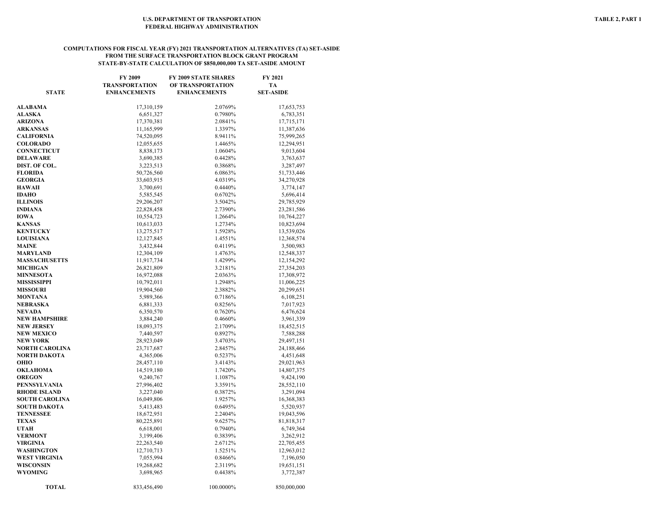#### **COMPUTATIONS FOR FISCAL YEAR (FY) 2021 TRANSPORTATION ALTERNATIVES (TA) SET-ASIDE FROM THE SURFACE TRANSPORTATION BLOCK GRANT PROGRAM STATE-BY-STATE CALCULATION OF \$850,000,000 TA SET-ASIDE AMOUNT**

| <b>STATE</b>          | <b>FY 2009</b><br><b>TRANSPORTATION</b><br><b>ENHANCEMENTS</b> | <b>FY 2009 STATE SHARES</b><br>OF TRANSPORTATION<br><b>ENHANCEMENTS</b> | <b>FY 2021</b><br>TA<br><b>SET-ASIDE</b> |
|-----------------------|----------------------------------------------------------------|-------------------------------------------------------------------------|------------------------------------------|
| <b>ALABAMA</b>        | 17,310,159                                                     | 2.0769%                                                                 | 17,653,753                               |
| <b>ALASKA</b>         | 6,651,327                                                      | 0.7980%                                                                 | 6,783,351                                |
| ARIZONA               | 17,370,381                                                     | 2.0841%                                                                 | 17,715,171                               |
| <b>ARKANSAS</b>       | 11,165,999                                                     | 1.3397%                                                                 | 11,387,636                               |
| CALIFORNIA            | 74,520,095                                                     | 8.9411%                                                                 | 75,999,265                               |
| <b>COLORADO</b>       | 12,055,655                                                     | 1.4465%                                                                 | 12,294,951                               |
| <b>CONNECTICUT</b>    | 8,838,173                                                      | 1.0604%                                                                 | 9,013,604                                |
| <b>DELAWARE</b>       | 3,690,385                                                      | 0.4428%                                                                 | 3,763,637                                |
| DIST. OF COL.         | 3,223,513                                                      | 0.3868%                                                                 | 3,287,497                                |
| <b>FLORIDA</b>        | 50,726,560                                                     | 6.0863%                                                                 | 51,733,446                               |
| <b>GEORGIA</b>        | 33,603,915                                                     | 4.0319%                                                                 | 34,270,928                               |
| <b>HAWAII</b>         | 3,700,691                                                      | 0.4440%                                                                 | 3,774,147                                |
| IDAHO                 | 5,585,545                                                      | 0.6702%                                                                 | 5,696,414                                |
| <b>ILLINOIS</b>       | 29,206,207                                                     | 3.5042%                                                                 | 29,785,929                               |
| INDIANA               | 22,828,458                                                     | 2.7390%                                                                 | 23,281,586                               |
| IOWA                  | 10,554,723                                                     | 1.2664%                                                                 | 10,764,227                               |
| KANSAS                | 10,613,033                                                     | 1.2734%                                                                 | 10,823,694                               |
| <b>KENTUCKY</b>       | 13,275,517                                                     | 1.5928%                                                                 | 13,539,026                               |
| <b>LOUISIANA</b>      | 12,127,845                                                     | 1.4551%                                                                 | 12,368,574                               |
| <b>MAINE</b>          | 3,432,844                                                      | 0.4119%                                                                 | 3,500,983                                |
| MARYLAND              | 12,304,109                                                     | 1.4763%                                                                 | 12,548,337                               |
| <b>MASSACHUSETTS</b>  | 11,917,734                                                     | 1.4299%                                                                 | 12,154,292                               |
| <b>MICHIGAN</b>       | 26,821,809                                                     | 3.2181%                                                                 | 27,354,203                               |
| <b>MINNESOTA</b>      | 16,972,088                                                     | 2.0363%                                                                 | 17,308,972                               |
| MISSISSIPPI           | 10,792,011                                                     | 1.2948%                                                                 | 11,006,225                               |
| <b>MISSOURI</b>       | 19,904,560                                                     | 2.3882%                                                                 | 20,299,651                               |
| MONTANA               | 5,989,366                                                      | 0.7186%                                                                 | 6,108,251                                |
| NEBRASKA              | 6,881,333                                                      | 0.8256%                                                                 | 7,017,923                                |
| NEVADA                | 6,350,570                                                      | 0.7620%                                                                 | 6,476,624                                |
| NEW HAMPSHIRE         | 3,884,240                                                      | 0.4660%                                                                 | 3,961,339                                |
| NEW JERSEY            | 18,093,375                                                     | 2.1709%                                                                 | 18,452,515                               |
| <b>NEW MEXICO</b>     | 7,440,597                                                      | 0.8927%                                                                 | 7,588,288                                |
| <b>NEW YORK</b>       | 28,923,049                                                     | 3.4703%                                                                 | 29,497,151                               |
| NORTH CAROLINA        | 23,717,687                                                     | 2.8457%                                                                 | 24,188,466                               |
| NORTH DAKOTA<br>оню   | 4,365,006                                                      | 0.5237%                                                                 | 4,451,648                                |
| OKLAHOMA              | 28,457,110<br>14,519,180                                       | 3.4143%<br>1.7420%                                                      | 29,021,963<br>14,807,375                 |
| <b>OREGON</b>         | 9,240,767                                                      | 1.1087%                                                                 | 9,424,190                                |
| PENNSYLVANIA          | 27,996,402                                                     | 3.3591%                                                                 | 28,552,110                               |
| <b>RHODE ISLAND</b>   | 3,227,040                                                      | 0.3872%                                                                 | 3,291,094                                |
| <b>SOUTH CAROLINA</b> | 16,049,806                                                     | 1.9257%                                                                 | 16,368,383                               |
| SOUTH DAKOTA          | 5,413,483                                                      | 0.6495%                                                                 | 5,520,937                                |
| TENNESSEE             | 18,672,951                                                     | 2.2404%                                                                 | 19,043,596                               |
| TEXAS                 | 80,225,891                                                     | 9.6257%                                                                 | 81,818,317                               |
| UTAH                  | 6,618,001                                                      | 0.7940%                                                                 | 6,749,364                                |
| <b>VERMONT</b>        | 3,199,406                                                      | 0.3839%                                                                 | 3,262,912                                |
| VIRGINIA              | 22, 263, 540                                                   | 2.6712%                                                                 | 22,705,455                               |
| WASHINGTON            | 12,710,713                                                     | 1.5251%                                                                 | 12,963,012                               |
| WEST VIRGINIA         | 7,055,994                                                      | 0.8466%                                                                 | 7,196,050                                |
| WISCONSIN             | 19,268,682                                                     | 2.3119%                                                                 | 19,651,151                               |
| WYOMING               | 3,698,965                                                      | 0.4438%                                                                 | 3,772,387                                |
| <b>TOTAL</b>          | 833,456,490                                                    | 100.0000%                                                               | 850,000,000                              |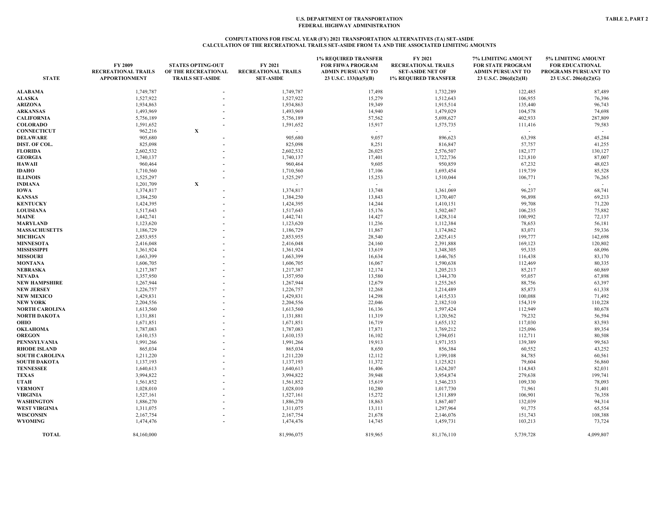#### **COMPUTATIONS FOR FISCAL YEAR (FY) 2021 TRANSPORTATION ALTERNATIVES (TA) SET-ASIDE CALCULATION OF THE RECREATIONAL TRAILS SET-ASIDE FROM TA AND THE ASSOCIATED LIMITING AMOUNTS**

| <b>STATE</b>                        | FY 2009<br><b>RECREATIONAL TRAILS</b><br><b>APPORTIONMENT</b> | <b>STATES OPTING-OUT</b><br>OF THE RECREATIONAL<br><b>TRAILS SET-ASIDE</b> | FY 2021<br><b>RECREATIONAL TRAILS</b><br><b>SET-ASIDE</b> | <b>1% REQUIRED TRANSFER</b><br><b>FOR FHWA PROGRAM</b><br><b>ADMIN PURSUANT TO</b><br>23 U.S.C. 133(h)(5)(B) | FY 2021<br><b>RECREATIONAL TRAILS</b><br><b>SET-ASIDE NET OF</b><br><b>1% REQUIRED TRANSFER</b> | 7% LIMITING AMOUNT<br><b>FOR STATE PROGRAM</b><br><b>ADMIN PURSUANT TO</b><br>23 U.S.C. 206(d)(2)(H) | 5% LIMITING AMOUNT<br><b>FOR EDUCATIONAL</b><br>PROGRAMS PURSUANT TO<br>23 U.S.C. 206(d)(2)(G) |
|-------------------------------------|---------------------------------------------------------------|----------------------------------------------------------------------------|-----------------------------------------------------------|--------------------------------------------------------------------------------------------------------------|-------------------------------------------------------------------------------------------------|------------------------------------------------------------------------------------------------------|------------------------------------------------------------------------------------------------|
| ALABAMA                             | 1,749,787                                                     |                                                                            | 1,749,787                                                 | 17.498                                                                                                       | 1,732,289                                                                                       | 122,485                                                                                              | 87,489                                                                                         |
| ALASKA                              | 1,527,922                                                     |                                                                            | 1,527,922                                                 | 15,279                                                                                                       | 1,512,643                                                                                       | 106,955                                                                                              | 76,396                                                                                         |
| <b>ARIZONA</b>                      | 1,934,863                                                     |                                                                            | 1,934,863                                                 | 19,349                                                                                                       | 1,915,514                                                                                       | 135,440                                                                                              | 96,743                                                                                         |
| <b>ARKANSAS</b>                     | 1,493,969                                                     |                                                                            | 1,493,969                                                 | 14,940                                                                                                       | 1,479,029                                                                                       | 104,578                                                                                              | 74,698                                                                                         |
| <b>CALIFORNIA</b>                   | 5,756,189                                                     |                                                                            | 5,756,189                                                 | 57,562                                                                                                       | 5,698,627                                                                                       | 402,933                                                                                              | 287,809                                                                                        |
| <b>COLORADO</b>                     | 1,591,652                                                     |                                                                            | 1,591,652                                                 | 15,917                                                                                                       | 1,575,735                                                                                       | 111,416                                                                                              | 79,583                                                                                         |
| <b>CONNECTICUT</b>                  | 962,216                                                       | $\mathbf x$                                                                |                                                           |                                                                                                              |                                                                                                 |                                                                                                      |                                                                                                |
| DELAWARE                            | 905,680                                                       |                                                                            | 905,680                                                   | 9,057                                                                                                        | 896,623                                                                                         | 63,398                                                                                               | 45,284                                                                                         |
| DIST. OF COL.                       | 825,098                                                       |                                                                            | 825,098                                                   | 8,251                                                                                                        | 816,847                                                                                         | 57,757                                                                                               | 41,255                                                                                         |
| <b>FLORIDA</b>                      | 2,602,532                                                     |                                                                            | 2,602,532                                                 | 26,025                                                                                                       | 2,576,507                                                                                       | 182,177                                                                                              | 130,127                                                                                        |
| <b>GEORGIA</b>                      | 1,740,137                                                     |                                                                            | 1,740,137                                                 | 17,401                                                                                                       | 1,722,736                                                                                       | 121,810                                                                                              | 87,007                                                                                         |
| <b>HAWAII</b>                       | 960,464                                                       |                                                                            | 960,464                                                   | 9,605                                                                                                        | 950,859                                                                                         | 67,232                                                                                               | 48,023                                                                                         |
| IDAHO                               | 1,710,560                                                     |                                                                            | 1,710,560                                                 | 17,106                                                                                                       | 1,693,454                                                                                       | 119,739                                                                                              | 85,528                                                                                         |
| <b>ILLINOIS</b>                     | 1,525,297                                                     |                                                                            | 1,525,297                                                 | 15,253                                                                                                       | 1,510,044                                                                                       | 106,771                                                                                              | 76,265                                                                                         |
| INDIANA                             | 1,201,709                                                     | $\mathbf X$                                                                | $\sim$                                                    | $\sim$                                                                                                       |                                                                                                 |                                                                                                      | $\sim$                                                                                         |
| IOWA                                | 1,374,817                                                     |                                                                            | 1,374,817                                                 | 13,748                                                                                                       | 1,361,069                                                                                       | 96,237                                                                                               | 68,741                                                                                         |
| <b>KANSAS</b>                       | 1,384,250                                                     |                                                                            | 1,384,250                                                 | 13,843                                                                                                       | 1,370,407                                                                                       | 96,898                                                                                               | 69,213                                                                                         |
| <b>KENTUCKY</b>                     | 1,424,395                                                     |                                                                            | 1,424,395                                                 | 14,244                                                                                                       | 1,410,151                                                                                       | 99,708                                                                                               | 71,220                                                                                         |
| <b>LOUISIANA</b>                    | 1,517,643                                                     |                                                                            | 1,517,643                                                 | 15,176                                                                                                       | 1,502,467                                                                                       | 106,235                                                                                              | 75,882                                                                                         |
| MAINE                               | 1,442,741                                                     |                                                                            | 1,442,741                                                 | 14,427                                                                                                       | 1,428,314                                                                                       | 100,992                                                                                              | 72,137                                                                                         |
| MARYLAND                            | 1,123,620                                                     |                                                                            | 1,123,620                                                 | 11,236                                                                                                       | 1,112,384                                                                                       | 78,653                                                                                               | 56,181                                                                                         |
| <b>MASSACHUSETTS</b>                | 1,186,729                                                     |                                                                            | 1,186,729                                                 | 11,867                                                                                                       | 1,174,862                                                                                       | 83,071                                                                                               | 59,336                                                                                         |
| <b>MICHIGAN</b><br><b>MINNESOTA</b> | 2,853,955                                                     |                                                                            | 2,853,955                                                 | 28,540                                                                                                       | 2,825,415                                                                                       | 199,777                                                                                              | 142,698<br>120,802                                                                             |
|                                     | 2,416,048                                                     |                                                                            | 2,416,048                                                 | 24,160                                                                                                       | 2,391,888                                                                                       | 169,123                                                                                              |                                                                                                |
| MISSISSIPPI                         | 1,361,924                                                     |                                                                            | 1,361,924<br>1,663,399                                    | 13,619                                                                                                       | 1,348,305                                                                                       | 95,335                                                                                               | 68,096                                                                                         |
| <b>MISSOURI</b><br><b>MONTANA</b>   | 1,663,399<br>1,606,705                                        |                                                                            | 1,606,705                                                 | 16,634<br>16,067                                                                                             | 1,646,765<br>1,590,638                                                                          | 116,438<br>112,469                                                                                   | 83,170<br>80,335                                                                               |
| NEBRASKA                            | 1,217,387                                                     |                                                                            | 1,217,387                                                 | 12,174                                                                                                       | 1,205,213                                                                                       | 85,217                                                                                               | 60,869                                                                                         |
| NEVADA                              | 1,357,950                                                     |                                                                            | 1,357,950                                                 | 13,580                                                                                                       | 1,344,370                                                                                       | 95,057                                                                                               | 67,898                                                                                         |
| <b>NEW HAMPSHIRE</b>                | 1,267,944                                                     |                                                                            | 1,267,944                                                 | 12,679                                                                                                       | 1,255,265                                                                                       | 88,756                                                                                               | 63,397                                                                                         |
| NEW JERSEY                          | 1,226,757                                                     |                                                                            | 1,226,757                                                 | 12,268                                                                                                       | 1,214,489                                                                                       | 85,873                                                                                               | 61,338                                                                                         |
| <b>NEW MEXICO</b>                   | 1,429,831                                                     |                                                                            | 1,429,831                                                 | 14,298                                                                                                       | 1,415,533                                                                                       | 100,088                                                                                              | 71,492                                                                                         |
| <b>NEW YORK</b>                     | 2,204,556                                                     |                                                                            | 2,204,556                                                 | 22,046                                                                                                       | 2,182,510                                                                                       | 154,319                                                                                              | 110,228                                                                                        |
| <b>NORTH CAROLINA</b>               | 1,613,560                                                     |                                                                            | 1,613,560                                                 | 16,136                                                                                                       | 1,597,424                                                                                       | 112,949                                                                                              | 80,678                                                                                         |
| NORTH DAKOTA                        | 1,131,881                                                     |                                                                            | 1,131,881                                                 | 11,319                                                                                                       | 1,120,562                                                                                       | 79,232                                                                                               | 56,594                                                                                         |
| OHIO                                | 1,671,851                                                     |                                                                            | 1,671,851                                                 | 16,719                                                                                                       | 1,655,132                                                                                       | 117,030                                                                                              | 83,593                                                                                         |
| OKLAHOMA                            | 1,787,083                                                     |                                                                            | 1,787,083                                                 | 17,871                                                                                                       | 1,769,212                                                                                       | 125,096                                                                                              | 89,354                                                                                         |
| <b>OREGON</b>                       | 1,610,153                                                     |                                                                            | 1,610,153                                                 | 16,102                                                                                                       | 1,594,051                                                                                       | 112,711                                                                                              | 80,508                                                                                         |
| PENNSYLVANIA                        | 1,991,266                                                     |                                                                            | 1,991,266                                                 | 19,913                                                                                                       | 1,971,353                                                                                       | 139,389                                                                                              | 99,563                                                                                         |
| <b>RHODE ISLAND</b>                 | 865,034                                                       |                                                                            | 865,034                                                   | 8,650                                                                                                        | 856,384                                                                                         | 60,552                                                                                               | 43,252                                                                                         |
| <b>SOUTH CAROLINA</b>               | 1,211,220                                                     |                                                                            | 1,211,220                                                 | 12,112                                                                                                       | 1,199,108                                                                                       | 84,785                                                                                               | 60,561                                                                                         |
| SOUTH DAKOTA                        | 1,137,193                                                     |                                                                            | 1,137,193                                                 | 11,372                                                                                                       | 1,125,821                                                                                       | 79,604                                                                                               | 56,860                                                                                         |
| <b>TENNESSEE</b>                    | 1,640,613                                                     |                                                                            | 1,640,613                                                 | 16,406                                                                                                       | 1,624,207                                                                                       | 114,843                                                                                              | 82,031                                                                                         |
| <b>TEXAS</b>                        | 3,994,822                                                     |                                                                            | 3,994,822                                                 | 39,948                                                                                                       | 3,954,874                                                                                       | 279,638                                                                                              | 199,741                                                                                        |
| UTAH                                | 1,561,852                                                     |                                                                            | 1,561,852                                                 | 15,619                                                                                                       | 1,546,233                                                                                       | 109,330                                                                                              | 78,093                                                                                         |
| <b>VERMONT</b>                      | 1,028,010                                                     |                                                                            | 1,028,010                                                 | 10,280                                                                                                       | 1,017,730                                                                                       | 71,961                                                                                               | 51,401                                                                                         |
| VIRGINIA                            | 1,527,161                                                     |                                                                            | 1,527,161                                                 | 15,272                                                                                                       | 1,511,889                                                                                       | 106,901                                                                                              | 76,358                                                                                         |
| WASHINGTON                          | 1,886,270                                                     |                                                                            | 1,886,270                                                 | 18,863                                                                                                       | 1,867,407                                                                                       | 132,039                                                                                              | 94,314                                                                                         |
| WEST VIRGINIA                       | 1,311,075                                                     |                                                                            | 1,311,075                                                 | 13,111                                                                                                       | 1,297,964                                                                                       | 91,775                                                                                               | 65,554                                                                                         |
| <b>WISCONSIN</b>                    | 2,167,754                                                     |                                                                            | 2,167,754                                                 | 21,678                                                                                                       | 2,146,076                                                                                       | 151,743                                                                                              | 108,388                                                                                        |
| <b>WYOMING</b>                      | 1,474,476                                                     |                                                                            | 1,474,476                                                 | 14,745                                                                                                       | 1,459,731                                                                                       | 103,213                                                                                              | 73,724                                                                                         |
| <b>TOTAL</b>                        | 84,160,000                                                    |                                                                            | 81,996,075                                                | 819,965                                                                                                      | 81,176,110                                                                                      | 5,739,728                                                                                            | 4,099,807                                                                                      |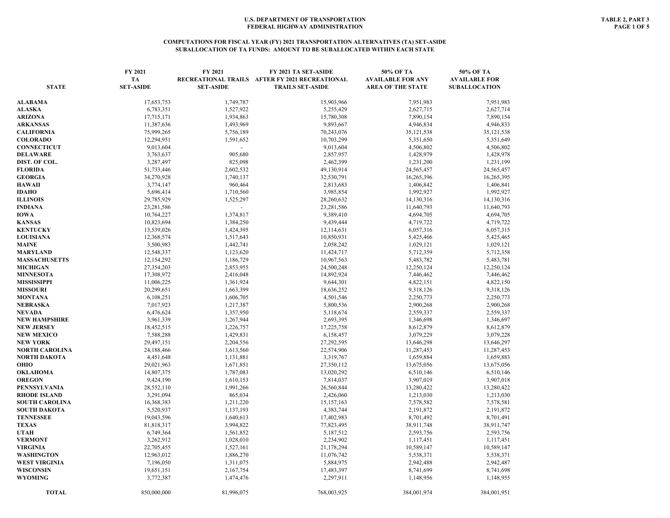### **COMPUTATIONS FOR FISCAL YEAR (FY) 2021 TRANSPORTATION ALTERNATIVES (TA) SET-ASIDE SUBALLOCATION OF TA FUNDS: AMOUNT TO BE SUBALLOCATED WITHIN EACH STATE**

| <b>STATE</b>                     | FY 2021<br>TA<br><b>SET-ASIDE</b> | FY 2021<br><b>SET-ASIDE</b> | FY 2021 TA SET-ASIDE<br>RECREATIONAL TRAILS AFTER FY 2021 RECREATIONAL<br><b>TRAILS SET-ASIDE</b> | 50% OF TA<br><b>AVAILABLE FOR ANY</b><br><b>AREA OF THE STATE</b> | 50% OF TA<br><b>AVAILABLE FOR</b><br><b>SUBALLOCATION</b> |
|----------------------------------|-----------------------------------|-----------------------------|---------------------------------------------------------------------------------------------------|-------------------------------------------------------------------|-----------------------------------------------------------|
|                                  |                                   |                             |                                                                                                   |                                                                   |                                                           |
| ALABAMA                          | 17,653,753                        | 1,749,787                   | 15,903,966                                                                                        | 7,951,983                                                         | 7,951,983                                                 |
| ALASKA                           | 6,783,351                         | 1,527,922                   | 5,255,429                                                                                         | 2,627,715                                                         | 2,627,714                                                 |
| <b>ARIZONA</b>                   | 17,715,171                        | 1,934,863                   | 15,780,308                                                                                        | 7,890,154                                                         | 7,890,154                                                 |
| <b>ARKANSAS</b>                  | 11,387,636                        | 1,493,969                   | 9,893,667                                                                                         | 4,946,834                                                         | 4,946,833                                                 |
| CALIFORNIA                       | 75,999,265                        | 5,756,189                   | 70,243,076                                                                                        | 35, 121, 538                                                      | 35, 121, 538                                              |
| <b>COLORADO</b>                  | 12,294,951                        | 1,591,652                   | 10,703,299                                                                                        | 5,351,650                                                         | 5,351,649                                                 |
| <b>CONNECTICUT</b>               | 9,013,604                         |                             | 9,013,604                                                                                         | 4,506,802                                                         | 4,506,802                                                 |
| DELAWARE                         | 3,763,637                         | 905,680                     | 2,857,957                                                                                         | 1,428,979                                                         | 1,428,978                                                 |
| DIST. OF COL.                    | 3,287,497                         | 825,098                     | 2,462,399                                                                                         | 1,231,200                                                         | 1,231,199                                                 |
| FLORIDA                          | 51,733,446                        | 2,602,532                   | 49,130,914                                                                                        | 24, 565, 457                                                      | 24,565,457                                                |
| <b>GEORGIA</b>                   | 34,270,928                        | 1,740,137                   | 32,530,791                                                                                        | 16,265,396                                                        | 16,265,395                                                |
| HAWAII                           | 3,774,147                         | 960,464                     | 2,813,683                                                                                         | 1,406,842                                                         | 1,406,841                                                 |
| IDAHO                            | 5,696,414                         | 1,710,560                   | 3,985,854                                                                                         | 1,992,927                                                         | 1,992,927                                                 |
| <b>ILLINOIS</b>                  | 29,785,929                        | 1,525,297                   | 28,260,632                                                                                        | 14,130,316                                                        | 14,130,316                                                |
| <b>INDIANA</b>                   | 23,281,586                        | $\sim$                      | 23,281,586                                                                                        | 11,640,793                                                        | 11,640,793                                                |
| IOWA                             | 10,764,227                        | 1,374,817                   | 9,389,410                                                                                         | 4,694,705                                                         | 4,694,705                                                 |
| <b>KANSAS</b>                    | 10,823,694                        | 1,384,250                   | 9,439,444                                                                                         | 4,719,722                                                         | 4,719,722                                                 |
| <b>KENTUCKY</b>                  | 13,539,026                        | 1,424,395                   | 12,114,631                                                                                        | 6,057,316                                                         | 6,057,315                                                 |
| <b>LOUISIANA</b>                 | 12,368,574                        | 1,517,643                   | 10,850,931                                                                                        | 5,425,466                                                         | 5,425,465                                                 |
| MAINE                            | 3,500,983                         | 1,442,741                   | 2,058,242                                                                                         | 1,029,121                                                         | 1,029,121                                                 |
| MARYLAND                         | 12,548,337                        | 1,123,620                   | 11,424,717                                                                                        | 5,712,359                                                         | 5,712,358                                                 |
| <b>MASSACHUSETTS</b>             | 12,154,292                        | 1,186,729                   | 10,967,563                                                                                        | 5,483,782                                                         | 5,483,781                                                 |
| MICHIGAN                         | 27,354,203                        | 2,853,955                   | 24,500,248                                                                                        | 12,250,124                                                        | 12,250,124                                                |
| <b>MINNESOTA</b>                 | 17,308,972                        | 2,416,048                   | 14,892,924                                                                                        | 7,446,462                                                         | 7,446,462                                                 |
| MISSISSIPPI                      | 11,006,225                        | 1,361,924                   | 9,644,301                                                                                         | 4,822,151                                                         | 4,822,150                                                 |
| <b>MISSOURI</b>                  | 20,299,651                        | 1,663,399                   | 18,636,252                                                                                        | 9,318,126                                                         | 9,318,126                                                 |
| MONTANA                          | 6,108,251                         | 1,606,705                   | 4,501,546                                                                                         | 2,250,773                                                         | 2,250,773                                                 |
| NEBRASKA                         | 7,017,923                         | 1,217,387                   | 5,800,536                                                                                         | 2,900,268                                                         | 2,900,268                                                 |
| NEVADA                           | 6,476,624                         | 1,357,950                   | 5,118,674                                                                                         | 2,559,337                                                         | 2,559,337                                                 |
| NEW HAMPSHIRE                    | 3,961,339                         | 1,267,944                   | 2,693,395                                                                                         | 1,346,698                                                         | 1,346,697                                                 |
| NEW JERSEY                       | 18,452,515                        | 1,226,757                   | 17,225,758                                                                                        | 8,612,879                                                         | 8,612,879                                                 |
| <b>NEW MEXICO</b>                | 7,588,288                         | 1,429,831                   | 6,158,457                                                                                         | 3,079,229                                                         | 3,079,228                                                 |
| <b>NEW YORK</b>                  | 29,497,151                        | 2,204,556                   | 27,292,595                                                                                        | 13,646,298                                                        | 13,646,297                                                |
| NORTH CAROLINA                   | 24,188,466                        | 1,613,560                   | 22,574,906                                                                                        | 11,287,453                                                        | 11,287,453                                                |
| NORTH DAKOTA                     | 4,451,648                         | 1,131,881                   | 3,319,767                                                                                         | 1,659,884                                                         | 1,659,883                                                 |
| OHIO                             | 29,021,963                        | 1,671,851                   | 27,350,112                                                                                        | 13,675,056                                                        | 13,675,056                                                |
| OKLAHOMA                         | 14,807,375                        | 1,787,083                   | 13,020,292                                                                                        | 6,510,146                                                         | 6,510,146                                                 |
| <b>OREGON</b>                    | 9,424,190                         | 1,610,153                   | 7,814,037                                                                                         | 3,907,019                                                         | 3,907,018                                                 |
| PENNSYLVANIA                     | 28,552,110                        | 1,991,266                   | 26,560,844                                                                                        | 13,280,422                                                        | 13,280,422                                                |
| <b>RHODE ISLAND</b>              | 3,291,094                         | 865,034                     | 2,426,060                                                                                         | 1,213,030                                                         | 1,213,030                                                 |
| <b>SOUTH CAROLINA</b>            | 16,368,383                        | 1,211,220                   | 15,157,163                                                                                        | 7,578,582                                                         | 7,578,581                                                 |
| SOUTH DAKOTA<br><b>TENNESSEE</b> | 5,520,937<br>19,043,596           | 1,137,193<br>1,640,613      | 4,383,744                                                                                         | 2,191,872<br>8,701,492                                            | 2,191,872<br>8,701,491                                    |
| <b>TEXAS</b>                     | 81,818,317                        | 3,994,822                   | 17,402,983<br>77,823,495                                                                          | 38,911,748                                                        | 38,911,747                                                |
| UTAH                             |                                   | 1,561,852                   | 5,187,512                                                                                         | 2,593,756                                                         | 2,593,756                                                 |
| <b>VERMONT</b>                   | 6,749,364<br>3,262,912            | 1,028,010                   | 2,234,902                                                                                         | 1,117,451                                                         | 1,117,451                                                 |
| VIRGINIA                         | 22,705,455                        | 1,527,161                   | 21,178,294                                                                                        | 10,589,147                                                        | 10,589,147                                                |
| WASHINGTON                       | 12,963,012                        | 1,886,270                   | 11,076,742                                                                                        | 5,538,371                                                         | 5,538,371                                                 |
| <b>WEST VIRGINIA</b>             | 7,196,050                         | 1,311,075                   | 5,884,975                                                                                         | 2,942,488                                                         | 2,942,487                                                 |
| WISCONSIN                        | 19,651,151                        | 2,167,754                   | 17,483,397                                                                                        | 8,741,699                                                         | 8,741,698                                                 |
| WYOMING                          | 3,772,387                         | 1,474,476                   | 2,297,911                                                                                         | 1,148,956                                                         | 1,148,955                                                 |
|                                  |                                   |                             |                                                                                                   |                                                                   |                                                           |
| <b>TOTAL</b>                     | 850,000,000                       | 81,996,075                  | 768,003,925                                                                                       | 384,001,974                                                       | 384,001,951                                               |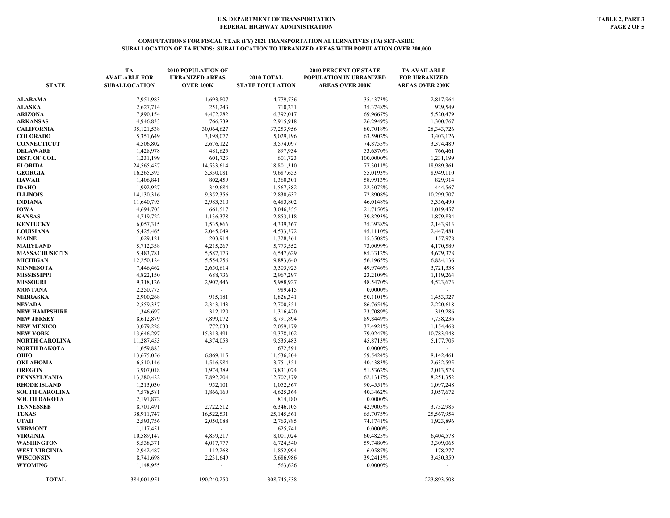| <b>STATE</b>              | TA<br><b>AVAILABLE FOR</b><br><b>SUBALLOCATION</b> | <b>2010 POPULATION OF</b><br><b>URBANIZED AREAS</b><br><b>OVER 200K</b> | 2010 TOTAL<br><b>STATE POPULATION</b> | <b>2010 PERCENT OF STATE</b><br>POPULATION IN URBANIZED<br><b>AREAS OVER 200K</b> | <b>TA AVAILABLE</b><br><b>FOR URBANIZED</b><br><b>AREAS OVER 200K</b> |
|---------------------------|----------------------------------------------------|-------------------------------------------------------------------------|---------------------------------------|-----------------------------------------------------------------------------------|-----------------------------------------------------------------------|
| ALABAMA                   | 7,951,983                                          | 1,693,807                                                               | 4,779,736                             | 35.4373%                                                                          | 2,817,964                                                             |
| ALASKA                    | 2,627,714                                          | 251,243                                                                 | 710,231                               | 35.3748%                                                                          | 929,549                                                               |
| <b>ARIZONA</b>            | 7,890,154                                          | 4,472,282                                                               | 6,392,017                             | 69.9667%                                                                          | 5,520,479                                                             |
| <b>ARKANSAS</b>           | 4,946,833                                          | 766,739                                                                 | 2,915,918                             | 26.2949%                                                                          | 1,300,767                                                             |
| CALIFORNIA                | 35,121,538                                         | 30,064,627                                                              | 37,253,956                            | 80.7018%                                                                          | 28,343,726                                                            |
| <b>COLORADO</b>           | 5,351,649                                          | 3,198,077                                                               | 5,029,196                             | 63.5902%                                                                          | 3,403,126                                                             |
| CONNECTICUT               | 4,506,802                                          | 2,676,122                                                               | 3,574,097                             | 74.8755%                                                                          | 3,374,489                                                             |
| DELAWARE                  | 1,428,978                                          | 481,625                                                                 | 897,934                               | 53.6370%                                                                          | 766,461                                                               |
| DIST. OF COL.             | 1,231,199                                          | 601,723                                                                 | 601,723                               | 100.0000%                                                                         | 1,231,199                                                             |
| <b>FLORIDA</b>            | 24,565,457                                         | 14,533,614                                                              | 18,801,310                            | 77.3011%                                                                          | 18,989,361                                                            |
| <b>GEORGIA</b>            | 16,265,395                                         | 5,330,081                                                               | 9,687,653                             | 55.0193%                                                                          | 8,949,110                                                             |
| HAWAII                    | 1,406,841                                          | 802,459                                                                 | 1,360,301                             | 58.9913%                                                                          | 829,914                                                               |
| IDAHO                     | 1,992,927                                          | 349,684                                                                 | 1,567,582                             | 22.3072%                                                                          | 444,567                                                               |
| <b>ILLINOIS</b>           | 14,130,316                                         | 9,352,356                                                               | 12,830,632                            | 72.8908%                                                                          | 10,299,707                                                            |
| INDIANA                   | 11,640,793                                         | 2,983,510                                                               | 6,483,802                             | 46.0148%                                                                          | 5,356,490                                                             |
| <b>IOWA</b>               | 4,694,705                                          | 661,517                                                                 | 3,046,355                             | 21.7150%                                                                          | 1,019,457                                                             |
| <b>KANSAS</b>             | 4,719,722                                          | 1,136,378                                                               | 2,853,118                             | 39.8293%                                                                          | 1,879,834                                                             |
| <b>KENTUCKY</b>           | 6,057,315                                          | 1,535,866                                                               | 4,339,367                             | 35.3938%                                                                          | 2,143,913                                                             |
| <b>LOUISIANA</b>          | 5,425,465                                          | 2,045,049                                                               | 4,533,372                             | 45.1110%                                                                          | 2,447,481                                                             |
| MAINE                     | 1,029,121                                          | 203,914                                                                 | 1,328,361                             | 15.3508%                                                                          | 157,978                                                               |
| MARYLAND                  | 5,712,358                                          | 4,215,267                                                               | 5,773,552                             | 73.0099%                                                                          | 4,170,589                                                             |
| <b>MASSACHUSETTS</b>      | 5,483,781                                          | 5,587,173                                                               | 6,547,629                             | 85.3312%                                                                          | 4,679,378                                                             |
| <b>MICHIGAN</b>           | 12,250,124                                         | 5,554,256                                                               | 9,883,640                             | 56.1965%                                                                          | 6,884,136                                                             |
| <b>MINNESOTA</b>          | 7,446,462                                          | 2,650,614                                                               | 5,303,925                             | 49.9746%                                                                          | 3,721,338                                                             |
| MISSISSIPPI               | 4,822,150                                          | 688,736                                                                 | 2,967,297                             | 23.2109%                                                                          | 1,119,264                                                             |
| <b>MISSOURI</b>           | 9,318,126                                          | 2,907,446                                                               | 5,988,927                             | 48.5470%                                                                          | 4,523,673                                                             |
| MONTANA                   | 2,250,773                                          |                                                                         | 989,415                               | 0.0000%                                                                           |                                                                       |
| NEBRASKA                  | 2,900,268                                          | 915,181                                                                 | 1,826,341                             | 50.1101%                                                                          | 1,453,327                                                             |
| NEVADA                    | 2,559,337                                          | 2,343,143                                                               | 2,700,551                             | 86.7654%                                                                          | 2,220,618                                                             |
| <b>NEW HAMPSHIRE</b>      | 1,346,697                                          | 312,120                                                                 | 1,316,470                             | 23.7089%                                                                          | 319,286                                                               |
| NEW JERSEY                | 8,612,879                                          | 7,899,072                                                               | 8,791,894                             | 89.8449%                                                                          | 7,738,236                                                             |
| <b>NEW MEXICO</b>         | 3,079,228                                          | 772,030                                                                 | 2,059,179                             | 37.4921%                                                                          | 1,154,468                                                             |
| <b>NEW YORK</b>           | 13,646,297                                         | 15,313,491                                                              | 19,378,102                            | 79.0247%                                                                          | 10,783,948                                                            |
| NORTH CAROLINA            | 11,287,453                                         | 4,374,053<br>$\sim$                                                     | 9,535,483                             | 45.8713%                                                                          | 5,177,705                                                             |
| NORTH DAKOTA              | 1,659,883                                          |                                                                         | 672,591                               | 0.0000%                                                                           |                                                                       |
| ОНЮ                       | 13,675,056<br>6,510,146                            | 6,869,115                                                               | 11,536,504                            | 59.5424%<br>40.4383%                                                              | 8,142,461                                                             |
| OKLAHOMA<br><b>OREGON</b> |                                                    | 1,516,984<br>1,974,389                                                  | 3,751,351<br>3,831,074                | 51.5362%                                                                          | 2,632,595<br>2,013,528                                                |
| PENNSYLVANIA              | 3,907,018<br>13,280,422                            | 7,892,204                                                               | 12,702,379                            | 62.1317%                                                                          | 8,251,352                                                             |
| <b>RHODE ISLAND</b>       | 1,213,030                                          | 952,101                                                                 | 1,052,567                             | 90.4551%                                                                          | 1,097,248                                                             |
| <b>SOUTH CAROLINA</b>     | 7,578,581                                          | 1,866,160                                                               | 4,625,364                             | 40.3462%                                                                          | 3,057,672                                                             |
| SOUTH DAKOTA              | 2,191,872                                          |                                                                         | 814,180                               | 0.0000%                                                                           |                                                                       |
| <b>TENNESSEE</b>          | 8,701,491                                          | 2,722,512                                                               | 6,346,105                             | 42.9005%                                                                          | 3,732,985                                                             |
| TEXAS                     | 38,911,747                                         | 16,522,531                                                              | 25,145,561                            | 65.7075%                                                                          | 25,567,954                                                            |
| UTAH                      | 2,593,756                                          | 2,050,088                                                               | 2,763,885                             | 74.1741%                                                                          | 1,923,896                                                             |
| <b>VERMONT</b>            | 1,117,451                                          |                                                                         | 625,741                               | 0.0000%                                                                           |                                                                       |
| VIRGINIA                  | 10,589,147                                         | 4,839,217                                                               | 8,001,024                             | 60.4825%                                                                          | 6,404,578                                                             |
| WASHINGTON                | 5,538,371                                          | 4,017,777                                                               | 6,724,540                             | 59.7480%                                                                          | 3,309,065                                                             |
| WEST VIRGINIA             | 2,942,487                                          | 112,268                                                                 | 1,852,994                             | 6.0587%                                                                           | 178,277                                                               |
| WISCONSIN                 | 8,741,698                                          | 2,231,649                                                               | 5,686,986                             | 39.2413%                                                                          | 3,430,359                                                             |
| WYOMING                   | 1,148,955                                          |                                                                         | 563,626                               | $0.0000\%$                                                                        |                                                                       |
| <b>TOTAL</b>              | 384,001,951                                        | 190,240,250                                                             | 308,745,538                           |                                                                                   | 223,893,508                                                           |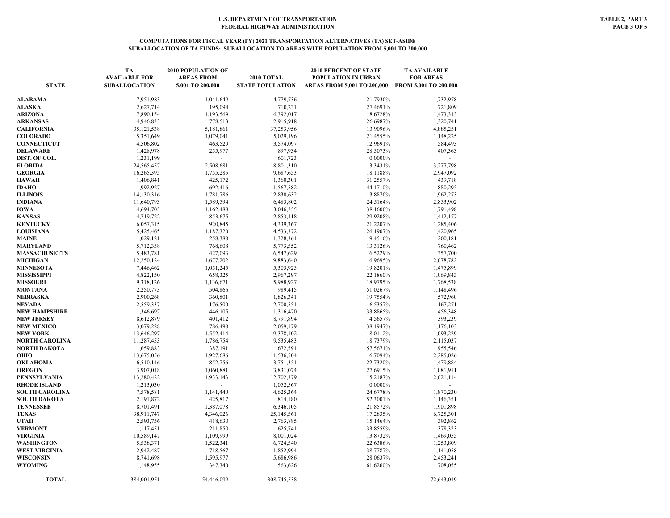### **COMPUTATIONS FOR FISCAL YEAR (FY) 2021 TRANSPORTATION ALTERNATIVES (TA) SET-ASIDE SUBALLOCATION OF TA FUNDS: SUBALLOCATION TO AREAS WITH POPULATION FROM 5,001 TO 200,000**

| <b>STATE</b>                             | <b>TA</b><br><b>AVAILABLE FOR</b><br><b>SUBALLOCATION</b> | <b>2010 POPULATION OF</b><br><b>AREAS FROM</b><br>5,001 TO 200,000 | 2010 TOTAL<br><b>STATE POPULATION</b> | <b>2010 PERCENT OF STATE</b><br>POPULATION IN URBAN<br>AREAS FROM 5,001 TO 200,000 FROM 5,001 TO 200,000 | <b>TA AVAILABLE</b><br><b>FOR AREAS</b> |
|------------------------------------------|-----------------------------------------------------------|--------------------------------------------------------------------|---------------------------------------|----------------------------------------------------------------------------------------------------------|-----------------------------------------|
| <b>ALABAMA</b>                           | 7.951,983                                                 | 1,041,649                                                          | 4,779,736                             | 21.7930%                                                                                                 | 1,732,978                               |
| <b>ALASKA</b>                            | 2,627,714                                                 | 195,094                                                            | 710,231                               | 27.4691%                                                                                                 | 721,809                                 |
| <b>ARIZONA</b>                           | 7,890,154                                                 | 1,193,569                                                          | 6,392,017                             | 18.6728%                                                                                                 | 1,473,313                               |
| <b>ARKANSAS</b>                          | 4,946,833                                                 | 778,513                                                            | 2,915,918                             | 26.6987%                                                                                                 | 1,320,741                               |
| CALIFORNIA                               | 35,121,538                                                | 5,181,861                                                          | 37,253,956                            | 13.9096%                                                                                                 | 4,885,251                               |
| <b>COLORADO</b>                          | 5,351,649                                                 | 1,079,041                                                          | 5,029,196                             | 21.4555%                                                                                                 | 1,148,225                               |
| <b>CONNECTICUT</b>                       | 4,506,802                                                 | 463,529                                                            | 3,574,097                             | 12.9691%                                                                                                 | 584,493                                 |
| DELAWARE                                 | 1,428,978                                                 | 255,977                                                            | 897,934                               | 28.5073%                                                                                                 | 407,363                                 |
| DIST. OF COL.                            | 1,231,199                                                 |                                                                    | 601,723                               | $0.0000\%$                                                                                               |                                         |
| <b>FLORIDA</b>                           | 24,565,457                                                | 2,508,681                                                          | 18,801,310                            | 13.3431%                                                                                                 | 3,277,798                               |
| <b>GEORGIA</b>                           | 16,265,395                                                | 1,755,285                                                          | 9,687,653                             | 18.1188%                                                                                                 | 2,947,092                               |
| HAWAII                                   | 1,406,841                                                 | 425,172                                                            | 1,360,301                             | 31.2557%                                                                                                 | 439,718                                 |
| IDAHO                                    | 1,992,927                                                 | 692,416                                                            | 1,567,582                             | 44.1710%                                                                                                 | 880,295                                 |
| <b>ILLINOIS</b>                          | 14,130,316                                                | 1,781,786                                                          | 12,830,632                            | 13.8870%                                                                                                 | 1,962,273                               |
| INDIANA                                  | 11,640,793                                                | 1,589,594                                                          | 6,483,802                             | 24.5164%                                                                                                 | 2,853,902                               |
| <b>IOWA</b>                              | 4,694,705                                                 | 1,162,488                                                          | 3,046,355                             | 38.1600%                                                                                                 | 1,791,498                               |
| KANSAS                                   | 4,719,722                                                 | 853,675                                                            | 2,853,118                             | 29.9208%                                                                                                 | 1,412,177                               |
| <b>KENTUCKY</b>                          | 6,057,315                                                 | 920,845                                                            | 4,339,367                             | 21.2207%                                                                                                 | 1,285,406                               |
| <b>LOUISIANA</b>                         | 5,425,465                                                 | 1,187,320                                                          | 4,533,372                             | 26.1907%                                                                                                 | 1,420,965                               |
| <b>MAINE</b>                             | 1,029,121                                                 | 258,388                                                            | 1,328,361                             | 19.4516%                                                                                                 | 200,181                                 |
| MARYLAND                                 | 5,712,358                                                 | 768,608                                                            | 5,773,552                             | 13.3126%                                                                                                 | 760,462                                 |
| <b>MASSACHUSETTS</b>                     | 5,483,781                                                 | 427,093                                                            | 6,547,629                             | 6.5229%                                                                                                  | 357,700                                 |
| <b>MICHIGAN</b>                          | 12,250,124                                                | 1,677,202                                                          | 9,883,640                             | 16.9695%                                                                                                 | 2,078,782                               |
| <b>MINNESOTA</b>                         | 7,446,462                                                 | 1,051,245                                                          | 5,303,925                             | 19.8201%                                                                                                 | 1,475,899                               |
| MISSISSIPPI                              | 4,822,150                                                 | 658,325                                                            | 2,967,297                             | 22.1860%                                                                                                 | 1,069,843                               |
| <b>MISSOURI</b>                          | 9,318,126                                                 | 1,136,671                                                          | 5,988,927                             | 18.9795%                                                                                                 | 1,768,538                               |
| MONTANA                                  | 2,250,773                                                 | 504,866                                                            | 989,415                               | 51.0267%                                                                                                 | 1,148,496                               |
| NEBRASKA                                 | 2,900,268                                                 | 360,801                                                            | 1,826,341                             | 19.7554%                                                                                                 | 572,960                                 |
| NEVADA                                   | 2,559,337                                                 | 176,500                                                            | 2,700,551                             | 6.5357%                                                                                                  | 167,271                                 |
| <b>NEW HAMPSHIRE</b>                     | 1,346,697                                                 | 446,105                                                            | 1,316,470                             | 33.8865%                                                                                                 | 456,348                                 |
| <b>NEW JERSEY</b>                        | 8,612,879                                                 | 401,412                                                            | 8,791,894                             | 4.5657%                                                                                                  | 393,239                                 |
| <b>NEW MEXICO</b>                        | 3,079,228                                                 | 786,498                                                            | 2,059,179                             | 38.1947%                                                                                                 | 1,176,103                               |
| <b>NEW YORK</b><br><b>NORTH CAROLINA</b> | 13,646,297<br>11,287,453                                  | 1,552,414<br>1,786,754                                             | 19,378,102<br>9,535,483               | 8.0112%<br>18.7379%                                                                                      | 1,093,229<br>2,115,037                  |
| NORTH DAKOTA                             | 1,659,883                                                 | 387,191                                                            | 672,591                               | 57.5671%                                                                                                 | 955,546                                 |
| OHIO                                     | 13,675,056                                                | 1,927,686                                                          | 11,536,504                            | 16.7094%                                                                                                 | 2,285,026                               |
| OKLAHOMA                                 | 6,510,146                                                 | 852,756                                                            | 3,751,351                             | 22.7320%                                                                                                 | 1,479,884                               |
| <b>OREGON</b>                            | 3,907,018                                                 | 1,060,881                                                          | 3,831,074                             | 27.6915%                                                                                                 | 1,081,911                               |
| PENNSYLVANIA                             | 13,280,422                                                | 1,933,143                                                          | 12,702,379                            | 15.2187%                                                                                                 | 2,021,114                               |
| <b>RHODE ISLAND</b>                      | 1,213,030                                                 |                                                                    | 1,052,567                             | $0.0000\%$                                                                                               |                                         |
| <b>SOUTH CAROLINA</b>                    | 7,578,581                                                 | 1,141,440                                                          | 4,625,364                             | 24.6778%                                                                                                 | 1,870,230                               |
| SOUTH DAKOTA                             | 2,191,872                                                 | 425,817                                                            | 814,180                               | 52.3001%                                                                                                 | 1,146,351                               |
| <b>TENNESSEE</b>                         | 8,701,491                                                 | 1,387,078                                                          | 6,346,105                             | 21.8572%                                                                                                 | 1,901,898                               |
| <b>TEXAS</b>                             | 38,911,747                                                | 4,346,026                                                          | 25,145,561                            | 17.2835%                                                                                                 | 6,725,301                               |
| UTAH                                     | 2,593,756                                                 | 418,630                                                            | 2,763,885                             | 15.1464%                                                                                                 | 392,862                                 |
| <b>VERMONT</b>                           | 1,117,451                                                 | 211,850                                                            | 625,741                               | 33.8559%                                                                                                 | 378,323                                 |
| VIRGINIA                                 | 10,589,147                                                | 1,109,999                                                          | 8,001,024                             | 13.8732%                                                                                                 | 1,469,055                               |
| WASHINGTON                               | 5,538,371                                                 | 1,522,341                                                          | 6,724,540                             | 22.6386%                                                                                                 | 1,253,809                               |
| WEST VIRGINIA                            | 2,942,487                                                 | 718,567                                                            | 1,852,994                             | 38.7787%                                                                                                 | 1,141,058                               |
| <b>WISCONSIN</b>                         | 8,741,698                                                 | 1,595,977                                                          | 5,686,986                             | 28.0637%                                                                                                 | 2,453,241                               |
| <b>WYOMING</b>                           | 1,148,955                                                 | 347,340                                                            | 563,626                               | 61.6260%                                                                                                 | 708,055                                 |
| <b>TOTAL</b>                             | 384,001,951                                               | 54,446,099                                                         | 308,745,538                           |                                                                                                          | 72,643,049                              |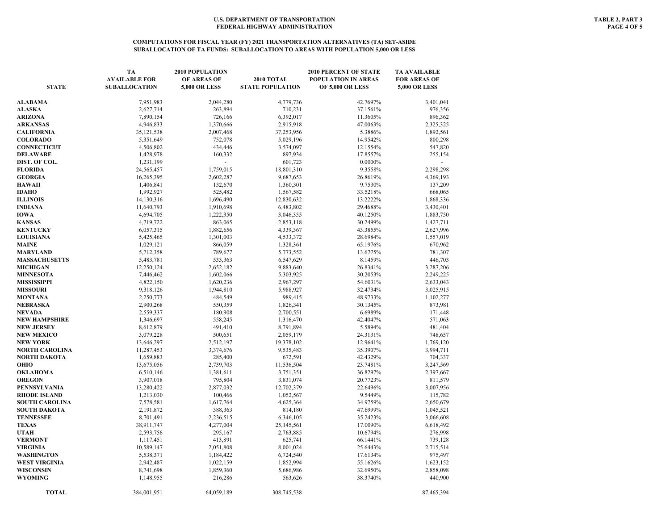#### **COMPUTATIONS FOR FISCAL YEAR (FY) 2021 TRANSPORTATION ALTERNATIVES (TA) SET-ASIDE SUBALLOCATION OF TA FUNDS: SUBALLOCATION TO AREAS WITH POPULATION 5,000 OR LESS**

| <b>STATE</b>                    | TA<br><b>AVAILABLE FOR</b><br><b>SUBALLOCATION</b> | 2010 POPULATION<br>OF AREAS OF<br><b>5,000 OR LESS</b> | <b>2010 TOTAL</b><br><b>STATE POPULATION</b> | <b>2010 PERCENT OF STATE</b><br><b>POPULATION IN AREAS</b><br><b>OF 5,000 OR LESS</b> | <b>TA AVAILABLE</b><br><b>FOR AREAS OF</b><br><b>5,000 OR LESS</b> |
|---------------------------------|----------------------------------------------------|--------------------------------------------------------|----------------------------------------------|---------------------------------------------------------------------------------------|--------------------------------------------------------------------|
| <b>ALABAMA</b>                  | 7,951,983                                          | 2,044,280                                              | 4,779,736                                    | 42.7697%                                                                              | 3,401,041                                                          |
| <b>ALASKA</b>                   | 2,627,714                                          | 263,894                                                | 710,231                                      | 37.1561%                                                                              | 976,356                                                            |
| ARIZONA                         | 7,890,154                                          | 726,166                                                | 6,392,017                                    | 11.3605%                                                                              | 896,362                                                            |
| <b>ARKANSAS</b>                 | 4,946,833                                          | 1,370,666                                              | 2,915,918                                    | 47.0063%                                                                              | 2,325,325                                                          |
| <b>CALIFORNIA</b>               | 35,121,538                                         | 2,007,468                                              | 37,253,956                                   | 5.3886%                                                                               | 1,892,561                                                          |
| <b>COLORADO</b>                 | 5,351,649                                          | 752,078                                                | 5,029,196                                    | 14.9542%                                                                              | 800,298                                                            |
| <b>CONNECTICUT</b>              | 4,506,802                                          | 434,446                                                | 3,574,097                                    | 12.1554%                                                                              | 547,820                                                            |
| DELAWARE                        | 1,428,978                                          | 160,332                                                | 897,934                                      | 17.8557%                                                                              | 255,154                                                            |
| DIST. OF COL.                   | 1,231,199                                          | ÷,                                                     | 601,723                                      | 0.0000%                                                                               |                                                                    |
| FLORIDA                         | 24,565,457                                         | 1,759,015                                              | 18,801,310                                   | 9.3558%                                                                               | 2,298,298                                                          |
| <b>GEORGIA</b>                  | 16,265,395                                         | 2,602,287                                              | 9,687,653                                    | 26.8619%                                                                              | 4,369,193                                                          |
| HAWAII                          | 1,406,841                                          | 132,670                                                | 1,360,301                                    | 9.7530%                                                                               | 137,209                                                            |
| IDAHO                           | 1,992,927                                          | 525,482                                                | 1,567,582                                    | 33.5218%                                                                              | 668,065                                                            |
| <b>ILLINOIS</b>                 | 14,130,316                                         | 1,696,490                                              | 12,830,632                                   | 13.2222%                                                                              | 1,868,336                                                          |
| INDIANA                         | 11,640,793                                         | 1,910,698                                              | 6,483,802                                    | 29.4688%                                                                              | 3,430,401                                                          |
| IOWA                            | 4,694,705                                          | 1,222,350                                              | 3,046,355                                    | 40.1250%                                                                              | 1,883,750                                                          |
| <b>KANSAS</b>                   | 4,719,722                                          | 863,065                                                | 2,853,118                                    | 30.2499%                                                                              | 1,427,711                                                          |
| <b>KENTUCKY</b>                 | 6,057,315                                          | 1,882,656                                              | 4,339,367                                    | 43.3855%                                                                              | 2,627,996                                                          |
| <b>LOUISIANA</b>                | 5,425,465                                          | 1,301,003                                              | 4,533,372                                    | 28.6984%                                                                              | 1,557,019                                                          |
| <b>MAINE</b>                    | 1,029,121                                          | 866,059                                                | 1,328,361                                    | 65.1976%                                                                              | 670,962                                                            |
| MARYLAND                        | 5,712,358                                          | 789,677                                                | 5,773,552                                    | 13.6775%                                                                              | 781,307                                                            |
| <b>MASSACHUSETTS</b>            | 5,483,781                                          | 533,363                                                | 6,547,629                                    | 8.1459%                                                                               | 446,703                                                            |
| <b>MICHIGAN</b>                 | 12,250,124                                         | 2,652,182                                              | 9,883,640                                    | 26.8341%                                                                              | 3,287,206                                                          |
| <b>MINNESOTA</b><br>MISSISSIPPI | 7,446,462                                          | 1,602,066<br>1,620,236                                 | 5,303,925                                    | 30.2053%<br>54.6031%                                                                  | 2,249,225<br>2,633,043                                             |
| <b>MISSOURI</b>                 | 4,822,150<br>9,318,126                             | 1,944,810                                              | 2,967,297<br>5,988,927                       | 32.4734%                                                                              | 3,025,915                                                          |
| MONTANA                         | 2,250,773                                          | 484,549                                                | 989,415                                      | 48.9733%                                                                              | 1,102,277                                                          |
| NEBRASKA                        | 2,900,268                                          | 550,359                                                | 1,826,341                                    | 30.1345%                                                                              | 873,981                                                            |
| NEVADA                          | 2,559,337                                          | 180,908                                                | 2,700,551                                    | 6.6989%                                                                               | 171,448                                                            |
| NEW HAMPSHIRE                   | 1,346,697                                          | 558,245                                                | 1,316,470                                    | 42.4047%                                                                              | 571,063                                                            |
| <b>NEW JERSEY</b>               | 8,612,879                                          | 491,410                                                | 8,791,894                                    | 5.5894%                                                                               | 481,404                                                            |
| <b>NEW MEXICO</b>               | 3,079,228                                          | 500,651                                                | 2,059,179                                    | 24.3131%                                                                              | 748,657                                                            |
| NEW YORK                        | 13,646,297                                         | 2,512,197                                              | 19,378,102                                   | 12.9641%                                                                              | 1,769,120                                                          |
| <b>NORTH CAROLINA</b>           | 11,287,453                                         | 3,374,676                                              | 9,535,483                                    | 35.3907%                                                                              | 3,994,711                                                          |
| NORTH DAKOTA                    | 1,659,883                                          | 285,400                                                | 672,591                                      | 42.4329%                                                                              | 704,337                                                            |
| OHIO                            | 13,675,056                                         | 2,739,703                                              | 11,536,504                                   | 23.7481%                                                                              | 3,247,569                                                          |
| OKLAHOMA                        | 6,510,146                                          | 1,381,611                                              | 3,751,351                                    | 36.8297%                                                                              | 2,397,667                                                          |
| <b>OREGON</b>                   | 3,907,018                                          | 795,804                                                | 3,831,074                                    | 20.7723%                                                                              | 811,579                                                            |
| PENNSYLVANIA                    | 13,280,422                                         | 2,877,032                                              | 12,702,379                                   | 22.6496%                                                                              | 3,007,956                                                          |
| <b>RHODE ISLAND</b>             | 1,213,030                                          | 100,466                                                | 1,052,567                                    | 9.5449%                                                                               | 115,782                                                            |
| <b>SOUTH CAROLINA</b>           | 7,578,581                                          | 1,617,764                                              | 4,625,364                                    | 34.9759%                                                                              | 2,650,679                                                          |
| SOUTH DAKOTA                    | 2,191,872                                          | 388,363                                                | 814,180                                      | 47.6999%                                                                              | 1,045,521                                                          |
| <b>TENNESSEE</b>                | 8,701,491                                          | 2,236,515                                              | 6,346,105                                    | 35.2423%                                                                              | 3,066,608                                                          |
| <b>TEXAS</b>                    | 38,911,747                                         | 4,277,004                                              | 25,145,561                                   | 17.0090%                                                                              | 6,618,492                                                          |
| UTAH                            | 2,593,756                                          | 295,167                                                | 2,763,885                                    | 10.6794%                                                                              | 276,998                                                            |
| <b>VERMONT</b>                  | 1,117,451                                          | 413,891                                                | 625,741                                      | 66.1441%                                                                              | 739,128                                                            |
| VIRGINIA                        | 10,589,147                                         | 2,051,808                                              | 8,001,024                                    | 25.6443%                                                                              | 2,715,514                                                          |
| WASHINGTON                      | 5,538,371                                          | 1,184,422                                              | 6,724,540                                    | 17.6134%                                                                              | 975,497                                                            |
| <b>WEST VIRGINIA</b>            | 2,942,487                                          | 1,022,159                                              | 1,852,994                                    | 55.1626%                                                                              | 1,623,152                                                          |
| WISCONSIN                       | 8,741,698                                          | 1,859,360                                              | 5,686,986                                    | 32.6950%                                                                              | 2,858,098                                                          |
| WYOMING                         | 1,148,955                                          | 216,286                                                | 563,626                                      | 38.3740%                                                                              | 440,900                                                            |
| <b>TOTAL</b>                    | 384,001,951                                        | 64,059,189                                             | 308,745,538                                  |                                                                                       | 87,465,394                                                         |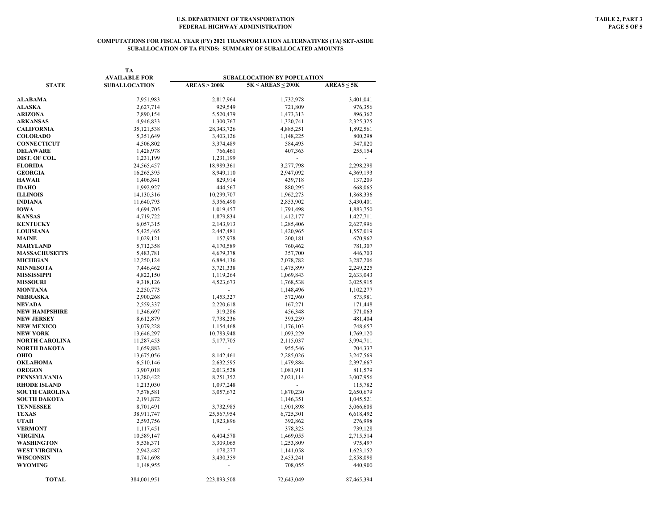### **COMPUTATIONS FOR FISCAL YEAR (FY) 2021 TRANSPORTATION ALTERNATIVES (TA) SET-ASIDE SUBALLOCATION OF TA FUNDS: SUMMARY OF SUBALLOCATED AMOUNTS**

|                       | TA<br><b>AVAILABLE FOR</b> |              | SUBALLOCATION BY POPULATION |                 |
|-----------------------|----------------------------|--------------|-----------------------------|-----------------|
| <b>STATE</b>          | <b>SUBALLOCATION</b>       | AREAS > 200K | $5K < AREAS \leq 200K$      | $AREAS \leq 5K$ |
|                       |                            |              |                             |                 |
| <b>ALABAMA</b>        | 7,951,983                  | 2,817,964    | 1,732,978                   | 3,401,041       |
| <b>ALASKA</b>         | 2,627,714                  | 929,549      | 721,809                     | 976,356         |
| <b>ARIZONA</b>        | 7,890,154                  | 5,520,479    | 1,473,313                   | 896,362         |
| <b>ARKANSAS</b>       | 4,946,833                  | 1,300,767    | 1,320,741                   | 2,325,325       |
| CALIFORNIA            | 35,121,538                 | 28, 343, 726 | 4,885,251                   | 1,892,561       |
| <b>COLORADO</b>       | 5,351,649                  | 3,403,126    | 1,148,225                   | 800,298         |
| CONNECTICUT           | 4,506,802                  | 3,374,489    | 584,493                     | 547,820         |
| <b>DELAWARE</b>       | 1,428,978                  | 766,461      | 407,363                     | 255,154         |
| DIST. OF COL.         | 1,231,199                  | 1,231,199    | ÷.                          | $\sim$          |
| <b>FLORIDA</b>        | 24,565,457                 | 18,989,361   | 3,277,798                   | 2,298,298       |
| <b>GEORGIA</b>        | 16,265,395                 | 8,949,110    | 2,947,092                   | 4,369,193       |
| <b>HAWAII</b>         | 1,406,841                  | 829,914      | 439,718                     | 137,209         |
| <b>IDAHO</b>          | 1,992,927                  | 444,567      | 880,295                     | 668,065         |
| <b>ILLINOIS</b>       | 14,130,316                 | 10,299,707   | 1,962,273                   | 1,868,336       |
| INDIANA               | 11,640,793                 | 5,356,490    | 2,853,902                   | 3,430,401       |
| IOWA                  | 4,694,705                  | 1,019,457    | 1,791,498                   | 1,883,750       |
| KANSAS                | 4,719,722                  | 1,879,834    | 1,412,177                   | 1,427,711       |
| <b>KENTUCKY</b>       | 6,057,315                  | 2,143,913    | 1,285,406                   | 2,627,996       |
| <b>LOUISIANA</b>      | 5,425,465                  | 2,447,481    | 1,420,965                   | 1,557,019       |
| <b>MAINE</b>          | 1,029,121                  | 157,978      | 200,181                     | 670,962         |
| MARYLAND              | 5,712,358                  | 4,170,589    | 760,462                     | 781,307         |
| <b>MASSACHUSETTS</b>  | 5,483,781                  | 4,679,378    | 357,700                     | 446,703         |
| <b>MICHIGAN</b>       | 12,250,124                 | 6,884,136    | 2,078,782                   | 3,287,206       |
| <b>MINNESOTA</b>      | 7,446,462                  | 3,721,338    | 1,475,899                   | 2,249,225       |
| MISSISSIPPI           | 4,822,150                  | 1,119,264    | 1,069,843                   | 2,633,043       |
| <b>MISSOURI</b>       | 9,318,126                  | 4,523,673    | 1,768,538                   | 3,025,915       |
| MONTANA               | 2,250,773                  |              | 1,148,496                   | 1,102,277       |
| NEBRASKA              | 2,900,268                  | 1,453,327    | 572,960                     | 873,981         |
| NEVADA                | 2,559,337                  | 2,220,618    | 167,271                     | 171,448         |
| NEW HAMPSHIRE         | 1,346,697                  | 319,286      | 456,348                     | 571,063         |
| NEW JERSEY            | 8,612,879                  | 7,738,236    | 393,239                     | 481,404         |
| <b>NEW MEXICO</b>     | 3,079,228                  | 1,154,468    | 1,176,103                   | 748,657         |
| NEW YORK              | 13,646,297                 | 10,783,948   | 1,093,229                   | 1,769,120       |
| NORTH CAROLINA        | 11,287,453                 | 5,177,705    | 2,115,037                   | 3,994,711       |
| NORTH DAKOTA          | 1,659,883                  |              | 955,546                     | 704,337         |
| оню                   | 13,675,056                 | 8,142,461    | 2,285,026                   | 3,247,569       |
| OKLAHOMA              | 6,510,146                  | 2,632,595    | 1,479,884                   | 2,397,667       |
| <b>OREGON</b>         | 3,907,018                  | 2,013,528    | 1,081,911                   | 811,579         |
| PENNSYLVANIA          | 13,280,422                 | 8,251,352    | 2,021,114                   | 3,007,956       |
| RHODE ISLAND          | 1,213,030                  | 1,097,248    |                             | 115,782         |
| <b>SOUTH CAROLINA</b> | 7,578,581                  | 3,057,672    | 1,870,230                   | 2,650,679       |
| SOUTH DAKOTA          | 2,191,872                  |              | 1,146,351                   | 1,045,521       |
| TENNESSEE             | 8,701,491                  | 3,732,985    | 1,901,898                   | 3,066,608       |
| TEXAS                 | 38,911,747                 | 25,567,954   | 6,725,301                   | 6,618,492       |
| UTAH                  | 2,593,756                  | 1,923,896    | 392,862                     | 276,998         |
| <b>VERMONT</b>        | 1,117,451                  |              | 378,323                     | 739,128         |
| VIRGINIA              | 10,589,147                 | 6,404,578    | 1,469,055                   | 2,715,514       |
| WASHINGTON            |                            | 3,309,065    |                             |                 |
|                       | 5,538,371                  |              | 1,253,809                   | 975,497         |
| WEST VIRGINIA         | 2,942,487                  | 178,277      | 1,141,058                   | 1,623,152       |
| WISCONSIN<br>WYOMING  | 8,741,698                  | 3,430,359    | 2,453,241                   | 2,858,098       |
|                       | 1,148,955                  |              | 708,055                     | 440,900         |
| <b>TOTAL</b>          | 384,001,951                | 223,893,508  | 72,643,049                  | 87,465,394      |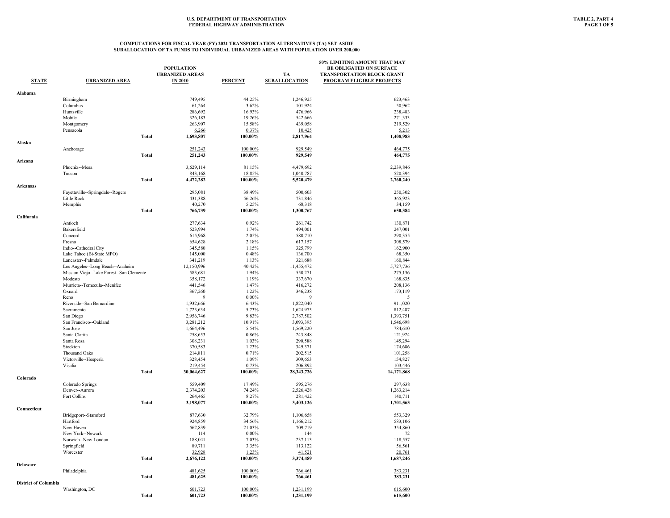|                             |                                          | <b>POPULATION</b>         |                    |                       | 50% LIMITING AMOUNT THAT MAY<br><b>BE OBLIGATED ON SURFACE</b> |
|-----------------------------|------------------------------------------|---------------------------|--------------------|-----------------------|----------------------------------------------------------------|
|                             |                                          | <b>URBANIZED AREAS</b>    |                    | TA                    | <b>TRANSPORTATION BLOCK GRANT</b>                              |
| <b>STATE</b>                | <b>URBANIZED AREA</b>                    | <b>IN 2010</b>            | <b>PERCENT</b>     | <b>SUBALLOCATION</b>  | <b>PROGRAM ELIGIBLE PROJECTS</b>                               |
|                             |                                          |                           |                    |                       |                                                                |
| Alabama                     | Birmingham                               | 749,495                   | 44.25%             | 1,246,925             | 623,463                                                        |
|                             | Columbus                                 | 61,264                    | 3.62%              | 101,924               | 50,962                                                         |
|                             | Huntsville                               | 286,692                   | 16.93%             | 476,966               | 238,483                                                        |
|                             | Mobile                                   | 326,183                   | 19.26%             | 542,666               | 271,333                                                        |
|                             | Montgomery                               | 263,907                   | 15.58%             | 439,058               | 219,529                                                        |
|                             | Pensacola                                | 6,266                     | 0.37%              | 10,425                | 5,213                                                          |
|                             | <b>Total</b>                             | 1,693,807                 | 100.00%            | 2,817,964             | 1,408,983                                                      |
| Alaska                      |                                          |                           |                    | 929,549               |                                                                |
|                             | Anchorage<br>Total                       | 251,243<br>251,243        | 100.00%<br>100.00% | 929,549               | 464,775<br>464,775                                             |
| Arizona                     |                                          |                           |                    |                       |                                                                |
|                             | Phoenix--Mesa                            | 3,629,114                 | 81.15%             | 4,479,692             | 2,239,846                                                      |
|                             | Tucson                                   | 843,168                   | 18.85%             | 1,040,787             | 520,394                                                        |
| <b>Arkansas</b>             | Total                                    | 4,472,282                 | 100.00%            | 5,520,479             | 2,760,240                                                      |
|                             | Fayetteville--Springdale--Rogers         | 295,081                   | 38.49%             | 500,603               | 250,302                                                        |
|                             | Little Rock                              | 431,388                   | 56.26%             | 731,846               | 365,923                                                        |
|                             | Memphis                                  | 40,270                    | 5.25%              | 68,318                | 34,159                                                         |
|                             | Total                                    | 766,739                   | 100.00%            | 1,300,767             | 650,384                                                        |
| California                  | Antioch                                  | 277,634                   | 0.92%              | 261,742               | 130,871                                                        |
|                             | Bakersfield                              | 523,994                   | 1.74%              | 494,001               | 247,001                                                        |
|                             | Concord                                  | 615,968                   | 2.05%              | 580,710               | 290,355                                                        |
|                             | Fresno                                   |                           | 2.18%              |                       | 308,579                                                        |
|                             |                                          | 654,628                   |                    | 617,157               |                                                                |
|                             | Indio--Cathedral City                    | 345,580                   | 1.15%              | 325,799               | 162,900                                                        |
|                             | Lake Tahoe (Bi-State MPO)                | 145,000                   | 0.48%              | 136,700               | 68,350                                                         |
|                             | Lancaster--Palmdale                      | 341,219                   | 1.13%              | 321,688               | 160,844                                                        |
|                             | Los Angeles--Long Beach--Anaheim         | 12,150,996                | 40.42%             | 11,455,472            | 5,727,736                                                      |
|                             | Mission Viejo--Lake Forest--San Clemente | 583,681                   | 1.94%              | 550,271               | 275,136                                                        |
|                             | Modesto                                  | 358,172                   | 1.19%              | 337,670               | 168,835                                                        |
|                             | Murrieta--Temecula--Menifee              | 441,546                   | 1.47%              | 416,272               | 208,136                                                        |
|                             | Oxnard<br>Reno                           | 367,260<br>$\overline{9}$ | 1.22%<br>$0.00\%$  | 346,238<br>9          | 173,119<br>-5                                                  |
|                             | Riverside-San Bernardino                 | 1,932,666                 |                    | 1,822,040             | 911,020                                                        |
|                             | Sacramento                               | 1,723,634                 | 6.43%<br>5.73%     | 1,624,973             | 812,487                                                        |
|                             | San Diego                                | 2,956,746                 | 9.83%              | 2,787,502             | 1,393,751                                                      |
|                             | San Francisco--Oakland                   | 3,281,212                 | 10.91%             | 3,093,395             | 1,546,698                                                      |
|                             | San Jose                                 | 1,664,496                 | 5.54%              |                       |                                                                |
|                             | Santa Clarita                            | 258,653                   | 0.86%              | 1,569,220<br>243,848  | 784,610<br>121,924                                             |
|                             | Santa Rosa                               | 308,231                   | 1.03%              | 290,588               | 145,294                                                        |
|                             | Stockton                                 | 370,583                   | 1.23%              | 349,371               | 174,686                                                        |
|                             |                                          |                           |                    |                       |                                                                |
|                             | Thousand Oaks                            | 214,811                   | 0.71%              | 202,515               | 101,258                                                        |
|                             | Victorville--Hesperia                    | 328,454                   | 1.09%              | 309,653               | 154,827                                                        |
|                             | Visalia<br>Total                         | 219,454<br>30,064,627     | 0.73%<br>100.00%   | 206,892<br>28,343,726 | 103,446<br>14,171,868                                          |
| Colorado                    |                                          |                           |                    |                       |                                                                |
|                             | Colorado Springs                         | 559,409                   | 17.49%             | 595,276               | 297,638                                                        |
|                             | Denver--Aurora                           | 2,374,203                 | 74.24%             | 2,526,428             | 1,263,214                                                      |
|                             | Fort Collins                             | 264,465                   | 8.27%              | 281,422               | 140,711                                                        |
| Connecticut                 | <b>Total</b>                             | 3,198,077                 | 100.00%            | 3,403,126             | 1,701,563                                                      |
|                             | Bridgeport--Stamford                     | 877,630                   | 32.79%             | 1,106,658             | 553,329                                                        |
|                             | Hartford                                 | 924,859                   | 34.56%             | 1,166,212             | 583.106                                                        |
|                             | New Haven                                | 562,839                   | 21.03%             | 709,719               | 354,860                                                        |
|                             | New York--Newark                         | 114                       | $0.00\%$           | 144                   | 72                                                             |
|                             | Norwich--New London                      | 188,041                   | 7.03%              | 237,113               | 118,557                                                        |
|                             | Springfield                              | 89,711                    | 3.35%              | 113,122               | 56,561                                                         |
|                             | Worcester                                | 32,928                    | 1.23%              | 41,521                | 20,761                                                         |
|                             | Total                                    | 2,676,122                 | 100.00%            | 3,374,489             | 1,687,246                                                      |
| Delaware                    |                                          |                           |                    |                       |                                                                |
|                             | Philadelphia<br>Total                    | 481,625<br>481,625        | 100.00%<br>100.00% | 766,461<br>766,461    | 383,231<br>383,231                                             |
| <b>District of Columbia</b> |                                          |                           |                    |                       |                                                                |
|                             | Washington, DC                           | 601,723                   | 100.00%            | 1,231,199             | 615,600                                                        |
|                             | <b>Total</b>                             | 601,723                   | 100.00%            | 1,231,199             | 615,600                                                        |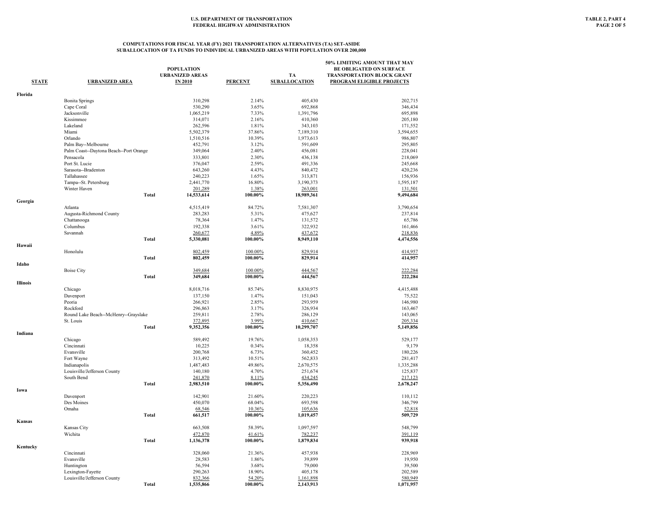|                 |                                        |                        |                |                            | 50% LIMITING AMOUNT THAT MAY      |
|-----------------|----------------------------------------|------------------------|----------------|----------------------------|-----------------------------------|
|                 |                                        | <b>POPULATION</b>      |                |                            | <b>BE OBLIGATED ON SURFACE</b>    |
| <b>STATE</b>    | <b>URBANIZED AREA</b>                  | <b>URBANIZED AREAS</b> | <b>PERCENT</b> | TA<br><b>SUBALLOCATION</b> | <b>TRANSPORTATION BLOCK GRANT</b> |
|                 |                                        | <b>IN 2010</b>         |                |                            | PROGRAM ELIGIBLE PROJECTS         |
| Florida         |                                        |                        |                |                            |                                   |
|                 | <b>Bonita Springs</b>                  | 310,298                | 2.14%          | 405,430                    | 202,715                           |
|                 | Cape Coral                             | 530,290                | 3.65%          | 692,868                    | 346,434                           |
|                 | Jacksonville                           | 1,065,219              | 7.33%          | 1,391,796                  | 695,898                           |
|                 | Kissimmee                              | 314,071                | 2.16%          | 410,360                    | 205,180                           |
|                 | Lakeland                               | 262,596                | 1.81%          | 343,103                    | 171,552                           |
|                 | Miami                                  | 5,502,379              | 37.86%         | 7,189,310                  | 3,594,655                         |
|                 | Orlando                                | 1,510,516              | 10.39%         | 1,973,613                  | 986,807                           |
|                 | Palm Bay--Melbourne                    | 452,791                | 3.12%          | 591,609                    | 295,805                           |
|                 | Palm Coast--Daytona Beach--Port Orange | 349,064                | 2.40%          | 456,081                    | 228,041                           |
|                 | Pensacola                              | 333,801                | 2.30%          | 436,138                    | 218,069                           |
|                 | Port St. Lucie                         | 376,047                | 2.59%          | 491,336                    | 245,668                           |
|                 | Sarasota--Bradenton                    | 643,260                | 4.43%          | 840,472                    | 420,236                           |
|                 | Tallahassee                            | 240,223                | 1.65%          | 313,871                    | 156,936                           |
|                 | Tampa--St. Petersburg                  | 2,441,770              | 16.80%         | 3,190,373                  | 1,595,187                         |
|                 | Winter Haven                           | 201,289                | 1.38%          | 263,001                    | 131,501                           |
|                 | <b>Total</b>                           | 14,533,614             | 100.00%        | 18,989,361                 | 9,494,684                         |
| Georgia         |                                        |                        |                |                            |                                   |
|                 | Atlanta                                | 4,515,419              | 84.72%         | 7,581,307                  | 3,790,654                         |
|                 | Augusta-Richmond County                | 283,283                | 5.31%          | 475,627                    | 237,814                           |
|                 | Chattanooga                            | 78,364                 | 1.47%          | 131,572                    | 65,786                            |
|                 | Columbus                               | 192,338                | 3.61%          | 322,932                    | 161,466                           |
|                 | Savannah                               | 260,677                | 4.89%          | 437,672                    | 218,836                           |
|                 | <b>Total</b>                           | 5,330,081              | 100.00%        | 8,949,110                  | 4,474,556                         |
| Hawaii          |                                        |                        |                |                            |                                   |
|                 | Honolulu                               | 802,459                | 100.00%        | 829,914                    | 414,957                           |
|                 | <b>Total</b>                           | 802,459                | 100.00%        | 829,914                    | 414,957                           |
| Idaho           |                                        |                        |                |                            |                                   |
|                 | <b>Boise City</b>                      | 349,684                | 100.00%        | 444,567                    | 222,284                           |
|                 | <b>Total</b>                           | 349,684                | 100.00%        | 444,567                    | 222,284                           |
| <b>Illinois</b> |                                        |                        |                |                            |                                   |
|                 | Chicago                                | 8,018,716              | 85.74%         | 8,830,975                  | 4,415,488                         |
|                 | Davenport                              | 137,150                | 1.47%          | 151,043                    | 75,522                            |
|                 | Peoria                                 | 266,921                | 2.85%          | 293,959                    | 146,980                           |
|                 | Rockford                               | 296,863                | 3.17%          | 326,934                    | 163,467                           |
|                 | Round Lake Beach--McHenry--Grayslake   | 259,811                | 2.78%          | 286,129                    | 143,065                           |
|                 | St. Louis                              | 372,895                | 3.99%          | 410,667                    | 205,334                           |
|                 | <b>Total</b>                           | 9,352,356              | 100.00%        | 10,299,707                 | 5,149,856                         |
| Indiana         |                                        |                        |                |                            |                                   |
|                 | Chicago                                | 589,492                | 19.76%         | 1,058,353                  | 529,177                           |
|                 | Cincinnati                             | 10,225                 | 0.34%          | 18,358                     | 9,179                             |
|                 | Evansville                             | 200,768                | 6.73%          | 360,452                    | 180,226                           |
|                 | Fort Wayne                             | 313,492                | 10.51%         | 562,833                    | 281,417                           |
|                 | Indianapolis                           | 1,487,483              | 49.86%         | 2,670,575                  | 1,335,288                         |
|                 | Louisville/Jefferson County            | 140,180                | 4.70%          | 251,674                    | 125,837                           |
|                 | South Bend                             | 241,870                | 8.11%          | 434,245                    | 217,123                           |
|                 | <b>Total</b>                           | 2,983,510              | 100.00%        | 5,356,490                  | 2,678,247                         |
| Iowa            |                                        |                        |                |                            |                                   |
|                 | Davenport                              | 142,901                | 21.60%         | 220,223                    | 110,112                           |
|                 | Des Moines                             | 450,070                | 68.04%         | 693,598                    | 346,799                           |
|                 | Omaha                                  | 68,546                 | 10.36%         | 105,636                    | 52,818                            |
|                 | <b>Total</b>                           | 661,517                | 100.00%        | 1,019,457                  | 509,729                           |
| Kansas          |                                        |                        |                |                            |                                   |
|                 | Kansas City                            | 663,508                | 58.39%         | 1,097,597                  | 548,799                           |
|                 | Wichita                                | 472,870                | 41.61%         | 782,237                    | 391,119                           |
|                 | <b>Total</b>                           | 1,136,378              | 100.00%        | 1,879,834                  | 939,918                           |
| Kentucky        |                                        |                        |                |                            |                                   |
|                 | Cincinnati                             | 328,060                | 21.36%         | 457,938                    | 228,969                           |
|                 | Evansville                             | 28,583                 | 1.86%          | 39,899                     | 19,950                            |
|                 | Huntington                             | 56,594                 | 3.68%          | 79,000                     | 39,500                            |
|                 | Lexington-Fayette                      | 290,263                | 18.90%         | 405,178                    | 202,589                           |
|                 | Louisville/Jefferson County            | 832,366                | 54.20%         | 1,161,898                  | 580,949                           |
|                 | <b>Total</b>                           | 1,535,866              | 100.00%        | 2,143,913                  | 1,071,957                         |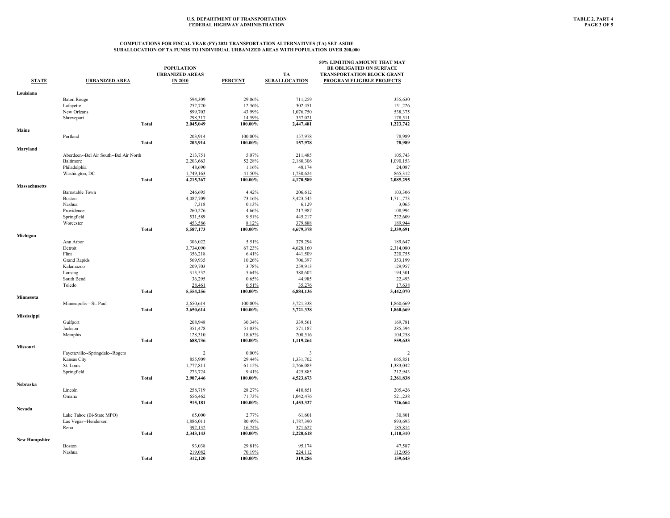| <b>STATE</b>         | <b>URBANIZED AREA</b>                  | <b>POPULATION</b><br><b>URBANIZED AREAS</b><br><b>IN 2010</b> | <b>PERCENT</b> | TA<br><b>SUBALLOCATION</b> | 50% LIMITING AMOUNT THAT MAY<br><b>BE OBLIGATED ON SURFACE</b><br><b>TRANSPORTATION BLOCK GRANT</b><br><b>PROGRAM ELIGIBLE PROJECTS</b> |
|----------------------|----------------------------------------|---------------------------------------------------------------|----------------|----------------------------|-----------------------------------------------------------------------------------------------------------------------------------------|
| Louisiana            |                                        |                                                               |                |                            |                                                                                                                                         |
|                      | <b>Baton Rouge</b>                     | 594,309                                                       | 29.06%         | 711,259                    | 355,630                                                                                                                                 |
|                      | Lafayette                              | 252,720                                                       | 12.36%         | 302,451                    | 151,226                                                                                                                                 |
|                      | New Orleans                            | 899,703                                                       | 43.99%         | 1,076,750                  | 538,375                                                                                                                                 |
|                      | Shreveport                             | 298,317                                                       | 14.59%         | 357,021                    | 178,511                                                                                                                                 |
|                      | Total                                  | 2,045,049                                                     | 100.00%        | 2,447,481                  | 1,223,742                                                                                                                               |
| Maine                | Portland                               | 203,914                                                       | 100.00%        |                            | 78,989                                                                                                                                  |
|                      | Total                                  | 203,914                                                       | 100.00%        | 157,978<br>157,978         | 78,989                                                                                                                                  |
| Maryland             |                                        |                                                               |                |                            |                                                                                                                                         |
|                      | Aberdeen--Bel Air South--Bel Air North | 213,751                                                       | 5.07%          | 211,485                    | 105,743                                                                                                                                 |
|                      | Baltimore                              | 2,203,663                                                     | 52.28%         | 2,180,306                  | 1,090,153                                                                                                                               |
|                      | Philadelphia                           | 48,690                                                        | 1.16%          | 48,174                     | 24,087                                                                                                                                  |
|                      | Washington, DC                         | 1,749,163                                                     | 41.50%         | 1,730,624                  | 865,312                                                                                                                                 |
|                      | Total                                  | 4,215,267                                                     | 100.00%        | 4,170,589                  | 2,085,295                                                                                                                               |
| Massachusetts        |                                        |                                                               |                |                            |                                                                                                                                         |
|                      | <b>Barnstable Town</b>                 | 246,695                                                       | 4.42%          | 206,612                    | 103,306                                                                                                                                 |
|                      | Boston                                 | 4,087,709                                                     | 73.16%         | 3,423,545                  | 1,711,773                                                                                                                               |
|                      | Nashua                                 | 7,318                                                         | 0.13%          | 6,129                      | 3,065                                                                                                                                   |
|                      | Providence                             | 260,276                                                       | 4.66%          | 217,987                    | 108,994                                                                                                                                 |
|                      | Springfield                            | 531,589                                                       | 9.51%          | 445,217                    | 222,609                                                                                                                                 |
|                      | Worcester                              | 453,586                                                       | 8.12%          | 379,888                    | 189,944                                                                                                                                 |
| Michigan             | Total                                  | 5,587,173                                                     | 100.00%        | 4,679,378                  | 2,339,691                                                                                                                               |
|                      | Ann Arbor                              | 306,022                                                       | 5.51%          | 379.294                    | 189,647                                                                                                                                 |
|                      | Detroit                                | 3,734,090                                                     | 67.23%         | 4,628,160                  | 2,314,080                                                                                                                               |
|                      | Flint                                  | 356,218                                                       | 6.41%          | 441,509                    | 220,755                                                                                                                                 |
|                      | <b>Grand Rapids</b>                    | 569,935                                                       | 10.26%         | 706,397                    | 353,199                                                                                                                                 |
|                      | Kalamazoo                              | 209,703                                                       | 3.78%          | 259,913                    | 129,957                                                                                                                                 |
|                      | Lansing                                | 313,532                                                       | 5.64%          | 388,602                    | 194,301                                                                                                                                 |
|                      | South Bend                             | 36,295                                                        | 0.65%          | 44,985                     | 22,493                                                                                                                                  |
|                      | Toledo                                 | 28,461                                                        | 0.51%          | 35,276                     | 17,638                                                                                                                                  |
|                      | Total                                  | 5,554,256                                                     | 100.00%        | 6,884,136                  | 3,442,070                                                                                                                               |
| Minnesota            |                                        |                                                               |                |                            |                                                                                                                                         |
|                      | Minneapolis-St. Paul                   | 2,650,614                                                     | 100.00%        | 3,721,338                  | 1,860,669                                                                                                                               |
|                      | <b>Total</b>                           | 2,650,614                                                     | 100.00%        | 3,721,338                  | 1,860,669                                                                                                                               |
| Mississippi          |                                        |                                                               |                |                            |                                                                                                                                         |
|                      | Gulfport                               | 208,948                                                       | 30.34%         | 339,561                    | 169,781                                                                                                                                 |
|                      | Jackson                                | 351,478                                                       | 51.03%         | 571,187                    | 285,594                                                                                                                                 |
|                      | Memphis                                | 128,310                                                       | 18.63%         | 208,516                    | 104,258                                                                                                                                 |
| Missouri             | Total                                  | 688,736                                                       | 100.00%        | 1,119,264                  | 559,633                                                                                                                                 |
|                      | Fayetteville--Springdale--Rogers       | $\overline{c}$                                                | $0.00\%$       | 3                          | $\overline{2}$                                                                                                                          |
|                      | Kansas City                            | 855,909                                                       | 29.44%         | 1,331,702                  | 665,851                                                                                                                                 |
|                      | St. Louis                              | 1,777,811                                                     | 61.15%         | 2,766,083                  | 1,383,042                                                                                                                               |
|                      | Springfield                            | 273,724                                                       | 9.41%          | 425,885                    | 212,943                                                                                                                                 |
|                      | Total                                  | 2,907,446                                                     | 100.00%        | 4,523,673                  | 2,261,838                                                                                                                               |
| Nebraska             |                                        |                                                               |                |                            |                                                                                                                                         |
|                      | Lincoln                                | 258,719                                                       | 28.27%         | 410,851                    | 205,426                                                                                                                                 |
|                      | Omaha                                  | 656,462                                                       | 71.73%         | 1,042,476                  | 521,238                                                                                                                                 |
|                      | Total                                  | 915,181                                                       | 100.00%        | 1,453,327                  | 726,664                                                                                                                                 |
| Nevada               | Lake Tahoe (Bi-State MPO)              | 65,000                                                        | 2.77%          | 61,601                     | 30,801                                                                                                                                  |
|                      | Las Vegas--Henderson                   | 1,886,011                                                     | 80.49%         | 1,787,390                  | 893,695                                                                                                                                 |
|                      | Reno                                   | 392,132                                                       | 16.74%         | 371,627                    | 185,814                                                                                                                                 |
|                      | Total                                  | 2,343,143                                                     | 100.00%        | 2,220,618                  | 1,110,310                                                                                                                               |
| <b>New Hampshire</b> |                                        |                                                               |                |                            |                                                                                                                                         |
|                      | <b>Boston</b>                          | 93,038                                                        | 29.81%         | 95,174                     | 47,587                                                                                                                                  |
|                      | Nashua                                 | 219,082                                                       | 70.19%         | 224,112                    | 112,056                                                                                                                                 |
|                      | Total                                  | 312,120                                                       | 100.00%        | 319,286                    | 159,643                                                                                                                                 |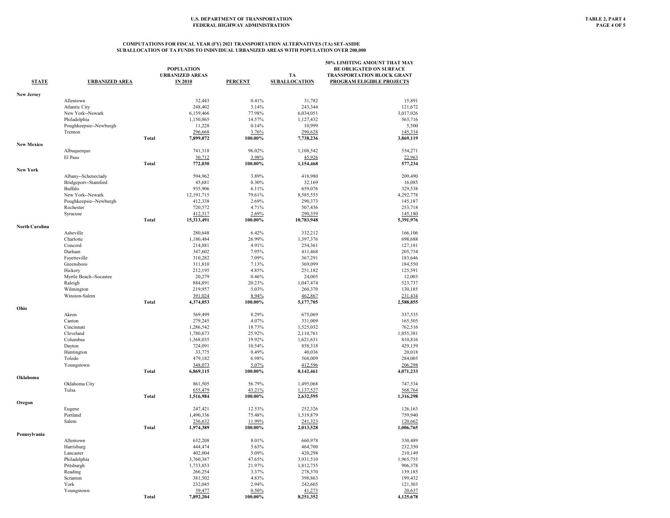| <b>STATE</b>      | <b>URBANIZED AREA</b>   |              | <b>POPULATION</b><br><b>URBANIZED AREAS</b><br><b>IN 2010</b> | <b>PERCENT</b>    | TA<br><b>SUBALLOCATION</b> | 50% LIMITING AMOUNT THAT MAY<br><b>BE OBLIGATED ON SURFACE</b><br>TRANSPORTATION BLOCK GRANT<br>PROGRAM ELIGIBLE PROJECTS |
|-------------------|-------------------------|--------------|---------------------------------------------------------------|-------------------|----------------------------|---------------------------------------------------------------------------------------------------------------------------|
| <b>New Jersey</b> |                         |              |                                                               |                   |                            |                                                                                                                           |
|                   | Allentown               |              | 32,443                                                        | 0.41%             | 31,782                     | 15,891                                                                                                                    |
|                   | Atlantic City           |              | 248,402                                                       | 3.14%             | 243,344                    | 121,672                                                                                                                   |
|                   | New York--Newark        |              | 6,159,466                                                     | 77.98%            | 6,034,051                  | 3,017,026                                                                                                                 |
|                   | Philadelphia            |              | 1,150,865                                                     | 14.57%            | 1,127,432                  | 563,716                                                                                                                   |
|                   | Poughkeepsie--Newburgh  |              | 11,228                                                        | 0.14%             | 10,999                     | 5,500                                                                                                                     |
|                   | Trenton                 |              | 296,668                                                       | 3.76%             | 290,628                    | 145,314                                                                                                                   |
| <b>New Mexico</b> |                         | <b>Total</b> | 7,899,072                                                     | 100.00%           | 7,738,236                  | 3,869,119                                                                                                                 |
|                   | Albuquerque             |              | 741,318                                                       | 96.02%            | 1,108,542                  | 554,271                                                                                                                   |
|                   | El Paso                 |              | 30,712                                                        | 3.98%             | 45,926                     | 22,963                                                                                                                    |
|                   |                         | <b>Total</b> | 772,030                                                       | 100.00%           | 1,154,468                  | 577,234                                                                                                                   |
| New York          | Albany--Schenectady     |              | 594,962                                                       | 3.89%             | 418,980                    | 209,490                                                                                                                   |
|                   | Bridgeport--Stamford    |              | 45,681                                                        | 0.30%             | 32,169                     | 16,085                                                                                                                    |
|                   | Buffalo                 |              | 935,906                                                       | 6.11%             | 659,076                    | 329,538                                                                                                                   |
|                   | New York--Newark        |              | 12,191,715                                                    | 79.61%            | 8,585,555                  | 4,292,778                                                                                                                 |
|                   | Poughkeepsie--Newburgh  |              | 412,338                                                       | 2.69%             | 290,373                    | 145,187                                                                                                                   |
|                   | Rochester               |              | 720,572                                                       | 4.71%             | 507,436                    | 253,718                                                                                                                   |
|                   | Syracuse                |              | 412,317                                                       | 2.69%             | 290,359                    | 145,180                                                                                                                   |
| North Carolina    |                         | <b>Total</b> | 15,313,491                                                    | 100.00%           | 10,783,948                 | 5,391,976                                                                                                                 |
|                   | Asheville               |              | 280,648                                                       | 6.42%             | 332,212                    | 166,106                                                                                                                   |
|                   | Charlotte               |              | 1,180,484                                                     | 26.99%            | 1,397,376                  | 698,688                                                                                                                   |
|                   | Concord                 |              | 214,881                                                       | 4.91%             | 254,361                    | 127,181                                                                                                                   |
|                   | Durham                  |              | 347,602                                                       | 7.95%             | 411,468                    | 205,734                                                                                                                   |
|                   | Fayetteville            |              | 310,282                                                       | 7.09%             | 367,291                    | 183,646                                                                                                                   |
|                   | Greensboro              |              | 311,810                                                       | 7.13%             | 369,099                    | 184,550                                                                                                                   |
|                   | Hickory                 |              | 212,195                                                       | 4.85%             | 251,182                    | 125,591                                                                                                                   |
|                   | Myrtle Beach--Socastee  |              | 20,279                                                        | 0.46%             | 24,005                     | 12,003                                                                                                                    |
|                   | Raleigh                 |              | 884,891                                                       | 20.23%            | 1,047,474                  | 523,737                                                                                                                   |
|                   | Wilmington              |              | 219,957                                                       | 5.03%             | 260,370                    | 130,185                                                                                                                   |
|                   | Winston-Salem           | Total        | 391,024<br>4,374,053                                          | 8.94%<br>100.00%  | 462,867<br>5,177,705       | 231,434<br>2,588,855                                                                                                      |
| Ohio              |                         |              |                                                               |                   |                            |                                                                                                                           |
|                   | Akron                   |              | 569,499                                                       | 8.29%             | 675,069                    | 337,535                                                                                                                   |
|                   | Canton                  |              | 279,245                                                       | 4.07%             | 331,009                    | 165,505                                                                                                                   |
|                   | Cincinnati<br>Cleveland |              | 1,286,542<br>1,780,673                                        | 18.73%<br>25.92%  | 1,525,032<br>2,110,761     | 762,516<br>1,055,381                                                                                                      |
|                   | Columbus                |              | 1,368,035                                                     | 19.92%            | 1,621,631                  | 810,816                                                                                                                   |
|                   | Dayton                  |              | 724,091                                                       | 10.54%            | 858,318                    | 429,159                                                                                                                   |
|                   | Huntington              |              | 33,775                                                        | 0.49%             | 40,036                     | 20,018                                                                                                                    |
|                   | Toledo                  |              | 479,182                                                       | 6.98%             | 568,009                    | 284,005                                                                                                                   |
|                   | Youngstown              |              | 348,073                                                       | 5.07%             | 412,596                    | 206,298                                                                                                                   |
|                   |                         | <b>Total</b> | 6,869,115                                                     | 100.00%           | 8,142,461                  | 4,071,233                                                                                                                 |
| Oklahoma          | Oklahoma City           |              | 861,505                                                       | 56.79%            | 1,495,068                  | 747,534                                                                                                                   |
|                   | Tulsa                   |              | 655,479                                                       | 43.21%            | 1,137,527                  | 568,764                                                                                                                   |
|                   |                         | <b>Total</b> | 1,516,984                                                     | 100.00%           | 2,632,595                  | 1,316,298                                                                                                                 |
| Oregon            |                         |              |                                                               |                   |                            |                                                                                                                           |
|                   | Eugene                  |              | 247,421                                                       | 12.53%            | 252,326                    | 126,163                                                                                                                   |
|                   | Portland                |              | 1,490,336                                                     | 75.48%            | 1,519,879                  | 759,940                                                                                                                   |
|                   | Salem                   | <b>Total</b> | 236,632<br>1,974,389                                          | 11.99%<br>100.00% | 241,323<br>2,013,528       | 120,662<br>1,006,765                                                                                                      |
| Pennsylvania      |                         |              |                                                               |                   |                            |                                                                                                                           |
|                   | Allentown               |              | 632,208                                                       | 8.01%             | 660,978                    | 330,489                                                                                                                   |
|                   | Harrisburg              |              | 444,474                                                       | 5.63%             | 464,700                    | 232,350                                                                                                                   |
|                   | Lancaster               |              | 402,004                                                       | 5.09%             | 420,298                    | 210,149                                                                                                                   |
|                   | Philadelphia            |              | 3,760,387                                                     | 47.65%            | 3,931,510                  | 1,965,755                                                                                                                 |
|                   | Pittsburgh<br>Reading   |              | 1,733,853<br>266,254                                          | 21.97%<br>3.37%   | 1,812,755<br>278,370       | 906,378<br>139,185                                                                                                        |
|                   | Scranton                |              | 381,502                                                       | 4.83%             | 398,863                    | 199,432                                                                                                                   |
|                   | York                    |              | 232,045                                                       | 2.94%             | 242,605                    | 121,303                                                                                                                   |
|                   | Youngstown              |              | 39,477                                                        | 0.50%             | 41,273                     | 20,637                                                                                                                    |
|                   |                         | <b>Total</b> | 7,892,204                                                     | 100.00%           | 8,251,352                  | 4,125,678                                                                                                                 |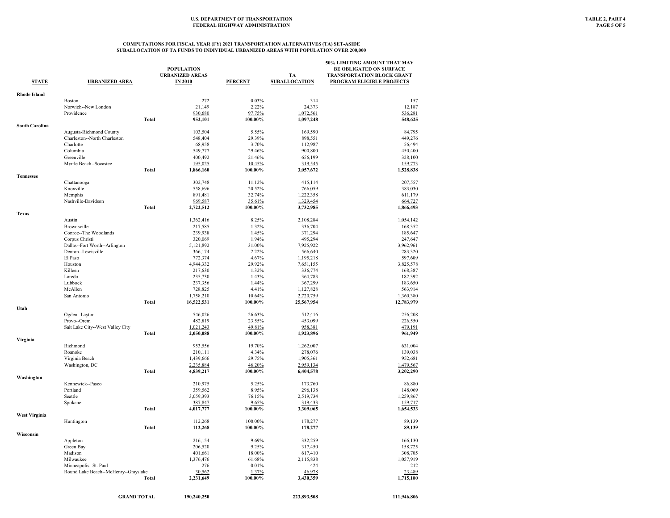| <b>STATE</b>          | <b>URBANIZED AREA</b>                |              | <b>POPULATION</b><br><b>URBANIZED AREAS</b><br><b>IN 2010</b> | <b>PERCENT</b>  | TA<br><b>SUBALLOCATION</b> | 50% LIMITING AMOUNT THAT MAY<br><b>BE OBLIGATED ON SURFACE</b><br>TRANSPORTATION BLOCK GRANT<br><b>PROGRAM ELIGIBLE PROJECTS</b> |
|-----------------------|--------------------------------------|--------------|---------------------------------------------------------------|-----------------|----------------------------|----------------------------------------------------------------------------------------------------------------------------------|
|                       |                                      |              |                                                               |                 |                            |                                                                                                                                  |
| <b>Rhode Island</b>   | <b>Boston</b>                        |              | 272                                                           | 0.03%           |                            |                                                                                                                                  |
|                       | Norwich--New London                  |              | 21,149                                                        | 2.22%           | 314<br>24,373              | 157<br>12,187                                                                                                                    |
|                       | Providence                           |              | 930,680                                                       | 97.75%          | 1,072,561                  |                                                                                                                                  |
|                       |                                      | Total        | 952,101                                                       | 100.00%         | 1,097,248                  | 536,281<br>548,625                                                                                                               |
| <b>South Carolina</b> |                                      |              |                                                               |                 |                            |                                                                                                                                  |
|                       | Augusta-Richmond County              |              | 103,504                                                       | 5.55%           | 169,590                    | 84,795                                                                                                                           |
|                       | Charleston--North Charleston         |              | 548,404                                                       | 29.39%          | 898,551                    | 449,276                                                                                                                          |
|                       | Charlotte                            |              |                                                               |                 |                            | 56,494                                                                                                                           |
|                       | Columbia                             |              | 68,958<br>549,777                                             | 3.70%<br>29.46% | 112,987<br>900,800         | 450,400                                                                                                                          |
|                       | Greenville                           |              | 400,492                                                       | 21.46%          | 656,199                    | 328,100                                                                                                                          |
|                       | Myrtle Beach--Socastee               |              | 195,025                                                       | 10.45%          | 319,545                    | 159,773                                                                                                                          |
|                       |                                      | Total        | 1,866,160                                                     | 100.00%         | 3,057,672                  | 1,528,838                                                                                                                        |
| <b>Tennessee</b>      |                                      |              |                                                               |                 |                            |                                                                                                                                  |
|                       | Chattanooga                          |              | 302,748                                                       | 11.12%          | 415,114                    | 207,557                                                                                                                          |
|                       | Knoxville                            |              | 558,696                                                       | 20.52%          | 766,059                    | 383,030                                                                                                                          |
|                       | Memphis                              |              | 891,481                                                       | 32.74%          | 1,222,358                  | 611,179                                                                                                                          |
|                       | Nashville-Davidson                   |              | 969,587                                                       | 35.61%          | 1,329,454                  | 664,727                                                                                                                          |
|                       |                                      | <b>Total</b> | 2,722,512                                                     | 100.00%         | 3,732,985                  | 1,866,493                                                                                                                        |
| <b>Texas</b>          |                                      |              |                                                               |                 |                            |                                                                                                                                  |
|                       | Austin                               |              | 1,362,416                                                     | 8.25%           | 2,108,284                  | 1,054,142                                                                                                                        |
|                       | Brownsville                          |              | 217,585                                                       | 1.32%           | 336,704                    | 168,352                                                                                                                          |
|                       | Conroe--The Woodlands                |              | 239,938                                                       | 1.45%           | 371,294                    | 185,647                                                                                                                          |
|                       | Corpus Christi                       |              | 320,069                                                       | 1.94%           | 495,294                    | 247,647                                                                                                                          |
|                       | Dallas--Fort Worth--Arlington        |              | 5,121,892                                                     | 31.00%          | 7,925,922                  | 3,962,961                                                                                                                        |
|                       | Denton--Lewisville                   |              | 366,174                                                       | 2.22%           | 566,640                    | 283,320                                                                                                                          |
|                       | El Paso                              |              | 772,374                                                       | 4.67%           | 1,195,218                  | 597,609                                                                                                                          |
|                       | Houston                              |              | 4,944,332                                                     | 29.92%          | 7,651,155                  | 3,825,578                                                                                                                        |
|                       | Killeen                              |              | 217,630                                                       | 1.32%           | 336,774                    | 168,387                                                                                                                          |
|                       | Laredo                               |              | 235,730                                                       | 1.43%           | 364,783                    | 182,392                                                                                                                          |
|                       | Lubbock                              |              | 237,356                                                       | 1.44%           | 367,299                    | 183,650                                                                                                                          |
|                       | McAllen                              |              | 728,825                                                       | 4.41%           | 1,127,828                  | 563,914                                                                                                                          |
|                       | San Antonio                          |              | 1,758,210                                                     | 10.64%          | 2,720,759                  | 1,360,380                                                                                                                        |
|                       |                                      | <b>Total</b> | 16,522,531                                                    | 100.00%         | 25,567,954                 | 12,783,979                                                                                                                       |
| Utah                  |                                      |              |                                                               |                 |                            |                                                                                                                                  |
|                       | Ogden--Layton                        |              | 546,026                                                       | 26.63%          | 512,416                    | 256,208                                                                                                                          |
|                       | Provo--Orem                          |              | 482,819                                                       | 23.55%          | 453,099                    | 226,550                                                                                                                          |
|                       | Salt Lake City--West Valley City     |              | 1,021,243                                                     | 49.81%          | 958,381                    | 479,191                                                                                                                          |
|                       |                                      | <b>Total</b> | 2,050,088                                                     | 100.00%         | 1,923,896                  | 961,949                                                                                                                          |
| Virginia              | Richmond                             |              | 953.556                                                       | 19.70%          | 1,262,007                  | 631.004                                                                                                                          |
|                       | Roanoke                              |              | 210,111                                                       | 4.34%           | 278,076                    | 139,038                                                                                                                          |
|                       |                                      |              |                                                               | 29.75%          |                            |                                                                                                                                  |
|                       | Virginia Beach<br>Washington, DC     |              | 1,439,666<br>2,235,884                                        | 46.20%          | 1,905,361<br>2,959,134     | 952,681<br>1,479,567                                                                                                             |
|                       |                                      | <b>Total</b> | 4,839,217                                                     | 100.00%         | 6,404,578                  | 3,202,290                                                                                                                        |
| Washington            |                                      |              |                                                               |                 |                            |                                                                                                                                  |
|                       | Kennewick--Pasco                     |              | 210,975                                                       | 5.25%           | 173,760                    | 86,880                                                                                                                           |
|                       | Portland                             |              | 359,562                                                       | 8.95%           | 296,138                    | 148,069                                                                                                                          |
|                       | Seattle                              |              | 3,059,393                                                     | 76.15%          | 2,519,734                  | 1,259,867                                                                                                                        |
|                       | Spokane                              |              | 387,847                                                       | 9.65%           | 319,433                    | 159,717                                                                                                                          |
|                       |                                      | <b>Total</b> | 4,017,777                                                     | 100.00%         | 3,309,065                  | 1,654,533                                                                                                                        |
| <b>West Virginia</b>  |                                      |              |                                                               |                 |                            |                                                                                                                                  |
|                       | Huntington                           |              | 112,268                                                       | 100.00%         | 178,277                    | 89,139                                                                                                                           |
|                       |                                      | Total        | 112,268                                                       | 100.00%         | 178,277                    | 89,139                                                                                                                           |
| Wisconsin             |                                      |              |                                                               |                 |                            |                                                                                                                                  |
|                       | Appleton                             |              | 216,154                                                       | 9.69%           | 332,259                    | 166,130                                                                                                                          |
|                       | Green Bay                            |              | 206,520                                                       | 9.25%           | 317,450                    | 158,725                                                                                                                          |
|                       | Madison                              |              | 401,661                                                       | 18.00%          | 617,410                    | 308,705                                                                                                                          |
|                       | Milwaukee                            |              | 1,376,476                                                     | 61.68%          | 2,115,838                  | 1,057,919                                                                                                                        |
|                       | Minneapolis--St. Paul                |              | 276                                                           | 0.01%           | 424                        | 212                                                                                                                              |
|                       | Round Lake Beach--McHenry--Grayslake |              | 30,562                                                        | 1.37%           | 46,978                     | 23,489                                                                                                                           |
|                       |                                      | <b>Total</b> | 2,231,649                                                     | 100.00%         | 3,430,359                  | 1,715,180                                                                                                                        |
|                       |                                      |              |                                                               |                 |                            |                                                                                                                                  |
|                       | <b>GRAND TOTAL</b>                   |              | 190.240.250                                                   |                 | 223,893,508                | 111,946,806                                                                                                                      |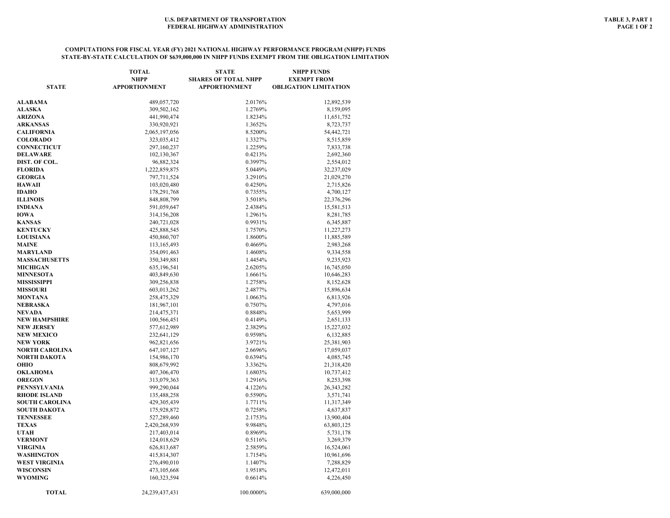### **COMPUTATIONS FOR FISCAL YEAR (FY) 2021 NATIONAL HIGHWAY PERFORMANCE PROGRAM (NHPP) FUNDS STATE-BY-STATE CALCULATION OF \$639,000,000 IN NHPP FUNDS EXEMPT FROM THE OBLIGATION LIMITATION**

| <b>STATE</b>          | <b>TOTAL</b><br><b>NHPP</b><br><b>APPORTIONMENT</b> | <b>STATE</b><br><b>SHARES OF TOTAL NHPP</b><br><b>APPORTIONMENT</b> | <b>NHPP FUNDS</b><br><b>EXEMPT FROM</b><br><b>OBLIGATION LIMITATION</b> |
|-----------------------|-----------------------------------------------------|---------------------------------------------------------------------|-------------------------------------------------------------------------|
|                       |                                                     |                                                                     |                                                                         |
| ALABAMA               | 489,057,720                                         | 2.0176%                                                             | 12,892,539                                                              |
| <b>ALASKA</b>         | 309,502,162                                         | 1.2769%                                                             | 8,159,095                                                               |
| ARIZONA               | 441,990,474                                         | 1.8234%                                                             | 11,651,752                                                              |
| <b>ARKANSAS</b>       | 330,920,921                                         | 1.3652%                                                             | 8,723,737                                                               |
| CALIFORNIA            | 2,065,197,056                                       | 8.5200%                                                             | 54,442,721                                                              |
| <b>COLORADO</b>       | 323,035,412                                         | 1.3327%                                                             | 8,515,859                                                               |
| <b>CONNECTICUT</b>    | 297,160,237                                         | 1.2259%                                                             | 7,833,738                                                               |
| DELAWARE              | 102,130,367                                         | 0.4213%                                                             | 2,692,360                                                               |
| DIST. OF COL.         | 96,882,324                                          | 0.3997%                                                             | 2,554,012                                                               |
| <b>FLORIDA</b>        | 1,222,859,875                                       | 5.0449%                                                             | 32,237,029                                                              |
| <b>GEORGIA</b>        | 797,711,524                                         | 3.2910%                                                             | 21,029,270                                                              |
| HAWAII                | 103,020,480                                         | 0.4250%                                                             | 2,715,826                                                               |
| IDAHO                 | 178,291,768                                         | 0.7355%                                                             | 4,700,127                                                               |
| <b>ILLINOIS</b>       | 848,808,799                                         | 3.5018%                                                             | 22,376,296                                                              |
| INDIANA               | 591,059,647                                         | 2.4384%                                                             | 15,581,513                                                              |
| IOWA                  | 314,156,208                                         | 1.2961%                                                             | 8,281,785                                                               |
| <b>KANSAS</b>         | 240,721,028                                         | 0.9931%                                                             | 6,345,887                                                               |
| <b>KENTUCKY</b>       | 425,888,545                                         | 1.7570%                                                             | 11,227,273                                                              |
| <b>LOUISIANA</b>      | 450,860,707                                         | 1.8600%                                                             | 11,885,589                                                              |
| <b>MAINE</b>          | 113, 165, 493                                       | 0.4669%                                                             | 2,983,268                                                               |
| MARYLAND              | 354,091,463                                         | 1.4608%                                                             | 9,334,558                                                               |
| <b>MASSACHUSETTS</b>  | 350,349,881                                         | 1.4454%                                                             | 9,235,923                                                               |
| MICHIGAN              | 635,196,541                                         | 2.6205%                                                             | 16,745,050                                                              |
| <b>MINNESOTA</b>      | 403,849,630                                         | 1.6661%                                                             | 10,646,283                                                              |
| MISSISSIPPI           | 309,256,838                                         | 1.2758%                                                             | 8,152,628                                                               |
| <b>MISSOURI</b>       | 603,013,262                                         | 2.4877%                                                             | 15,896,634                                                              |
| MONTANA               | 258,475,329                                         | 1.0663%                                                             | 6,813,926                                                               |
| NEBRASKA              | 181,967,101                                         | 0.7507%                                                             | 4,797,016                                                               |
| NEVADA                | 214,475,371                                         | 0.8848%                                                             | 5,653,999                                                               |
| NEW HAMPSHIRE         | 100,566,451                                         | 0.4149%                                                             | 2,651,133                                                               |
| <b>NEW JERSEY</b>     | 577,612,989                                         | 2.3829%                                                             | 15,227,032                                                              |
| <b>NEW MEXICO</b>     | 232,641,129                                         | 0.9598%                                                             | 6,132,885                                                               |
| NEW YORK              | 962,821,656                                         | 3.9721%                                                             | 25,381,903                                                              |
| <b>NORTH CAROLINA</b> | 647,107,127                                         | 2.6696%                                                             | 17,059,037                                                              |
| NORTH DAKOTA          | 154,986,170                                         | 0.6394%                                                             | 4,085,745                                                               |
| OHIO                  | 808,679,992                                         | 3.3362%                                                             | 21,318,420                                                              |
| OKLAHOMA              | 407,306,470                                         | 1.6803%                                                             | 10,737,412                                                              |
| <b>OREGON</b>         | 313,079,363                                         | 1.2916%                                                             | 8,253,398                                                               |
| PENNSYLVANIA          | 999,290,044                                         | 4.1226%                                                             | 26, 343, 282                                                            |
| <b>RHODE ISLAND</b>   | 135,488,258                                         | 0.5590%                                                             | 3,571,741                                                               |
| <b>SOUTH CAROLINA</b> | 429,305,439                                         | 1.7711%                                                             | 11,317,349                                                              |
| SOUTH DAKOTA          | 175,928,872                                         | 0.7258%                                                             | 4,637,837                                                               |
| <b>TENNESSEE</b>      | 527,289,460                                         | 2.1753%                                                             | 13,900,404                                                              |
| <b>TEXAS</b>          | 2,420,268,939                                       | 9.9848%                                                             | 63,803,125                                                              |
| UTAH                  | 217,403,014                                         | 0.8969%                                                             | 5,731,178                                                               |
| <b>VERMONT</b>        | 124,018,629                                         | 0.5116%                                                             | 3,269,379                                                               |
| VIRGINIA              | 626,813,687                                         | 2.5859%                                                             | 16,524,061                                                              |
| WASHINGTON            | 415,814,307                                         | 1.7154%                                                             | 10,961,696                                                              |
| WEST VIRGINIA         | 276,490,010                                         | 1.1407%                                                             | 7,288,829                                                               |
| WISCONSIN             | 473,105,668                                         | 1.9518%                                                             | 12,472,011                                                              |
| WYOMING               | 160,323,594                                         | 0.6614%                                                             | 4,226,450                                                               |
| <b>TOTAL</b>          | 24, 239, 437, 431                                   | 100.0000%                                                           | 639,000,000                                                             |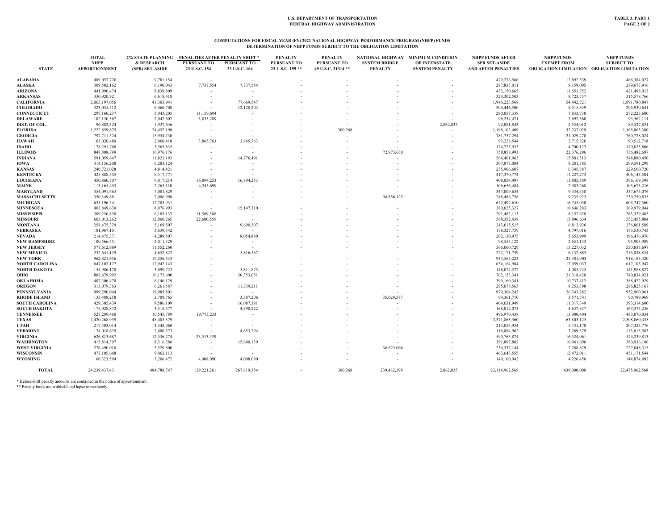#### **COMPUTATIONS FOR FISCAL YEAR (FY) 2021 NATIONAL HIGHWAY PERFORMANCE PROGRAM (NHPP) FUNDS DETERMINATION OF NHPP FUNDS SUBJECT TO THE OBLIGATION LIMITATION**

|                       | <b>TOTAL</b>         | <b>2% STATE PLANNING</b> | PENALTIES AFTER PENALTY SHIFT * |               | <b>PENALTY</b>   | <b>PENALTY</b>     |                      | NATIONAL HIGHWAY MINIMUM CONDITION | <b>NHPP FUNDS AFTER</b>    | <b>NHPP FUNDS</b>  | <b>NHPP FUNDS</b>                           |
|-----------------------|----------------------|--------------------------|---------------------------------|---------------|------------------|--------------------|----------------------|------------------------------------|----------------------------|--------------------|---------------------------------------------|
|                       | <b>NHPP</b>          | & RESEARCH               | <b>PURSUANT TO</b>              | PURSUANT TO   | PURSUANT TO      | <b>PURSUANT TO</b> | <b>SYSTEM BRIDGE</b> | OF INTERSTATE                      | <b>SPR SET-ASIDE</b>       | <b>EXEMPT FROM</b> | <b>SUBJECT TO</b>                           |
| <b>STATE</b>          | <b>APPORTIONMENT</b> | (SPR) SET-ASIDE          | 23 U.S.C. 154                   | 23 U.S.C. 164 | 23 U.S.C. 159 ** | 49 U.S.C. 31314 ** | <b>PENALTY</b>       | <b>SYSTEM PENALTY</b>              | <b>AND AFTER PENALTIES</b> |                    | OBLIGATION LIMITATION OBLIGATION LIMITATION |
| <b>ALABAMA</b>        | 489,057,720          | 9,781,154                |                                 |               |                  |                    |                      |                                    | 479,276,566                | 12,892,539         | 466,384,027                                 |
| <b>ALASKA</b>         | 309,502,162          | 6,190,043                | 7,737,554                       | 7,737,554     |                  |                    |                      |                                    | 287,837,011                | 8,159,095          | 279,677,916                                 |
| <b>ARIZONA</b>        | 441,990,474          | 8,839,809                |                                 |               |                  |                    |                      |                                    | 433,150,665                | 11,651,752         | 421,498,913                                 |
| <b>ARKANSAS</b>       | 330,920,921          | 6,618,418                |                                 |               |                  |                    |                      |                                    | 324,302,503                | 8,723,737          | 315,578,766                                 |
| <b>CALIFORNIA</b>     | 2,065,197,056        | 41,303,941               | $\sim$                          | 77,669,547    |                  |                    |                      |                                    | 1,946,223,568              | 54,442,721         | 1,891,780,847                               |
| <b>COLORADO</b>       | 323,035,412          | 6,460,708                | $\overline{\phantom{a}}$        | 12,128,204    |                  |                    |                      |                                    | 304,446,500                | 8,515,859          | 295,930,641                                 |
| <b>CONNECTICUT</b>    | 297,160,237          | 5,943,205                | 11,159,694                      |               |                  |                    |                      |                                    | 280,057,338                | 7,833,738          | 272,223,600                                 |
| <b>DELAWARE</b>       | 102,130,367          | 2,042,607                | 3,833,289                       |               |                  |                    |                      |                                    | 96,254,471                 | 2,692,360          | 93,562,111                                  |
| DIST. OF COL.         | 96,882,324           | 1,937,646                |                                 |               |                  |                    |                      | 2,862,835                          | 92,081,843                 | 2,554,012          | 89,527,831                                  |
| <b>FLORIDA</b>        | 1,222,859,875        | 24,457,198               | $\overline{\phantom{a}}$        |               |                  | 300,268            |                      |                                    | 1,198,102,409              | 32,237,029         | 1,165,865,380                               |
| <b>GEORGIA</b>        | 797,711,524          | 15,954,230               |                                 |               |                  |                    |                      |                                    | 781,757,294                | 21,029,270         | 760,728,024                                 |
| HAWAII                | 103,020,480          | 2,060,410                | 3,865,763                       | 3,865,763     |                  |                    |                      |                                    | 93,228,544                 | 2,715,826          | 90,512,718                                  |
| <b>IDAHO</b>          | 178,291,768          | 3,565,835                |                                 |               |                  |                    |                      |                                    | 174,725,933                | 4,700,127          | 170,025,806                                 |
| <b>ILLINOIS</b>       | 848,808,799          | 16,976,176               |                                 |               |                  |                    | 72,973,630           |                                    | 758,858,993                | 22,376,296         | 736,482,697                                 |
| <b>INDIANA</b>        | 591,059,647          | 11,821,193               |                                 | 14,776,491    |                  |                    |                      |                                    | 564,461,963                | 15,581,513         | 548,880,450                                 |
| <b>IOWA</b>           | 314,156,208          | 6,283,124                |                                 |               |                  |                    |                      |                                    | 307,873,084                | 8,281,785          | 299,591,299                                 |
| <b>KANSAS</b>         | 240,721,028          | 4,814,421                |                                 |               |                  |                    |                      |                                    | 235,906,607                | 6,345,887          | 229,560,720                                 |
| <b>KENTUCKY</b>       | 425,888,545          | 8,517,771                |                                 |               |                  |                    |                      |                                    | 417,370,774                | 11,227,273         | 406,143,501                                 |
| <b>LOUISIANA</b>      | 450,860,707          | 9,017,214                | 16,894,253                      | 16,894,253    |                  |                    |                      |                                    | 408,054,987                | 11,885,589         | 396,169,398                                 |
| <b>MAINE</b>          | 113,165,493          | 2,263,310                | 4,245,699                       |               |                  |                    |                      |                                    | 106,656,484                | 2,983,268          | 103,673,216                                 |
| <b>MARYLAND</b>       | 354,091,463          | 7,081,829                |                                 |               |                  |                    |                      |                                    | 347,009,634                | 9,334,558          | 337,675,076                                 |
| <b>MASSACHUSETTS</b>  | 350,349,881          | 7,006,998                |                                 |               |                  |                    | 94,856,125           |                                    | 248,486,758                | 9,235,923          | 239,250,835                                 |
| <b>MICHIGAN</b>       | 635,196,541          | 12,703,931               |                                 |               |                  |                    |                      |                                    | 622,492,610                | 16,745,050         | 605,747,560                                 |
| <b>MINNESOTA</b>      | 403,849,630          | 8,076,993                |                                 | 15,147,310    |                  |                    |                      |                                    | 380,625,327                | 10,646,283         | 369,979,044                                 |
| <b>MISSISSIPPI</b>    | 309,256,838          | 6,185,137                | 11,589,588                      |               |                  |                    |                      |                                    | 291,482,113                | 8,152,628          | 283,329,485                                 |
| <b>MISSOURI</b>       | 603,013,262          | 12,060,265               | 22,600,559                      |               |                  |                    |                      |                                    | 568,352,438                | 15,896,634         | 552,455,804                                 |
| <b>MONTANA</b>        | 258,475,329          | 5,169,507                |                                 | 9,690,307     |                  |                    |                      |                                    | 243,615,515                | 6,813,926          | 236,801,589                                 |
| NEBRASKA              | 181,967,101          | 3,639,342                |                                 |               |                  |                    |                      |                                    | 178,327,759                | 4,797,016          | 173,530,743                                 |
| <b>NEVADA</b>         | 214,475,371          | 4,289,507                |                                 | 8,054,889     |                  |                    |                      |                                    | 202,130,975                | 5,653,999          | 196,476,976                                 |
| <b>NEW HAMPSHIRE</b>  | 100,566,451          | 2,011,329                |                                 | $\sim$        |                  |                    |                      |                                    | 98,555,122                 | 2,651,133          | 95,903,989                                  |
| <b>NEW JERSEY</b>     | 577,612,989          | 11,552,260               |                                 |               |                  |                    |                      |                                    | 566,060,729                | 15,227,032         | 550,833,697                                 |
| <b>NEW MEXICO</b>     | 232,641,129          | 4,652,823                |                                 | 5,816,567     |                  |                    |                      |                                    | 222,171,739                | 6,132,885          | 216,038,854                                 |
| <b>NEW YORK</b>       | 962,821,656          | 19,256,433               |                                 |               |                  |                    |                      |                                    | 943, 565, 223              | 25,381,903         | 918,183,320                                 |
| <b>NORTH CAROLINA</b> | 647,107,127          | 12,942,143               |                                 |               |                  |                    |                      |                                    | 634,164,984                | 17,059,037         | 617,105,947                                 |
| NORTH DAKOTA          | 154,986,170          | 3,099,723                |                                 | 5,811,875     |                  |                    |                      |                                    | 146,074,572                | 4,085,745          | 141,988,827                                 |
| ОНЮ                   | 808,679,992          | 16,173,600               |                                 | 30,353,051    |                  |                    |                      |                                    | 762,153,341                | 21,318,420         | 740,834,921                                 |
| OKLAHOMA              | 407,306,470          | 8,146,129                |                                 |               |                  |                    |                      |                                    | 399,160,341                | 10,737,412         | 388,422,929                                 |
| <b>OREGON</b>         | 313,079,363          | 6,261,587                |                                 | 11,739,211    |                  |                    |                      |                                    | 295,078,565                | 8,253,398          | 286,825,167                                 |
| <b>PENNSYLVANIA</b>   | 999,290,044          | 19,985,801               |                                 |               |                  |                    |                      |                                    | 979,304,243                | 26,343,282         | 952,960,961                                 |
| <b>RHODE ISLAND</b>   | 135,488,258          | 2,709,765                |                                 | 3,387,206     |                  |                    | 35,029,577           |                                    | 94,361,710                 | 3,571,741          | 90,789,969                                  |
| <b>SOUTH CAROLINA</b> | 429,305,439          | 8,586,109                |                                 | 16,087,381    |                  |                    |                      |                                    | 404,631,949                | 11,317,349         | 393,314,600                                 |
| <b>SOUTH DAKOTA</b>   | 175,928,872          | 3,518,577                |                                 | 4,398,222     |                  |                    |                      |                                    | 168,012,073                | 4,637,837          | 163,374,236                                 |
| <b>TENNESSEE</b>      | 527,289,460          | 10,545,789               | 19,773,233                      | $\sim$        |                  |                    |                      |                                    | 496,970,438                | 13,900,404         | 483,070,034                                 |
| <b>TEXAS</b>          | 2,420,268,939        | 48,405,379               |                                 |               |                  |                    |                      |                                    | 2,371,863,560              | 63,803,125         | 2,308,060,435                               |
| UTAH                  | 217,403,014          | 4,348,060                | $\overline{\phantom{a}}$        |               |                  |                    |                      |                                    | 213,054,954                | 5,731,178          | 207,323,776                                 |
| <b>VERMONT</b>        | 124,018,629          | 2,480,373                |                                 | 4,653,294     |                  |                    |                      |                                    | 116,884,962                | 3,269,379          | 113,615,583                                 |
| <b>VIRGINIA</b>       | 626,813,687          | 12,536,274               | 23,513,539                      |               |                  |                    |                      |                                    | 590,763,874                | 16,524,061         | 574,239,813                                 |
| <b>WASHINGTON</b>     | 415,814,307          | 8,316,286                | $\overline{\phantom{a}}$        | 15,600,139    |                  |                    |                      |                                    | 391,897,882                | 10,961,696         | 380,936,186                                 |
| <b>WEST VIRGINIA</b>  | 276,490,010          | 5,529,800                | $\sim$                          |               |                  |                    | 36,623,066           |                                    | 234,337,144                | 7,288,829          | 227,048,315                                 |
| <b>WISCONSIN</b>      | 473,105,668          | 9,462,113                |                                 |               |                  |                    |                      |                                    | 463, 643, 555              | 12,472,011         | 451,171,544                                 |
| <b>WYOMING</b>        | 160.323.594          | 3,206,472                | 4,008,090                       | 4,008,090     |                  |                    |                      |                                    | 149,100,942                | 4,226,450          | 144,874,492                                 |
|                       |                      |                          |                                 |               |                  |                    |                      |                                    |                            |                    |                                             |
| <b>TOTAL</b>          | 24, 239, 437, 431    | 484,788,747              | 129,221,261                     | 267,819,354   |                  | 300,268            | 239,482,398          | 2,862,835                          | 23,114,962,568             | 639,000,000        | 22,475,962,568                              |

\* Before-shift penalty amounts are contained in the notice of apportionment. \*\* Penalty funds are withheld and lapse immediately.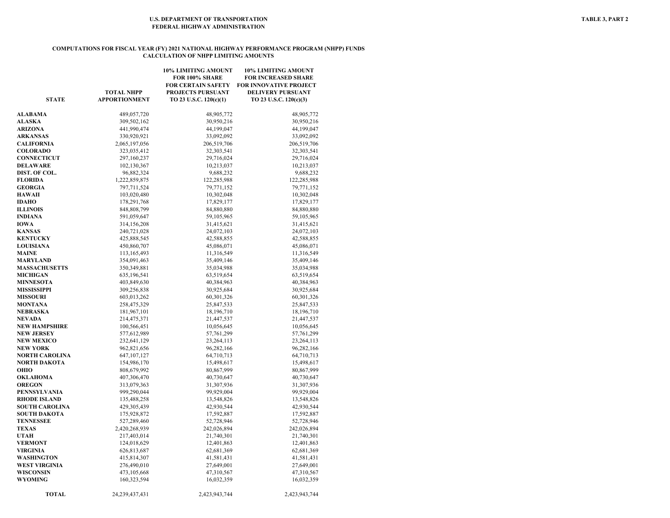#### **COMPUTATIONS FOR FISCAL YEAR (FY) 2021 NATIONAL HIGHWAY PERFORMANCE PROGRAM (NHPP) FUNDS CALCULATION OF NHPP LIMITING AMOUNTS**

| <b>STATE</b>             | <b>TOTAL NHPP</b><br><b>APPORTIONMENT</b> | 10% LIMITING AMOUNT<br>FOR 100% SHARE<br><b>FOR CERTAIN SAFETY</b><br><b>PROJECTS PURSUANT</b><br>TO 23 U.S.C. 120(c)(1) | 10% LIMITING AMOUNT<br><b>FOR INCREASED SHARE</b><br><b>FOR INNOVATIVE PROJECT</b><br><b>DELIVERY PURSUANT</b><br>TO 23 U.S.C. 120(c)(3) |
|--------------------------|-------------------------------------------|--------------------------------------------------------------------------------------------------------------------------|------------------------------------------------------------------------------------------------------------------------------------------|
|                          |                                           |                                                                                                                          |                                                                                                                                          |
| <b>ALABAMA</b>           | 489,057,720                               | 48,905,772                                                                                                               | 48,905,772                                                                                                                               |
| <b>ALASKA</b><br>ARIZONA | 309,502,162<br>441,990,474                | 30,950,216<br>44,199,047                                                                                                 | 30,950,216<br>44,199,047                                                                                                                 |
| <b>ARKANSAS</b>          | 330,920,921                               | 33,092,092                                                                                                               | 33,092,092                                                                                                                               |
| CALIFORNIA               | 2,065,197,056                             | 206,519,706                                                                                                              | 206,519,706                                                                                                                              |
| <b>COLORADO</b>          | 323,035,412                               | 32,303,541                                                                                                               | 32,303,541                                                                                                                               |
| CONNECTICUT              | 297,160,237                               | 29,716,024                                                                                                               |                                                                                                                                          |
| <b>DELAWARE</b>          | 102,130,367                               | 10,213,037                                                                                                               | 29,716,024<br>10,213,037                                                                                                                 |
| DIST. OF COL.            | 96,882,324                                | 9,688,232                                                                                                                | 9,688,232                                                                                                                                |
| <b>FLORIDA</b>           | 1,222,859,875                             | 122,285,988                                                                                                              | 122,285,988                                                                                                                              |
| <b>GEORGIA</b>           | 797,711,524                               | 79,771,152                                                                                                               | 79,771,152                                                                                                                               |
| <b>HAWAII</b>            | 103,020,480                               | 10,302,048                                                                                                               | 10,302,048                                                                                                                               |
| IDAHO                    | 178,291,768                               | 17,829,177                                                                                                               | 17,829,177                                                                                                                               |
| <b>ILLINOIS</b>          | 848,808,799                               | 84,880,880                                                                                                               | 84,880,880                                                                                                                               |
| INDIANA                  | 591,059,647                               | 59,105,965                                                                                                               | 59,105,965                                                                                                                               |
| <b>IOWA</b>              | 314,156,208                               | 31,415,621                                                                                                               | 31,415,621                                                                                                                               |
| KANSAS                   | 240,721,028                               | 24,072,103                                                                                                               | 24,072,103                                                                                                                               |
| <b>KENTUCKY</b>          | 425,888,545                               | 42,588,855                                                                                                               | 42,588,855                                                                                                                               |
| <b>LOUISIANA</b>         | 450,860,707                               | 45,086,071                                                                                                               | 45,086,071                                                                                                                               |
| <b>MAINE</b>             | 113,165,493                               | 11,316,549                                                                                                               | 11,316,549                                                                                                                               |
| MARYLAND                 | 354,091,463                               | 35,409,146                                                                                                               | 35,409,146                                                                                                                               |
| <b>MASSACHUSETTS</b>     | 350,349,881                               | 35,034,988                                                                                                               | 35,034,988                                                                                                                               |
| <b>MICHIGAN</b>          | 635,196,541                               | 63,519,654                                                                                                               | 63,519,654                                                                                                                               |
| <b>MINNESOTA</b>         | 403,849,630                               | 40,384,963                                                                                                               | 40,384,963                                                                                                                               |
| MISSISSIPPI              | 309,256,838                               | 30,925,684                                                                                                               | 30,925,684                                                                                                                               |
| <b>MISSOURI</b>          |                                           |                                                                                                                          |                                                                                                                                          |
| MONTANA                  | 603,013,262                               | 60, 301, 326                                                                                                             | 60, 301, 326                                                                                                                             |
| NEBRASKA                 | 258,475,329<br>181,967,101                | 25,847,533<br>18, 196, 710                                                                                               | 25,847,533<br>18,196,710                                                                                                                 |
| NEVADA                   | 214,475,371                               | 21,447,537                                                                                                               | 21,447,537                                                                                                                               |
| NEW HAMPSHIRE            | 100,566,451                               | 10,056,645                                                                                                               | 10,056,645                                                                                                                               |
| <b>NEW JERSEY</b>        | 577,612,989                               | 57,761,299                                                                                                               | 57,761,299                                                                                                                               |
| <b>NEW MEXICO</b>        | 232,641,129                               | 23, 264, 113                                                                                                             | 23, 264, 113                                                                                                                             |
| NEW YORK                 | 962,821,656                               | 96,282,166                                                                                                               | 96,282,166                                                                                                                               |
| NORTH CAROLINA           | 647, 107, 127                             | 64,710,713                                                                                                               | 64,710,713                                                                                                                               |
| NORTH DAKOTA             | 154,986,170                               | 15,498,617                                                                                                               | 15,498,617                                                                                                                               |
| оню                      | 808,679,992                               | 80,867,999                                                                                                               | 80,867,999                                                                                                                               |
| OKLAHOMA                 | 407,306,470                               | 40,730,647                                                                                                               | 40,730,647                                                                                                                               |
| <b>OREGON</b>            | 313,079,363                               | 31,307,936                                                                                                               | 31,307,936                                                                                                                               |
| PENNSYLVANIA             | 999,290,044                               | 99,929,004                                                                                                               | 99,929,004                                                                                                                               |
| RHODE ISLAND             | 135,488,258                               | 13,548,826                                                                                                               | 13,548,826                                                                                                                               |
| <b>SOUTH CAROLINA</b>    | 429,305,439                               | 42,930,544                                                                                                               | 42,930,544                                                                                                                               |
| SOUTH DAKOTA             | 175,928,872                               | 17,592,887                                                                                                               | 17,592,887                                                                                                                               |
| TENNESSEE                | 527,289,460                               | 52,728,946                                                                                                               | 52,728,946                                                                                                                               |
| TEXAS                    | 2,420,268,939                             | 242,026,894                                                                                                              | 242,026,894                                                                                                                              |
| UTAH                     | 217,403,014                               | 21,740,301                                                                                                               | 21,740,301                                                                                                                               |
| <b>VERMONT</b>           | 124,018,629                               | 12,401,863                                                                                                               | 12,401,863                                                                                                                               |
| VIRGINIA                 | 626,813,687                               | 62,681,369                                                                                                               | 62,681,369                                                                                                                               |
| WASHINGTON               | 415,814,307                               | 41,581,431                                                                                                               | 41,581,431                                                                                                                               |
| WEST VIRGINIA            | 276,490,010                               | 27,649,001                                                                                                               | 27,649,001                                                                                                                               |
| WISCONSIN                | 473,105,668                               | 47,310,567                                                                                                               | 47,310,567                                                                                                                               |
| WYOMING                  | 160,323,594                               | 16,032,359                                                                                                               | 16,032,359                                                                                                                               |
| <b>TOTAL</b>             | 24, 239, 437, 431                         | 2,423,943,744                                                                                                            | 2,423,943,744                                                                                                                            |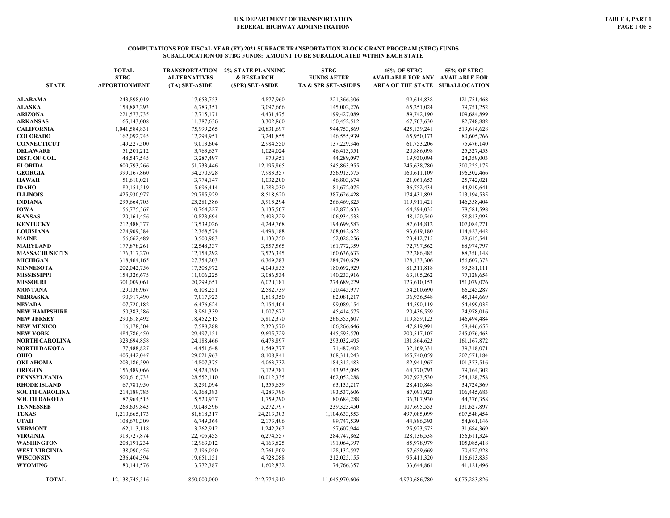#### **COMPUTATIONS FOR FISCAL YEAR (FY) 2021 SURFACE TRANSPORTATION BLOCK GRANT PROGRAM (STBG) FUNDS SUBALLOCATION OF STBG FUNDS: AMOUNT TO BE SUBALLOCATED WITHIN EACH STATE**

| <b>STATE</b>          | <b>TOTAL</b><br><b>STBG</b><br><b>APPORTIONMENT</b> | <b>TRANSPORTATION</b><br><b>ALTERNATIVES</b><br>(TA) SET-ASIDE | <b>2% STATE PLANNING</b><br>& RESEARCH<br>(SPR) SET-ASIDE | <b>STBG</b><br><b>FUNDS AFTER</b><br>TA & SPR SET-ASIDES | 45% OF STBG<br><b>AVAILABLE FOR ANY AVAILABLE FOR</b><br>AREA OF THE STATE SUBALLOCATION | 55% OF STBG   |
|-----------------------|-----------------------------------------------------|----------------------------------------------------------------|-----------------------------------------------------------|----------------------------------------------------------|------------------------------------------------------------------------------------------|---------------|
| ALABAMA               | 243,898,019                                         | 17,653,753                                                     | 4,877,960                                                 | 221,366,306                                              | 99,614,838                                                                               | 121,751,468   |
| <b>ALASKA</b>         | 154,883,293                                         | 6,783,351                                                      | 3,097,666                                                 | 145,002,276                                              | 65,251,024                                                                               | 79,751,252    |
| <b>ARIZONA</b>        | 221,573,735                                         | 17,715,171                                                     | 4,431,475                                                 | 199,427,089                                              | 89,742,190                                                                               | 109,684,899   |
| <b>ARKANSAS</b>       | 165,143,008                                         | 11,387,636                                                     | 3,302,860                                                 | 150,452,512                                              | 67,703,630                                                                               | 82,748,882    |
| <b>CALIFORNIA</b>     | 1,041,584,831                                       | 75,999,265                                                     | 20,831,697                                                | 944,753,869                                              | 425,139,241                                                                              | 519,614,628   |
| <b>COLORADO</b>       | 162,092,745                                         | 12,294,951                                                     | 3,241,855                                                 | 146,555,939                                              | 65,950,173                                                                               | 80,605,766    |
| <b>CONNECTICUT</b>    | 149,227,500                                         | 9,013,604                                                      | 2,984,550                                                 | 137,229,346                                              | 61,753,206                                                                               | 75,476,140    |
| <b>DELAWARE</b>       | 51,201,212                                          | 3,763,637                                                      | 1,024,024                                                 | 46,413,551                                               | 20,886,098                                                                               | 25,527,453    |
| DIST. OF COL.         | 48,547,545                                          | 3,287,497                                                      | 970,951                                                   | 44,289,097                                               | 19,930,094                                                                               | 24,359,003    |
| <b>FLORIDA</b>        | 609,793,266                                         | 51,733,446                                                     | 12,195,865                                                | 545,863,955                                              | 245,638,780                                                                              | 300,225,175   |
| <b>GEORGIA</b>        | 399,167,860                                         | 34,270,928                                                     | 7,983,357                                                 | 356,913,575                                              | 160,611,109                                                                              | 196,302,466   |
| <b>HAWAII</b>         | 51,610,021                                          | 3,774,147                                                      | 1,032,200                                                 | 46,803,674                                               | 21,061,653                                                                               | 25,742,021    |
| <b>IDAHO</b>          | 89,151,519                                          | 5,696,414                                                      | 1,783,030                                                 | 81,672,075                                               | 36,752,434                                                                               | 44,919,641    |
| <b>ILLINOIS</b>       | 425,930,977                                         | 29,785,929                                                     | 8,518,620                                                 | 387,626,428                                              | 174,431,893                                                                              | 213,194,535   |
| <b>INDIANA</b>        | 295,664,705                                         | 23,281,586                                                     | 5,913,294                                                 | 266,469,825                                              | 119,911,421                                                                              | 146,558,404   |
| <b>IOWA</b>           | 156,775,367                                         | 10,764,227                                                     | 3,135,507                                                 | 142,875,633                                              | 64,294,035                                                                               | 78,581,598    |
| <b>KANSAS</b>         | 120,161,456                                         | 10,823,694                                                     | 2,403,229                                                 | 106,934,533                                              | 48,120,540                                                                               | 58,813,993    |
| <b>KENTUCKY</b>       | 212,488,377                                         | 13,539,026                                                     | 4,249,768                                                 | 194,699,583                                              | 87,614,812                                                                               | 107,084,771   |
| <b>LOUISIANA</b>      | 224,909,384                                         | 12,368,574                                                     | 4,498,188                                                 | 208,042,622                                              | 93,619,180                                                                               | 114,423,442   |
| <b>MAINE</b>          | 56,662,489                                          | 3,500,983                                                      | 1,133,250                                                 | 52,028,256                                               | 23,412,715                                                                               | 28,615,541    |
| <b>MARYLAND</b>       | 177,878,261                                         | 12,548,337                                                     | 3,557,565                                                 | 161,772,359                                              | 72,797,562                                                                               | 88,974,797    |
| <b>MASSACHUSETTS</b>  | 176,317,270                                         | 12,154,292                                                     | 3,526,345                                                 | 160,636,633                                              | 72,286,485                                                                               | 88,350,148    |
| <b>MICHIGAN</b>       | 318,464,165                                         | 27,354,203                                                     | 6,369,283                                                 | 284,740,679                                              | 128,133,306                                                                              | 156,607,373   |
| <b>MINNESOTA</b>      | 202,042,756                                         | 17,308,972                                                     | 4,040,855                                                 | 180,692,929                                              | 81,311,818                                                                               | 99,381,111    |
| <b>MISSISSIPPI</b>    | 154,326,675                                         | 11,006,225                                                     | 3,086,534                                                 | 140,233,916                                              | 63,105,262                                                                               | 77,128,654    |
| <b>MISSOURI</b>       | 301,009,061                                         | 20,299,651                                                     | 6,020,181                                                 | 274,689,229                                              | 123,610,153                                                                              | 151,079,076   |
| <b>MONTANA</b>        | 129,136,967                                         | 6,108,251                                                      | 2,582,739                                                 | 120,445,977                                              | 54,200,690                                                                               | 66,245,287    |
| <b>NEBRASKA</b>       | 90,917,490                                          | 7,017,923                                                      | 1,818,350                                                 | 82,081,217                                               | 36,936,548                                                                               | 45,144,669    |
| <b>NEVADA</b>         | 107,720,182                                         | 6,476,624                                                      | 2,154,404                                                 | 99,089,154                                               | 44,590,119                                                                               | 54,499,035    |
| <b>NEW HAMPSHIRE</b>  | 50,383,586                                          | 3,961,339                                                      | 1,007,672                                                 | 45,414,575                                               | 20,436,559                                                                               | 24,978,016    |
| <b>NEW JERSEY</b>     | 290,618,492                                         | 18,452,515                                                     | 5,812,370                                                 | 266,353,607                                              | 119,859,123                                                                              | 146,494,484   |
| <b>NEW MEXICO</b>     | 116,178,504                                         | 7,588,288                                                      | 2,323,570                                                 | 106,266,646                                              | 47,819,991                                                                               | 58,446,655    |
| <b>NEW YORK</b>       | 484,786,450                                         | 29,497,151                                                     | 9,695,729                                                 | 445,593,570                                              | 200,517,107                                                                              | 245,076,463   |
| <b>NORTH CAROLINA</b> | 323,694,858                                         | 24,188,466                                                     | 6,473,897                                                 | 293,032,495                                              | 131,864,623                                                                              | 161, 167, 872 |
| <b>NORTH DAKOTA</b>   | 77,488,827                                          | 4,451,648                                                      | 1,549,777                                                 | 71,487,402                                               | 32,169,331                                                                               | 39,318,071    |
| OHIO                  | 405,442,047                                         | 29,021,963                                                     | 8,108,841                                                 | 368, 311, 243                                            | 165,740,059                                                                              | 202,571,184   |
| <b>OKLAHOMA</b>       | 203,186,590                                         | 14,807,375                                                     | 4,063,732                                                 | 184,315,483                                              | 82,941,967                                                                               | 101,373,516   |
| <b>OREGON</b>         | 156,489,066                                         | 9,424,190                                                      | 3,129,781                                                 | 143,935,095                                              | 64,770,793                                                                               | 79,164,302    |
| <b>PENNSYLVANIA</b>   | 500,616,733                                         | 28,552,110                                                     | 10,012,335                                                | 462,052,288                                              | 207,923,530                                                                              | 254,128,758   |
| <b>RHODE ISLAND</b>   | 67,781,950                                          | 3,291,094                                                      | 1,355,639                                                 | 63,135,217                                               | 28,410,848                                                                               | 34,724,369    |
| <b>SOUTH CAROLINA</b> | 214,189,785                                         | 16,368,383                                                     | 4,283,796                                                 | 193,537,606                                              | 87,091,923                                                                               | 106,445,683   |
| <b>SOUTH DAKOTA</b>   | 87,964,515                                          | 5,520,937                                                      | 1,759,290                                                 | 80,684,288                                               | 36,307,930                                                                               | 44,376,358    |
| <b>TENNESSEE</b>      | 263,639,843                                         | 19,043,596                                                     | 5,272,797                                                 | 239,323,450                                              | 107,695,553                                                                              | 131,627,897   |
| <b>TEXAS</b>          | 1,210,665,173                                       | 81,818,317                                                     | 24,213,303                                                | 1,104,633,553                                            | 497,085,099                                                                              | 607,548,454   |
| <b>UTAH</b>           | 108,670,309                                         | 6,749,364                                                      | 2,173,406                                                 | 99,747,539                                               | 44,886,393                                                                               | 54,861,146    |
| <b>VERMONT</b>        | 62,113,118                                          | 3,262,912                                                      | 1,242,262                                                 | 57,607,944                                               | 25,923,575                                                                               | 31,684,369    |
| <b>VIRGINIA</b>       | 313,727,874                                         | 22,705,455                                                     | 6,274,557                                                 | 284,747,862                                              | 128,136,538                                                                              | 156,611,324   |
| <b>WASHINGTON</b>     | 208, 191, 234                                       | 12,963,012                                                     | 4,163,825                                                 | 191,064,397                                              | 85,978,979                                                                               | 105,085,418   |
| <b>WEST VIRGINIA</b>  | 138,090,456                                         | 7,196,050                                                      | 2,761,809                                                 | 128,132,597                                              | 57,659,669                                                                               | 70,472,928    |
| <b>WISCONSIN</b>      | 236,404,394                                         | 19,651,151                                                     | 4,728,088                                                 | 212,025,155                                              | 95,411,320                                                                               | 116,613,835   |
| <b>WYOMING</b>        | 80,141,576                                          | 3,772,387                                                      | 1,602,832                                                 | 74,766,357                                               | 33,644,861                                                                               | 41,121,496    |
| <b>TOTAL</b>          | 12,138,745,516                                      | 850,000,000                                                    | 242,774,910                                               | 11,045,970,606                                           | 4,970,686,780                                                                            | 6,075,283,826 |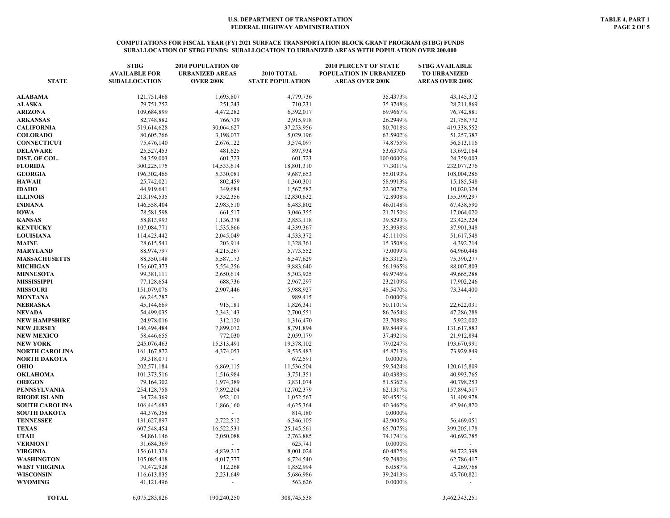| <b>STATE</b>                 | <b>STBG</b><br><b>AVAILABLE FOR</b><br><b>SUBALLOCATION</b> | <b>2010 POPULATION OF</b><br><b>URBANIZED AREAS</b><br><b>OVER 200K</b> | <b>2010 TOTAL</b><br><b>STATE POPULATION</b> | <b>2010 PERCENT OF STATE</b><br>POPULATION IN URBANIZED<br><b>AREAS OVER 200K</b> | <b>STBG AVAILABLE</b><br><b>TO URBANIZED</b><br><b>AREAS OVER 200K</b> |
|------------------------------|-------------------------------------------------------------|-------------------------------------------------------------------------|----------------------------------------------|-----------------------------------------------------------------------------------|------------------------------------------------------------------------|
| ALABAMA                      | 121,751,468                                                 | 1,693,807                                                               | 4,779,736                                    | 35.4373%                                                                          | 43,145,372                                                             |
| ALASKA                       | 79,751,252                                                  | 251,243                                                                 | 710,231                                      | 35.3748%                                                                          | 28,211,869                                                             |
| ARIZONA                      | 109,684,899                                                 | 4,472,282                                                               | 6,392,017                                    | 69.9667%                                                                          | 76,742,881                                                             |
| ARKANSAS                     | 82,748,882                                                  | 766,739                                                                 | 2,915,918                                    | 26.2949%                                                                          | 21,758,772                                                             |
| <b>CALIFORNIA</b>            | 519,614,628                                                 | 30,064,627                                                              | 37,253,956                                   | 80.7018%                                                                          | 419,338,552                                                            |
| <b>COLORADO</b>              | 80,605,766                                                  | 3,198,077                                                               | 5,029,196                                    | 63.5902%                                                                          | 51,257,387                                                             |
| <b>CONNECTICUT</b>           | 75,476,140                                                  | 2,676,122                                                               | 3,574,097                                    | 74.8755%                                                                          | 56,513,116                                                             |
| DELAWARE                     | 25,527,453                                                  | 481,625                                                                 | 897,934                                      | 53.6370%                                                                          | 13,692,164                                                             |
| DIST. OF COL.                | 24,359,003                                                  | 601,723                                                                 | 601,723                                      | 100.0000%                                                                         | 24,359,003                                                             |
| <b>FLORIDA</b>               | 300,225,175                                                 | 14,533,614                                                              | 18,801,310                                   | 77.3011%                                                                          | 232,077,276                                                            |
| <b>GEORGIA</b>               | 196,302,466                                                 | 5,330,081                                                               | 9,687,653                                    | 55.0193%                                                                          | 108,004,286                                                            |
| <b>HAWAII</b>                | 25,742,021                                                  | 802,459                                                                 | 1,360,301                                    | 58.9913%                                                                          | 15,185,548                                                             |
| <b>IDAHO</b>                 | 44,919,641                                                  | 349,684                                                                 | 1,567,582                                    | 22.3072%                                                                          | 10,020,324                                                             |
| ILLINOIS                     | 213,194,535                                                 | 9,352,356                                                               | 12,830,632                                   | 72.8908%                                                                          | 155,399,297                                                            |
| INDIANA<br>IOWA              | 146,558,404                                                 | 2,983,510                                                               | 6,483,802                                    | 46.0148%<br>21.7150%                                                              | 67,438,590                                                             |
| <b>KANSAS</b>                | 78,581,598                                                  | 661,517                                                                 | 3,046,355                                    |                                                                                   | 17,064,020                                                             |
|                              | 58,813,993                                                  | 1,136,378                                                               | 2,853,118                                    | 39.8293%                                                                          | 23,425,224                                                             |
| <b>KENTUCKY</b>              | 107,084,771                                                 | 1,535,866                                                               | 4,339,367                                    | 35.3938%                                                                          | 37,901,348                                                             |
| LOUISIANA                    | 114,423,442                                                 | 2,045,049                                                               | 4,533,372                                    | 45.1110%                                                                          | 51,617,548                                                             |
| MAINE                        | 28,615,541<br>88,974,797                                    | 203,914<br>4,215,267                                                    | 1,328,361<br>5,773,552                       | 15.3508%                                                                          | 4,392,714                                                              |
| MARYLAND                     |                                                             |                                                                         |                                              | 73.0099%<br>85.3312%                                                              | 64,960,448                                                             |
| <b>MASSACHUSETTS</b>         | 88,350,148                                                  | 5,587,173                                                               | 6,547,629                                    |                                                                                   | 75,390,277                                                             |
| MICHIGAN<br><b>MINNESOTA</b> | 156,607,373<br>99,381,111                                   | 5,554,256<br>2,650,614                                                  | 9,883,640<br>5,303,925                       | 56.1965%<br>49.9746%                                                              | 88,007,803<br>49,665,288                                               |
| MISSISSIPPI                  | 77,128,654                                                  | 688,736                                                                 | 2,967,297                                    | 23.2109%                                                                          | 17,902,246                                                             |
| <b>MISSOURI</b>              |                                                             |                                                                         |                                              | 48.5470%                                                                          |                                                                        |
| MONTANA                      | 151,079,076<br>66,245,287                                   | 2,907,446                                                               | 5,988,927<br>989,415                         | 0.0000%                                                                           | 73,344,400                                                             |
| NEBRASKA                     | 45,144,669                                                  | 915,181                                                                 | 1,826,341                                    | 50.1101%                                                                          | 22,622,031                                                             |
| NEVADA                       | 54,499,035                                                  | 2,343,143                                                               | 2,700,551                                    | 86.7654%                                                                          | 47,286,288                                                             |
| NEW HAMPSHIRE                | 24,978,016                                                  | 312,120                                                                 | 1,316,470                                    | 23.7089%                                                                          | 5,922,002                                                              |
| NEW JERSEY                   | 146,494,484                                                 | 7,899,072                                                               | 8,791,894                                    | 89.8449%                                                                          | 131,617,883                                                            |
| <b>NEW MEXICO</b>            | 58,446,655                                                  | 772,030                                                                 | 2,059,179                                    | 37.4921%                                                                          | 21,912,894                                                             |
| NEW YORK                     | 245,076,463                                                 | 15,313,491                                                              | 19,378,102                                   | 79.0247%                                                                          | 193,670,991                                                            |
| NORTH CAROLINA               | 161, 167, 872                                               | 4,374,053                                                               | 9,535,483                                    | 45.8713%                                                                          | 73,929,849                                                             |
| NORTH DAKOTA                 | 39,318,071                                                  | $\mathbf{r}$                                                            | 672,591                                      | 0.0000%                                                                           |                                                                        |
| OHIO                         | 202,571,184                                                 | 6,869,115                                                               | 11,536,504                                   | 59.5424%                                                                          | 120,615,809                                                            |
| OKLAHOMA                     | 101,373,516                                                 | 1,516,984                                                               | 3,751,351                                    | 40.4383%                                                                          | 40,993,765                                                             |
| <b>OREGON</b>                | 79,164,302                                                  | 1,974,389                                                               | 3,831,074                                    | 51.5362%                                                                          | 40,798,253                                                             |
| PENNSYLVANIA                 | 254,128,758                                                 | 7,892,204                                                               | 12,702,379                                   | 62.1317%                                                                          | 157,894,517                                                            |
| <b>RHODE ISLAND</b>          | 34,724,369                                                  | 952,101                                                                 | 1,052,567                                    | 90.4551%                                                                          | 31,409,978                                                             |
| <b>SOUTH CAROLINA</b>        | 106,445,683                                                 | 1,866,160                                                               | 4,625,364                                    | 40.3462%                                                                          | 42,946,820                                                             |
| SOUTH DAKOTA                 | 44,376,358                                                  |                                                                         | 814,180                                      | 0.0000%                                                                           |                                                                        |
| TENNESSEE                    | 131,627,897                                                 | 2,722,512                                                               | 6,346,105                                    | 42.9005%                                                                          | 56,469,051                                                             |
| <b>TEXAS</b>                 | 607,548,454                                                 | 16,522,531                                                              | 25,145,561                                   | 65.7075%                                                                          | 399,205,178                                                            |
| UTAH                         | 54,861,146                                                  | 2,050,088                                                               | 2,763,885                                    | 74.1741%                                                                          | 40,692,785                                                             |
| <b>VERMONT</b>               | 31,684,369                                                  |                                                                         | 625,741                                      | $0.0000\%$                                                                        |                                                                        |
| VIRGINIA                     | 156,611,324                                                 | 4,839,217                                                               | 8,001,024                                    | 60.4825%                                                                          | 94,722,398                                                             |
| WASHINGTON                   | 105,085,418                                                 | 4,017,777                                                               | 6,724,540                                    | 59.7480%                                                                          | 62,786,417                                                             |
| WEST VIRGINIA                | 70,472,928                                                  | 112,268                                                                 | 1,852,994                                    | 6.0587%                                                                           | 4,269,768                                                              |
| WISCONSIN                    | 116,613,835                                                 | 2,231,649                                                               | 5,686,986                                    | 39.2413%                                                                          | 45,760,821                                                             |
| WYOMING                      | 41,121,496                                                  |                                                                         | 563,626                                      | $0.0000\%$                                                                        |                                                                        |
| <b>TOTAL</b>                 | 6,075,283,826                                               | 190,240,250                                                             | 308,745,538                                  |                                                                                   | 3,462,343,251                                                          |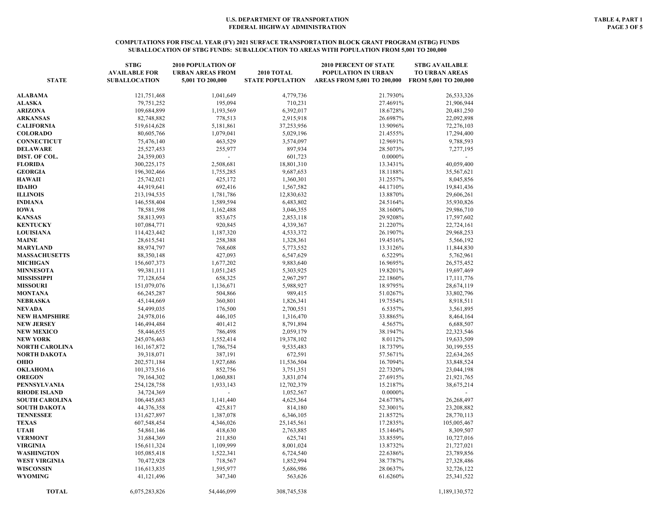### **COMPUTATIONS FOR FISCAL YEAR (FY) 2021 SURFACE TRANSPORTATION BLOCK GRANT PROGRAM (STBG) FUNDS SUBALLOCATION OF STBG FUNDS: SUBALLOCATION TO AREAS WITH POPULATION FROM 5,001 TO 200,000**

| <b>STATE</b>          | <b>STBG</b><br><b>AVAILABLE FOR</b><br><b>SUBALLOCATION</b> | <b>2010 POPULATION OF</b><br><b>URBAN AREAS FROM</b><br>5,001 TO 200,000 | <b>2010 TOTAL</b><br><b>STATE POPULATION</b> | <b>2010 PERCENT OF STATE</b><br>POPULATION IN URBAN<br>AREAS FROM 5,001 TO 200,000 | <b>STBG AVAILABLE</b><br><b>TO URBAN AREAS</b><br>FROM 5,001 TO 200,000 |
|-----------------------|-------------------------------------------------------------|--------------------------------------------------------------------------|----------------------------------------------|------------------------------------------------------------------------------------|-------------------------------------------------------------------------|
| ALABAMA               | 121,751,468                                                 | 1,041,649                                                                | 4,779,736                                    | 21.7930%                                                                           | 26,533,326                                                              |
| ALASKA                | 79,751,252                                                  | 195,094                                                                  | 710,231                                      | 27.4691%                                                                           | 21,906,944                                                              |
| ARIZONA               | 109,684,899                                                 | 1,193,569                                                                | 6,392,017                                    | 18.6728%                                                                           | 20,481,250                                                              |
| <b>ARKANSAS</b>       | 82,748,882                                                  | 778,513                                                                  | 2,915,918                                    | 26.6987%                                                                           | 22,092,898                                                              |
| <b>CALIFORNIA</b>     | 519,614,628                                                 | 5,181,861                                                                | 37,253,956                                   | 13.9096%                                                                           | 72,276,103                                                              |
| <b>COLORADO</b>       | 80,605,766                                                  | 1,079,041                                                                | 5,029,196                                    | 21.4555%                                                                           | 17,294,400                                                              |
| <b>CONNECTICUT</b>    | 75,476,140                                                  | 463,529                                                                  | 3,574,097                                    | 12.9691%                                                                           | 9,788,593                                                               |
| DELAWARE              | 25,527,453                                                  | 255,977                                                                  | 897,934                                      | 28.5073%                                                                           | 7,277,195                                                               |
| DIST. OF COL.         | 24,359,003                                                  |                                                                          | 601,723                                      | 0.0000%                                                                            |                                                                         |
| FLORIDA               | 300,225,175                                                 | 2,508,681                                                                | 18,801,310                                   | 13.3431%                                                                           | 40,059,400                                                              |
| <b>GEORGIA</b>        | 196,302,466                                                 | 1,755,285                                                                | 9,687,653                                    | 18.1188%                                                                           | 35,567,621                                                              |
| HAWAII                | 25,742,021                                                  | 425,172                                                                  | 1,360,301                                    | 31.2557%                                                                           | 8,045,856                                                               |
| <b>IDAHO</b>          | 44,919,641                                                  | 692,416                                                                  | 1,567,582                                    | 44.1710%                                                                           | 19,841,436                                                              |
| <b>ILLINOIS</b>       | 213,194,535                                                 | 1,781,786                                                                | 12,830,632                                   | 13.8870%                                                                           | 29,606,261                                                              |
| INDIANA               | 146,558,404                                                 | 1,589,594                                                                | 6,483,802                                    | 24.5164%                                                                           | 35,930,826                                                              |
| <b>IOWA</b>           | 78,581,598                                                  | 1,162,488                                                                | 3,046,355                                    | 38.1600%                                                                           | 29,986,710                                                              |
| <b>KANSAS</b>         | 58,813,993                                                  | 853,675                                                                  | 2,853,118                                    | 29.9208%                                                                           | 17,597,602                                                              |
| <b>KENTUCKY</b>       | 107,084,771                                                 | 920,845                                                                  | 4,339,367                                    | 21.2207%                                                                           | 22,724,161                                                              |
| <b>LOUISIANA</b>      | 114,423,442                                                 | 1,187,320                                                                | 4,533,372                                    | 26.1907%                                                                           | 29,968,253                                                              |
| MAINE                 | 28,615,541                                                  | 258,388                                                                  | 1,328,361                                    | 19.4516%                                                                           | 5,566,192                                                               |
| MARYLAND              | 88,974,797                                                  | 768,608                                                                  | 5,773,552                                    | 13.3126%                                                                           | 11,844,830                                                              |
| <b>MASSACHUSETTS</b>  | 88,350,148                                                  | 427,093                                                                  | 6,547,629                                    | 6.5229%                                                                            | 5,762,961                                                               |
| <b>MICHIGAN</b>       | 156,607,373                                                 | 1,677,202                                                                | 9,883,640                                    | 16.9695%                                                                           | 26,575,452                                                              |
| <b>MINNESOTA</b>      | 99,381,111                                                  | 1,051,245                                                                | 5,303,925                                    | 19.8201%                                                                           | 19,697,469                                                              |
| MISSISSIPPI           | 77,128,654                                                  | 658,325                                                                  | 2,967,297                                    | 22.1860%                                                                           | 17,111,776                                                              |
| <b>MISSOURI</b>       | 151,079,076                                                 | 1,136,671                                                                | 5,988,927                                    | 18.9795%                                                                           | 28,674,119                                                              |
| MONTANA               | 66,245,287                                                  | 504,866                                                                  | 989,415                                      | 51.0267%                                                                           | 33,802,796                                                              |
| NEBRASKA              | 45,144,669                                                  | 360,801                                                                  | 1,826,341                                    | 19.7554%                                                                           | 8,918,511                                                               |
| NEVADA                | 54,499,035                                                  | 176,500                                                                  | 2,700,551                                    | 6.5357%                                                                            | 3,561,895                                                               |
| <b>NEW HAMPSHIRE</b>  | 24,978,016                                                  | 446,105                                                                  | 1,316,470                                    | 33.8865%                                                                           | 8,464,164                                                               |
| <b>NEW JERSEY</b>     | 146,494,484                                                 | 401,412                                                                  | 8,791,894                                    | 4.5657%                                                                            | 6,688,507                                                               |
| <b>NEW MEXICO</b>     | 58,446,655                                                  | 786,498                                                                  | 2,059,179                                    | 38.1947%                                                                           | 22,323,546                                                              |
| NEW YORK              | 245,076,463                                                 | 1,552,414                                                                | 19,378,102                                   | 8.0112%                                                                            | 19,633,509                                                              |
| NORTH CAROLINA        | 161, 167, 872                                               | 1,786,754                                                                | 9,535,483                                    | 18.7379%                                                                           | 30,199,555                                                              |
| NORTH DAKOTA          | 39,318,071                                                  | 387,191                                                                  | 672,591                                      | 57.5671%                                                                           | 22,634,265                                                              |
| ОНЮ                   | 202,571,184                                                 | 1,927,686                                                                | 11,536,504                                   | 16.7094%                                                                           | 33,848,524                                                              |
| OKLAHOMA              | 101,373,516                                                 | 852,756                                                                  | 3,751,351                                    | 22.7320%                                                                           | 23,044,198                                                              |
| <b>OREGON</b>         | 79,164,302                                                  | 1,060,881                                                                | 3,831,074                                    | 27.6915%                                                                           | 21,921,765                                                              |
| PENNSYLVANIA          | 254,128,758                                                 | 1,933,143                                                                | 12,702,379                                   | 15.2187%                                                                           | 38,675,214                                                              |
| RHODE ISLAND          | 34,724,369                                                  |                                                                          | 1,052,567                                    | 0.0000%                                                                            |                                                                         |
| <b>SOUTH CAROLINA</b> | 106,445,683                                                 | 1,141,440                                                                | 4,625,364                                    | 24.6778%                                                                           | 26,268,497                                                              |
| SOUTH DAKOTA          | 44,376,358                                                  | 425,817                                                                  | 814,180                                      | 52.3001%                                                                           | 23,208,882                                                              |
| <b>TENNESSEE</b>      | 131,627,897                                                 | 1,387,078                                                                | 6,346,105                                    | 21.8572%                                                                           | 28,770,113                                                              |
| <b>TEXAS</b>          | 607,548,454                                                 | 4,346,026                                                                | 25, 145, 561                                 | 17.2835%                                                                           | 105,005,467                                                             |
| UTAH                  | 54,861,146                                                  | 418,630                                                                  | 2,763,885                                    | 15.1464%                                                                           | 8,309,507                                                               |
| <b>VERMONT</b>        | 31,684,369                                                  | 211,850                                                                  | 625,741                                      | 33.8559%                                                                           | 10,727,016                                                              |
| VIRGINIA              | 156,611,324                                                 | 1,109,999                                                                | 8,001,024                                    | 13.8732%                                                                           | 21,727,021                                                              |
| WASHINGTON            | 105,085,418                                                 | 1,522,341                                                                | 6,724,540                                    | 22.6386%                                                                           | 23,789,856                                                              |
| WEST VIRGINIA         | 70,472,928                                                  | 718,567                                                                  | 1,852,994                                    | 38.7787%                                                                           | 27,328,486                                                              |
| WISCONSIN             | 116,613,835                                                 | 1,595,977                                                                | 5,686,986                                    | 28.0637%                                                                           | 32,726,122                                                              |
| WYOMING               | 41,121,496                                                  | 347,340                                                                  | 563,626                                      | 61.6260%                                                                           | 25,341,522                                                              |
| <b>TOTAL</b>          | 6,075,283,826                                               | 54,446,099                                                               | 308,745,538                                  |                                                                                    | 1,189,130,572                                                           |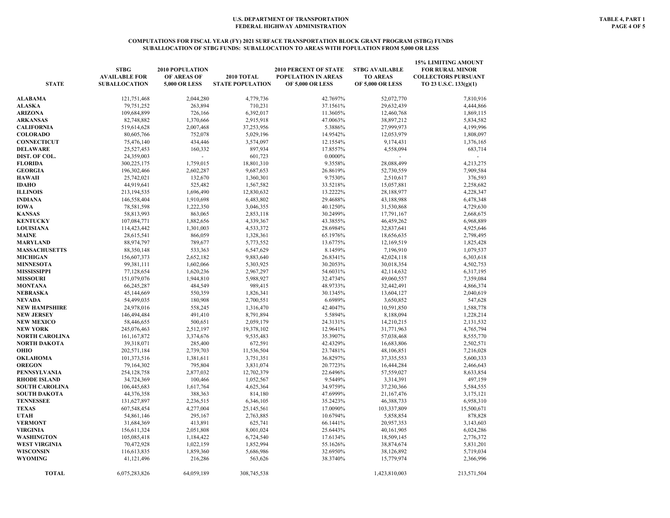#### **COMPUTATIONS FOR FISCAL YEAR (FY) 2021 SURFACE TRANSPORTATION BLOCK GRANT PROGRAM (STBG) FUNDS SUBALLOCATION OF STBG FUNDS: SUBALLOCATION TO AREAS WITH POPULATION FROM 5,000 OR LESS**

| <b>STATE</b>          | <b>STBG</b><br><b>AVAILABLE FOR</b><br><b>SUBALLOCATION</b> | 2010 POPULATION<br>OF AREAS OF<br>5,000 OR LESS | <b>2010 TOTAL</b><br><b>STATE POPULATION</b> | <b>2010 PERCENT OF STATE</b><br>POPULATION IN AREAS<br><b>OF 5,000 OR LESS</b> | <b>STBG AVAILABLE</b><br><b>TO AREAS</b><br><b>OF 5,000 OR LESS</b> | <b>15% LIMITING AMOUNT</b><br><b>FOR RURAL MINOR</b><br><b>COLLECTORS PURSUANT</b><br>TO 23 U.S.C. 133(g)(1) |
|-----------------------|-------------------------------------------------------------|-------------------------------------------------|----------------------------------------------|--------------------------------------------------------------------------------|---------------------------------------------------------------------|--------------------------------------------------------------------------------------------------------------|
| ALABAMA               | 121,751,468                                                 | 2,044,280                                       | 4,779,736                                    | 42.7697%                                                                       | 52,072,770                                                          | 7,810,916                                                                                                    |
| <b>ALASKA</b>         | 79.751.252                                                  | 263,894                                         | 710.231                                      | 37.1561%                                                                       | 29.632.439                                                          | 4,444,866                                                                                                    |
| <b>ARIZONA</b>        | 109,684,899                                                 | 726,166                                         | 6,392,017                                    | 11.3605%                                                                       | 12,460,768                                                          | 1,869,115                                                                                                    |
| <b>ARKANSAS</b>       | 82,748,882                                                  | 1,370,666                                       | 2,915,918                                    | 47.0063%                                                                       | 38,897,212                                                          | 5,834,582                                                                                                    |
| <b>CALIFORNIA</b>     | 519,614,628                                                 | 2,007,468                                       | 37,253,956                                   | 5.3886%                                                                        | 27,999,973                                                          | 4,199,996                                                                                                    |
| <b>COLORADO</b>       | 80,605,766                                                  | 752,078                                         | 5,029,196                                    | 14.9542%                                                                       | 12,053,979                                                          | 1,808,097                                                                                                    |
| CONNECTICUT           | 75,476,140                                                  | 434,446                                         | 3,574,097                                    | 12.1554%                                                                       | 9,174,431                                                           | 1,376,165                                                                                                    |
| DELAWARE              | 25,527,453                                                  | 160,332                                         | 897,934                                      | 17.8557%                                                                       | 4,558,094                                                           | 683,714                                                                                                      |
| DIST. OF COL.         | 24,359,003                                                  |                                                 | 601,723                                      | $0.0000\%$                                                                     |                                                                     |                                                                                                              |
| FLORIDA               | 300,225,175                                                 | 1,759,015                                       | 18,801,310                                   | 9.3558%                                                                        | 28,088,499                                                          | 4,213,275                                                                                                    |
| <b>GEORGIA</b>        | 196,302,466                                                 | 2,602,287                                       | 9,687,653                                    | 26.8619%                                                                       | 52,730,559                                                          | 7,909,584                                                                                                    |
| HAWAII                | 25,742,021                                                  | 132,670                                         | 1,360,301                                    | 9.7530%                                                                        | 2,510,617                                                           | 376,593                                                                                                      |
| <b>IDAHO</b>          | 44,919,641                                                  | 525,482                                         | 1,567,582                                    | 33.5218%                                                                       | 15,057,881                                                          | 2,258,682                                                                                                    |
| <b>ILLINOIS</b>       | 213,194,535                                                 | 1,696,490                                       | 12,830,632                                   | 13.2222%                                                                       | 28,188,977                                                          | 4,228,347                                                                                                    |
| INDIANA               | 146,558,404                                                 | 1,910,698                                       | 6,483,802                                    | 29.4688%                                                                       | 43,188,988                                                          | 6,478,348                                                                                                    |
| IOWA                  | 78,581,598                                                  | 1,222,350                                       | 3,046,355                                    | 40.1250%                                                                       | 31,530,868                                                          | 4,729,630                                                                                                    |
| <b>KANSAS</b>         | 58,813,993                                                  | 863,065                                         | 2,853,118                                    | 30.2499%                                                                       | 17,791,167                                                          | 2,668,675                                                                                                    |
| <b>KENTUCKY</b>       | 107,084,771                                                 | 1,882,656                                       | 4,339,367                                    | 43.3855%                                                                       | 46,459,262                                                          | 6,968,889                                                                                                    |
| <b>LOUISIANA</b>      | 114,423,442                                                 | 1,301,003                                       | 4,533,372                                    | 28.6984%                                                                       | 32,837,641                                                          | 4,925,646                                                                                                    |
| MAINE                 | 28,615,541                                                  | 866,059                                         | 1,328,361                                    | 65.1976%                                                                       | 18,656,635                                                          | 2,798,495                                                                                                    |
| MARYLAND              | 88,974,797                                                  | 789,677                                         | 5,773,552                                    | 13.6775%                                                                       | 12,169,519                                                          | 1,825,428                                                                                                    |
| <b>MASSACHUSETTS</b>  | 88,350,148                                                  | 533,363                                         | 6,547,629                                    | 8.1459%                                                                        | 7,196,910                                                           | 1,079,537                                                                                                    |
| MICHIGAN              | 156,607,373                                                 | 2,652,182                                       | 9,883,640                                    | 26.8341%                                                                       | 42,024,118                                                          | 6,303,618                                                                                                    |
| <b>MINNESOTA</b>      | 99,381,111                                                  | 1,602,066                                       | 5,303,925                                    | 30.2053%                                                                       | 30,018,354                                                          | 4,502,753                                                                                                    |
| MISSISSIPPI           | 77,128,654                                                  | 1,620,236                                       | 2,967,297                                    | 54.6031%                                                                       | 42,114,632                                                          | 6,317,195                                                                                                    |
| <b>MISSOURI</b>       | 151,079,076                                                 | 1,944,810                                       | 5,988,927                                    | 32.4734%                                                                       | 49,060,557                                                          | 7,359,084                                                                                                    |
| MONTANA               | 66,245,287                                                  | 484,549                                         | 989,415                                      | 48.9733%                                                                       | 32,442,491                                                          | 4,866,374                                                                                                    |
| NEBRASKA              | 45,144,669                                                  | 550,359                                         | 1,826,341                                    | 30.1345%                                                                       | 13,604,127                                                          | 2,040,619                                                                                                    |
| NEVADA                | 54,499,035                                                  | 180,908                                         | 2,700,551                                    | 6.6989%                                                                        | 3.650.852                                                           | 547,628                                                                                                      |
| NEW HAMPSHIRE         | 24,978,016                                                  | 558,245                                         | 1,316,470                                    | 42.4047%                                                                       | 10,591,850                                                          | 1,588,778                                                                                                    |
| <b>NEW JERSEY</b>     | 146,494,484                                                 | 491,410                                         | 8,791,894                                    | 5.5894%                                                                        | 8,188,094                                                           | 1,228,214                                                                                                    |
| <b>NEW MEXICO</b>     | 58,446,655                                                  | 500,651                                         | 2,059,179                                    | 24.3131%                                                                       | 14,210,215                                                          | 2,131,532                                                                                                    |
| NEW YORK              | 245,076,463                                                 | 2,512,197                                       | 19,378,102                                   | 12.9641%                                                                       | 31,771,963                                                          | 4,765,794                                                                                                    |
| NORTH CAROLINA        | 161, 167, 872                                               | 3,374,676                                       | 9,535,483                                    | 35.3907%                                                                       | 57,038,468                                                          | 8,555,770                                                                                                    |
| NORTH DAKOTA          | 39,318,071                                                  | 285,400                                         | 672,591                                      | 42.4329%                                                                       | 16,683,806                                                          | 2,502,571                                                                                                    |
| оню                   | 202,571,184                                                 | 2,739,703                                       | 11,536,504                                   | 23.7481%                                                                       | 48,106,851                                                          | 7,216,028                                                                                                    |
| OKLAHOMA              | 101,373,516                                                 | 1,381,611                                       | 3,751,351                                    | 36.8297%                                                                       | 37,335,553                                                          | 5,600,333                                                                                                    |
| <b>OREGON</b>         | 79,164,302                                                  | 795,804                                         | 3,831,074                                    | 20.7723%                                                                       | 16,444,284                                                          | 2,466,643                                                                                                    |
| PENNSYLVANIA          | 254, 128, 758                                               | 2,877,032                                       | 12,702,379                                   | 22.6496%                                                                       | 57,559,027                                                          | 8,633,854                                                                                                    |
| RHODE ISLAND          | 34,724,369                                                  | 100,466                                         | 1,052,567                                    | 9.5449%                                                                        | 3,314,391                                                           | 497,159                                                                                                      |
| <b>SOUTH CAROLINA</b> | 106,445,683                                                 | 1,617,764                                       | 4,625,364                                    | 34.9759%                                                                       | 37,230,366                                                          | 5,584,555                                                                                                    |
| SOUTH DAKOTA          | 44,376,358                                                  | 388,363                                         | 814,180                                      | 47.6999%                                                                       | 21,167,476                                                          | 3,175,121                                                                                                    |
| <b>TENNESSEE</b>      | 131,627,897                                                 | 2,236,515                                       | 6,346,105                                    | 35.2423%                                                                       | 46,388,733                                                          | 6,958,310                                                                                                    |
| <b>TEXAS</b>          | 607,548,454                                                 | 4,277,004                                       | 25,145,561                                   | 17.0090%                                                                       | 103,337,809                                                         | 15,500,671                                                                                                   |
| UTAH                  | 54,861,146                                                  |                                                 |                                              | 10.6794%                                                                       |                                                                     |                                                                                                              |
| <b>VERMONT</b>        | 31,684,369                                                  | 295,167<br>413,891                              | 2,763,885<br>625,741                         | 66.1441%                                                                       | 5,858,854<br>20,957,353                                             | 878,828<br>3,143,603                                                                                         |
| VIRGINIA              | 156,611,324                                                 | 2,051,808                                       | 8,001,024                                    | 25.6443%                                                                       | 40,161,905                                                          | 6,024,286                                                                                                    |
| WASHINGTON            | 105,085,418                                                 | 1,184,422                                       | 6,724,540                                    | 17.6134%                                                                       | 18,509,145                                                          | 2,776,372                                                                                                    |
| WEST VIRGINIA         | 70.472.928                                                  | 1,022,159                                       | 1,852,994                                    | 55.1626%                                                                       | 38,874,674                                                          | 5,831,201                                                                                                    |
| WISCONSIN             | 116,613,835                                                 | 1,859,360                                       | 5,686,986                                    | 32.6950%                                                                       | 38,126,892                                                          | 5,719,034                                                                                                    |
| WYOMING               | 41,121,496                                                  | 216,286                                         | 563,626                                      | 38.3740%                                                                       | 15,779,974                                                          | 2,366,996                                                                                                    |
|                       |                                                             |                                                 |                                              |                                                                                |                                                                     |                                                                                                              |
| <b>TOTAL</b>          | 6,075,283,826                                               | 64,059,189                                      | 308,745,538                                  |                                                                                | 1,423,810,003                                                       | 213,571,504                                                                                                  |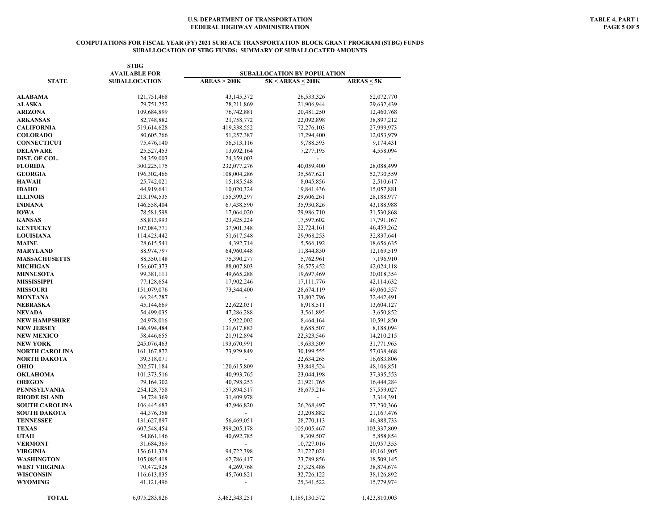#### **COMPUTATIONS FOR FISCAL YEAR (FY) 2021 SURFACE TRANSPORTATION BLOCK GRANT PROGRAM (STBG) FUNDS SUBALLOCATION OF STBG FUNDS: SUMMARY OF SUBALLOCATED AMOUNTS**

|                      | <b>STBG</b><br><b>AVAILABLE FOR</b> | SUBALLOCATION BY POPULATION |                          |                 |  |
|----------------------|-------------------------------------|-----------------------------|--------------------------|-----------------|--|
| <b>STATE</b>         |                                     | AREAS > 200K                |                          |                 |  |
|                      | <b>SUBALLOCATION</b>                |                             | $5K < AREAS \leq 200K$   | $AREAS \leq 5K$ |  |
| ALABAMA              | 121,751,468                         | 43, 145, 372                | 26,533,326               | 52,072,770      |  |
| <b>ALASKA</b>        | 79,751,252                          | 28,211,869                  | 21,906,944               | 29,632,439      |  |
| ARIZONA              | 109,684,899                         | 76,742,881                  | 20,481,250               | 12,460,768      |  |
| ARKANSAS             | 82,748,882                          | 21,758,772                  | 22,092,898               | 38,897,212      |  |
| <b>CALIFORNIA</b>    | 519,614,628                         | 419,338,552                 | 72,276,103               | 27,999,973      |  |
| <b>COLORADO</b>      | 80,605,766                          | 51,257,387                  | 17,294,400               | 12,053,979      |  |
| <b>CONNECTICUT</b>   | 75,476,140                          | 56,513,116                  | 9,788,593                | 9,174,431       |  |
| DELAWARE             | 25,527,453                          | 13,692,164                  | 7,277,195                | 4,558,094       |  |
| DIST. OF COL.        | 24,359,003                          | 24,359,003                  | $\overline{\phantom{a}}$ |                 |  |
| <b>FLORIDA</b>       | 300,225,175                         | 232,077,276                 | 40,059,400               | 28,088,499      |  |
| <b>GEORGIA</b>       | 196,302,466                         | 108,004,286                 | 35,567,621               | 52,730,559      |  |
| HAWAII               | 25,742,021                          | 15,185,548                  | 8,045,856                | 2,510,617       |  |
| IDAHO                | 44,919,641                          | 10,020,324                  | 19,841,436               | 15,057,881      |  |
| <b>ILLINOIS</b>      | 213,194,535                         | 155,399,297                 | 29,606,261               | 28,188,977      |  |
|                      |                                     |                             |                          |                 |  |
| INDIANA<br>IOWA      | 146,558,404                         | 67,438,590                  | 35,930,826               | 43,188,988      |  |
|                      | 78,581,598                          | 17,064,020                  | 29,986,710               | 31,530,868      |  |
| KANSAS               | 58,813,993                          | 23,425,224                  | 17,597,602               | 17,791,167      |  |
| <b>KENTUCKY</b>      | 107,084,771                         | 37,901,348                  | 22,724,161               | 46,459,262      |  |
| <b>LOUISIANA</b>     | 114,423,442                         | 51,617,548                  | 29,968,253               | 32,837,641      |  |
| MAINE                | 28,615,541                          | 4,392,714                   | 5,566,192                | 18,656,635      |  |
| MARYLAND             | 88,974,797                          | 64,960,448                  | 11,844,830               | 12,169,519      |  |
| <b>MASSACHUSETTS</b> | 88,350,148                          | 75,390,277                  | 5,762,961                | 7,196,910       |  |
| MICHIGAN             | 156,607,373                         | 88,007,803                  | 26,575,452               | 42,024,118      |  |
| <b>MINNESOTA</b>     | 99,381,111                          | 49,665,288                  | 19,697,469               | 30,018,354      |  |
| MISSISSIPPI          | 77,128,654                          | 17,902,246                  | 17, 111, 776             | 42,114,632      |  |
| <b>MISSOURI</b>      | 151,079,076                         | 73,344,400                  | 28,674,119               | 49,060,557      |  |
| MONTANA              | 66,245,287                          |                             | 33,802,796               | 32,442,491      |  |
| NEBRASKA             | 45,144,669                          | 22,622,031                  | 8,918,511                | 13,604,127      |  |
| NEVADA               | 54,499,035                          | 47,286,288                  | 3,561,895                | 3,650,852       |  |
| NEW HAMPSHIRE        | 24,978,016                          | 5,922,002                   | 8,464,164                | 10,591,850      |  |
| NEW JERSEY           | 146,494,484                         | 131,617,883                 | 6,688,507                | 8,188,094       |  |
| <b>NEW MEXICO</b>    | 58,446,655                          | 21,912,894                  | 22,323,546               | 14,210,215      |  |
| NEW YORK             | 245,076,463                         | 193,670,991                 | 19,633,509               | 31,771,963      |  |
| NORTH CAROLINA       | 161, 167, 872                       | 73,929,849                  | 30,199,555               | 57,038,468      |  |
| NORTH DAKOTA         | 39,318,071                          |                             | 22,634,265               | 16,683,806      |  |
| OHIO                 | 202,571,184                         | 120,615,809                 | 33,848,524               | 48,106,851      |  |
| OKLAHOMA             | 101,373,516                         | 40,993,765                  | 23,044,198               | 37, 335, 553    |  |
| <b>OREGON</b>        | 79,164,302                          | 40,798,253                  | 21,921,765               | 16,444,284      |  |
| PENNSYLVANIA         | 254,128,758                         | 157,894,517                 | 38,675,214               | 57,559,027      |  |
| <b>RHODE ISLAND</b>  | 34,724,369                          | 31,409,978                  |                          | 3,314,391       |  |
| SOUTH CAROLINA       | 106,445,683                         | 42,946,820                  | 26,268,497               | 37,230,366      |  |
| SOUTH DAKOTA         | 44,376,358                          |                             | 23,208,882               | 21,167,476      |  |
| TENNESSEE            | 131,627,897                         | 56,469,051                  | 28,770,113               | 46,388,733      |  |
| TEXAS                | 607,548,454                         | 399,205,178                 | 105,005,467              | 103,337,809     |  |
| UTAH                 | 54,861,146                          | 40,692,785                  | 8,309,507                | 5,858,854       |  |
| <b>VERMONT</b>       | 31,684,369                          |                             | 10,727,016               | 20,957,353      |  |
| VIRGINIA             | 156,611,324                         | 94,722,398                  | 21,727,021               | 40,161,905      |  |
| WASHINGTON           | 105,085,418                         | 62,786,417                  | 23,789,856               | 18,509,145      |  |
| WEST VIRGINIA        | 70,472,928                          | 4,269,768                   | 27,328,486               | 38,874,674      |  |
| WISCONSIN            | 116,613,835                         | 45,760,821                  | 32,726,122               | 38,126,892      |  |
| WYOMING              | 41,121,496                          |                             | 25,341,522               | 15,779,974      |  |
| <b>TOTAL</b>         | 6,075,283,826                       | 3,462,343,251               | 1,189,130,572            | 1,423,810,003   |  |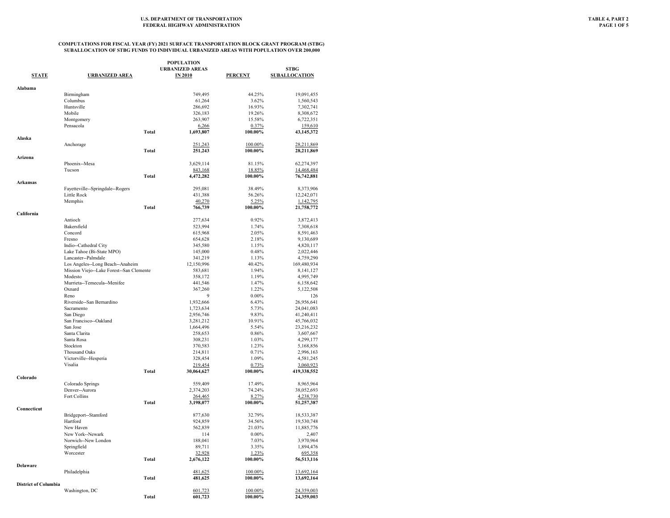|                             |                                                     |              | <b>POPULATION</b>      |                |                          |
|-----------------------------|-----------------------------------------------------|--------------|------------------------|----------------|--------------------------|
|                             |                                                     |              | <b>URBANIZED AREAS</b> |                | <b>STBG</b>              |
| <b>STATE</b>                | <b>URBANIZED AREA</b>                               |              | <b>IN 2010</b>         | <b>PERCENT</b> | <b>SUBALLOCATION</b>     |
|                             |                                                     |              |                        |                |                          |
| Alabama                     |                                                     |              |                        |                |                          |
|                             | Birmingham                                          |              | 749,495                | 44.25%         | 19,091,455               |
|                             | Columbus                                            |              | 61,264                 | 3.62%          | 1,560,543                |
|                             | Huntsville                                          |              | 286,692                | 16.93%         | 7,302,741                |
|                             | Mobile                                              |              | 326,183                | 19.26%         | 8,308,672                |
|                             | Montgomery                                          |              | 263,907                | 15.58%         | 6,722,351                |
|                             | Pensacola                                           | <b>Total</b> | 6,266                  | 0.37%          | 159,610                  |
| Alaska                      |                                                     |              | 1,693,807              | 100.00%        | 43,145,372               |
|                             |                                                     |              |                        | 100.00%        | 28,211,869               |
|                             | Anchorage                                           | Total        | 251,243<br>251,243     | 100.00%        | 28,211,869               |
| Arizona                     |                                                     |              |                        |                |                          |
|                             | Phoenix--Mesa                                       |              | 3,629,114              | 81.15%         | 62,274,397               |
|                             | Tucson                                              |              | 843,168                | 18.85%         | 14,468,484               |
|                             |                                                     | <b>Total</b> | 4,472,282              | 100.00%        | 76,742,881               |
| Arkansas                    |                                                     |              |                        |                |                          |
|                             | Fayetteville--Springdale--Rogers                    |              | 295,081                | 38.49%         | 8,373,906                |
|                             | Little Rock                                         |              | 431,388                | 56.26%         | 12,242,071               |
|                             | Memphis                                             |              | 40,270                 | 5.25%          | 1,142,795                |
|                             |                                                     | Total        | 766,739                | 100.00%        | 21,758,772               |
| California                  |                                                     |              |                        |                |                          |
|                             | Antioch                                             |              | 277,634                | 0.92%          | 3,872,413                |
|                             | Bakersfield                                         |              | 523,994                | 1.74%          | 7,308,618                |
|                             | Concord                                             |              | 615,968                | 2.05%          | 8,591,463                |
|                             | Fresno                                              |              | 654,628                | 2.18%          | 9,130,689                |
|                             | Indio--Cathedral City                               |              | 345,580                | 1.15%          | 4,820,117                |
|                             | Lake Tahoe (Bi-State MPO)                           |              | 145,000                | 0.48%          | 2,022,446                |
|                             | Lancaster--Palmdale                                 |              | 341,219                | 1.13%          | 4,759,290                |
|                             | Los Angeles--Long Beach--Anaheim                    |              | 12,150,996             | 40.42%         | 169,480,934              |
|                             | Mission Viejo--Lake Forest--San Clemente<br>Modesto |              | 583,681<br>358,172     | 1.94%<br>1.19% | 8,141,127<br>4,995,749   |
|                             | Murrieta--Temecula--Menifee                         |              | 441,546                | 1.47%          | 6,158,642                |
|                             | Oxnard                                              |              | 367,260                | 1.22%          | 5,122,508                |
|                             | Reno                                                |              | 9                      | $0.00\%$       | 126                      |
|                             | Riverside-San Bernardino                            |              | 1,932,666              | 6.43%          | 26,956,641               |
|                             | Sacramento                                          |              | 1,723,634              | 5.73%          | 24,041,083               |
|                             | San Diego                                           |              | 2,956,746              | 9.83%          | 41,240,411               |
|                             | San Francisco--Oakland                              |              | 3,281,212              | 10.91%         | 45,766,032               |
|                             | San Jose                                            |              | 1,664,496              | 5.54%          | 23,216,232               |
|                             | Santa Clarita                                       |              | 258,653                | 0.86%          | 3,607,667                |
|                             | Santa Rosa                                          |              | 308,231                | 1.03%          | 4,299,177                |
|                             | Stockton                                            |              | 370,583                | 1.23%          | 5,168,856                |
|                             | <b>Thousand Oaks</b>                                |              | 214,811                | 0.71%          | 2,996,163                |
|                             | Victorville--Hesperia                               |              | 328,454                | 1.09%          | 4,581,245                |
|                             | Visalia                                             |              | 219,454                | 0.73%          | 3,060,923                |
|                             |                                                     | <b>Total</b> | 30,064,627             | 100.00%        | 419,338,552              |
| Colorado                    |                                                     |              |                        |                |                          |
|                             | Colorado Springs                                    |              | 559,409                | 17.49%         | 8,965,964                |
|                             | Denver--Aurora                                      |              | 2,374,203              | 74.24%         | 38,052,693               |
|                             | Fort Collins                                        |              | 264,465                | 8.27%          | 4,238,730                |
|                             |                                                     | Total        | 3,198,077              | 100.00%        | 51,257,387               |
| Connecticut                 |                                                     |              |                        | 32.79%         |                          |
|                             | Bridgeport--Stamford<br>Hartford                    |              | 877,630<br>924,859     | 34.56%         | 18,533,387<br>19,530,748 |
|                             | New Haven                                           |              | 562,839                | 21.03%         | 11,885,776               |
|                             | New York--Newark                                    |              | 114                    | $0.00\%$       | 2,407                    |
|                             | Norwich--New London                                 |              | 188,041                | 7.03%          | 3,970,964                |
|                             | Springfield                                         |              | 89,711                 | 3.35%          | 1,894,476                |
|                             | Worcester                                           |              | 32,928                 | 1.23%          | 695,358                  |
|                             |                                                     | <b>Total</b> | 2,676,122              | 100.00%        | 56,513,116               |
| <b>Delaware</b>             |                                                     |              |                        |                |                          |
|                             | Philadelphia                                        |              | 481,625                | 100.00%        | 13,692,164               |
|                             |                                                     | Total        | 481,625                | 100.00%        | 13,692,164               |
| <b>District of Columbia</b> |                                                     |              |                        |                |                          |
|                             | Washington, DC                                      |              | 601,723                | 100.00%        | 24,359,003               |
|                             |                                                     | <b>Total</b> | 601,723                | 100.00%        | 24,359,003               |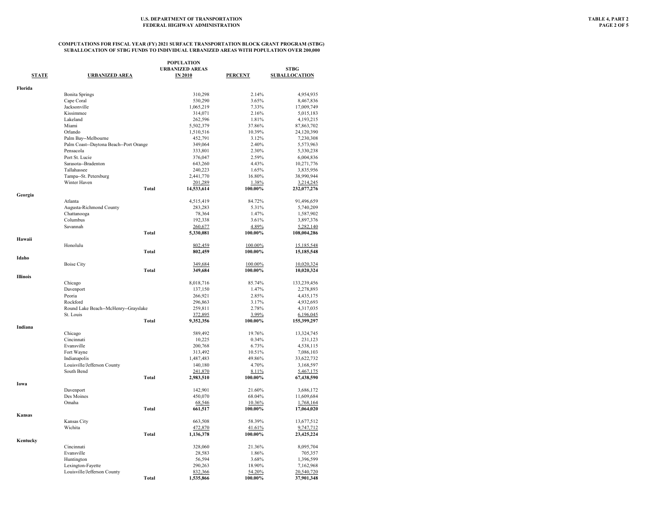|                 |                                                  | <b>POPULATION</b>                        |                  |                              |
|-----------------|--------------------------------------------------|------------------------------------------|------------------|------------------------------|
| <b>STATE</b>    | <b>URBANIZED AREA</b>                            | <b>URBANIZED AREAS</b><br><b>IN 2010</b> |                  | STBG<br><b>SUBALLOCATION</b> |
|                 |                                                  |                                          | <b>PERCENT</b>   |                              |
| Florida         |                                                  |                                          |                  |                              |
|                 | <b>Bonita Springs</b>                            | 310,298                                  | 2.14%            | 4,954,935                    |
|                 | Cape Coral                                       | 530,290                                  | 3.65%            | 8,467,836                    |
|                 | Jacksonville                                     | 1,065,219                                | 7.33%            | 17,009,749                   |
|                 | Kissimmee                                        | 314,071                                  | 2.16%            | 5,015,183                    |
|                 | Lakeland<br>Miami                                | 262,596                                  | 1.81%            | 4,193,215                    |
|                 | Orlando                                          | 5,502,379<br>1,510,516                   | 37.86%<br>10.39% | 87, 863, 702<br>24,120,390   |
|                 | Palm Bay--Melbourne                              | 452,791                                  | 3.12%            | 7,230,308                    |
|                 | Palm Coast--Daytona Beach--Port Orange           | 349,064                                  | 2.40%            | 5,573,963                    |
|                 | Pensacola                                        | 333,801                                  | 2.30%            | 5,330,238                    |
|                 | Port St. Lucie                                   | 376,047                                  | 2.59%            | 6,004,836                    |
|                 | Sarasota--Bradenton                              | 643,260                                  | 4.43%            | 10,271,776                   |
|                 | Tallahassee                                      | 240,223                                  | 1.65%            | 3,835,956                    |
|                 | Tampa--St. Petersburg                            | 2,441,770                                | 16.80%           | 38,990,944                   |
|                 | Winter Haven                                     | 201,289                                  | 1.38%            | 3,214,245                    |
|                 | <b>Total</b>                                     | 14,533,614                               | 100.00%          | 232,077,276                  |
| Georgia         | Atlanta                                          |                                          |                  |                              |
|                 | Augusta-Richmond County                          | 4,515,419<br>283,283                     | 84.72%<br>5.31%  | 91,496,659<br>5,740,209      |
|                 | Chattanooga                                      | 78,364                                   | 1.47%            | 1,587,902                    |
|                 | Columbus                                         | 192,338                                  | 3.61%            | 3,897,376                    |
|                 | Savannah                                         | 260,677                                  | 4.89%            | 5,282,140                    |
|                 | <b>Total</b>                                     | 5,330,081                                | 100.00%          | 108,004,286                  |
| Hawaii          |                                                  |                                          |                  |                              |
|                 | Honolulu                                         | 802,459                                  | 100.00%          | 15,185,548                   |
|                 | <b>Total</b>                                     | 802,459                                  | 100.00%          | 15,185,548                   |
| Idaho           |                                                  |                                          |                  |                              |
|                 | <b>Boise City</b>                                | 349,684                                  | 100.00%          | 10,020,324                   |
|                 | <b>Total</b>                                     | 349,684                                  | 100.00%          | 10,020,324                   |
| <b>Illinois</b> |                                                  |                                          |                  |                              |
|                 | Chicago                                          | 8,018,716                                | 85.74%           | 133,239,456                  |
|                 | Davenport                                        | 137,150                                  | 1.47%            | 2,278,893                    |
|                 | Peoria<br>Rockford                               | 266,921<br>296,863                       | 2.85%<br>3.17%   | 4,435,175<br>4,932,693       |
|                 | Round Lake Beach--McHenry--Grayslake             | 259,811                                  | 2.78%            | 4,317,035                    |
|                 | St. Louis                                        | 372,895                                  | 3.99%            | 6,196,045                    |
|                 | <b>Total</b>                                     | 9,352,356                                | 100.00%          | 155,399,297                  |
| Indiana         |                                                  |                                          |                  |                              |
|                 | Chicago                                          | 589,492                                  | 19.76%           | 13,324,745                   |
|                 | Cincinnati                                       | 10,225                                   | 0.34%            | 231,123                      |
|                 | Evansville                                       | 200,768                                  | 6.73%            | 4.538.115                    |
|                 | Fort Wayne                                       | 313,492                                  | 10.51%           | 7,086,103                    |
|                 | Indianapolis                                     | 1,487,483                                | 49.86%           | 33,622,732                   |
|                 | Louisville/Jefferson County                      | 140,180                                  | 4.70%            | 3,168,597                    |
|                 | South Bend                                       | 241,870                                  | 8.11%            | <u>5,467,175</u>             |
|                 | <b>Total</b>                                     | 2,983,510                                | 100.00%          | 67,438,590                   |
| Iowa            | Davenport                                        | 142,901                                  | 21.60%           | 3,686,172                    |
|                 | Des Moines                                       | 450,070                                  | 68.04%           | 11,609,684                   |
|                 | Omaha                                            | 68,546                                   | 10.36%           | 1,768,164                    |
|                 | <b>Total</b>                                     | 661,517                                  | 100.00%          | 17,064,020                   |
| Kansas          |                                                  |                                          |                  |                              |
|                 | Kansas City                                      | 663,508                                  | 58.39%           | 13,677,512                   |
|                 | Wichita                                          | 472,870                                  | 41.61%           | 9,747,712                    |
|                 | <b>Total</b>                                     | 1,136,378                                | 100.00%          | 23,425,224                   |
| Kentucky        |                                                  |                                          |                  |                              |
|                 | Cincinnati                                       | 328,060                                  | 21.36%           | 8,095,704                    |
|                 | Evansville                                       | 28,583                                   | 1.86%            | 705,357                      |
|                 | Huntington                                       | 56,594                                   | 3.68%            | 1,396,599                    |
|                 | Lexington-Fayette<br>Louisville/Jefferson County | 290,263<br>832,366                       | 18.90%<br>54.20% | 7,162,968<br>20,540,720      |
|                 | <b>Total</b>                                     | 1,535,866                                | 100.00%          | 37,901,348                   |
|                 |                                                  |                                          |                  |                              |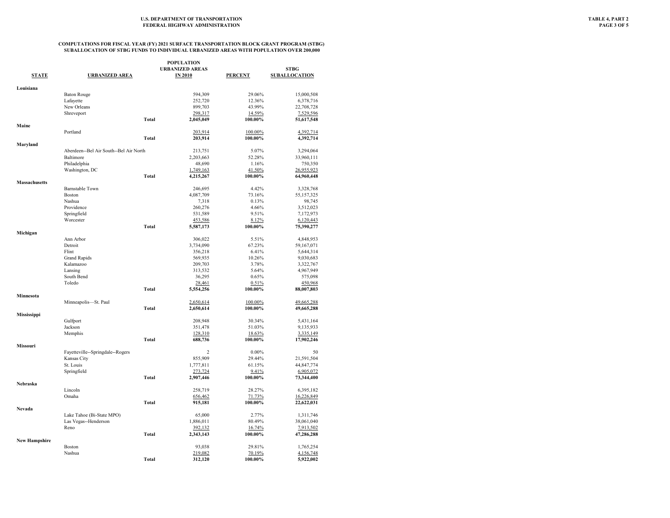| POPULATION           |                                        |              |                        |                   |                      |
|----------------------|----------------------------------------|--------------|------------------------|-------------------|----------------------|
|                      |                                        |              | <b>URBANIZED AREAS</b> |                   | <b>STBG</b>          |
| <b>STATE</b>         | <b>URBANIZED AREA</b>                  |              | <b>IN 2010</b>         | <b>PERCENT</b>    | <b>SUBALLOCATION</b> |
| Louisiana            |                                        |              |                        |                   |                      |
|                      | <b>Baton Rouge</b>                     |              | 594,309                | 29.06%            | 15,000,508           |
|                      | Lafayette                              |              | 252,720                | 12.36%            | 6,378,716            |
|                      | New Orleans                            |              | 899,703                | 43.99%            | 22,708,728           |
|                      | Shreveport                             |              | 298,317                | 14.59%            | 7,529,596            |
|                      |                                        | <b>Total</b> | 2,045,049              | 100.00%           | 51,617,548           |
| Maine                |                                        |              |                        |                   |                      |
|                      | Portland                               |              | 203,914                | 100.00%           | 4,392,714            |
|                      |                                        | Total        | 203,914                | 100.00%           | 4,392,714            |
| Maryland             |                                        |              |                        |                   |                      |
|                      | Aberdeen--Bel Air South--Bel Air North |              | 213,751                | 5.07%             | 3,294,064            |
|                      | Baltimore                              |              | 2,203,663              | 52.28%            | 33,960,111           |
|                      | Philadelphia                           |              | 48,690                 | 1.16%             | 750,350              |
|                      | Washington, DC                         |              | 1,749,163              | 41.50%            | 26,955,923           |
|                      |                                        | <b>Total</b> | 4,215,267              | 100.00%           | 64,960,448           |
| Massachusetts        |                                        |              |                        |                   |                      |
|                      | <b>Barnstable Town</b>                 |              | 246,695                | 4.42%             | 3,328,768            |
|                      | Boston                                 |              | 4,087,709              | 73.16%            | 55,157,325           |
|                      | Nashua                                 |              | 7,318                  | 0.13%             | 98,745               |
|                      | Providence                             |              | 260,276                | 4.66%             | 3,512,023            |
|                      | Springfield                            |              | 531,589                | 9.51%             | 7,172,973            |
|                      | Worcester                              |              | 453,586                | 8.12%             | 6,120,443            |
| Michigan             |                                        | <b>Total</b> | 5,587,173              | 100.00%           | 75,390,277           |
|                      | Ann Arbor                              |              | 306,022                | 5.51%             | 4,848,953            |
|                      | Detroit                                |              | 3,734,090              | 67.23%            | 59,167,071           |
|                      | Flint                                  |              | 356,218                | 6.41%             | 5,644,314            |
|                      | <b>Grand Rapids</b>                    |              | 569,935                | 10.26%            | 9,030,683            |
|                      | Kalamazoo                              |              | 209,703                | 3.78%             | 3,322,767            |
|                      | Lansing                                |              | 313,532                | 5.64%             | 4,967,949            |
|                      | South Bend                             |              | 36,295                 | 0.65%             | 575,098              |
|                      | Toledo                                 |              | 28,461                 | 0.51%             | 450,968              |
|                      |                                        | <b>Total</b> | 5,554,256              | 100.00%           | 88,007,803           |
| Minnesota            |                                        |              |                        |                   |                      |
|                      | Minneapolis-St. Paul                   |              | 2,650,614              | 100.00%           | 49,665,288           |
|                      |                                        | <b>Total</b> | 2,650,614              | 100.00%           | 49,665,288           |
| Mississippi          |                                        |              |                        |                   |                      |
|                      | Gulfport                               |              | 208,948                | 30.34%            | 5,431,164            |
|                      | Jackson                                |              | 351,478                | 51.03%            | 9,135,933            |
|                      | Memphis                                |              | 128,310                | 18.63%            | 3,335,149            |
|                      |                                        | <b>Total</b> | 688,736                | 100.00%           | 17,902,246           |
| Missouri             |                                        |              |                        |                   |                      |
|                      | Fayetteville--Springdale--Rogers       |              | $\overline{c}$         | $0.00\%$          | 50                   |
|                      | Kansas City                            |              | 855,909                | 29.44%            | 21,591,504           |
|                      | St. Louis                              |              | 1,777,811              | 61.15%            | 44,847,774           |
|                      | Springfield                            |              | 273,724                | 9.41%             | 6,905,072            |
|                      |                                        | <b>Total</b> | 2,907,446              | 100.00%           | 73,344,400           |
| Nebraska             |                                        |              |                        |                   |                      |
|                      | Lincoln                                |              | 258,719                | 28.27%            | 6,395,182            |
|                      | Omaha                                  |              | 656,462                | 71.73%            | 16,226,849           |
|                      |                                        | <b>Total</b> | 915,181                | 100.00%           | 22,622,031           |
| Nevada               |                                        |              |                        |                   |                      |
|                      | Lake Tahoe (Bi-State MPO)              |              | 65,000                 | 2.77%             | 1,311,746            |
|                      | Las Vegas--Henderson                   |              | 1,886,011              | 80.49%            | 38,061,040           |
|                      | Reno                                   |              | 392,132                | 16.74%            | 7,913,502            |
|                      |                                        | <b>Total</b> | 2,343,143              | 100.00%           | 47,286,288           |
| <b>New Hampshire</b> | Boston                                 |              | 93,038                 | 29.81%            | 1,765,254            |
|                      |                                        |              |                        |                   |                      |
|                      | Nashua                                 | <b>Total</b> | 219,082                | 70.19%<br>100.00% | 4,156,748            |
|                      |                                        |              | 312,120                |                   | 5,922,002            |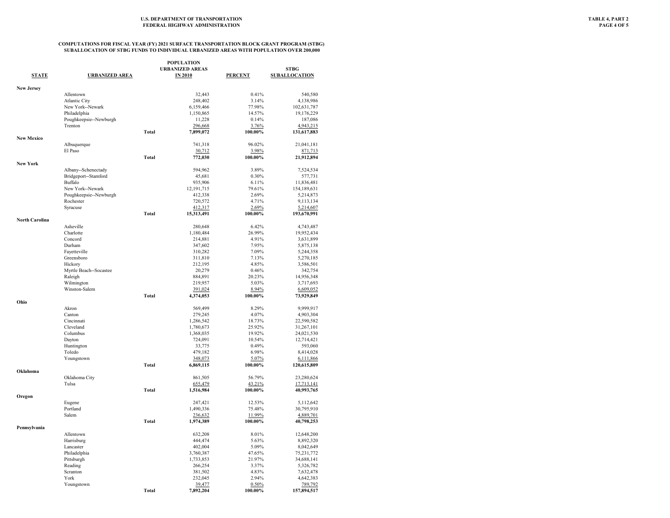| <b>STATE</b>      | <b>URBANIZED AREA</b>  |              | <b>POPULATION</b><br><b>URBANIZED AREAS</b><br><b>IN 2010</b> | <b>PERCENT</b> | <b>STBG</b><br><b>SUBALLOCATION</b> |
|-------------------|------------------------|--------------|---------------------------------------------------------------|----------------|-------------------------------------|
|                   |                        |              |                                                               |                |                                     |
| <b>New Jersey</b> | Allentown              |              | 32,443                                                        | 0.41%          | 540,580                             |
|                   | <b>Atlantic City</b>   |              | 248,402                                                       | 3.14%          | 4,138,986                           |
|                   | New York--Newark       |              | 6,159,466                                                     | 77.98%         | 102,631,787                         |
|                   | Philadelphia           |              | 1,150,865                                                     | 14.57%         | 19,176,229                          |
|                   | Poughkeepsie--Newburgh |              | 11,228                                                        | 0.14%          | 187,086                             |
|                   | Trenton                |              | 296,668                                                       | 3.76%          | 4,943,215                           |
|                   |                        | <b>Total</b> | 7,899,072                                                     | 100.00%        | 131,617,883                         |
| <b>New Mexico</b> |                        |              | 741,318                                                       | 96.02%         |                                     |
|                   | Albuquerque<br>El Paso |              | 30,712                                                        | 3.98%          | 21,041,181                          |
|                   |                        | Total        | 772,030                                                       | 100.00%        | 871,713<br>21,912,894               |
| New York          |                        |              |                                                               |                |                                     |
|                   | Albany--Schenectady    |              | 594,962                                                       | 3.89%          | 7,524,534                           |
|                   | Bridgeport--Stamford   |              | 45,681                                                        | 0.30%          | 577,731                             |
|                   | Buffalo                |              | 935,906                                                       | 6.11%          | 11,836,481                          |
|                   | New York--Newark       |              | 12,191,715                                                    | 79.61%         | 154,189,631                         |
|                   | Poughkeepsie--Newburgh |              | 412,338                                                       | 2.69%          | 5,214,873                           |
|                   | Rochester              |              | 720,572                                                       | 4.71%          | 9,113,134                           |
|                   | Syracuse               |              | 412,317                                                       | 2.69%          | 5,214,607                           |
|                   |                        | <b>Total</b> | 15,313,491                                                    | 100.00%        | 193,670,991                         |
| North Carolina    | Asheville              |              | 280,648                                                       | 6.42%          | 4,743,487                           |
|                   | Charlotte              |              | 1,180,484                                                     | 26.99%         | 19,952,434                          |
|                   | Concord                |              | 214,881                                                       | 4.91%          | 3,631,899                           |
|                   | Durham                 |              | 347,602                                                       | 7.95%          | 5,875,138                           |
|                   | Fayetteville           |              | 310,282                                                       | 7.09%          | 5,244,358                           |
|                   | Greensboro             |              | 311,810                                                       | 7.13%          | 5,270,185                           |
|                   | Hickory                |              | 212,195                                                       | 4.85%          | 3,586,501                           |
|                   | Myrtle Beach--Socastee |              | 20,279                                                        | 0.46%          | 342,754                             |
|                   | Raleigh                |              | 884,891                                                       | 20.23%         | 14,956,348                          |
|                   | Wilmington             |              | 219,957                                                       | 5.03%          | 3,717,693                           |
|                   | Winston-Salem          |              | 391,024                                                       | 8.94%          | 6,609,052                           |
|                   |                        | Total        | 4,374,053                                                     | 100.00%        | 73,929,849                          |
| Ohio              | Akron                  |              | 569,499                                                       | 8.29%          | 9,999,917                           |
|                   | Canton                 |              | 279,245                                                       | 4.07%          | 4,903,304                           |
|                   | Cincinnati             |              | 1,286,542                                                     | 18.73%         | 22,590,582                          |
|                   | Cleveland              |              | 1,780,673                                                     | 25.92%         | 31,267,101                          |
|                   | Columbus               |              | 1,368,035                                                     | 19.92%         | 24,021,530                          |
|                   | Dayton                 |              | 724,091                                                       | 10.54%         | 12,714,421                          |
|                   | Huntington             |              | 33,775                                                        | 0.49%          | 593,060                             |
|                   | Toledo                 |              | 479,182                                                       | 6.98%          | 8,414,028                           |
|                   | Youngstown             |              | 348,073                                                       | 5.07%          | 6,111,866                           |
|                   |                        | <b>Total</b> | 6,869,115                                                     | 100.00%        | 120,615,809                         |
| Oklahoma          | Oklahoma City          |              | 861,505                                                       | 56.79%         | 23,280,624                          |
|                   | Tulsa                  |              | 655,479                                                       | 43.21%         | 17,713,141                          |
|                   |                        | <b>Total</b> | 1,516,984                                                     | 100.00%        | 40,993,765                          |
| Oregon            |                        |              |                                                               |                |                                     |
|                   | Eugene                 |              | 247,421                                                       | 12.53%         | 5,112,642                           |
|                   | Portland               |              | 1,490,336                                                     | 75.48%         | 30,795,910                          |
|                   | Salem                  |              | 236,632                                                       | 11.99%         | 4,889,701                           |
| Pennsylvania      |                        | <b>Total</b> | 1,974,389                                                     | 100.00%        | 40,798,253                          |
|                   | Allentown              |              | 632,208                                                       | 8.01%          | 12,648,200                          |
|                   | Harrisburg             |              | 444,474                                                       | 5.63%          | 8,892,320                           |
|                   | Lancaster              |              | 402,004                                                       | 5.09%          | 8,042,649                           |
|                   | Philadelphia           |              | 3,760,387                                                     | 47.65%         | 75,231,772                          |
|                   | Pittsburgh             |              | 1,733,853                                                     | 21.97%         | 34,688,141                          |
|                   | Reading                |              | 266,254                                                       | 3.37%          | 5,326,782                           |
|                   | Scranton               |              | 381,502                                                       | 4.83%          | 7,632,478                           |
|                   | York                   |              | 232,045                                                       | 2.94%          | 4,642,383                           |
|                   | Youngstown             |              | 39,477                                                        | 0.50%          | 789,792                             |
|                   |                        | <b>Total</b> | 7,892,204                                                     | 100.00%        | 157,894,517                         |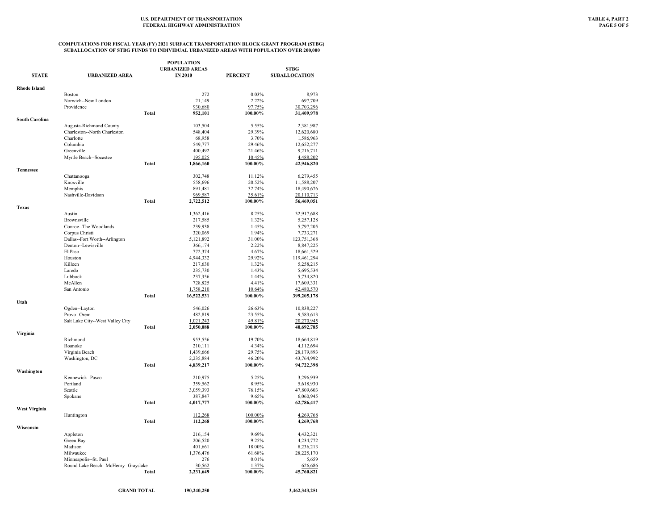| POPULATION          |                                                               |              |                        |                |                          |
|---------------------|---------------------------------------------------------------|--------------|------------------------|----------------|--------------------------|
|                     |                                                               |              | <b>URBANIZED AREAS</b> |                | <b>STBG</b>              |
| <b>STATE</b>        | <b>URBANIZED AREA</b>                                         |              | <b>IN 2010</b>         | <b>PERCENT</b> | <b>SUBALLOCATION</b>     |
| <b>Rhode Island</b> |                                                               |              |                        |                |                          |
|                     | <b>Boston</b>                                                 |              | 272                    | 0.03%          | 8,973                    |
|                     | Norwich--New London                                           |              | 21,149                 | 2.22%          | 697,709                  |
|                     | Providence                                                    |              | 930,680                | 97.75%         | 30,703,296               |
|                     |                                                               | <b>Total</b> | 952,101                | 100.00%        | 31,409,978               |
| South Carolina      |                                                               |              |                        |                |                          |
|                     | Augusta-Richmond County                                       |              | 103,504                | 5.55%          | 2,381,987                |
|                     | Charleston--North Charleston                                  |              | 548,404                | 29.39%         | 12,620,680               |
|                     | Charlotte                                                     |              | 68,958                 | 3.70%          | 1,586,963                |
|                     | Columbia                                                      |              | 549,777                | 29.46%         | 12,652,277               |
|                     | Greenville                                                    |              | 400,492                | 21.46%         | 9,216,711                |
|                     | Myrtle Beach--Socastee                                        |              | 195,025                | 10.45%         | 4,488,202                |
|                     |                                                               | <b>Total</b> | 1,866,160              | 100.00%        | 42,946,820               |
| <b>Tennessee</b>    |                                                               |              |                        |                |                          |
|                     | Chattanooga                                                   |              | 302,748                | 11.12%         | 6,279,455                |
|                     | Knoxville                                                     |              | 558,696                | 20.52%         | 11,588,207               |
|                     | Memphis                                                       |              | 891,481                | 32.74%         | 18,490,676               |
|                     | Nashville-Davidson                                            |              | 969,587                | 35.61%         | 20,110,713               |
|                     |                                                               | <b>Total</b> | 2,722,512              | 100.00%        | 56,469,051               |
| <b>Texas</b>        |                                                               |              |                        |                |                          |
|                     | Austin                                                        |              | 1,362,416              | 8.25%          | 32,917,688               |
|                     | Brownsville<br>Conroe--The Woodlands                          |              | 217,585                | 1.32%          | 5,257,128                |
|                     |                                                               |              | 239,938                | 1.45%          | 5,797,205                |
|                     | Corpus Christi                                                |              | 320,069                | 1.94%          | 7,733,271                |
|                     | Dallas--Fort Worth--Arlington                                 |              | 5,121,892              | 31.00%         | 123,751,368              |
|                     | Denton--Lewisville                                            |              | 366,174                | 2.22%          | 8,847,225                |
|                     | El Paso                                                       |              | 772,374                | 4.67%          | 18,661,529               |
|                     | Houston                                                       |              | 4,944,332              | 29.92%         | 119,461,294              |
|                     | Killeen                                                       |              | 217,630                | 1.32%          | 5,258,215                |
|                     | Laredo                                                        |              | 235,730                | 1.43%          | 5,695,534                |
|                     | Lubbock                                                       |              | 237,356                | 1.44%          | 5,734,820                |
|                     | McAllen                                                       |              | 728,825                | 4.41%          | 17,609,331               |
|                     | San Antonio                                                   |              | 1,758,210              | 10.64%         | 42,480,570               |
|                     |                                                               | <b>Total</b> | 16,522,531             | 100.00%        | 399,205,178              |
| Utah                | Ogden--Layton                                                 |              | 546,026                | 26.63%         | 10,838,227               |
|                     | Provo--Orem                                                   |              | 482,819                | 23.55%         | 9,583,613                |
|                     | Salt Lake City--West Valley City                              |              |                        | 49.81%         |                          |
|                     |                                                               | <b>Total</b> | 1,021,243<br>2,050,088 | 100.00%        | 20,270,945<br>40,692,785 |
| Virginia            |                                                               |              |                        |                |                          |
|                     | Richmond                                                      |              | 953,556                | 19.70%         | 18,664,819               |
|                     | Roanoke                                                       |              | 210,111                | 4.34%          | 4,112,694                |
|                     | Virginia Beach                                                |              | 1,439,666              | 29.75%         | 28,179,893               |
|                     | Washington, DC                                                |              | 2,235,884              | 46.20%         | 43,764,992               |
|                     |                                                               | Total        | 4,839,217              | 100.00%        | 94,722,398               |
| Washington          |                                                               |              |                        |                |                          |
|                     | Kennewick--Pasco                                              |              | 210,975                | 5.25%          | 3,296,939                |
|                     | Portland                                                      |              | 359,562                | 8.95%          | 5,618,930                |
|                     | Seattle                                                       |              | 3,059,393              | 76.15%         | 47,809,603               |
|                     | Spokane                                                       |              | 387,847                | 9.65%          | 6,060,945                |
|                     |                                                               | <b>Total</b> | 4,017,777              | 100.00%        | 62,786,417               |
| West Virginia       |                                                               |              |                        |                |                          |
|                     | Huntington                                                    |              | 112,268                | 100.00%        | 4,269,768                |
|                     |                                                               | <b>Total</b> | 112,268                | 100.00%        | 4,269,768                |
| Wisconsin           |                                                               |              | 216,154                | 9.69%          |                          |
|                     | Appleton<br>Green Bay                                         |              | 206,520                | 9.25%          | 4,432,321                |
|                     | Madison                                                       |              | 401,661                | 18.00%         | 4,234,772                |
|                     | Milwaukee                                                     |              |                        | 61.68%         | 8,236,213                |
|                     |                                                               |              | 1,376,476              |                | 28,225,170               |
|                     | Minneapolis--St. Paul<br>Round Lake Beach--McHenry--Grayslake |              | 276<br>30,562          | 0.01%<br>1.37% | 5,659<br>626,686         |
|                     |                                                               | Total        |                        | 100.00%        | 45,760,821               |
|                     |                                                               |              | 2,231,649              |                |                          |
|                     |                                                               |              |                        |                |                          |
|                     | <b>GRAND TOTAL</b>                                            |              | 190.240.250            |                | 3.462.343.251            |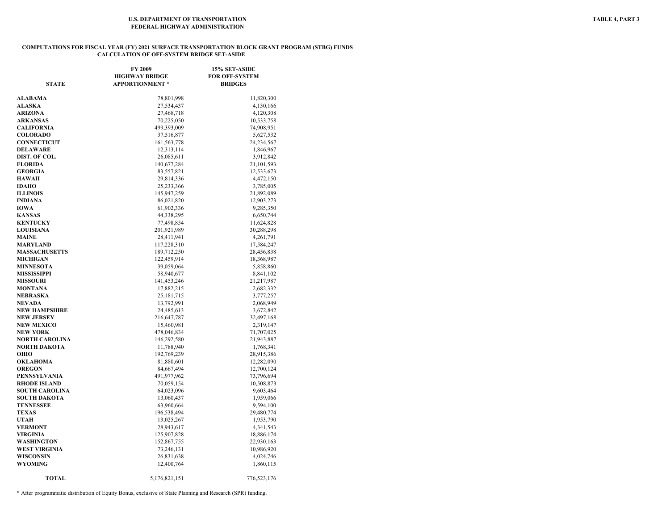#### **COMPUTATIONS FOR FISCAL YEAR (FY) 2021 SURFACE TRANSPORTATION BLOCK GRANT PROGRAM (STBG) FUNDS CALCULATION OF OFF-SYSTEM BRIDGE SET-ASIDE**

| <b>STATE</b>             | FY 2009<br><b>HIGHWAY BRIDGE</b><br><b>APPORTIONMENT</b> * | 15% SET-ASIDE<br><b>FOR OFF-SYSTEM</b><br><b>BRIDGES</b> |
|--------------------------|------------------------------------------------------------|----------------------------------------------------------|
|                          |                                                            |                                                          |
| ALABAMA                  | 78,801,998                                                 | 11,820,300                                               |
| <b>ALASKA</b>            | 27,534,437                                                 | 4,130,166                                                |
| ARIZONA                  | 27,468,718                                                 | 4,120,308                                                |
| <b>ARKANSAS</b>          | 70,225,050                                                 | 10,533,758                                               |
| CALIFORNIA               | 499,393,009                                                | 74,908,951                                               |
| <b>COLORADO</b>          | 37,516,877                                                 | 5,627,532                                                |
| CONNECTICUT              | 161, 563, 778                                              | 24,234,567                                               |
| <b>DELAWARE</b>          | 12,313,114                                                 | 1,846,967                                                |
| DIST. OF COL.            | 26,085,611                                                 | 3,912,842                                                |
| <b>FLORIDA</b>           | 140,677,284                                                | 21,101,593                                               |
| <b>GEORGIA</b>           | 83,557,821                                                 | 12,533,673                                               |
| <b>HAWAII</b>            | 29,814,336                                                 | 4,472,150                                                |
| IDAHO<br><b>ILLINOIS</b> | 25,233,366                                                 | 3,785,005                                                |
| INDIANA                  | 145,947,259                                                | 21,892,089                                               |
|                          | 86,021,820                                                 | 12,903,273                                               |
| IOWA<br>KANSAS           | 61,902,336                                                 | 9,285,350                                                |
| <b>KENTUCKY</b>          | 44,338,295                                                 | 6,650,744                                                |
| <b>LOUISIANA</b>         | 77,498,854<br>201,921,989                                  | 11,624,828<br>30,288,298                                 |
| MAINE                    | 28,411,941                                                 | 4,261,791                                                |
| MARYLAND                 | 117,228,310                                                | 17,584,247                                               |
| <b>MASSACHUSETTS</b>     | 189,712,250                                                | 28,456,838                                               |
| <b>MICHIGAN</b>          | 122,459,914                                                | 18,368,987                                               |
| <b>MINNESOTA</b>         | 39,059,064                                                 | 5,858,860                                                |
| MISSISSIPPI              | 58,940,677                                                 | 8,841,102                                                |
| <b>MISSOURI</b>          | 141,453,246                                                | 21,217,987                                               |
| MONTANA                  | 17,882,215                                                 | 2,682,332                                                |
| NEBRASKA                 | 25, 181, 715                                               | 3,777,257                                                |
| NEVADA                   | 13,792,991                                                 | 2,068,949                                                |
| NEW HAMPSHIRE            | 24,485,613                                                 | 3,672,842                                                |
| <b>NEW JERSEY</b>        | 216,647,787                                                | 32,497,168                                               |
| <b>NEW MEXICO</b>        | 15,460,981                                                 | 2,319,147                                                |
| NEW YORK                 | 478,046,834                                                | 71,707,025                                               |
| NORTH CAROLINA           | 146,292,580                                                | 21,943,887                                               |
| NORTH DAKOTA             | 11,788,940                                                 | 1,768,341                                                |
| ОНІО                     | 192,769,239                                                | 28,915,386                                               |
| OKLAHOMA                 | 81,880,601                                                 | 12,282,090                                               |
| <b>OREGON</b>            | 84,667,494                                                 | 12,700,124                                               |
| PENNSYLVANIA             | 491,977,962                                                | 73,796,694                                               |
| <b>RHODE ISLAND</b>      | 70,059,154                                                 | 10,508,873                                               |
| <b>SOUTH CAROLINA</b>    | 64,023,096                                                 | 9,603,464                                                |
| SOUTH DAKOTA             | 13,060,437                                                 | 1,959,066                                                |
| TENNESSEE                | 63,960,664                                                 | 9,594,100                                                |
| TEXAS                    | 196,538,494                                                | 29,480,774                                               |
| UTAH                     | 13,025,267                                                 | 1,953,790                                                |
| <b>VERMONT</b>           | 28,943,617                                                 | 4,341,543                                                |
| VIRGINIA                 | 125,907,828                                                | 18,886,174                                               |
| WASHINGTON               | 152,867,755                                                | 22,930,163                                               |
| <b>WEST VIRGINIA</b>     | 73,246,131                                                 | 10,986,920                                               |
| WISCONSIN                | 26,831,638                                                 | 4,024,746                                                |
| WYOMING                  | 12,400,764                                                 | 1,860,115                                                |
| <b>TOTAL</b>             | 5,176,821,151                                              | 776,523,176                                              |

\* After programmatic distribution of Equity Bonus, exclusive of State Planning and Research (SPR) funding.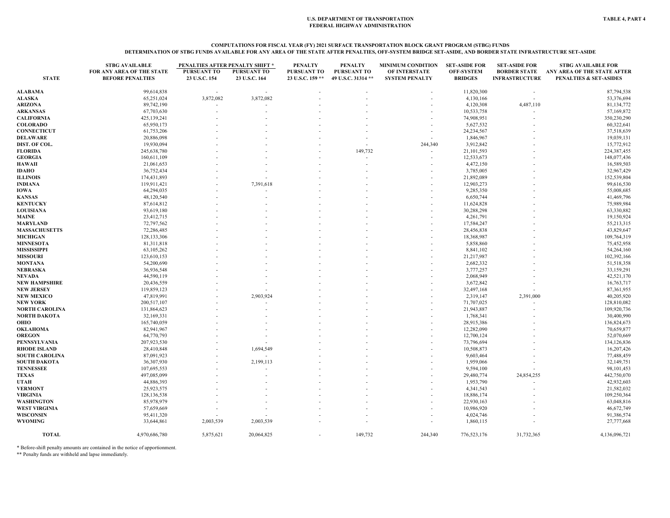# COMPUTATIONS FOR FISCAL YEAR (FY) 2021 SURFACE TRANSPORTATION BLOCK GRANT PROGRAM (STBG) FUNDS<br>DETERMINATION OF STBG FUNDS AVAILABLE FOR ANY AREA OF THE STATE AFTER PENALTIES, OFF-SYSTEM BRIDGE SET-ASIDE, AND BORDER STATE

|                                    | <b>STBG AVAILABLE</b>                                | PENALTIES AFTER PENALTY SHIFT * |                              | <b>PENALTY</b>                  | <b>PENALTY</b>                    | <b>MINIMUM CONDITION</b>               | <b>SET-ASIDE FOR</b>                | <b>SET-ASIDE FOR</b>                         | <b>STBG AVAILABLE FOR</b>                                        |
|------------------------------------|------------------------------------------------------|---------------------------------|------------------------------|---------------------------------|-----------------------------------|----------------------------------------|-------------------------------------|----------------------------------------------|------------------------------------------------------------------|
| <b>STATE</b>                       | FOR ANY AREA OF THE STATE<br><b>BEFORE PENALTIES</b> | PURSUANT TO<br>23 U.S.C. 154    | PURSUANT TO<br>23 U.S.C. 164 | PURSUANT TO<br>23 U.S.C. 159 ** | PURSUANT TO<br>49 U.S.C. 31314 ** | OF INTERSTATE<br><b>SYSTEM PENALTY</b> | <b>OFF-SYSTEM</b><br><b>BRIDGES</b> | <b>BORDER STATE</b><br><b>INFRASTRUCTURE</b> | ANY AREA OF THE STATE AFTER<br><b>PENALTIES &amp; SET-ASIDES</b> |
| ALABAMA                            | 99,614,838                                           |                                 |                              |                                 |                                   |                                        | 11,820,300                          |                                              | 87,794,538                                                       |
| <b>ALASKA</b>                      | 65,251,024                                           | 3,872,082                       | 3,872,082                    |                                 |                                   |                                        | 4,130,166                           |                                              | 53,376,694                                                       |
| <b>ARIZONA</b>                     | 89,742,190                                           |                                 |                              |                                 |                                   |                                        | 4,120,308                           | 4,487,110                                    | 81,134,772                                                       |
| <b>ARKANSAS</b>                    | 67,703,630                                           |                                 |                              |                                 |                                   |                                        | 10,533,758                          |                                              | 57,169,872                                                       |
| <b>CALIFORNIA</b>                  | 425,139,241                                          |                                 |                              |                                 |                                   |                                        | 74,908,951                          |                                              | 350,230,290                                                      |
| <b>COLORADO</b>                    | 65,950,173                                           |                                 |                              |                                 |                                   |                                        | 5,627,532                           |                                              | 60,322,641                                                       |
| <b>CONNECTICUT</b>                 | 61,753,206                                           |                                 |                              |                                 |                                   |                                        | 24,234,567                          |                                              | 37,518,639                                                       |
| DELAWARE                           | 20,886,098                                           |                                 |                              |                                 |                                   |                                        | 1,846,967                           |                                              | 19,039,131                                                       |
| DIST. OF COL.                      | 19,930,094                                           |                                 |                              |                                 |                                   | 244,340                                | 3,912,842                           |                                              | 15,772,912                                                       |
| <b>FLORIDA</b>                     | 245,638,780                                          |                                 |                              |                                 | 149,732                           |                                        | 21,101,593                          |                                              | 224,387,455                                                      |
| <b>GEORGIA</b>                     | 160,611,109                                          |                                 |                              |                                 |                                   |                                        | 12,533,673                          |                                              | 148,077,436                                                      |
| HAWAII                             | 21,061,653                                           |                                 |                              |                                 |                                   |                                        | 4,472,150                           |                                              | 16,589,503                                                       |
| IDAHO                              | 36,752,434                                           |                                 |                              |                                 |                                   |                                        | 3,785,005                           |                                              | 32,967,429                                                       |
| <b>ILLINOIS</b>                    | 174,431,893                                          |                                 |                              |                                 |                                   |                                        | 21,892,089                          |                                              | 152,539,804                                                      |
| INDIANA                            | 119,911,421                                          |                                 | 7,391,618                    |                                 |                                   |                                        | 12,903,273                          |                                              | 99,616,530                                                       |
| IOWA                               | 64,294,035                                           |                                 |                              |                                 |                                   |                                        | 9,285,350                           |                                              | 55,008,685                                                       |
| <b>KANSAS</b>                      | 48,120,540                                           |                                 |                              |                                 |                                   |                                        | 6,650,744                           |                                              | 41,469,796                                                       |
| <b>KENTUCKY</b>                    | 87,614,812                                           |                                 |                              |                                 |                                   |                                        | 11,624,828                          |                                              | 75,989,984                                                       |
| <b>LOUISIANA</b>                   | 93,619,180                                           |                                 |                              |                                 |                                   |                                        | 30,288,298                          |                                              | 63,330,882                                                       |
| MAINE                              | 23,412,715                                           |                                 |                              |                                 |                                   |                                        | 4,261,791                           |                                              | 19,150,924                                                       |
| MARYLAND                           | 72,797,562                                           |                                 |                              |                                 |                                   |                                        | 17,584,247                          |                                              | 55,213,315                                                       |
| <b>MASSACHUSETTS</b>               | 72,286,485                                           |                                 |                              |                                 |                                   |                                        | 28,456,838                          |                                              | 43,829,647                                                       |
| MICHIGAN                           | 128, 133, 306                                        |                                 |                              |                                 |                                   |                                        | 18,368,987                          |                                              | 109,764,319                                                      |
| <b>MINNESOTA</b>                   | 81,311,818                                           |                                 |                              |                                 |                                   |                                        | 5,858,860                           |                                              | 75,452,958                                                       |
| MISSISSIPPI                        | 63,105,262                                           |                                 |                              |                                 |                                   |                                        | 8,841,102                           |                                              | 54,264,160                                                       |
| <b>MISSOURI</b>                    | 123,610,153                                          |                                 |                              |                                 |                                   |                                        | 21,217,987                          |                                              | 102,392,166                                                      |
| MONTANA                            | 54,200,690                                           |                                 |                              |                                 |                                   |                                        | 2,682,332                           |                                              | 51,518,358                                                       |
| NEBRASKA                           | 36,936,548                                           |                                 |                              |                                 |                                   |                                        | 3,777,257                           |                                              | 33,159,291                                                       |
| NEVADA                             | 44,590,119                                           |                                 |                              |                                 |                                   |                                        | 2,068,949                           |                                              | 42,521,170                                                       |
| NEW HAMPSHIRE                      | 20,436,559                                           |                                 |                              |                                 |                                   |                                        | 3,672,842                           |                                              | 16,763,717                                                       |
| NEW JERSEY                         | 119,859,123                                          |                                 |                              |                                 |                                   |                                        | 32,497,168                          |                                              | 87,361,955                                                       |
| <b>NEW MEXICO</b>                  | 47,819,991                                           |                                 | 2,903,924                    |                                 |                                   |                                        | 2,319,147                           | 2,391,000                                    | 40,205,920                                                       |
| NEW YORK                           | 200,517,107                                          |                                 |                              |                                 |                                   |                                        | 71,707,025                          |                                              | 128,810,082                                                      |
| NORTH CAROLINA                     | 131,864,623                                          |                                 |                              |                                 |                                   |                                        | 21,943,887                          |                                              | 109,920,736                                                      |
| NORTH DAKOTA                       | 32,169,331                                           |                                 |                              |                                 |                                   |                                        | 1,768,341                           |                                              | 30,400,990                                                       |
| OHIO                               | 165,740,059                                          |                                 |                              |                                 |                                   |                                        | 28,915,386                          |                                              | 136,824,673                                                      |
| OKLAHOMA                           | 82,941,967                                           |                                 |                              |                                 |                                   |                                        | 12,282,090                          |                                              | 70,659,877                                                       |
| <b>OREGON</b>                      | 64,770,793                                           |                                 |                              |                                 |                                   |                                        | 12,700,124                          |                                              | 52,070,669                                                       |
| PENNSYLVANIA                       | 207,923,530                                          |                                 |                              |                                 |                                   |                                        | 73,796,694                          |                                              | 134,126,836                                                      |
| <b>RHODE ISLAND</b>                | 28,410,848                                           |                                 | 1,694,549                    |                                 |                                   |                                        | 10,508,873                          |                                              | 16,207,426                                                       |
| <b>SOUTH CAROLINA</b>              | 87,091,923                                           |                                 |                              |                                 |                                   |                                        | 9,603,464                           |                                              | 77,488,459                                                       |
| <b>SOUTH DAKOTA</b>                | 36,307,930                                           |                                 | 2,199,113                    |                                 |                                   |                                        | 1,959,066                           |                                              | 32,149,751                                                       |
|                                    |                                                      |                                 |                              |                                 |                                   |                                        |                                     |                                              |                                                                  |
| <b>TENNESSEE</b><br>TEXAS          | 107,695,553<br>497,085,099                           |                                 |                              |                                 |                                   |                                        | 9,594,100<br>29,480,774             | 24,854,255                                   | 98,101,453<br>442,750,070                                        |
| UTAH                               | 44,886,393                                           |                                 |                              |                                 |                                   |                                        |                                     |                                              |                                                                  |
| <b>VERMONT</b>                     | 25,923,575                                           |                                 |                              |                                 |                                   |                                        | 1,953,790<br>4,341,543              |                                              | 42,932,603<br>21,582,032                                         |
| VIRGINIA                           | 128,136,538                                          |                                 |                              |                                 |                                   |                                        | 18,886,174                          |                                              | 109,250,364                                                      |
|                                    |                                                      |                                 |                              |                                 |                                   |                                        |                                     |                                              |                                                                  |
| WASHINGTON<br><b>WEST VIRGINIA</b> | 85,978,979                                           |                                 |                              |                                 |                                   |                                        | 22,930,163                          |                                              | 63,048,816                                                       |
|                                    | 57,659,669                                           |                                 |                              |                                 |                                   |                                        | 10,986,920                          |                                              | 46,672,749                                                       |
| WISCONSIN                          | 95,411,320                                           |                                 |                              |                                 |                                   |                                        | 4,024,746                           |                                              | 91,386,574                                                       |
| WYOMING                            | 33,644,861                                           | 2,003,539                       | 2,003,539                    |                                 |                                   |                                        | 1,860,115                           |                                              | 27,777,668                                                       |
| <b>TOTAL</b>                       | 4,970,686,780                                        | 5,875,621                       | 20,064,825                   |                                 | 149,732                           | 244,340                                | 776,523,176                         | 31,732,365                                   | 4,136,096,721                                                    |

\* Before-shift penalty amounts are contained in the notice of apportionment. \*\* Penalty funds are withheld and lapse immediately.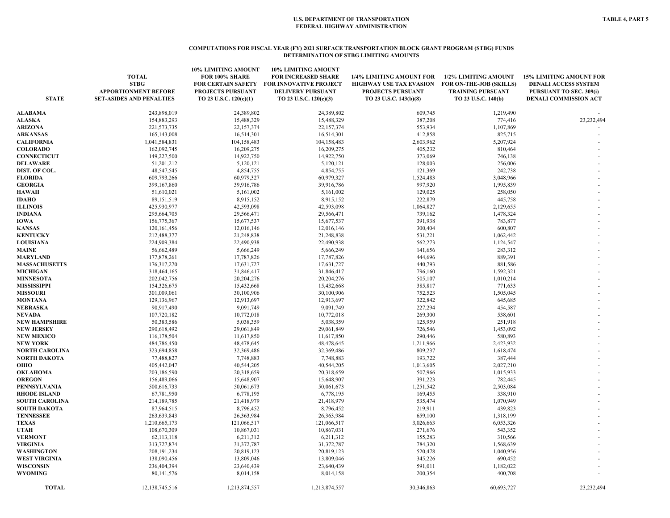#### **COMPUTATIONS FOR FISCAL YEAR (FY) 2021 SURFACE TRANSPORTATION BLOCK GRANT PROGRAM (STBG) FUNDS DETERMINATION OF STBG LIMITING AMOUNTS**

| <b>STATE</b>                             | <b>TOTAL</b><br><b>STBG</b><br><b>APPORTIONMENT BEFORE</b><br><b>SET-ASIDES AND PENALTIES</b> | 10% LIMITING AMOUNT<br>FOR 100% SHARE<br><b>FOR CERTAIN SAFETY</b><br>PROJECTS PURSUANT<br>TO 23 U.S.C. 120(c)(1) | <b>10% LIMITING AMOUNT</b><br><b>FOR INCREASED SHARE</b><br><b>FOR INNOVATIVE PROJECT</b><br><b>DELIVERY PURSUANT</b><br>TO 23 U.S.C. 120(c)(3) | 1/4% LIMITING AMOUNT FOR<br><b>HIGHWAY USE TAX EVASION</b><br>PROJECTS PURSUANT<br>TO 23 U.S.C. 143(b)(8) | 1/2% LIMITING AMOUNT<br>FOR ON-THE-JOB (SKILLS)<br><b>TRAINING PURSUANT</b><br>TO 23 U.S.C. 140(b) | <b>15% LIMITING AMOUNT FOR</b><br><b>DENALI ACCESS SYSTEM</b><br>PURSUANT TO SEC. 309(i)<br><b>DENALI COMMISSION ACT</b> |
|------------------------------------------|-----------------------------------------------------------------------------------------------|-------------------------------------------------------------------------------------------------------------------|-------------------------------------------------------------------------------------------------------------------------------------------------|-----------------------------------------------------------------------------------------------------------|----------------------------------------------------------------------------------------------------|--------------------------------------------------------------------------------------------------------------------------|
| <b>ALABAMA</b>                           | 243,898,019                                                                                   | 24,389,802                                                                                                        | 24,389,802                                                                                                                                      | 609,745                                                                                                   | 1,219,490                                                                                          |                                                                                                                          |
| <b>ALASKA</b>                            | 154,883,293                                                                                   | 15,488,329                                                                                                        | 15,488,329                                                                                                                                      | 387,208                                                                                                   | 774,416                                                                                            | 23,232,494                                                                                                               |
| <b>ARIZONA</b>                           | 221,573,735                                                                                   | 22,157,374                                                                                                        | 22,157,374                                                                                                                                      | 553,934                                                                                                   | 1,107,869                                                                                          |                                                                                                                          |
| <b>ARKANSAS</b>                          | 165, 143, 008                                                                                 | 16,514,301                                                                                                        | 16,514,301                                                                                                                                      | 412,858                                                                                                   | 825,715                                                                                            |                                                                                                                          |
| <b>CALIFORNIA</b>                        | 1,041,584,831                                                                                 | 104,158,483                                                                                                       | 104,158,483                                                                                                                                     | 2,603,962                                                                                                 | 5,207,924                                                                                          |                                                                                                                          |
| <b>COLORADO</b>                          | 162,092,745                                                                                   | 16,209,275                                                                                                        | 16,209,275                                                                                                                                      | 405,232                                                                                                   | 810,464                                                                                            |                                                                                                                          |
| <b>CONNECTICUT</b>                       | 149,227,500                                                                                   | 14,922,750                                                                                                        | 14,922,750                                                                                                                                      | 373,069                                                                                                   | 746,138                                                                                            |                                                                                                                          |
| DELAWARE                                 | 51,201,212                                                                                    | 5,120,121                                                                                                         | 5,120,121                                                                                                                                       | 128,003                                                                                                   | 256,006                                                                                            |                                                                                                                          |
| DIST. OF COL.                            | 48,547,545                                                                                    | 4,854,755                                                                                                         | 4,854,755                                                                                                                                       | 121,369                                                                                                   | 242,738                                                                                            |                                                                                                                          |
| <b>FLORIDA</b>                           | 609,793,266                                                                                   | 60,979,327                                                                                                        | 60,979,327                                                                                                                                      | 1,524,483                                                                                                 | 3,048,966                                                                                          |                                                                                                                          |
| <b>GEORGIA</b>                           | 399,167,860                                                                                   | 39,916,786                                                                                                        | 39,916,786                                                                                                                                      | 997,920                                                                                                   | 1,995,839                                                                                          |                                                                                                                          |
| <b>HAWAII</b>                            | 51,610,021                                                                                    | 5,161,002                                                                                                         | 5,161,002                                                                                                                                       | 129,025                                                                                                   | 258,050                                                                                            |                                                                                                                          |
| <b>IDAHO</b>                             | 89,151,519                                                                                    | 8,915,152                                                                                                         | 8,915,152                                                                                                                                       | 222,879                                                                                                   | 445,758                                                                                            |                                                                                                                          |
| <b>ILLINOIS</b>                          | 425,930,977                                                                                   | 42,593,098                                                                                                        | 42,593,098                                                                                                                                      | 1,064,827                                                                                                 | 2,129,655                                                                                          |                                                                                                                          |
| <b>INDIANA</b>                           | 295,664,705                                                                                   | 29,566,471                                                                                                        | 29,566,471                                                                                                                                      | 739,162                                                                                                   | 1,478,324                                                                                          |                                                                                                                          |
| <b>IOWA</b>                              | 156,775,367                                                                                   | 15,677,537                                                                                                        | 15,677,537                                                                                                                                      | 391,938                                                                                                   | 783,877                                                                                            |                                                                                                                          |
| <b>KANSAS</b>                            | 120, 161, 456                                                                                 | 12,016,146                                                                                                        | 12,016,146                                                                                                                                      | 300,404                                                                                                   | 600,807                                                                                            |                                                                                                                          |
| <b>KENTUCKY</b>                          | 212,488,377                                                                                   | 21,248,838                                                                                                        | 21,248,838                                                                                                                                      | 531,221                                                                                                   | 1,062,442                                                                                          |                                                                                                                          |
| <b>LOUISIANA</b>                         | 224,909,384                                                                                   | 22,490,938                                                                                                        | 22,490,938                                                                                                                                      | 562,273                                                                                                   | 1,124,547                                                                                          |                                                                                                                          |
| MAINE                                    | 56,662,489                                                                                    | 5,666,249                                                                                                         | 5,666,249                                                                                                                                       | 141,656                                                                                                   | 283,312                                                                                            |                                                                                                                          |
| <b>MARYLAND</b>                          | 177,878,261                                                                                   | 17,787,826                                                                                                        | 17,787,826                                                                                                                                      | 444,696                                                                                                   | 889,391                                                                                            |                                                                                                                          |
| <b>MASSACHUSETTS</b>                     | 176,317,270                                                                                   | 17,631,727                                                                                                        | 17,631,727                                                                                                                                      | 440,793                                                                                                   | 881,586                                                                                            |                                                                                                                          |
| <b>MICHIGAN</b>                          | 318,464,165                                                                                   | 31,846,417                                                                                                        | 31,846,417                                                                                                                                      | 796,160                                                                                                   | 1,592,321                                                                                          |                                                                                                                          |
| <b>MINNESOTA</b>                         | 202,042,756                                                                                   | 20,204,276                                                                                                        | 20,204,276                                                                                                                                      | 505,107                                                                                                   | 1,010,214                                                                                          |                                                                                                                          |
| <b>MISSISSIPPI</b>                       | 154,326,675                                                                                   | 15,432,668                                                                                                        | 15,432,668                                                                                                                                      | 385,817                                                                                                   | 771,633                                                                                            |                                                                                                                          |
| <b>MISSOURI</b>                          | 301,009,061                                                                                   | 30,100,906                                                                                                        | 30,100,906                                                                                                                                      | 752,523                                                                                                   | 1,505,045                                                                                          |                                                                                                                          |
| <b>MONTANA</b>                           | 129,136,967                                                                                   | 12,913,697                                                                                                        | 12,913,697                                                                                                                                      | 322,842                                                                                                   | 645,685                                                                                            |                                                                                                                          |
| <b>NEBRASKA</b>                          | 90,917,490                                                                                    | 9,091,749                                                                                                         | 9,091,749                                                                                                                                       | 227,294                                                                                                   | 454,587                                                                                            |                                                                                                                          |
| <b>NEVADA</b>                            | 107,720,182                                                                                   | 10,772,018                                                                                                        | 10,772,018                                                                                                                                      | 269,300                                                                                                   | 538,601                                                                                            |                                                                                                                          |
| <b>NEW HAMPSHIRE</b>                     | 50,383,586                                                                                    | 5,038,359                                                                                                         | 5,038,359                                                                                                                                       | 125,959                                                                                                   | 251,918                                                                                            |                                                                                                                          |
| <b>NEW JERSEY</b>                        | 290,618,492                                                                                   | 29,061,849                                                                                                        | 29,061,849                                                                                                                                      | 726,546                                                                                                   | 1,453,092                                                                                          |                                                                                                                          |
| <b>NEW MEXICO</b>                        | 116,178,504<br>484,786,450                                                                    | 11,617,850                                                                                                        | 11,617,850<br>48,478,645                                                                                                                        | 290,446<br>1,211,966                                                                                      | 580,893<br>2,423,932                                                                               |                                                                                                                          |
| <b>NEW YORK</b><br><b>NORTH CAROLINA</b> | 323,694,858                                                                                   | 48,478,645<br>32,369,486                                                                                          | 32,369,486                                                                                                                                      | 809,237                                                                                                   | 1,618,474                                                                                          |                                                                                                                          |
| NORTH DAKOTA                             | 77,488,827                                                                                    | 7,748,883                                                                                                         | 7,748,883                                                                                                                                       | 193,722                                                                                                   | 387,444                                                                                            |                                                                                                                          |
| OHIO                                     | 405,442,047                                                                                   | 40,544,205                                                                                                        | 40,544,205                                                                                                                                      | 1,013,605                                                                                                 | 2,027,210                                                                                          |                                                                                                                          |
| <b>OKLAHOMA</b>                          | 203,186,590                                                                                   | 20,318,659                                                                                                        | 20,318,659                                                                                                                                      | 507,966                                                                                                   | 1,015,933                                                                                          |                                                                                                                          |
| <b>OREGON</b>                            | 156,489,066                                                                                   | 15,648,907                                                                                                        | 15,648,907                                                                                                                                      | 391,223                                                                                                   | 782,445                                                                                            |                                                                                                                          |
| PENNSYLVANIA                             | 500,616,733                                                                                   | 50,061,673                                                                                                        | 50,061,673                                                                                                                                      | 1,251,542                                                                                                 | 2,503,084                                                                                          |                                                                                                                          |
| <b>RHODE ISLAND</b>                      | 67,781,950                                                                                    | 6,778,195                                                                                                         | 6,778,195                                                                                                                                       | 169,455                                                                                                   | 338,910                                                                                            |                                                                                                                          |
| <b>SOUTH CAROLINA</b>                    | 214,189,785                                                                                   | 21,418,979                                                                                                        | 21,418,979                                                                                                                                      | 535,474                                                                                                   | 1,070,949                                                                                          |                                                                                                                          |
| <b>SOUTH DAKOTA</b>                      | 87,964,515                                                                                    | 8,796,452                                                                                                         | 8,796,452                                                                                                                                       | 219,911                                                                                                   | 439,823                                                                                            |                                                                                                                          |
| <b>TENNESSEE</b>                         | 263,639,843                                                                                   | 26,363,984                                                                                                        | 26,363,984                                                                                                                                      | 659,100                                                                                                   | 1,318,199                                                                                          |                                                                                                                          |
| TEXAS                                    | 1,210,665,173                                                                                 | 121,066,517                                                                                                       | 121,066,517                                                                                                                                     | 3,026,663                                                                                                 | 6,053,326                                                                                          |                                                                                                                          |
| UTAH                                     | 108,670,309                                                                                   | 10,867,031                                                                                                        | 10,867,031                                                                                                                                      | 271,676                                                                                                   | 543,352                                                                                            |                                                                                                                          |
| <b>VERMONT</b>                           | 62,113,118                                                                                    | 6,211,312                                                                                                         | 6,211,312                                                                                                                                       | 155,283                                                                                                   | 310,566                                                                                            |                                                                                                                          |
| <b>VIRGINIA</b>                          | 313,727,874                                                                                   | 31,372,787                                                                                                        | 31,372,787                                                                                                                                      | 784,320                                                                                                   | 1,568,639                                                                                          |                                                                                                                          |
| <b>WASHINGTON</b>                        | 208, 191, 234                                                                                 | 20,819,123                                                                                                        | 20,819,123                                                                                                                                      | 520,478                                                                                                   | 1,040,956                                                                                          |                                                                                                                          |
| <b>WEST VIRGINIA</b>                     | 138,090,456                                                                                   | 13,809,046                                                                                                        | 13,809,046                                                                                                                                      | 345,226                                                                                                   | 690,452                                                                                            |                                                                                                                          |
| WISCONSIN                                | 236,404,394                                                                                   | 23,640,439                                                                                                        | 23,640,439                                                                                                                                      | 591,011                                                                                                   | 1,182,022                                                                                          |                                                                                                                          |
| <b>WYOMING</b>                           | 80,141,576                                                                                    | 8,014,158                                                                                                         | 8,014,158                                                                                                                                       | 200,354                                                                                                   | 400,708                                                                                            |                                                                                                                          |
| <b>TOTAL</b>                             | 12,138,745,516                                                                                | 1,213,874,557                                                                                                     | 1,213,874,557                                                                                                                                   | 30,346,863                                                                                                | 60,693,727                                                                                         | 23.232.494                                                                                                               |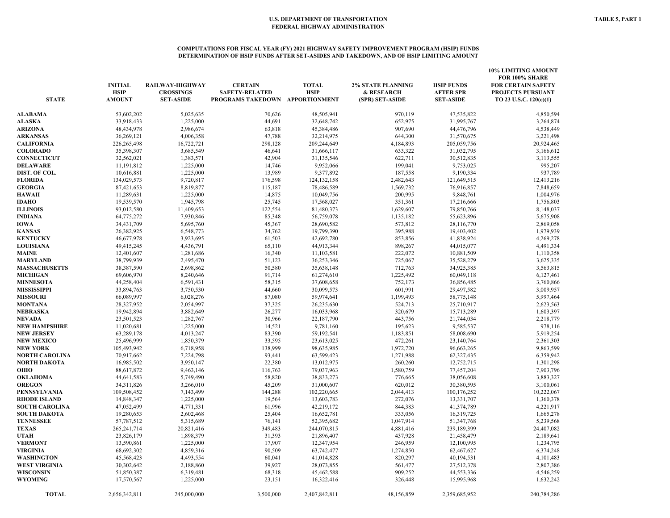#### **COMPUTATIONS FOR FISCAL YEAR (FY) 2021 HIGHWAY SAFETY IMPROVEMENT PROGRAM (HSIP) FUNDS DETERMINATION OF HSIP FUNDS AFTER SET-ASIDES AND TAKEDOWN, AND OF HSIP LIMITING AMOUNT**

| <b>STATE</b>          | <b>INITIAL</b><br><b>HSIP</b><br><b>AMOUNT</b> | RAILWAY-HIGHWAY<br><b>CROSSINGS</b><br><b>SET-ASIDE</b> | <b>CERTAIN</b><br><b>SAFETY-RELATED</b><br>PROGRAMS TAKEDOWN APPORTIONMENT | <b>TOTAL</b><br><b>HSIP</b> | <b>2% STATE PLANNING</b><br>& RESEARCH<br>(SPR) SET-ASIDE | <b>HSIP FUNDS</b><br><b>AFTER SPR</b><br><b>SET-ASIDE</b> | 10% LIMITING AMOUNT<br>FOR 100% SHARE<br><b>FOR CERTAIN SAFETY</b><br><b>PROJECTS PURSUANT</b><br>TO 23 U.S.C. 120(c)(1) |
|-----------------------|------------------------------------------------|---------------------------------------------------------|----------------------------------------------------------------------------|-----------------------------|-----------------------------------------------------------|-----------------------------------------------------------|--------------------------------------------------------------------------------------------------------------------------|
| <b>ALABAMA</b>        | 53,602,202                                     | 5,025,635                                               | 70,626                                                                     | 48,505,941                  | 970,119                                                   | 47,535,822                                                | 4,850,594                                                                                                                |
| ALASKA                | 33,918,433                                     | 1,225,000                                               | 44,691                                                                     | 32,648,742                  | 652,975                                                   | 31,995,767                                                | 3,264,874                                                                                                                |
| <b>ARIZONA</b>        | 48,434,978                                     | 2,986,674                                               | 63,818                                                                     | 45,384,486                  | 907,690                                                   | 44,476,796                                                | 4,538,449                                                                                                                |
| <b>ARKANSAS</b>       | 36,269,121                                     | 4,006,358                                               | 47,788                                                                     | 32,214,975                  | 644,300                                                   | 31,570,675                                                | 3,221,498                                                                                                                |
| <b>CALIFORNIA</b>     | 226,265,498                                    | 16,722,721                                              | 298,128                                                                    | 209,244,649                 | 4,184,893                                                 | 205,059,756                                               | 20,924,465                                                                                                               |
| <b>COLORADO</b>       | 35,398,307                                     | 3,685,549                                               | 46,641                                                                     | 31,666,117                  | 633,322                                                   | 31,032,795                                                | 3,166,612                                                                                                                |
| <b>CONNECTICUT</b>    | 32,562,021                                     | 1,383,571                                               | 42,904                                                                     | 31,135,546                  | 622,711                                                   | 30,512,835                                                | 3,113,555                                                                                                                |
| <b>DELAWARE</b>       | 11,191,812                                     | 1,225,000                                               | 14,746                                                                     | 9,952,066                   | 199,041                                                   | 9,753,025                                                 | 995,207                                                                                                                  |
| DIST. OF COL.         | 10,616,881                                     | 1,225,000                                               | 13,989                                                                     | 9,377,892                   | 187,558                                                   | 9,190,334                                                 | 937,789                                                                                                                  |
| <b>FLORIDA</b>        | 134,029,573                                    | 9,720,817                                               | 176,598                                                                    | 124, 132, 158               | 2,482,643                                                 | 121,649,515                                               | 12,413,216                                                                                                               |
| <b>GEORGIA</b>        | 87,421,653                                     | 8,819,877                                               | 115,187                                                                    | 78,486,589                  | 1,569,732                                                 | 76,916,857                                                | 7,848,659                                                                                                                |
| <b>HAWAII</b>         | 11,289,631                                     | 1,225,000                                               | 14,875                                                                     | 10,049,756                  | 200,995                                                   | 9,848,761                                                 | 1,004,976                                                                                                                |
| <b>IDAHO</b>          | 19,539,570                                     | 1,945,798                                               | 25,745                                                                     | 17,568,027                  | 351,361                                                   | 17,216,666                                                | 1,756,803                                                                                                                |
| <b>ILLINOIS</b>       | 93,012,580                                     | 11,409,653                                              | 122,554                                                                    | 81,480,373                  | 1,629,607                                                 | 79,850,766                                                | 8,148,037                                                                                                                |
| <b>INDIANA</b>        | 64,775,272                                     | 7,930,846                                               | 85,348                                                                     | 56,759,078                  | 1,135,182                                                 | 55,623,896                                                | 5,675,908                                                                                                                |
| <b>IOWA</b>           | 34,431,709                                     | 5,695,760                                               | 45,367                                                                     | 28,690,582                  | 573,812                                                   | 28,116,770                                                | 2,869,058                                                                                                                |
| <b>KANSAS</b>         | 26,382,925                                     | 6,548,773                                               | 34,762                                                                     | 19,799,390                  | 395,988                                                   | 19,403,402                                                | 1,979,939                                                                                                                |
| <b>KENTUCKY</b>       | 46,677,978                                     | 3,923,695                                               | 61,503                                                                     | 42,692,780                  | 853,856                                                   | 41,838,924                                                | 4,269,278                                                                                                                |
| <b>LOUISIANA</b>      | 49,415,245                                     | 4,436,791                                               | 65,110                                                                     | 44,913,344                  | 898,267                                                   | 44,015,077                                                | 4,491,334                                                                                                                |
| <b>MAINE</b>          | 12,401,607                                     | 1,281,686                                               | 16,340                                                                     | 11,103,581                  | 222,072                                                   | 10,881,509                                                | 1,110,358                                                                                                                |
| <b>MARYLAND</b>       | 38,799,939                                     | 2,495,470                                               | 51,123                                                                     | 36,253,346                  | 725,067                                                   | 35,528,279                                                | 3,625,335                                                                                                                |
| <b>MASSACHUSETTS</b>  | 38,387,590                                     | 2,698,862                                               | 50,580                                                                     | 35,638,148                  | 712,763                                                   | 34,925,385                                                | 3,563,815                                                                                                                |
| <b>MICHIGAN</b>       | 69,606,970                                     | 8,240,646                                               | 91,714                                                                     | 61,274,610                  | 1,225,492                                                 | 60,049,118                                                | 6,127,461                                                                                                                |
| <b>MINNESOTA</b>      | 44,258,404                                     | 6,591,431                                               | 58,315                                                                     | 37,608,658                  | 752,173                                                   | 36,856,485                                                | 3,760,866                                                                                                                |
| <b>MISSISSIPPI</b>    | 33,894,763                                     | 3,750,530                                               | 44,660                                                                     | 30,099,573                  | 601,991                                                   | 29,497,582                                                | 3,009,957                                                                                                                |
| <b>MISSOURI</b>       | 66,089,997                                     | 6,028,276                                               | 87,080                                                                     | 59,974,641                  | 1,199,493                                                 | 58,775,148                                                | 5,997,464                                                                                                                |
| <b>MONTANA</b>        | 28,327,952                                     | 2,054,997                                               | 37,325                                                                     | 26,235,630                  | 524,713                                                   | 25,710,917                                                | 2,623,563                                                                                                                |
| <b>NEBRASKA</b>       | 19,942,894                                     | 3,882,649                                               | 26,277                                                                     | 16,033,968                  | 320,679                                                   | 15,713,289                                                | 1,603,397                                                                                                                |
| <b>NEVADA</b>         | 23,501,523                                     | 1,282,767                                               | 30,966                                                                     | 22,187,790                  | 443,756                                                   | 21,744,034                                                | 2,218,779                                                                                                                |
| <b>NEW HAMPSHIRE</b>  | 11,020,681                                     | 1,225,000                                               | 14,521                                                                     | 9,781,160                   | 195,623                                                   | 9,585,537                                                 | 978,116                                                                                                                  |
| <b>NEW JERSEY</b>     | 63,289,178                                     | 4,013,247                                               | 83,390                                                                     | 59,192,541                  | 1,183,851                                                 | 58,008,690                                                | 5,919,254                                                                                                                |
| <b>NEW MEXICO</b>     | 25,496,999                                     | 1,850,379                                               | 33,595                                                                     | 23,613,025                  | 472,261                                                   | 23,140,764                                                | 2,361,303                                                                                                                |
| <b>NEW YORK</b>       | 105,493,942                                    | 6,718,958                                               | 138,999                                                                    | 98,635,985                  | 1,972,720                                                 | 96,663,265                                                | 9,863,599                                                                                                                |
| <b>NORTH CAROLINA</b> | 70,917,662                                     | 7,224,798                                               | 93,441                                                                     | 63,599,423                  | 1,271,988                                                 | 62,327,435                                                | 6,359,942                                                                                                                |
| NORTH DAKOTA          | 16,985,502                                     | 3,950,147                                               | 22,380                                                                     | 13,012,975                  | 260,260                                                   | 12,752,715                                                | 1,301,298                                                                                                                |
| OHIO                  | 88,617,872                                     | 9,463,146                                               | 116,763                                                                    | 79,037,963                  | 1,580,759                                                 | 77,457,204                                                | 7,903,796                                                                                                                |
| <b>OKLAHOMA</b>       | 44,641,583                                     | 5,749,490                                               | 58,820                                                                     | 38,833,273                  | 776,665                                                   | 38,056,608                                                | 3,883,327                                                                                                                |
| <b>OREGON</b>         | 34,311,826                                     | 3,266,010                                               | 45,209                                                                     | 31,000,607                  | 620,012                                                   | 30,380,595                                                | 3,100,061                                                                                                                |
| <b>PENNSYLVANIA</b>   | 109,508,452                                    | 7,143,499                                               | 144,288                                                                    | 102,220,665                 | 2,044,413                                                 | 100,176,252                                               | 10,222,067                                                                                                               |
| <b>RHODE ISLAND</b>   | 14,848,347                                     | 1,225,000                                               | 19,564                                                                     | 13,603,783                  | 272,076                                                   | 13,331,707                                                | 1,360,378                                                                                                                |
| <b>SOUTH CAROLINA</b> | 47,052,499                                     | 4,771,331                                               | 61,996                                                                     | 42,219,172                  | 844,383                                                   | 41,374,789                                                | 4,221,917                                                                                                                |
| <b>SOUTH DAKOTA</b>   | 19,280,653                                     | 2,602,468                                               | 25,404                                                                     | 16,652,781                  | 333,056                                                   | 16,319,725                                                | 1,665,278                                                                                                                |
| <b>TENNESSEE</b>      | 57,787,512                                     | 5,315,689                                               | 76,141                                                                     | 52,395,682                  | 1,047,914                                                 | 51,347,768                                                | 5,239,568                                                                                                                |
| <b>TEXAS</b>          | 265,241,714                                    | 20,821,416                                              | 349,483                                                                    | 244,070,815                 | 4,881,416                                                 | 239,189,399                                               | 24,407,082                                                                                                               |
| <b>UTAH</b>           | 23,826,179                                     | 1,898,379                                               | 31,393                                                                     | 21,896,407                  | 437,928                                                   | 21,458,479                                                | 2,189,641                                                                                                                |
| <b>VERMONT</b>        | 13,590,861                                     | 1,225,000                                               | 17,907                                                                     | 12,347,954                  | 246,959                                                   | 12,100,995                                                | 1,234,795                                                                                                                |
| <b>VIRGINIA</b>       | 68,692,302                                     | 4,859,316                                               | 90,509                                                                     | 63,742,477                  | 1,274,850                                                 | 62,467,627                                                | 6,374,248                                                                                                                |
| <b>WASHINGTON</b>     | 45,568,423                                     | 4,493,554                                               | 60,041                                                                     | 41,014,828                  | 820,297                                                   | 40,194,531                                                | 4,101,483                                                                                                                |
| <b>WEST VIRGINIA</b>  | 30,302,642                                     | 2,188,860                                               | 39,927                                                                     | 28,073,855                  | 561,477                                                   | 27,512,378                                                | 2,807,386                                                                                                                |
| <b>WISCONSIN</b>      | 51,850,387                                     | 6,319,481                                               | 68,318                                                                     | 45,462,588                  | 909,252                                                   | 44,553,336                                                | 4,546,259                                                                                                                |
| <b>WYOMING</b>        | 17,570,567                                     | 1,225,000                                               | 23,151                                                                     | 16,322,416                  | 326,448                                                   | 15,995,968                                                | 1,632,242                                                                                                                |
| <b>TOTAL</b>          | 2,656,342,811                                  | 245,000,000                                             | 3,500,000                                                                  | 2,407,842,811               | 48,156,859                                                | 2,359,685,952                                             | 240,784,286                                                                                                              |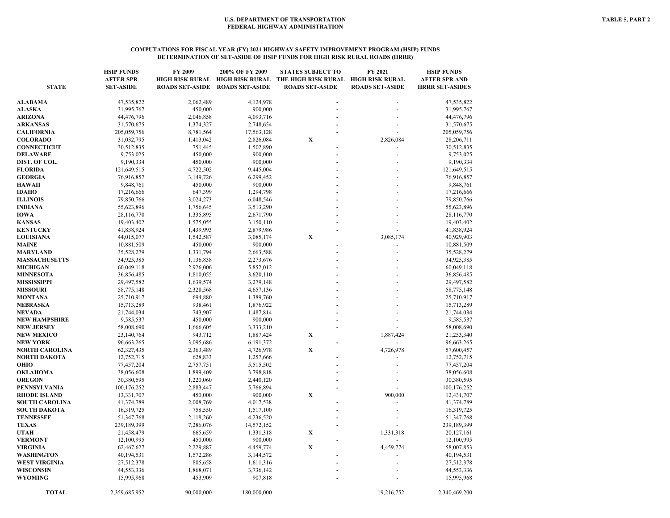#### **COMPUTATIONS FOR FISCAL YEAR (FY) 2021 HIGHWAY SAFETY IMPROVEMENT PROGRAM (HSIP) FUNDS DETERMINATION OF SET-ASIDE OF HSIP FUNDS FOR HIGH RISK RURAL ROADS (HRRR)**

|                       | <b>HSIP FUNDS</b> | FY 2009                | 200% OF FY 2009                 | <b>STATES SUBJECT TO</b>            | FY 2021                | <b>HSIP FUNDS</b>      |
|-----------------------|-------------------|------------------------|---------------------------------|-------------------------------------|------------------------|------------------------|
|                       | <b>AFTER SPR</b>  |                        | HIGH RISK RURAL HIGH RISK RURAL | THE HIGH RISK RURAL HIGH RISK RURAL |                        | <b>AFTER SPR AND</b>   |
| <b>STATE</b>          | <b>SET-ASIDE</b>  | <b>ROADS SET-ASIDE</b> | <b>ROADS SET-ASIDE</b>          | <b>ROADS SET-ASIDE</b>              | <b>ROADS SET-ASIDE</b> | <b>HRRR SET-ASIDES</b> |
|                       |                   |                        |                                 |                                     |                        |                        |
| <b>ALABAMA</b>        | 47,535,822        | 2,062,489              | 4,124,978                       |                                     |                        | 47,535,822             |
| <b>ALASKA</b>         | 31,995,767        | 450,000                | 900,000                         |                                     |                        | 31,995,767             |
| ARIZONA               | 44,476,796        | 2,046,858              | 4,093,716                       |                                     |                        | 44,476,796             |
| <b>ARKANSAS</b>       | 31,570,675        | 1,374,327              | 2,748,654                       |                                     |                        | 31,570,675             |
| <b>CALIFORNIA</b>     | 205,059,756       | 8,781,564              | 17,563,128                      |                                     |                        | 205,059,756            |
| <b>COLORADO</b>       | 31,032,795        | 1,413,042              | 2,826,084                       | X                                   | 2,826,084              | 28,206,711             |
| <b>CONNECTICUT</b>    | 30,512,835        | 751,445                | 1,502,890                       |                                     |                        | 30,512,835             |
| <b>DELAWARE</b>       | 9,753,025         | 450,000                | 900,000                         |                                     |                        | 9,753,025              |
| DIST. OF COL.         | 9,190,334         | 450,000                | 900,000                         |                                     |                        | 9,190,334              |
| <b>FLORIDA</b>        | 121,649,515       | 4,722,502              | 9,445,004                       |                                     |                        | 121,649,515            |
| <b>GEORGIA</b>        | 76,916,857        | 3,149,726              | 6,299,452                       |                                     |                        | 76,916,857             |
| <b>HAWAII</b>         | 9,848,761         | 450,000                | 900,000                         |                                     |                        | 9,848,761              |
| <b>IDAHO</b>          | 17,216,666        | 647,399                | 1,294,798                       |                                     |                        | 17,216,666             |
| <b>ILLINOIS</b>       | 79,850,766        | 3,024,273              | 6,048,546                       |                                     |                        | 79,850,766             |
| <b>INDIANA</b>        | 55,623,896        | 1,756,645              | 3,513,290                       |                                     |                        | 55,623,896             |
| <b>IOWA</b>           | 28,116,770        | 1,335,895              | 2,671,790                       |                                     |                        | 28,116,770             |
| <b>KANSAS</b>         | 19,403,402        | 1,575,055              | 3,150,110                       |                                     |                        | 19,403,402             |
| <b>KENTUCKY</b>       | 41,838,924        | 1,439,993              | 2,879,986                       |                                     |                        | 41,838,924             |
| <b>LOUISIANA</b>      | 44,015,077        | 1,542,587              | 3,085,174                       | X                                   | 3,085,174              | 40,929,903             |
| <b>MAINE</b>          | 10,881,509        | 450,000                | 900,000                         |                                     |                        | 10,881,509             |
| <b>MARYLAND</b>       | 35,528,279        | 1,331,794              | 2,663,588                       |                                     |                        | 35,528,279             |
| <b>MASSACHUSETTS</b>  | 34,925,385        | 1,136,838              | 2,273,676                       |                                     |                        | 34,925,385             |
| <b>MICHIGAN</b>       | 60,049,118        | 2,926,006              | 5,852,012                       |                                     |                        | 60,049,118             |
| <b>MINNESOTA</b>      | 36,856,485        | 1,810,055              | 3,620,110                       |                                     |                        | 36,856,485             |
| <b>MISSISSIPPI</b>    | 29,497,582        | 1,639,574              | 3,279,148                       |                                     |                        | 29,497,582             |
| <b>MISSOURI</b>       | 58,775,148        | 2,328,568              | 4,657,136                       |                                     |                        | 58,775,148             |
| <b>MONTANA</b>        | 25,710,917        | 694,880                | 1,389,760                       |                                     |                        | 25,710,917             |
| <b>NEBRASKA</b>       | 15,713,289        | 938,461                | 1,876,922                       |                                     |                        | 15,713,289             |
| <b>NEVADA</b>         | 21,744,034        | 743,907                | 1,487,814                       |                                     |                        | 21,744,034             |
| <b>NEW HAMPSHIRE</b>  | 9,585,537         | 450,000                | 900,000                         |                                     |                        | 9,585,537              |
| <b>NEW JERSEY</b>     | 58,008,690        | 1,666,605              | 3,333,210                       |                                     |                        | 58,008,690             |
| <b>NEW MEXICO</b>     | 23,140,764        | 943,712                | 1,887,424                       | $\mathbf X$                         | 1,887,424              | 21,253,340             |
| <b>NEW YORK</b>       | 96,663,265        | 3,095,686              | 6, 191, 372                     |                                     |                        | 96,663,265             |
| <b>NORTH CAROLINA</b> | 62,327,435        | 2,363,489              | 4,726,978                       | $\mathbf X$                         | 4,726,978              | 57,600,457             |
| <b>NORTH DAKOTA</b>   |                   |                        |                                 |                                     |                        |                        |
|                       | 12,752,715        | 628,833                | 1,257,666                       |                                     |                        | 12,752,715             |
| OHIO                  | 77,457,204        | 2,757,751              | 5,515,502                       |                                     |                        | 77,457,204             |
| <b>OKLAHOMA</b>       | 38,056,608        | 1,899,409              | 3,798,818                       |                                     |                        | 38,056,608             |
| <b>OREGON</b>         | 30,380,595        | 1,220,060              | 2,440,120                       |                                     |                        | 30,380,595             |
| <b>PENNSYLVANIA</b>   | 100,176,252       | 2,883,447              | 5,766,894                       |                                     |                        | 100,176,252            |
| <b>RHODE ISLAND</b>   | 13,331,707        | 450,000                | 900,000                         | $\mathbf X$                         | 900,000                | 12,431,707             |
| <b>SOUTH CAROLINA</b> | 41,374,789        | 2,008,769              | 4,017,538                       |                                     |                        | 41,374,789             |
| <b>SOUTH DAKOTA</b>   | 16,319,725        | 758,550                | 1,517,100                       |                                     |                        | 16,319,725             |
| <b>TENNESSEE</b>      | 51,347,768        | 2,118,260              | 4,236,520                       |                                     |                        | 51,347,768             |
| <b>TEXAS</b>          | 239,189,399       | 7,286,076              | 14,572,152                      |                                     |                        | 239,189,399            |
| <b>UTAH</b>           | 21,458,479        | 665,659                | 1,331,318                       | X                                   | 1,331,318              | 20,127,161             |
| <b>VERMONT</b>        | 12,100,995        | 450,000                | 900,000                         |                                     |                        | 12,100,995             |
| <b>VIRGINIA</b>       | 62,467,627        | 2,229,887              | 4,459,774                       | $\mathbf X$                         | 4,459,774              | 58,007,853             |
| WASHINGTON            | 40,194,531        | 1,572,286              | 3,144,572                       |                                     |                        | 40,194,531             |
| <b>WEST VIRGINIA</b>  | 27,512,378        | 805,658                | 1,611,316                       |                                     |                        | 27,512,378             |
| <b>WISCONSIN</b>      | 44,553,336        | 1,868,071              | 3,736,142                       |                                     |                        | 44,553,336             |
| <b>WYOMING</b>        | 15,995,968        | 453,909                | 907,818                         |                                     |                        | 15,995,968             |
| <b>TOTAL</b>          | 2,359,685,952     | 90,000,000             | 180,000,000                     |                                     | 19,216,752             | 2,340,469,200          |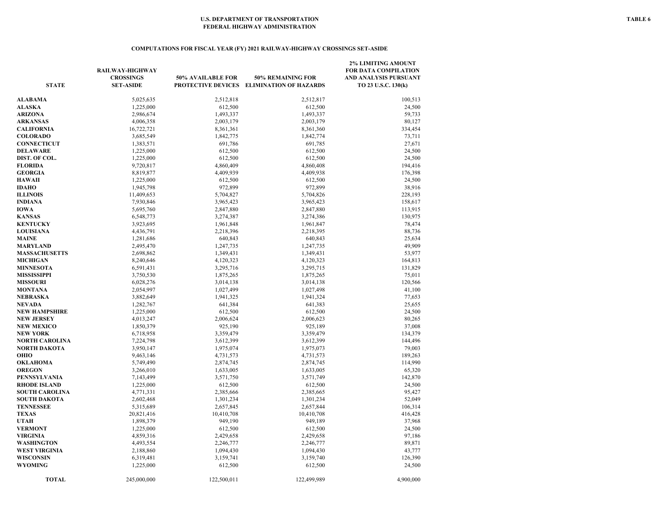#### **COMPUTATIONS FOR FISCAL YEAR (FY) 2021 RAILWAY-HIGHWAY CROSSINGS SET-ASIDE**

| <b>STATE</b>               | RAILWAY-HIGHWAY<br><b>CROSSINGS</b><br><b>SET-ASIDE</b> | 50% AVAILABLE FOR<br>PROTECTIVE DEVICES | 50% REMAINING FOR<br><b>ELIMINATION OF HAZARDS</b> | <b>2% LIMITING AMOUNT</b><br><b>FOR DATA COMPILATION</b><br>AND ANALYSIS PURSUANT<br>TO 23 U.S.C. 130(k) |
|----------------------------|---------------------------------------------------------|-----------------------------------------|----------------------------------------------------|----------------------------------------------------------------------------------------------------------|
| ALABAMA                    | 5,025,635                                               | 2,512,818                               | 2,512,817                                          | 100,513                                                                                                  |
| <b>ALASKA</b>              | 1,225,000                                               | 612,500                                 | 612,500                                            | 24,500                                                                                                   |
| ARIZONA                    | 2,986,674                                               | 1,493,337                               | 1,493,337                                          | 59,733                                                                                                   |
| <b>ARKANSAS</b>            | 4,006,358                                               | 2,003,179                               | 2,003,179                                          | 80,127                                                                                                   |
| CALIFORNIA                 | 16,722,721                                              | 8,361,361                               | 8,361,360                                          | 334,454                                                                                                  |
| <b>COLORADO</b>            | 3,685,549                                               | 1,842,775                               | 1,842,774                                          | 73,711                                                                                                   |
| <b>CONNECTICUT</b>         | 1,383,571                                               | 691,786                                 | 691,785                                            | 27,671                                                                                                   |
| <b>DELAWARE</b>            | 1,225,000                                               | 612,500                                 | 612,500                                            | 24,500                                                                                                   |
| DIST. OF COL.              | 1,225,000                                               | 612,500                                 | 612,500                                            | 24,500                                                                                                   |
| <b>FLORIDA</b>             | 9,720,817                                               | 4,860,409                               | 4,860,408                                          | 194,416                                                                                                  |
| <b>GEORGIA</b>             | 8,819,877                                               | 4,409,939                               | 4,409,938                                          | 176,398                                                                                                  |
| <b>HAWAII</b>              | 1,225,000                                               | 612,500                                 | 612,500                                            | 24,500                                                                                                   |
| IDAHO                      | 1,945,798                                               | 972,899                                 | 972,899                                            | 38,916                                                                                                   |
| <b>ILLINOIS</b>            | 11,409,653                                              | 5,704,827                               | 5,704,826                                          | 228,193                                                                                                  |
| INDIANA                    | 7,930,846                                               | 3,965,423                               | 3,965,423                                          | 158,617                                                                                                  |
| IOWA                       | 5,695,760                                               | 2,847,880                               | 2,847,880                                          | 113,915                                                                                                  |
| KANSAS                     | 6,548,773                                               | 3,274,387                               | 3,274,386                                          | 130,975                                                                                                  |
| <b>KENTUCKY</b>            | 3,923,695                                               | 1,961,848                               | 1,961,847                                          | 78,474                                                                                                   |
| <b>LOUISIANA</b>           | 4,436,791                                               | 2,218,396                               | 2,218,395                                          | 88,736                                                                                                   |
| <b>MAINE</b>               | 1,281,686                                               | 640,843                                 | 640,843                                            | 25,634                                                                                                   |
| MARYLAND                   | 2,495,470                                               | 1,247,735                               | 1,247,735                                          | 49,909                                                                                                   |
| <b>MASSACHUSETTS</b>       | 2,698,862                                               | 1,349,431                               | 1,349,431                                          | 53,977                                                                                                   |
| <b>MICHIGAN</b>            | 8,240,646                                               | 4,120,323                               | 4,120,323                                          | 164,813                                                                                                  |
| <b>MINNESOTA</b>           | 6,591,431                                               | 3,295,716                               | 3,295,715                                          | 131,829                                                                                                  |
| MISSISSIPPI                | 3,750,530                                               | 1,875,265                               | 1,875,265                                          | 75,011                                                                                                   |
| <b>MISSOURI</b>            | 6,028,276                                               | 3,014,138                               | 3,014,138                                          | 120,566                                                                                                  |
| MONTANA                    | 2,054,997                                               | 1,027,499                               | 1,027,498                                          | 41,100                                                                                                   |
| NEBRASKA                   | 3,882,649                                               | 1,941,325                               | 1,941,324                                          | 77,653                                                                                                   |
| NEVADA                     | 1,282,767                                               | 641,384                                 | 641,383                                            | 25,655                                                                                                   |
| NEW HAMPSHIRE              | 1,225,000                                               | 612,500                                 | 612,500                                            | 24,500                                                                                                   |
| <b>NEW JERSEY</b>          | 4,013,247                                               | 2,006,624                               | 2,006,623                                          | 80,265                                                                                                   |
| <b>NEW MEXICO</b>          | 1,850,379                                               | 925,190                                 | 925,189                                            | 37,008                                                                                                   |
| NEW YORK                   | 6,718,958                                               | 3,359,479                               | 3,359,479                                          | 134,379                                                                                                  |
| NORTH CAROLINA             | 7,224,798                                               | 3,612,399                               | 3,612,399                                          | 144,496                                                                                                  |
| NORTH DAKOTA               | 3,950,147                                               | 1,975,074                               | 1,975,073                                          | 79,003                                                                                                   |
| OHIO                       | 9,463,146                                               | 4,731,573                               | 4,731,573                                          | 189,263                                                                                                  |
| OKLAHOMA                   | 5,749,490                                               | 2,874,745                               | 2,874,745                                          | 114,990                                                                                                  |
| OREGON                     | 3,266,010                                               | 1,633,005                               | 1,633,005                                          | 65,320                                                                                                   |
| PENNSYLVANIA               | 7,143,499                                               | 3,571,750                               | 3,571,749                                          | 142,870                                                                                                  |
| <b>RHODE ISLAND</b>        | 1,225,000                                               | 612,500                                 | 612,500                                            | 24,500                                                                                                   |
| <b>SOUTH CAROLINA</b>      | 4,771,331                                               | 2,385,666                               | 2,385,665                                          | 95,427                                                                                                   |
| SOUTH DAKOTA               | 2,602,468                                               | 1,301,234                               | 1,301,234                                          | 52,049                                                                                                   |
| TENNESSEE                  | 5,315,689                                               | 2,657,845                               | 2,657,844                                          | 106,314                                                                                                  |
| <b>TEXAS</b>               | 20,821,416                                              | 10,410,708                              | 10,410,708                                         | 416,428                                                                                                  |
| UTAH                       | 1,898,379                                               | 949,190                                 | 949,189                                            | 37,968                                                                                                   |
| <b>VERMONT</b>             | 1,225,000                                               | 612,500                                 | 612,500                                            | 24,500                                                                                                   |
| VIRGINIA                   | 4,859,316                                               | 2,429,658                               | 2,429,658                                          | 97,186                                                                                                   |
| WASHINGTON                 | 4,493,554                                               | 2,246,777                               | 2,246,777                                          | 89,871                                                                                                   |
| WEST VIRGINIA<br>WISCONSIN | 2,188,860                                               | 1,094,430                               | 1,094,430                                          | 43,777                                                                                                   |
| WYOMING                    | 6,319,481<br>1,225,000                                  | 3,159,741<br>612,500                    | 3,159,740<br>612,500                               | 126,390<br>24,500                                                                                        |
|                            |                                                         |                                         |                                                    |                                                                                                          |
| <b>TOTAL</b>               | 245,000,000                                             | 122,500,011                             | 122,499,989                                        | 4,900,000                                                                                                |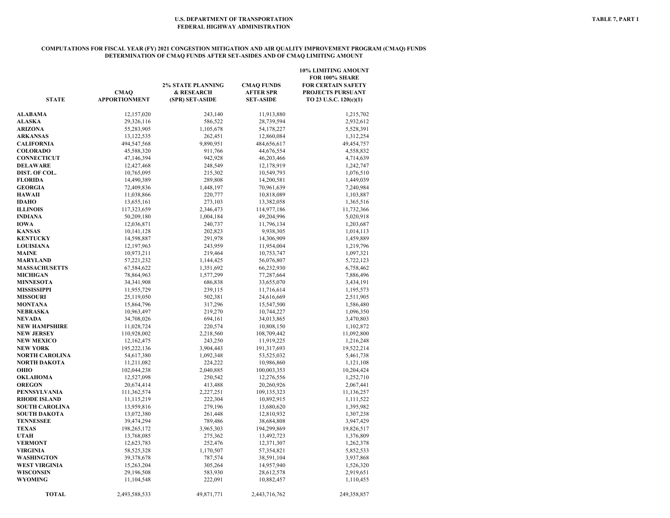#### **COMPUTATIONS FOR FISCAL YEAR (FY) 2021 CONGESTION MITIGATION AND AIR QUALITY IMPROVEMENT PROGRAM (CMAQ) FUNDS DETERMINATION OF CMAQ FUNDS AFTER SET-ASIDES AND OF CMAQ LIMITING AMOUNT**

| <b>STATE</b>          | <b>CMAQ</b><br><b>APPORTIONMENT</b> | <b>2% STATE PLANNING</b><br>& RESEARCH<br>(SPR) SET-ASIDE | <b>CMAQ FUNDS</b><br>AFTER SPR<br><b>SET-ASIDE</b> | <b>10% LIMITING AMOUNT</b><br>FOR 100% SHARE<br><b>FOR CERTAIN SAFETY</b><br><b>PROJECTS PURSUANT</b><br>TO 23 U.S.C. 120(c)(1) |
|-----------------------|-------------------------------------|-----------------------------------------------------------|----------------------------------------------------|---------------------------------------------------------------------------------------------------------------------------------|
| <b>ALABAMA</b>        | 12,157,020                          | 243,140                                                   | 11,913,880                                         | 1,215,702                                                                                                                       |
| <b>ALASKA</b>         | 29,326,116                          | 586,522                                                   | 28,739,594                                         | 2,932,612                                                                                                                       |
| ARIZONA               | 55,283,905                          | 1,105,678                                                 | 54,178,227                                         | 5,528,391                                                                                                                       |
| <b>ARKANSAS</b>       | 13,122,535                          | 262,451                                                   | 12,860,084                                         | 1,312,254                                                                                                                       |
| <b>CALIFORNIA</b>     | 494,547,568                         | 9,890,951                                                 | 484,656,617                                        | 49,454,757                                                                                                                      |
| <b>COLORADO</b>       | 45,588,320                          | 911,766                                                   | 44,676,554                                         | 4,558,832                                                                                                                       |
| <b>CONNECTICUT</b>    | 47,146,394                          | 942,928                                                   | 46,203,466                                         | 4,714,639                                                                                                                       |
| <b>DELAWARE</b>       | 12,427,468                          | 248,549                                                   | 12,178,919                                         | 1,242,747                                                                                                                       |
| DIST. OF COL.         | 10,765,095                          | 215,302                                                   | 10,549,793                                         | 1,076,510                                                                                                                       |
| <b>FLORIDA</b>        | 14,490,389                          | 289,808                                                   | 14,200,581                                         | 1,449,039                                                                                                                       |
| <b>GEORGIA</b>        | 72,409,836                          | 1,448,197                                                 | 70,961,639                                         | 7,240,984                                                                                                                       |
| <b>HAWAII</b>         | 11,038,866                          | 220,777                                                   | 10,818,089                                         | 1,103,887                                                                                                                       |
| IDAHO                 | 13,655,161                          | 273,103                                                   | 13,382,058                                         | 1,365,516                                                                                                                       |
| ILLINOIS              | 117,323,659                         | 2,346,473                                                 | 114,977,186                                        | 11,732,366                                                                                                                      |
| INDIANA               | 50,209,180                          | 1,004,184                                                 | 49,204,996                                         | 5,020,918                                                                                                                       |
| IOWA                  | 12,036,871                          | 240,737                                                   | 11,796,134                                         | 1,203,687                                                                                                                       |
| <b>KANSAS</b>         | 10,141,128                          | 202,823                                                   | 9,938,305                                          | 1,014,113                                                                                                                       |
| <b>KENTUCKY</b>       | 14,598,887                          | 291,978                                                   | 14,306,909                                         | 1,459,889                                                                                                                       |
| <b>LOUISIANA</b>      | 12,197,963                          | 243,959                                                   | 11,954,004                                         | 1,219,796                                                                                                                       |
| <b>MAINE</b>          | 10,973,211                          | 219,464                                                   | 10,753,747                                         | 1,097,321                                                                                                                       |
| MARYLAND              | 57,221,232                          | 1,144,425                                                 | 56,076,807                                         | 5,722,123                                                                                                                       |
| <b>MASSACHUSETTS</b>  | 67,584,622                          | 1,351,692                                                 | 66,232,930                                         | 6,758,462                                                                                                                       |
| <b>MICHIGAN</b>       | 78,864,963                          | 1,577,299                                                 | 77,287,664                                         | 7,886,496                                                                                                                       |
| <b>MINNESOTA</b>      | 34,341,908                          | 686,838                                                   | 33,655,070                                         | 3,434,191                                                                                                                       |
| MISSISSIPPI           | 11,955,729                          | 239,115                                                   | 11,716,614                                         | 1,195,573                                                                                                                       |
| <b>MISSOURI</b>       | 25,119,050                          | 502,381                                                   | 24,616,669                                         | 2,511,905                                                                                                                       |
| MONTANA               | 15,864,796                          | 317,296                                                   | 15,547,500                                         | 1,586,480                                                                                                                       |
| NEBRASKA              | 10,963,497                          | 219,270                                                   | 10,744,227                                         | 1,096,350                                                                                                                       |
| NEVADA                | 34,708,026                          | 694,161                                                   | 34,013,865                                         | 3,470,803                                                                                                                       |
| NEW HAMPSHIRE         | 11,028,724                          | 220,574                                                   | 10,808,150                                         | 1,102,872                                                                                                                       |
| NEW JERSEY            | 110,928,002                         | 2,218,560                                                 | 108,709,442                                        | 11,092,800                                                                                                                      |
| <b>NEW MEXICO</b>     | 12,162,475                          | 243,250                                                   | 11,919,225                                         | 1,216,248                                                                                                                       |
| NEW YORK              | 195,222,136                         | 3,904,443                                                 | 191,317,693                                        | 19,522,214                                                                                                                      |
| NORTH CAROLINA        | 54,617,380                          | 1,092,348                                                 | 53,525,032                                         | 5,461,738                                                                                                                       |
| NORTH DAKOTA          | 11,211,082                          | 224,222                                                   | 10,986,860                                         | 1,121,108                                                                                                                       |
| OHIO                  | 102,044,238                         | 2,040,885                                                 | 100,003,353                                        | 10,204,424                                                                                                                      |
| OKLAHOMA              | 12,527,098                          | 250,542                                                   | 12,276,556                                         | 1,252,710                                                                                                                       |
| OREGON                | 20,674,414                          | 413,488                                                   | 20,260,926                                         | 2,067,441                                                                                                                       |
| PENNSYLVANIA          | 111,362,574                         | 2,227,251                                                 | 109, 135, 323                                      | 11,136,257                                                                                                                      |
| <b>RHODE ISLAND</b>   | 11,115,219                          | 222,304                                                   | 10,892,915                                         | 1,111,522                                                                                                                       |
| <b>SOUTH CAROLINA</b> | 13,959,816                          | 279,196                                                   | 13,680,620                                         | 1,395,982                                                                                                                       |
| SOUTH DAKOTA          | 13,072,380                          | 261,448                                                   | 12,810,932                                         | 1,307,238                                                                                                                       |
| <b>TENNESSEE</b>      | 39,474,294                          | 789,486                                                   | 38,684,808                                         | 3,947,429                                                                                                                       |
| <b>TEXAS</b>          | 198,265,172                         | 3,965,303                                                 | 194,299,869                                        | 19,826,517                                                                                                                      |
| UTAH                  | 13,768,085                          | 275,362                                                   | 13,492,723                                         | 1,376,809                                                                                                                       |
| <b>VERMONT</b>        | 12,623,783                          | 252,476                                                   | 12,371,307                                         | 1,262,378                                                                                                                       |
| VIRGINIA              | 58,525,328                          | 1,170,507                                                 | 57,354,821                                         | 5,852,533                                                                                                                       |
| WASHINGTON            | 39,378,678                          | 787,574                                                   | 38,591,104                                         | 3,937,868                                                                                                                       |
| WEST VIRGINIA         | 15,263,204                          | 305,264                                                   | 14,957,940                                         | 1,526,320                                                                                                                       |
| WISCONSIN             | 29,196,508                          | 583,930                                                   | 28,612,578                                         | 2,919,651                                                                                                                       |
| WYOMING               | 11,104,548                          | 222,091                                                   | 10,882,457                                         | 1,110,455                                                                                                                       |
| <b>TOTAL</b>          | 2,493,588,533                       | 49,871,771                                                | 2,443,716,762                                      | 249,358,857                                                                                                                     |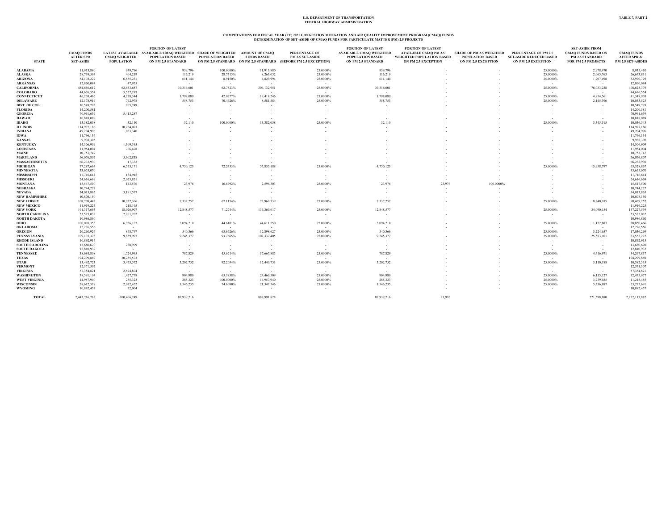### **COMPUTATIONS FOR FISCAL YEAR (FY) 2021 CONGESTION MITIGATION AND AIR QUALITY IMPROVEMENT PROGRAM (CMAQ) FUNDS DETERMINATION OF SET-ASIDE OF CMAQ FUNDS FOR PARTICULATE MATTER (PM) 2.5 PROJECTS**

| <b>STATE</b>          | <b>CMAQ FUNDS</b><br><b>AFTER SPR</b><br><b>SET-ASIDE</b> | <b>CMAQ WEIGHTED</b><br><b>POPULATION</b> | <b>PORTION OF LATEST</b><br>LATEST AVAILABLE AVAILABLE CMAQ WEIGHTED SHARE OF WEIGHTED<br><b>POPULATION BASED</b><br>ON PM 2.5 STANDARD | <b>POPULATION BASED</b> | <b>AMOUNT OF CMAQ</b><br><b>FUNDS BASED</b> | PERCENTAGE OF<br>PM 2.5 SET-ASIDE<br>ON PM 2.5 STANDARD ON PM 2.5 STANDARD (BEFORE PM 2.5 EXCEPTION) | <b>PORTION OF LATEST</b><br><b>AVAILABLE CMAQ WEIGHTED</b><br>POPULATION BASED<br>ON PM 2.5 STANDARD | <b>PORTION OF LATEST</b><br><b>AVAILABLE CMAQ PM 2.5</b><br>WEIGHTED POPULATION BASED<br>ON PM 2.5 EXCEPTION | <b>SHARE OF PM 2.5 WEIGHTED</b><br><b>POPULATION BASED</b><br>ON PM 2.5 EXCEPTION | PERCENTAGE OF PM 2.5<br><b>SET-ASIDE REDUCED BASED</b><br><b>ON PM 2.5 EXCEPTION</b> | <b>SET-ASIDE FROM</b><br><b>CMAQ FUNDS BASED ON</b><br><b>PM 2.5 STANDARD</b><br>FOR PM 2.5 PROJECTS | <b>CMAQ FUNDS</b><br><b>AFTER SPR &amp;</b><br>PM 2.5 SET-ASIDES |
|-----------------------|-----------------------------------------------------------|-------------------------------------------|-----------------------------------------------------------------------------------------------------------------------------------------|-------------------------|---------------------------------------------|------------------------------------------------------------------------------------------------------|------------------------------------------------------------------------------------------------------|--------------------------------------------------------------------------------------------------------------|-----------------------------------------------------------------------------------|--------------------------------------------------------------------------------------|------------------------------------------------------------------------------------------------------|------------------------------------------------------------------|
| <b>ALABAMA</b>        | 11,913,880                                                | 939,796                                   | 939,796                                                                                                                                 | 100.0000%               | 11.913.880                                  | 25.0000%                                                                                             | 939,796                                                                                              |                                                                                                              |                                                                                   | 25.0000%                                                                             | 2,978,470                                                                                            | 8.935,410                                                        |
| <b>ALASKA</b>         | 28,739,594                                                | 404,219                                   | 116,219                                                                                                                                 | 28.7515%                | 8,263,052                                   | 25.0000%                                                                                             | 116,219                                                                                              |                                                                                                              |                                                                                   | 25.0000%                                                                             | 2,065,763                                                                                            | 26,673,831                                                       |
| <b>ARIZONA</b>        | 54,178,227                                                | 6,855,231                                 | 611,144                                                                                                                                 | 8.9150%                 | 4,829,994                                   | 25.0000%                                                                                             | 611,144                                                                                              |                                                                                                              |                                                                                   | 25.0000%                                                                             | 1,207,498                                                                                            | 52,970,729                                                       |
| <b>ARKANSAS</b>       | 12,860,084                                                | 47,955                                    |                                                                                                                                         | $\sim$                  |                                             |                                                                                                      |                                                                                                      |                                                                                                              |                                                                                   | $\sim$                                                                               | $\sim$                                                                                               | 12,860,084                                                       |
| <b>CALIFORNIA</b>     | 484,656,617                                               | 62,653,687                                | 39,316,601                                                                                                                              | 62.7523%                | 304,132,951                                 | 25.0000%                                                                                             | 39,316,601                                                                                           |                                                                                                              |                                                                                   | 25.0000%                                                                             | 76,033,238                                                                                           | 408.623.379                                                      |
| <b>COLORADO</b>       | 44,676,554                                                | 5,557,287                                 |                                                                                                                                         |                         | $\sim$                                      |                                                                                                      | $\sim$                                                                                               |                                                                                                              |                                                                                   |                                                                                      |                                                                                                      | 44,676,554                                                       |
| <b>CONNECTICUT</b>    | 46,203,466                                                | 4,278,344                                 | 1,798,089                                                                                                                               | 42.0277%                | 19,418,246                                  | 25.0000%                                                                                             | 1,798,089                                                                                            |                                                                                                              |                                                                                   | 25.0000%                                                                             | 4,854,561                                                                                            | 41,348,905                                                       |
| <b>DELAWARE</b>       | 12,178,919                                                | 792,978                                   | 558,753                                                                                                                                 | 70.4626%                | 8,581,584                                   | 25.0000%                                                                                             | 558,753                                                                                              |                                                                                                              |                                                                                   | 25.0000%                                                                             | 2,145,396                                                                                            | 10,033,523                                                       |
| DIST. OF COL.         | 10,549,793                                                | 705,749                                   | $\sim$                                                                                                                                  |                         |                                             |                                                                                                      |                                                                                                      |                                                                                                              |                                                                                   | . –                                                                                  |                                                                                                      | 10,549,793                                                       |
| <b>FLORIDA</b>        | 14,200,581                                                | $\sim$                                    | ٠                                                                                                                                       |                         | - 1                                         |                                                                                                      |                                                                                                      |                                                                                                              |                                                                                   |                                                                                      | $\sim$                                                                                               | 14,200,581                                                       |
| <b>GEORGIA</b>        | 70,961,639                                                | 5,413,287                                 | $\sim$                                                                                                                                  |                         |                                             |                                                                                                      |                                                                                                      |                                                                                                              |                                                                                   |                                                                                      | $\sim$                                                                                               | 70,961,639                                                       |
| <b>HAWAII</b>         | 10,818,089                                                | $\sim$                                    |                                                                                                                                         |                         |                                             |                                                                                                      |                                                                                                      |                                                                                                              |                                                                                   |                                                                                      |                                                                                                      | 10,818,089                                                       |
| <b>IDAHO</b>          | 13,382,058                                                | 32,110                                    | 32,110                                                                                                                                  | 100.0000%               | 13,382,058                                  | 25.0000%                                                                                             | 32,110                                                                                               |                                                                                                              |                                                                                   | 25.0000%                                                                             | 3,345,515                                                                                            | 10,036,543                                                       |
| <b>ILLINOIS</b>       | 114,977,186                                               | 10,734,073                                |                                                                                                                                         |                         |                                             |                                                                                                      |                                                                                                      |                                                                                                              |                                                                                   |                                                                                      |                                                                                                      | 114,977,186                                                      |
| <b>INDIANA</b>        | 49,204,996                                                | 1,033,340                                 |                                                                                                                                         |                         |                                             |                                                                                                      |                                                                                                      |                                                                                                              |                                                                                   |                                                                                      |                                                                                                      | 49,204,996                                                       |
| <b>IOWA</b>           | 11,796,134                                                | - 4                                       |                                                                                                                                         |                         |                                             |                                                                                                      |                                                                                                      |                                                                                                              |                                                                                   |                                                                                      |                                                                                                      | 11,796,134                                                       |
| <b>KANSAS</b>         | 9,938,305                                                 | $\sim$                                    |                                                                                                                                         |                         |                                             |                                                                                                      |                                                                                                      |                                                                                                              |                                                                                   |                                                                                      |                                                                                                      | 9,938,305                                                        |
| <b>KENTUCKY</b>       | 14,306,909                                                | 1,309,395                                 |                                                                                                                                         |                         |                                             |                                                                                                      |                                                                                                      |                                                                                                              |                                                                                   |                                                                                      |                                                                                                      | 14,306,909                                                       |
| <b>LOUISIANA</b>      | 11,954,004                                                | 766,428                                   |                                                                                                                                         |                         |                                             |                                                                                                      |                                                                                                      |                                                                                                              |                                                                                   |                                                                                      |                                                                                                      | 11,954,004                                                       |
| MAINE                 | 10,753,747                                                | - 20                                      |                                                                                                                                         |                         |                                             |                                                                                                      |                                                                                                      |                                                                                                              |                                                                                   |                                                                                      |                                                                                                      | 10,753,747                                                       |
| <b>MARYLAND</b>       | 56,076,807                                                | 5,602,838                                 |                                                                                                                                         |                         |                                             |                                                                                                      |                                                                                                      |                                                                                                              |                                                                                   |                                                                                      |                                                                                                      | 56,076,807                                                       |
| <b>MASSACHUSETTS</b>  | 66,232,930                                                | 17,332                                    |                                                                                                                                         |                         |                                             |                                                                                                      |                                                                                                      |                                                                                                              |                                                                                   |                                                                                      |                                                                                                      | 66,232,930                                                       |
| <b>MICHIGAN</b>       | 77,287,664                                                | 6,575,171                                 | 4,750,123                                                                                                                               | 72.2433%                | 55,835,188                                  | 25.0000%                                                                                             | 4,750,123                                                                                            |                                                                                                              |                                                                                   | 25.0000%                                                                             | 13,958,797                                                                                           | 63,328,867                                                       |
| <b>MINNESOTA</b>      | 33,655,070                                                | $\sim 10^{-1}$                            | $\sim$                                                                                                                                  |                         | $\sim$                                      |                                                                                                      |                                                                                                      |                                                                                                              |                                                                                   |                                                                                      |                                                                                                      | 33,655,070                                                       |
| MISSISSIPPI           | 11,716,614                                                | 184,945                                   | $\sim$                                                                                                                                  | $\sim$                  | $\sim$                                      | $\sim$                                                                                               |                                                                                                      |                                                                                                              |                                                                                   |                                                                                      |                                                                                                      | 11,716,614                                                       |
| <b>MISSOURI</b>       | 24,616,669                                                | 2,025,851                                 | <b>.</b>                                                                                                                                | $\sim$                  |                                             |                                                                                                      | $\sim$                                                                                               |                                                                                                              |                                                                                   |                                                                                      |                                                                                                      | 24,616,669                                                       |
| <b>MONTANA</b>        | 15,547,500                                                | 143,576                                   | 23,976                                                                                                                                  | 16.6992%                | 2,596,303                                   | 25.0000%                                                                                             | 23,976                                                                                               | 23,976                                                                                                       | 100,0000%                                                                         |                                                                                      |                                                                                                      | 15,547,500                                                       |
| <b>NEBRASKA</b>       | 10,744,227                                                | $\sim$                                    | - 20                                                                                                                                    | $\sim$                  | - 20                                        |                                                                                                      |                                                                                                      |                                                                                                              |                                                                                   |                                                                                      |                                                                                                      | 10,744,227                                                       |
| NEVADA                | 34,013,865                                                | 3,191,577                                 | $\sim$                                                                                                                                  | $\sim$                  | - 1                                         | $\sim$                                                                                               |                                                                                                      |                                                                                                              |                                                                                   |                                                                                      | $\sim$                                                                                               | 34,013,865                                                       |
| <b>NEW HAMPSHIRE</b>  | 10,808,150                                                | $\sim$                                    |                                                                                                                                         |                         |                                             |                                                                                                      |                                                                                                      |                                                                                                              |                                                                                   |                                                                                      |                                                                                                      | 10,808,150                                                       |
| <b>NEW JERSEY</b>     | 108,709,442                                               | 10.932.306                                | 7,337,257                                                                                                                               | 67.1154%                | 72,960,739                                  | 25.0000%                                                                                             | 7,337,257                                                                                            |                                                                                                              |                                                                                   | 25.0000%                                                                             | 18,240,185                                                                                           | 90,469,257                                                       |
| <b>NEW MEXICO</b>     | 11,919,225                                                | 218,195                                   | - 20                                                                                                                                    | $\sim$                  | $\sim$                                      | $\sim$                                                                                               |                                                                                                      |                                                                                                              |                                                                                   | . –                                                                                  | $\sim$                                                                                               | 11,919,225                                                       |
| <b>NEW YORK</b>       | 191,317,693                                               | 18,026,907                                | 12,848,577                                                                                                                              | 71.2744%                | 136,360,617                                 | 25.0000%                                                                                             | 12,848,577                                                                                           |                                                                                                              |                                                                                   | 25.0000%                                                                             | 34,090,154                                                                                           | 157,227,539                                                      |
| <b>NORTH CAROLINA</b> | 53,525,032                                                | 2,201,202                                 | $\sim$                                                                                                                                  | $\sim$                  | $\sim$                                      | $\sim$                                                                                               | - 1                                                                                                  |                                                                                                              |                                                                                   | $\sim$                                                                               | $\sim$                                                                                               | 53,525,032                                                       |
| <b>NORTH DAKOTA</b>   | 10,986,860                                                | $\sim$                                    | $\sim$                                                                                                                                  | $\sim$                  | $\sim$                                      |                                                                                                      | $\sim$                                                                                               |                                                                                                              |                                                                                   | $\sim$                                                                               | $\sim$                                                                                               | 10,986,860                                                       |
| ОНЮ                   | 100,003,353                                               | 6,936,127                                 | 3,094,210                                                                                                                               | 44.6101%                | 44,611,550                                  | 25.0000%                                                                                             | 3,094,210                                                                                            |                                                                                                              |                                                                                   | 25.0000%                                                                             | 11,152,887                                                                                           | 88,850,466                                                       |
| OKLAHOMA              | 12,276,556                                                | $\sim$                                    | - 20                                                                                                                                    | $\sim$                  |                                             |                                                                                                      | $\sim$                                                                                               |                                                                                                              |                                                                                   | $\sim$                                                                               | - 20                                                                                                 | 12,276,556                                                       |
| <b>OREGON</b>         | 20,260,926                                                | 848,797                                   | 540,366                                                                                                                                 | 63.6626%                | 12,898,627                                  | 25.0000%                                                                                             | 540,366                                                                                              |                                                                                                              |                                                                                   | 25.0000%                                                                             | 3.224.657                                                                                            | 17,036,269                                                       |
| PENNSYLVANIA          | 109,135,323                                               | 9,859,997                                 | 9,245,377                                                                                                                               | 93.7665%                | 102,332,405                                 | 25.0000%                                                                                             | 9,245,377                                                                                            |                                                                                                              |                                                                                   | 25.0000%                                                                             | 25,583,101                                                                                           | 83,552,222                                                       |
| <b>RHODE ISLAND</b>   | 10,892,915                                                | $\sim$                                    |                                                                                                                                         |                         |                                             |                                                                                                      |                                                                                                      |                                                                                                              |                                                                                   | $\sim$                                                                               |                                                                                                      | 10,892,915                                                       |
| <b>SOUTH CAROLINA</b> | 13,680,620                                                | 280,979                                   | $\sim$                                                                                                                                  | $\sim$                  | $\sim$                                      | $\sim$                                                                                               | - 4                                                                                                  |                                                                                                              |                                                                                   | <b>COL</b>                                                                           | $\sim$                                                                                               | 13,680,620                                                       |
| <b>SOUTH DAKOTA</b>   | 12,810,932                                                |                                           |                                                                                                                                         |                         |                                             |                                                                                                      |                                                                                                      |                                                                                                              |                                                                                   |                                                                                      |                                                                                                      | 12,810,932                                                       |
| <b>TENNESSEE</b>      | 38,684,808                                                | 1,724,995                                 | 787,829                                                                                                                                 | 45.6714%                | 17,667,885                                  | 25.0000%                                                                                             | 787,829                                                                                              |                                                                                                              |                                                                                   | 25.0000%                                                                             | 4,416,971                                                                                            | 34,267,837                                                       |
| <b>TEXAS</b>          | 194,299,869                                               | 20,255,573                                |                                                                                                                                         | $\sim$                  |                                             |                                                                                                      |                                                                                                      |                                                                                                              |                                                                                   |                                                                                      | $\sim$                                                                                               | 194,299,869                                                      |
| UTAH                  | 13,492,723                                                | 3,473,572                                 | 3,202,752                                                                                                                               | 92.2034%                | 12,440,753                                  | 25,0000%                                                                                             | 3,202,752                                                                                            |                                                                                                              |                                                                                   | 25.0000%                                                                             | 3,110,188                                                                                            | 10.382.535                                                       |
| <b>VERMONT</b>        | 12,371,307                                                | $\sim$ 100 $\mu$                          | $\sim$                                                                                                                                  | $\sim$                  | $\sim$                                      | $\sim$                                                                                               | $\sim$                                                                                               |                                                                                                              |                                                                                   | <b>COL</b>                                                                           | $\sim$                                                                                               | 12,371,307                                                       |
| <b>VIRGINIA</b>       | 57,354,821                                                | 2,524,874                                 | $\sim$                                                                                                                                  | $\sim$                  |                                             |                                                                                                      |                                                                                                      |                                                                                                              |                                                                                   | $\sim$                                                                               | $\sim$                                                                                               | 57,354,821                                                       |
| <b>WASHINGTON</b>     | 38,591,104                                                | 1,427,778                                 | 904,980                                                                                                                                 | 63.3838%                | 24,460,509                                  | 25.0000%                                                                                             | 904,980                                                                                              |                                                                                                              |                                                                                   | 25.0000%                                                                             | 6,115,127                                                                                            | 32,475,977                                                       |
| <b>WEST VIRGINIA</b>  | 14,957,940                                                | 285,323                                   | 285,323                                                                                                                                 | 100.0000%               | 14,957,940                                  | 25.0000%                                                                                             | 285,323                                                                                              |                                                                                                              |                                                                                   | 25.0000%                                                                             | 3,739,485                                                                                            | 11,218,455                                                       |
| <b>WISCONSIN</b>      | 28,612,578                                                | 2,072,452                                 | 1,546,235                                                                                                                               | 74.6090%                | 21,347,546                                  | 25.0000%                                                                                             | 1,546,235                                                                                            |                                                                                                              |                                                                                   | 25.0000%                                                                             | 5,336,887                                                                                            | 23,275,691                                                       |
| <b>WYOMING</b>        | 10,882,457                                                | 72,004                                    | $\sim$                                                                                                                                  |                         |                                             |                                                                                                      |                                                                                                      |                                                                                                              |                                                                                   | $\sim$                                                                               | $\sim$ 10 $\mu$                                                                                      | 10,882,457                                                       |
| <b>TOTAL</b>          | 2,443,716,762                                             | 200,406,249                               | 87,939,716                                                                                                                              |                         | 888,991,828                                 |                                                                                                      | 87,939,716                                                                                           | 23,976                                                                                                       |                                                                                   |                                                                                      | 221,598,880                                                                                          | 2,222,117,882                                                    |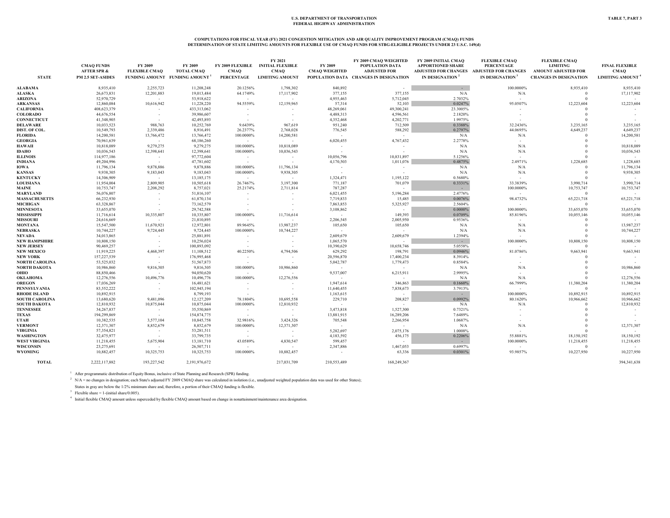### COMPUTATIONS FOR FISCAL YEAR (FY) 2021 CONGESTION MITIGATION AND AIR QUALITY IMPROVEMENT PROGRAM (CMAQ) FUNDS<br>DETERMINATION OF STATE LIMITING AMOUNTS FOR FLEXIBLE USE OF CMAQ FUNDS FOR STBG-ELIGIBLE PROJECTS UNDER 23 U.S.C

| <b>STATE</b>                           | <b>CMAQ FUNDS</b><br><b>AFTER SPR &amp;</b><br>PM 2.5 SET-ASIDES | FY 2009<br><b>FLEXIBLE CMAQ</b> | FY 2009<br><b>TOTAL CMAQ</b><br>FUNDING AMOUNT FUNDING AMOUNT <sup>1</sup> | <b>CMAQ</b><br>PERCENTAGE             | FY 2021<br>FY 2009 FLEXIBLE INITIAL FLEXIBLE<br><b>CMAQ</b><br><b>LIMITING AMOUNT</b> | FY 2009<br><b>CMAQ WEIGHTED</b> | FY 2009 CMAQ WEIGHTED<br>POPULATION DATA<br><b>ADJUSTED FOR</b><br>POPULATION DATA CHANGES IN DESIGNATION | FY 2009 INITIAL CMAQ<br><b>APPORTIONED SHARE</b><br>ADJUSTED FOR CHANGES ADJUSTED FOR CHANGES<br>IN DESIGNATION <sup>2</sup> | <b>FLEXIBLE CMAQ</b><br><b>PERCENTAGE</b><br>IN DESIGNATION <sup>3</sup> | <b>FLEXIBLE CMAQ</b><br><b>LIMITING</b><br>AMOUNT ADJUSTED FOR<br><b>CHANGES IN DESIGNATION</b> | <b>FINAL FLEXIBLE</b><br><b>CMAQ</b><br><b>LIMITING AMOUNT<sup>4</sup></b> |
|----------------------------------------|------------------------------------------------------------------|---------------------------------|----------------------------------------------------------------------------|---------------------------------------|---------------------------------------------------------------------------------------|---------------------------------|-----------------------------------------------------------------------------------------------------------|------------------------------------------------------------------------------------------------------------------------------|--------------------------------------------------------------------------|-------------------------------------------------------------------------------------------------|----------------------------------------------------------------------------|
| ALABAMA                                | 8,935,410                                                        | 2,255,723                       | 11,208,248                                                                 | 20.1256%                              | 1,798,302                                                                             | 840,892                         | $\sim$                                                                                                    | $\sim$                                                                                                                       | 100.0000%                                                                | 8,935,410                                                                                       | 8,935,410                                                                  |
| <b>ALASKA</b>                          | 26,673,831                                                       | 12,201,883                      | 19,013,484                                                                 | 64.1749%                              | 17,117,902                                                                            | 377,155                         | 377,155                                                                                                   | N/A                                                                                                                          | N/A                                                                      | $\Omega$                                                                                        | 17,117,902                                                                 |
| ARIZONA                                | 52,970,729                                                       | $\sim$                          | 53,918,622                                                                 | $\sim$ 10 $\pm$                       | $\sim$                                                                                | 4,955,463                       | 5,712,045                                                                                                 | 2.7032%                                                                                                                      | $\sim$                                                                   | $\Omega$                                                                                        |                                                                            |
| <b>ARKANSAS</b>                        | 12,860,084                                                       | 10,616,942                      | 11,228,220                                                                 | 94.5559%                              | 12,159,965                                                                            | 57,314                          | 52,103                                                                                                    | 0.0247%                                                                                                                      | 95.0507%                                                                 | 12,223,604                                                                                      | 12,223,604                                                                 |
| <b>CALIFORNIA</b>                      | 408,623,379                                                      |                                 | 433,313,062                                                                | $\overline{\phantom{a}}$              | $\sim$                                                                                | 48.269.061                      | 49,300,241                                                                                                | 23.3005%                                                                                                                     |                                                                          | $\Omega$                                                                                        |                                                                            |
| <b>COLORADO</b>                        | 44,676,554                                                       |                                 | 39,986,607                                                                 | $\overline{\phantom{a}}$              | $\sim$                                                                                | 4,488,313                       | 4,596,561                                                                                                 | 2.1820%                                                                                                                      |                                                                          | $\Omega$                                                                                        |                                                                            |
| <b>CONNECTICUT</b>                     | 41,348,905                                                       | $\sim$                          | 42,493,893                                                                 | $\sim$                                | $\sim$                                                                                | 4,352,468                       | 4,202,771                                                                                                 | 1.9975%                                                                                                                      |                                                                          | $\Omega$                                                                                        |                                                                            |
| <b>DELAWARE</b>                        | 10.033.523                                                       | 988,763                         | 10,252,769                                                                 | 9.6439%                               | 967,619                                                                               | 951,240                         | 712,509                                                                                                   | 0.3388%                                                                                                                      | 32.2436%                                                                 | 3.235.165                                                                                       | 3,235,165                                                                  |
| DIST. OF COL.                          | 10,549,793                                                       | 2,339,486                       | 8,916,491                                                                  | 26.2377%                              | 2,768,028                                                                             | 776,545                         | 588,292                                                                                                   | 0.2797%                                                                                                                      | 44.0695%                                                                 | 4,649,237                                                                                       | 4,649,237                                                                  |
| <b>FLORIDA</b>                         | 14,200,581                                                       | 13,766,472                      | 13,766,472                                                                 | 100.0000%                             | 14,200,581                                                                            | <b>Contract</b>                 | $\sim$                                                                                                    | N/A                                                                                                                          | N/A                                                                      | $\Omega$                                                                                        | 14.200.581                                                                 |
| <b>GEORGIA</b>                         | 70,961,639                                                       | $\sim$ 100 $\mu$                | 68,186,260                                                                 | $\sim$ $-$                            | <b>Contract</b>                                                                       | 6,020,455                       | 4,767,432                                                                                                 | 2.2778%                                                                                                                      |                                                                          | $\Omega$                                                                                        |                                                                            |
| <b>HAWAII</b>                          | 10,818,089                                                       | 9,279,275                       |                                                                            | 100,0000%                             | 10,818,089                                                                            | $\sim$                          | $\sim$                                                                                                    |                                                                                                                              |                                                                          | -0                                                                                              | 10,818,089                                                                 |
|                                        |                                                                  |                                 | 9,279,275                                                                  |                                       |                                                                                       |                                 | . —                                                                                                       | N/A<br>N/A                                                                                                                   | N/A                                                                      | $\Omega$                                                                                        | 10,036,543                                                                 |
| <b>IDAHO</b><br><b>ILLINOIS</b>        | 10,036,543<br>114,977,186                                        | 12,398,641<br>$\sim$            | 12,398,641                                                                 | 100.0000%<br>$\sim$                   | 10,036,543<br>$\sim$ 100 $\mu$                                                        | 10,056,796                      | 10,831,897                                                                                                | 5.1256%                                                                                                                      | N/A                                                                      | $\Omega$                                                                                        |                                                                            |
|                                        |                                                                  |                                 | 97,772,604                                                                 |                                       |                                                                                       |                                 |                                                                                                           |                                                                                                                              |                                                                          | 1,228,685                                                                                       |                                                                            |
| <b>INDIANA</b>                         | 49,204,996<br>11,796,134                                         | $\sim$ 100 $\pm$<br>9,878,886   | 47,781,602<br>9,878,886                                                    | $\sim$                                | $\sim$ 100 $\pm$<br>11,796,134                                                        | 4,170,503                       | 1,011,076                                                                                                 | 0.4875%<br>N/A                                                                                                               | 2.4971%<br>N/A                                                           |                                                                                                 | 1,228,685<br>11,796,134                                                    |
| <b>IOWA</b><br><b>KANSAS</b>           | 9,938,305                                                        | 9,183,043                       | 9,183,043                                                                  | 100.0000%<br>100.0000%                | 9,938,305                                                                             | $\sim$                          | $\sim$<br>$\sim$                                                                                          | N/A                                                                                                                          | N/A                                                                      | $\theta$<br>$\Omega$                                                                            | 9,938,305                                                                  |
| <b>KENTUCKY</b>                        | 14,306,909                                                       | $\sim$ 100 $\mu$                | 13,185,175                                                                 | $\sim$ $-$                            | $\sim$ 100 $\mu$                                                                      | 1,324,471                       | 1,195,122                                                                                                 | 0.5680%                                                                                                                      |                                                                          | $\Omega$                                                                                        | $\sim$                                                                     |
|                                        |                                                                  |                                 |                                                                            | 26.7467%                              |                                                                                       | 771,187                         | 701,079                                                                                                   | 0.3331%                                                                                                                      | 33.3839%                                                                 |                                                                                                 | 3,990,714                                                                  |
| <b>LOUISIANA</b><br>MAINE              | 11,954,004<br>10,753,747                                         | 2,809,905<br>2,208,292          | 10,505,618                                                                 | 25.2174%                              | 3,197,300                                                                             | 787,287                         | $\sim$                                                                                                    | $\sim 10^{-1}$                                                                                                               | 100.0000%                                                                | 3,990,714<br>10,753,747                                                                         | 10,753,747                                                                 |
|                                        |                                                                  |                                 | 8,757,021                                                                  |                                       | 2,711,814                                                                             |                                 | 5,196,284                                                                                                 | 2.4776%                                                                                                                      |                                                                          | $\Omega$                                                                                        |                                                                            |
| MARYLAND                               | 56,076,807<br>66,232,930                                         |                                 | 51,816,107                                                                 |                                       |                                                                                       | 6,021,455                       | 15,485                                                                                                    |                                                                                                                              | $\sim$<br>98.4732%                                                       |                                                                                                 | 65,221,718                                                                 |
| <b>MASSACHUSETTS</b>                   | 63,328,867                                                       | $\sim$                          | 61,870,134                                                                 | $\sim$                                | $\sim$                                                                                | 7,719,833<br>7,863,853          | 5,325,927                                                                                                 | 0.0076%<br>2.5604%                                                                                                           | $\sim$                                                                   | 65,221,718<br>$\Omega$                                                                          |                                                                            |
| <b>MICHIGAN</b>                        |                                                                  |                                 | 73,162,579                                                                 |                                       |                                                                                       |                                 | $\sim$                                                                                                    | $0.0000\%$                                                                                                                   | 100.0000%                                                                | 33,655,070                                                                                      | 33,655,070                                                                 |
| <b>MINNESOTA</b><br><b>MISSISSIPPI</b> | 33,655,070<br>11,716,614                                         | $\sim$<br>10,335,807            | 29,742,588<br>10,335,807                                                   | $\overline{\phantom{a}}$<br>100.0000% | <b>CONTRACTOR</b><br>11,716,614                                                       | 3,108,862<br>$\sim$ 100 $\mu$   | 149,393                                                                                                   | 0.0709%                                                                                                                      | 85.8196%                                                                 | 10,055,146                                                                                      | 10,055,146                                                                 |
| <b>MISSOURI</b>                        | 24,616,669                                                       | <b>1979</b>                     | 21,810,895                                                                 | $\sim$                                | $\sim$                                                                                | 2,206,545                       | 2,005,950                                                                                                 | 0.9536%                                                                                                                      | $\sim$                                                                   | $\Omega$                                                                                        | $\sim$                                                                     |
|                                        | 15,547,500                                                       | 11,670,921                      |                                                                            | 89.9645%                              | 13,987,237                                                                            |                                 |                                                                                                           |                                                                                                                              |                                                                          | $\Omega$                                                                                        | 13,987,237                                                                 |
| <b>MONTANA</b><br><b>NEBRASKA</b>      |                                                                  | 9,724,445                       | 12,972,801                                                                 | 100.0000%                             | 10,744,227                                                                            | 105,650<br>$\sim 100$           | 105,650<br>$\sim$                                                                                         | N/A<br>N/A                                                                                                                   | N/A                                                                      | $\Omega$                                                                                        | 10,744,227                                                                 |
| <b>NEVADA</b>                          | 10,744,227<br>34,013,865                                         | $\sim$                          | 9,724,445<br>25,881,891                                                    | $\sim$                                | $\sim$                                                                                | 2,609,679                       | 2,609,679                                                                                                 | 1.2394%                                                                                                                      | N/A                                                                      | $\Omega$                                                                                        |                                                                            |
| <b>NEW HAMPSHIRE</b>                   | 10,808,150                                                       |                                 | 10,256,024                                                                 | $\overline{\phantom{a}}$              |                                                                                       | 1,065,570                       | $\sim$                                                                                                    | $\sim 10^{-1}$                                                                                                               | 100.0000%                                                                | 10,808,150                                                                                      | 10,808,150                                                                 |
| <b>NEW JERSEY</b>                      | 90,469,257                                                       | $\sim$<br>$\sim$                | 100,893,092                                                                |                                       | $\sim$<br>$\sim$                                                                      | 10,390,629                      | 10,658,746                                                                                                | 5.0558%                                                                                                                      | $\sim$                                                                   | $\Omega$                                                                                        |                                                                            |
| <b>NEW MEXICO</b>                      | 11,919,225                                                       | 4,468,397                       | 11,108,512                                                                 | 40.2250%                              | 4,794,506                                                                             | 629,292                         | 198,791                                                                                                   | 0.0946%                                                                                                                      | 81.0786%                                                                 | 9,663,941                                                                                       | 9,663,941                                                                  |
| <b>NEW YORK</b>                        | 157,227,539                                                      | $\sim$                          | 176,995,468                                                                | $\sim$                                | $\sim$                                                                                | 20,596,870                      | 17,400,234                                                                                                | 8.3914%                                                                                                                      |                                                                          | $\Omega$                                                                                        |                                                                            |
| <b>NORTH CAROLINA</b>                  | 53,525,032                                                       | $\sim$                          | 51,567,873                                                                 | $\sim$                                | $\sim$                                                                                | 5,042,787                       | 1,779,473                                                                                                 | 0.8584%                                                                                                                      |                                                                          |                                                                                                 |                                                                            |
| <b>NORTH DAKOTA</b>                    | 10,986,860                                                       | 9,816,305                       | 9,816,305                                                                  | 100.0000%                             | 10,986,860                                                                            | $\sim$ 100 $\mu$                | $\sim$                                                                                                    | N/A                                                                                                                          | N/A                                                                      |                                                                                                 | 10,986,860                                                                 |
| ОНЮ                                    | 88,850,466                                                       |                                 | 94,050,620                                                                 | $\sim$                                |                                                                                       | 9.537.007                       | 6,215,911                                                                                                 | 2.9995%                                                                                                                      |                                                                          |                                                                                                 |                                                                            |
| <b>OKLAHOMA</b>                        | 12,276,556                                                       | 10,496,776                      | 10,496,776                                                                 | 100.0000%                             | 12,276,556                                                                            | $\sim$                          | $\sim$                                                                                                    | N/A                                                                                                                          | N/A                                                                      | $\Omega$                                                                                        | 12,276,556                                                                 |
| <b>OREGON</b>                          | 17,036,269                                                       | $\sim$                          | 16,481,621                                                                 | $\sim$                                | $\sim$                                                                                | 1,947,614                       | 346,863                                                                                                   | 0.1660%                                                                                                                      | 66.7999%                                                                 | 11,380,204                                                                                      | 11,380,204                                                                 |
| <b>PENNSYLVANIA</b>                    | 83,552,222                                                       | $\sim$                          | 102,945,194                                                                | $\overline{\phantom{a}}$              | $\sim$                                                                                | 11,640,455                      | 7,838,673                                                                                                 | 3.7913%                                                                                                                      | $\sim$                                                                   | $\Omega$                                                                                        | $\sim$                                                                     |
| <b>RHODE ISLAND</b>                    | 10,892,915                                                       |                                 | 8,799,193                                                                  |                                       | . —                                                                                   | 1,163,615                       | $\sim$                                                                                                    | $\sim$ $\sim$                                                                                                                | 100.0000%                                                                | 10,892,915                                                                                      | 10,892,915                                                                 |
| <b>SOUTH CAROLINA</b>                  | 13,680,620                                                       | 9,481,096                       | 12,127,209                                                                 | 78.1804%                              | 10,695,558                                                                            | 229,710                         | 208,827                                                                                                   | 0.0992%                                                                                                                      | 80.1620%                                                                 | 10,966,662                                                                                      | 10,966,662                                                                 |
| <b>SOUTH DAKOTA</b>                    | 12,810,932                                                       | 10,875,044                      | 10,875,044                                                                 | 100.0000%                             | 12,810,932                                                                            | $\sim$                          | $\sim$                                                                                                    | N/A                                                                                                                          | N/A                                                                      | $\Omega$                                                                                        | 12,810,932                                                                 |
| <b>TENNESSEE</b>                       | 34,267,837                                                       | $\sim$ 100 $\mu$                | 35,550,869                                                                 | $\sim$                                | $\sim$ 100 $\mu$                                                                      | 3,473,818                       | 1,527,300                                                                                                 | 0.7321%                                                                                                                      |                                                                          | $\Omega$                                                                                        | $\sim$                                                                     |
| <b>TEXAS</b>                           | 194,299,869                                                      | $\sim$                          | 154,874,775                                                                | $\sim$                                | $\sim$                                                                                | 13,881,915                      | 16,289,206                                                                                                | 7.6489%                                                                                                                      |                                                                          |                                                                                                 |                                                                            |
| UTAH                                   | 10,382,535                                                       | 3,577,104                       | 10,845,758                                                                 | 32.9816%                              | 3,424,326                                                                             | 705,548                         | 2,266,954                                                                                                 | 1.0687%                                                                                                                      |                                                                          |                                                                                                 |                                                                            |
| <b>VERMONT</b>                         | 12,371,307                                                       | 8,852,679                       | 8,852,679                                                                  | 100.0000%                             | 12,371,307                                                                            | $\sim$ 100 $\mu$                | $\sim$                                                                                                    | N/A                                                                                                                          | N/A                                                                      |                                                                                                 | 12,371,307                                                                 |
| <b>VIRGINIA</b>                        | 57,354,821                                                       | $\sim$ 100 $\pm$                | 53,281,511                                                                 | $\sim$ $\sim$                         | $\sim 100$                                                                            | 5,282,697                       | 2,075,176                                                                                                 | 1.0008%                                                                                                                      |                                                                          | $\Omega$                                                                                        |                                                                            |
| <b>WASHINGTON</b>                      | 32,475,977                                                       | $\sim$                          | 33,799,735                                                                 | $\sim$                                | $\sim$ 100 $\mu$                                                                      | 4,183,592                       | 456,175                                                                                                   | 0.2206%                                                                                                                      | 55.8881%                                                                 | 18,150,192                                                                                      | 18,150,192                                                                 |
| <b>WEST VIRGINIA</b>                   | 11,218,455                                                       | 5,675,904                       | 13,181,710                                                                 | 43.0589%                              | 4,830,547                                                                             | 599,457                         | $\sim$                                                                                                    | $\sim$ $\sim$                                                                                                                | 100.0000%                                                                | 11,218,455                                                                                      | 11,218,455                                                                 |
| WISCONSIN                              | 23,275,691                                                       | $\sim$                          | 26,507,711                                                                 | $\sim$ $-$                            | $\sim$ 100 $\mu$                                                                      | 2,347,886                       | 1,467,053                                                                                                 | 0.6997%                                                                                                                      | $\sim$                                                                   | $\Omega$                                                                                        |                                                                            |
| <b>WYOMING</b>                         | 10,882,457                                                       | 10,325,753                      | 10,325,753                                                                 | 100.0000%                             | 10,882,457                                                                            | $\sim$                          | 63,336                                                                                                    | 0.0301%                                                                                                                      | 93.9857%                                                                 | 10,227,950                                                                                      | 10,227,950                                                                 |
| <b>TOTAL</b>                           | 2,222,117,882                                                    | 193,227,542                     | 2,191,976,672                                                              |                                       | 217,031,709                                                                           | 210,553,489                     | 168,249,367                                                                                               |                                                                                                                              |                                                                          |                                                                                                 | 394,341,638                                                                |

 $^{\rm 1}$  After programmatic distribution of Equity Bonus, inclusive of State Planning and Research (SPR) funding.

 $^2$  N/A = no changes in designation; each State's adjusted FY 2009 CMAQ share was calculated in isolation (i.e., unadjusted weighted population data was used for other States);

States in gray are below the 1/2% minimum share and, therefore, a portion of their CMAQ funding is flexible.

<sup>3</sup> Flexible share  $= 1$ -(initial share/0.005).

<sup>4</sup> Initial flexible CMAQ amount unless superceded by flexible CMAQ amount based on change in nonattainment/maintenance area designation.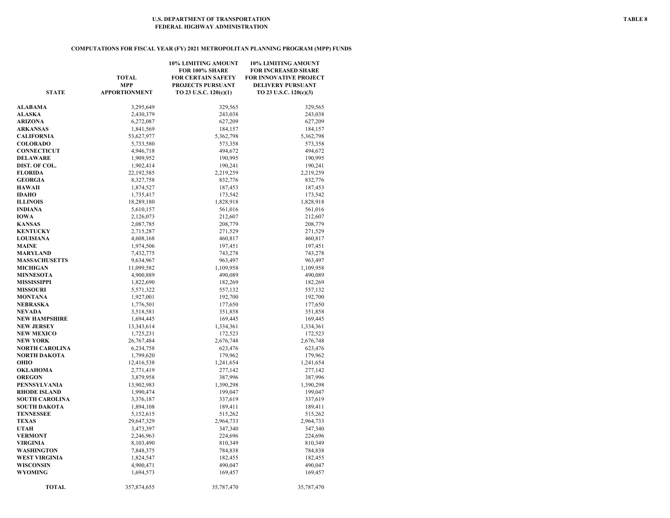### **COMPUTATIONS FOR FISCAL YEAR (FY) 2021 METROPOLITAN PLANNING PROGRAM (MPP) FUNDS**

|                      | <b>TOTAL</b><br><b>MPP</b> | 10% LIMITING AMOUNT<br>FOR 100% SHARE<br><b>FOR CERTAIN SAFETY</b><br>PROJECTS PURSUANT | 10% LIMITING AMOUNT<br><b>FOR INCREASED SHARE</b><br><b>FOR INNOVATIVE PROJECT</b><br><b>DELIVERY PURSUANT</b> |
|----------------------|----------------------------|-----------------------------------------------------------------------------------------|----------------------------------------------------------------------------------------------------------------|
| <b>STATE</b>         | <b>APPORTIONMENT</b>       | TO 23 U.S.C. 120(c)(1)                                                                  | TO 23 U.S.C. 120(c)(3)                                                                                         |
| <b>ALABAMA</b>       | 3,295,649                  | 329,565                                                                                 | 329,565                                                                                                        |
| <b>ALASKA</b>        | 2,430,379                  | 243,038                                                                                 | 243,038                                                                                                        |
| ARIZONA              | 6,272,087                  | 627,209                                                                                 | 627,209                                                                                                        |
| ARKANSAS             | 1,841,569                  | 184,157                                                                                 | 184,157                                                                                                        |
| CALIFORNIA           | 53,627,977                 | 5,362,798                                                                               | 5,362,798                                                                                                      |
| <b>COLORADO</b>      | 5,733,580                  | 573,358                                                                                 | 573,358                                                                                                        |
| CONNECTICUT          | 4,946,718                  | 494,672                                                                                 | 494,672                                                                                                        |
| DELAWARE             | 1,909,952                  | 190,995                                                                                 | 190,995                                                                                                        |
| DIST. OF COL.        | 1,902,414                  | 190,241                                                                                 | 190,241                                                                                                        |
| <b>FLORIDA</b>       | 22,192,585                 | 2,219,259                                                                               | 2,219,259                                                                                                      |
| <b>GEORGIA</b>       | 8,327,758                  | 832,776                                                                                 | 832,776                                                                                                        |
| HAWAII               | 1,874,527                  | 187,453                                                                                 | 187,453                                                                                                        |
| <b>IDAHO</b>         | 1,735,417                  | 173,542                                                                                 | 173,542                                                                                                        |
| <b>ILLINOIS</b>      | 18,289,180                 | 1,828,918                                                                               | 1,828,918                                                                                                      |
| INDIANA              | 5,610,157                  | 561,016                                                                                 | 561,016                                                                                                        |
| IOWA                 | 2,126,073                  | 212,607                                                                                 | 212,607                                                                                                        |
| <b>KANSAS</b>        | 2,087,785                  | 208,779                                                                                 | 208,779                                                                                                        |
| <b>KENTUCKY</b>      | 2,715,287                  | 271,529                                                                                 | 271,529                                                                                                        |
| <b>LOUISIANA</b>     | 4,608,168                  | 460,817                                                                                 | 460,817                                                                                                        |
| <b>MAINE</b>         | 1,974,506                  | 197,451                                                                                 | 197,451                                                                                                        |
| MARYLAND             | 7,432,775                  | 743,278                                                                                 | 743,278                                                                                                        |
| <b>MASSACHUSETTS</b> | 9,634,967                  | 963,497                                                                                 | 963,497                                                                                                        |
| <b>MICHIGAN</b>      | 11,099,582                 | 1,109,958                                                                               | 1,109,958                                                                                                      |
| <b>MINNESOTA</b>     | 4,900,889                  | 490,089                                                                                 | 490,089                                                                                                        |
| MISSISSIPPI          | 1,822,690                  | 182,269                                                                                 | 182,269                                                                                                        |
| <b>MISSOURI</b>      | 5,571,322                  | 557,132                                                                                 | 557,132                                                                                                        |
| MONTANA              | 1,927,001                  | 192,700                                                                                 | 192,700                                                                                                        |
| NEBRASKA             | 1,776,501                  | 177,650                                                                                 | 177,650                                                                                                        |
| NEVADA               | 3,518,581                  | 351,858                                                                                 | 351,858                                                                                                        |
| NEW HAMPSHIRE        | 1,694,445                  | 169,445                                                                                 | 169,445                                                                                                        |
| <b>NEW JERSEY</b>    | 13,343,614                 | 1,334,361                                                                               | 1,334,361                                                                                                      |
| <b>NEW MEXICO</b>    | 1,725,231                  | 172,523                                                                                 | 172,523                                                                                                        |
| NEW YORK             | 26,767,484                 | 2,676,748                                                                               | 2,676,748                                                                                                      |
| NORTH CAROLINA       | 6,234,758                  | 623,476                                                                                 | 623,476                                                                                                        |
| NORTH DAKOTA         | 1,799,620                  | 179,962                                                                                 | 179,962                                                                                                        |
| оню                  | 12,416,538                 | 1,241,654                                                                               | 1,241,654                                                                                                      |
| OKLAHOMA             | 2,771,419                  | 277,142                                                                                 | 277,142                                                                                                        |
| <b>OREGON</b>        | 3,879,958                  | 387,996                                                                                 | 387,996                                                                                                        |
| PENNSYLVANIA         | 13,902,983                 | 1,390,298                                                                               | 1,390,298                                                                                                      |
| RHODE ISLAND         | 1,990,474                  | 199,047                                                                                 | 199,047                                                                                                        |
| SOUTH CAROLINA       | 3,376,187                  | 337,619                                                                                 | 337,619                                                                                                        |
| SOUTH DAKOTA         | 1,894,108                  | 189,411                                                                                 | 189,411                                                                                                        |
| <b>TENNESSEE</b>     | 5,152,615                  | 515,262                                                                                 | 515,262                                                                                                        |
| <b>TEXAS</b>         | 29,647,329                 | 2,964,733                                                                               | 2,964,733                                                                                                      |
| UTAH                 | 3,473,397                  | 347,340                                                                                 | 347,340                                                                                                        |
| <b>VERMONT</b>       | 2,246,963                  | 224,696                                                                                 | 224,696                                                                                                        |
| VIRGINIA             | 8,103,490                  | 810,349                                                                                 | 810,349                                                                                                        |
| WASHINGTON           | 7,848,375                  | 784,838                                                                                 | 784,838                                                                                                        |
| WEST VIRGINIA        | 1,824,547                  | 182,455                                                                                 | 182,455                                                                                                        |
| WISCONSIN            | 4,900,471                  | 490,047                                                                                 | 490,047                                                                                                        |
| WYOMING              | 1,694,573                  | 169,457                                                                                 | 169,457                                                                                                        |
|                      |                            |                                                                                         |                                                                                                                |
| <b>TOTAL</b>         | 357,874,655                | 35,787,470                                                                              | 35,787,470                                                                                                     |
|                      |                            |                                                                                         |                                                                                                                |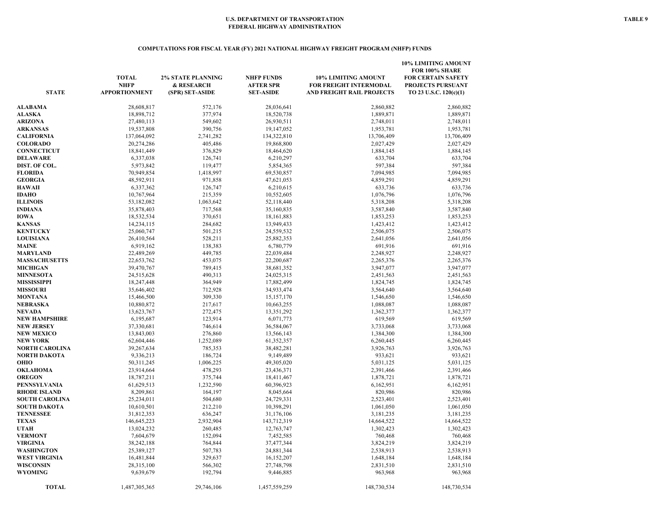### **COMPUTATIONS FOR FISCAL YEAR (FY) 2021 NATIONAL HIGHWAY FREIGHT PROGRAM (NHFP) FUNDS**

| <b>STATE</b>          | <b>TOTAL</b><br><b>NHFP</b><br><b>APPORTIONMENT</b> | <b>2% STATE PLANNING</b><br>& RESEARCH<br>(SPR) SET-ASIDE | <b>NHFP FUNDS</b><br><b>AFTER SPR</b><br><b>SET-ASIDE</b> | <b>10% LIMITING AMOUNT</b><br>FOR FREIGHT INTERMODAL<br>AND FREIGHT RAIL PROJECTS | <b>10% LIMITING AMOUNT</b><br>FOR 100% SHARE<br><b>FOR CERTAIN SAFETY</b><br>PROJECTS PURSUANT<br>TO 23 U.S.C. 120(c)(1) |
|-----------------------|-----------------------------------------------------|-----------------------------------------------------------|-----------------------------------------------------------|-----------------------------------------------------------------------------------|--------------------------------------------------------------------------------------------------------------------------|
| <b>ALABAMA</b>        | 28,608,817                                          | 572,176                                                   | 28,036,641                                                | 2,860,882                                                                         | 2,860,882                                                                                                                |
| <b>ALASKA</b>         | 18,898,712                                          | 377,974                                                   | 18,520,738                                                | 1,889,871                                                                         | 1,889,871                                                                                                                |
| <b>ARIZONA</b>        | 27,480,113                                          | 549,602                                                   | 26,930,511                                                | 2,748,011                                                                         | 2,748,011                                                                                                                |
| <b>ARKANSAS</b>       | 19,537,808                                          | 390,756                                                   | 19,147,052                                                | 1,953,781                                                                         | 1,953,781                                                                                                                |
| <b>CALIFORNIA</b>     | 137,064,092                                         | 2,741,282                                                 | 134,322,810                                               | 13,706,409                                                                        | 13,706,409                                                                                                               |
| <b>COLORADO</b>       | 20,274,286                                          | 405,486                                                   | 19,868,800                                                | 2,027,429                                                                         | 2,027,429                                                                                                                |
| <b>CONNECTICUT</b>    | 18,841,449                                          | 376,829                                                   | 18,464,620                                                | 1,884,145                                                                         | 1,884,145                                                                                                                |
| <b>DELAWARE</b>       | 6,337,038                                           | 126,741                                                   | 6,210,297                                                 | 633,704                                                                           | 633,704                                                                                                                  |
| DIST. OF COL.         | 5,973,842                                           | 119,477                                                   | 5,854,365                                                 | 597,384                                                                           | 597,384                                                                                                                  |
| <b>FLORIDA</b>        | 70,949,854                                          | 1,418,997                                                 | 69,530,857                                                | 7,094,985                                                                         | 7,094,985                                                                                                                |
| <b>GEORGIA</b>        | 48,592,911                                          | 971,858                                                   | 47,621,053                                                | 4,859,291                                                                         | 4,859,291                                                                                                                |
| <b>HAWAII</b>         | 6,337,362                                           | 126,747                                                   | 6,210,615                                                 | 633,736                                                                           | 633,736                                                                                                                  |
| <b>IDAHO</b>          | 10,767,964                                          | 215,359                                                   | 10,552,605                                                | 1,076,796                                                                         | 1,076,796                                                                                                                |
| <b>ILLINOIS</b>       | 53,182,082                                          | 1,063,642                                                 | 52,118,440                                                | 5,318,208                                                                         | 5,318,208                                                                                                                |
| INDIANA               | 35,878,403                                          | 717,568                                                   | 35,160,835                                                | 3,587,840                                                                         | 3,587,840                                                                                                                |
| <b>IOWA</b>           | 18,532,534                                          | 370,651                                                   | 18, 161, 883                                              | 1,853,253                                                                         | 1,853,253                                                                                                                |
| <b>KANSAS</b>         | 14,234,115                                          | 284,682                                                   | 13,949,433                                                | 1,423,412                                                                         | 1,423,412                                                                                                                |
| <b>KENTUCKY</b>       | 25,060,747                                          | 501,215                                                   | 24,559,532                                                | 2,506,075                                                                         | 2,506,075                                                                                                                |
| <b>LOUISIANA</b>      | 26,410,564                                          | 528,211                                                   | 25,882,353                                                | 2,641,056                                                                         | 2,641,056                                                                                                                |
| <b>MAINE</b>          | 6,919,162                                           | 138,383                                                   | 6,780,779                                                 | 691,916                                                                           | 691,916                                                                                                                  |
| <b>MARYLAND</b>       | 22,489,269                                          | 449,785                                                   | 22,039,484                                                | 2,248,927                                                                         | 2,248,927                                                                                                                |
| <b>MASSACHUSETTS</b>  | 22,653,762                                          | 453,075                                                   | 22,200,687                                                | 2,265,376                                                                         | 2,265,376                                                                                                                |
| <b>MICHIGAN</b>       | 39,470,767                                          | 789,415                                                   | 38,681,352                                                | 3,947,077                                                                         | 3,947,077                                                                                                                |
| <b>MINNESOTA</b>      | 24,515,628                                          | 490,313                                                   | 24,025,315                                                | 2,451,563                                                                         | 2,451,563                                                                                                                |
| <b>MISSISSIPPI</b>    | 18,247,448                                          | 364,949                                                   | 17,882,499                                                | 1,824,745                                                                         | 1,824,745                                                                                                                |
| <b>MISSOURI</b>       | 35,646,402                                          | 712,928                                                   | 34,933,474                                                | 3,564,640                                                                         | 3,564,640                                                                                                                |
| MONTANA               | 15,466,500                                          | 309,330                                                   | 15, 157, 170                                              | 1,546,650                                                                         | 1,546,650                                                                                                                |
| NEBRASKA              | 10,880,872                                          | 217,617                                                   | 10,663,255                                                | 1,088,087                                                                         | 1,088,087                                                                                                                |
| <b>NEVADA</b>         | 13,623,767                                          | 272,475                                                   | 13,351,292                                                | 1,362,377                                                                         | 1,362,377                                                                                                                |
| <b>NEW HAMPSHIRE</b>  | 6,195,687                                           | 123,914                                                   | 6,071,773                                                 | 619,569                                                                           | 619,569                                                                                                                  |
| <b>NEW JERSEY</b>     | 37,330,681                                          | 746,614                                                   | 36,584,067                                                | 3,733,068                                                                         | 3,733,068                                                                                                                |
| <b>NEW MEXICO</b>     | 13,843,003                                          | 276,860                                                   | 13,566,143                                                | 1,384,300                                                                         | 1,384,300                                                                                                                |
| <b>NEW YORK</b>       | 62,604,446                                          | 1,252,089                                                 | 61,352,357                                                | 6,260,445                                                                         | 6,260,445                                                                                                                |
| NORTH CAROLINA        | 39,267,634                                          | 785,353                                                   | 38,482,281                                                | 3,926,763                                                                         | 3,926,763                                                                                                                |
| NORTH DAKOTA          | 9,336,213                                           | 186,724                                                   | 9,149,489                                                 | 933,621                                                                           | 933,621                                                                                                                  |
| OHIO                  | 50,311,245                                          | 1,006,225                                                 | 49,305,020                                                | 5,031,125                                                                         | 5,031,125                                                                                                                |
| <b>OKLAHOMA</b>       | 23,914,664                                          | 478,293                                                   | 23,436,371                                                | 2,391,466                                                                         | 2,391,466                                                                                                                |
| <b>OREGON</b>         | 18,787,211                                          | 375,744                                                   | 18,411,467                                                | 1,878,721                                                                         | 1,878,721                                                                                                                |
| PENNSYLVANIA          | 61,629,513                                          | 1,232,590                                                 | 60,396,923                                                | 6,162,951                                                                         | 6,162,951                                                                                                                |
| <b>RHODE ISLAND</b>   | 8,209,861                                           | 164,197                                                   | 8,045,664                                                 | 820,986                                                                           | 820,986                                                                                                                  |
| <b>SOUTH CAROLINA</b> | 25,234,011                                          | 504,680                                                   | 24,729,331                                                | 2,523,401                                                                         | 2,523,401                                                                                                                |
| <b>SOUTH DAKOTA</b>   | 10,610,501                                          | 212,210                                                   | 10,398,291                                                | 1,061,050                                                                         | 1,061,050                                                                                                                |
| <b>TENNESSEE</b>      | 31,812,353                                          | 636,247                                                   | 31,176,106                                                | 3,181,235                                                                         | 3,181,235                                                                                                                |
| <b>TEXAS</b><br>UTAH  | 146,645,223<br>13,024,232                           | 2,932,904<br>260,485                                      | 143,712,319<br>12,763,747                                 | 14,664,522                                                                        | 14,664,522<br>1,302,423                                                                                                  |
| <b>VERMONT</b>        | 7,604,679                                           | 152,094                                                   | 7,452,585                                                 | 1,302,423<br>760,468                                                              | 760,468                                                                                                                  |
| <b>VIRGINIA</b>       | 38,242,188                                          | 764,844                                                   | 37,477,344                                                | 3,824,219                                                                         | 3,824,219                                                                                                                |
| <b>WASHINGTON</b>     | 25,389,127                                          | 507,783                                                   | 24,881,344                                                | 2,538,913                                                                         | 2,538,913                                                                                                                |
| <b>WEST VIRGINIA</b>  | 16,481,844                                          | 329,637                                                   | 16,152,207                                                | 1,648,184                                                                         | 1,648,184                                                                                                                |
| <b>WISCONSIN</b>      | 28,315,100                                          | 566,302                                                   | 27,748,798                                                | 2,831,510                                                                         | 2,831,510                                                                                                                |
| <b>WYOMING</b>        | 9,639,679                                           | 192,794                                                   | 9,446,885                                                 | 963,968                                                                           | 963,968                                                                                                                  |
|                       |                                                     |                                                           |                                                           |                                                                                   |                                                                                                                          |
| <b>TOTAL</b>          | 1,487,305,365                                       | 29,746,106                                                | 1,457,559,259                                             | 148,730,534                                                                       | 148,730,534                                                                                                              |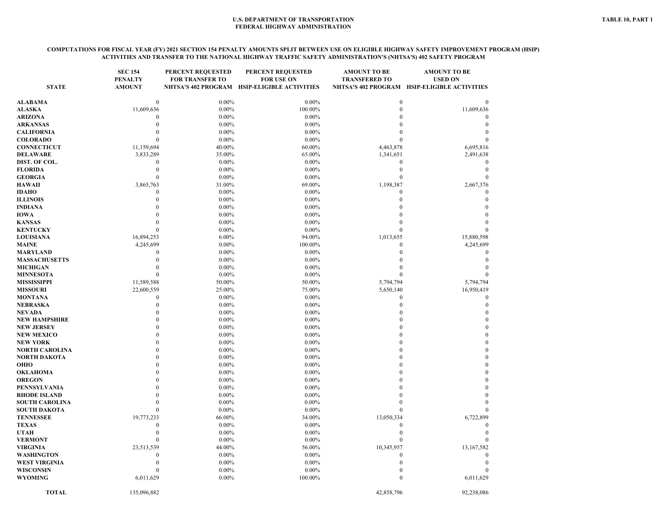#### **COMPUTATIONS FOR FISCAL YEAR (FY) 2021 SECTION 154 PENALTY AMOUNTS SPLIT BETWEEN USE ON ELIGIBLE HIGHWAY SAFETY IMPROVEMENT PROGRAM (HSIP) ACTIVITIES AND TRANSFER TO THE NATIONAL HIGHWAY TRAFFIC SAFETY ADMINISTRATION'S (NHTSA'S) 402 SAFETY PROGRAM**

| <b>STATE</b>                                 | <b>SEC 154</b><br><b>PENALTY</b><br><b>AMOUNT</b> | PERCENT REQUESTED<br><b>FOR TRANSFER TO</b> | <b>PERCENT REQUESTED</b><br><b>FOR USE ON</b><br>NHTSA'S 402 PROGRAM HSIP-ELIGIBLE ACTIVITIES | <b>AMOUNT TO BE</b><br><b>TRANSFERED TO</b> | <b>AMOUNT TO BE</b><br><b>USED ON</b><br>NHTSA'S 402 PROGRAM HSIP-ELIGIBLE ACTIVITIES |
|----------------------------------------------|---------------------------------------------------|---------------------------------------------|-----------------------------------------------------------------------------------------------|---------------------------------------------|---------------------------------------------------------------------------------------|
| ALABAMA                                      | $\boldsymbol{0}$                                  | $0.00\%$                                    | $0.00\%$                                                                                      | $\boldsymbol{0}$                            | $\Omega$                                                                              |
| ALASKA                                       | 11,609,636                                        | $0.00\%$                                    | 100.00%                                                                                       | $\mathbf{0}$                                | 11,609,636                                                                            |
| ARIZONA                                      | $\theta$                                          | $0.00\%$                                    | $0.00\%$                                                                                      | $\Omega$                                    |                                                                                       |
| <b>ARKANSAS</b>                              | $\theta$                                          | $0.00\%$                                    | $0.00\%$                                                                                      | O                                           | $\mathbf{0}$                                                                          |
| <b>CALIFORNIA</b>                            | $\Omega$                                          | $0.00\%$                                    | $0.00\%$                                                                                      | $\Omega$                                    | $\Omega$                                                                              |
| <b>COLORADO</b>                              | $\theta$                                          | $0.00\%$                                    | $0.00\%$                                                                                      | $\Omega$                                    |                                                                                       |
| <b>CONNECTICUT</b>                           | 11,159,694                                        | 40.00%                                      | 60.00%                                                                                        | 4,463,878                                   | 6,695,816                                                                             |
| <b>DELAWARE</b>                              | 3,833,289                                         | 35.00%                                      | 65.00%                                                                                        | 1,341,651                                   | 2,491,638                                                                             |
| DIST. OF COL.                                | $\boldsymbol{0}$                                  | $0.00\%$                                    | $0.00\%$                                                                                      | $\boldsymbol{0}$                            | $\boldsymbol{0}$                                                                      |
| <b>FLORIDA</b>                               | $\theta$                                          | $0.00\%$                                    | $0.00\%$                                                                                      | $\mathbf{0}$                                | $\theta$                                                                              |
| <b>GEORGIA</b>                               | $\theta$                                          | $0.00\%$                                    | $0.00\%$                                                                                      | $\theta$                                    | $\mathbf{0}$                                                                          |
| <b>HAWAII</b>                                | 3,865,763                                         | 31.00%                                      | 69.00%                                                                                        | 1,198,387                                   | 2,667,376                                                                             |
| <b>IDAHO</b>                                 | $\theta$                                          | $0.00\%$                                    | $0.00\%$                                                                                      | $\mathbf{0}$                                | $\theta$                                                                              |
| <b>ILLINOIS</b>                              | $\theta$                                          | $0.00\%$                                    | $0.00\%$                                                                                      | $\theta$                                    | $\mathbf{0}$                                                                          |
| <b>INDIANA</b>                               | $\Omega$                                          | $0.00\%$                                    | $0.00\%$                                                                                      | 0                                           | $\theta$                                                                              |
| IOWA                                         | $\Omega$                                          | $0.00\%$                                    | $0.00\%$                                                                                      | $\Omega$                                    | $\Omega$                                                                              |
| <b>KANSAS</b>                                | $\Omega$                                          | $0.00\%$                                    | $0.00\%$                                                                                      | $\Omega$                                    |                                                                                       |
| <b>KENTUCKY</b>                              | $\Omega$                                          | $0.00\%$                                    | $0.00\%$                                                                                      | $\Omega$                                    |                                                                                       |
| <b>LOUISIANA</b>                             | 16,894,253                                        | 6.00%                                       | 94.00%                                                                                        | 1,013,655                                   | 15,880,598                                                                            |
| MAINE                                        | 4,245,699                                         | $0.00\%$                                    | 100.00%                                                                                       | $\boldsymbol{0}$                            | 4,245,699                                                                             |
| <b>MARYLAND</b>                              | $\theta$                                          | $0.00\%$                                    | $0.00\%$                                                                                      | $\mathbf{0}$                                | $\Omega$                                                                              |
| <b>MASSACHUSETTS</b>                         | $\theta$                                          | $0.00\%$                                    | $0.00\%$                                                                                      | $\mathbf{0}$                                | $\Omega$                                                                              |
| <b>MICHIGAN</b>                              | $\theta$                                          | $0.00\%$                                    | $0.00\%$                                                                                      | $\theta$                                    |                                                                                       |
| <b>MINNESOTA</b>                             | $\Omega$                                          | $0.00\%$                                    | $0.00\%$                                                                                      | $\Omega$                                    |                                                                                       |
| <b>MISSISSIPPI</b>                           | 11,589,588                                        | 50.00%                                      | 50.00%                                                                                        | 5,794,794                                   | 5,794,794                                                                             |
| <b>MISSOURI</b>                              | 22,600,559                                        | 25.00%                                      | 75.00%                                                                                        | 5,650,140                                   | 16,950,419                                                                            |
| <b>MONTANA</b>                               | $\overline{0}$                                    | $0.00\%$                                    | $0.00\%$                                                                                      | $\boldsymbol{0}$                            | $\boldsymbol{0}$                                                                      |
| NEBRASKA                                     | $\Omega$                                          | $0.00\%$                                    | $0.00\%$                                                                                      | $\mathbf{0}$                                | $\mathbf{0}$                                                                          |
| NEVADA                                       | $\Omega$                                          | $0.00\%$                                    | $0.00\%$                                                                                      | $\Omega$                                    | $\theta$                                                                              |
| <b>NEW HAMPSHIRE</b>                         | $\Omega$                                          | $0.00\%$                                    | $0.00\%$                                                                                      | $\Omega$                                    | $\mathbf{0}$                                                                          |
| <b>NEW JERSEY</b>                            | $\Omega$                                          | $0.00\%$                                    | $0.00\%$                                                                                      | $\Omega$                                    | $\mathbf{0}$                                                                          |
| <b>NEW MEXICO</b>                            | $\Omega$                                          | $0.00\%$                                    | $0.00\%$                                                                                      | $\Omega$                                    | $\boldsymbol{0}$                                                                      |
| <b>NEW YORK</b>                              | $\Omega$                                          | $0.00\%$                                    | $0.00\%$                                                                                      | $\Omega$                                    | $\mathbf{0}$                                                                          |
| <b>NORTH CAROLINA</b>                        | $\Omega$                                          | $0.00\%$                                    | $0.00\%$                                                                                      | Ò                                           | $\theta$                                                                              |
| <b>NORTH DAKOTA</b>                          | $\Omega$                                          | $0.00\%$                                    | $0.00\%$                                                                                      | $\Omega$                                    | $\mathbf{0}$                                                                          |
| OHIO                                         | $\Omega$                                          | $0.00\%$                                    | $0.00\%$                                                                                      | $\Omega$                                    | $\theta$                                                                              |
| OKLAHOMA                                     | $\Omega$                                          | $0.00\%$                                    | $0.00\%$                                                                                      |                                             | $\theta$                                                                              |
| <b>OREGON</b>                                | $\Omega$<br>$\Omega$                              | $0.00\%$                                    | $0.00\%$                                                                                      | $\Omega$                                    | $\mathbf{0}$<br>$\Omega$                                                              |
| <b>PENNSYLVANIA</b>                          |                                                   | $0.00\%$                                    | 0.00%                                                                                         | $\mathbf{0}$                                | $\theta$                                                                              |
| <b>RHODE ISLAND</b><br><b>SOUTH CAROLINA</b> | $\boldsymbol{0}$<br>$\mathbf{0}$                  | $0.00\%$<br>$0.00\%$                        | 0.00%<br>$0.00\%$                                                                             | $\Omega$                                    | $\Omega$                                                                              |
| <b>SOUTH DAKOTA</b>                          | $\mathbf{0}$                                      | $0.00\%$                                    | $0.00\%$                                                                                      | $\mathbf{0}$                                |                                                                                       |
|                                              |                                                   |                                             |                                                                                               |                                             |                                                                                       |
| <b>TENNESSEE</b><br><b>TEXAS</b>             | 19,773,233<br>$\theta$                            | 66.00%<br>$0.00\%$                          | 34.00%<br>$0.00\%$                                                                            | 13,050,334<br>$\mathbf{0}$                  | 6,722,899<br>$\Omega$                                                                 |
| <b>UTAH</b>                                  | $\theta$                                          | $0.00\%$                                    | $0.00\%$                                                                                      | $\mathbf{0}$                                | $\Omega$                                                                              |
| <b>VERMONT</b>                               | $\theta$                                          | $0.00\%$                                    | $0.00\%$                                                                                      | $\mathbf{0}$                                |                                                                                       |
| <b>VIRGINIA</b>                              | 23,513,539                                        | 44.00%                                      | 56.00%                                                                                        | 10,345,957                                  | 13,167,582                                                                            |
| <b>WASHINGTON</b>                            | $\overline{0}$                                    | $0.00\%$                                    | $0.00\%$                                                                                      | $\mathbf{0}$                                | $\mathbf{0}$                                                                          |
| <b>WEST VIRGINIA</b>                         | $\theta$                                          | $0.00\%$                                    | $0.00\%$                                                                                      | $\mathbf{0}$                                | $\theta$                                                                              |
| <b>WISCONSIN</b>                             | $\Omega$                                          | 0.00%                                       | $0.00\%$                                                                                      | $\theta$                                    |                                                                                       |
| <b>WYOMING</b>                               | 6,011,629                                         | 0.00%                                       | 100.00%                                                                                       | $\Omega$                                    | 6,011,629                                                                             |
| <b>TOTAL</b>                                 | 135,096,882                                       |                                             |                                                                                               | 42,858,796                                  | 92,238,086                                                                            |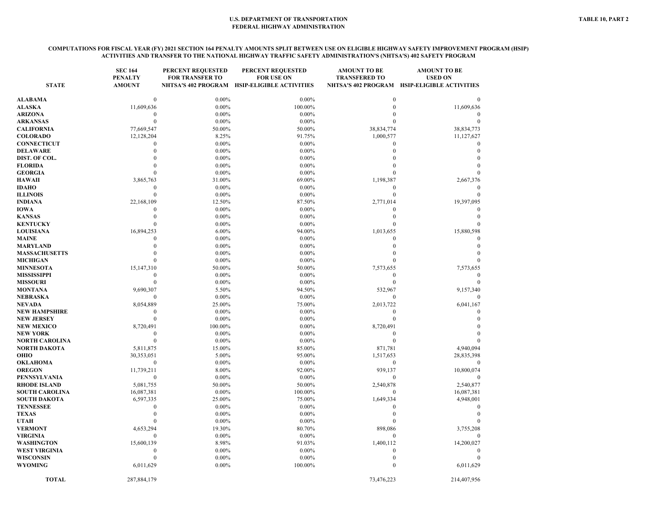#### **COMPUTATIONS FOR FISCAL YEAR (FY) 2021 SECTION 164 PENALTY AMOUNTS SPLIT BETWEEN USE ON ELIGIBLE HIGHWAY SAFETY IMPROVEMENT PROGRAM (HSIP) ACTIVITIES AND TRANSFER TO THE NATIONAL HIGHWAY TRAFFIC SAFETY ADMINISTRATION'S (NHTSA'S) 402 SAFETY PROGRAM**

| <b>STATE</b>                                 | <b>SEC 164</b><br><b>PENALTY</b><br><b>AMOUNT</b> | <b>PERCENT REQUESTED</b><br><b>FOR TRANSFER TO</b> | PERCENT REQUESTED<br><b>FOR USE ON</b><br>NHTSA'S 402 PROGRAM HSIP-ELIGIBLE ACTIVITIES | <b>AMOUNT TO BE</b><br><b>TRANSFERED TO</b> | <b>AMOUNT TO BE</b><br><b>USED ON</b><br>NHTSA'S 402 PROGRAM HSIP-ELIGIBLE ACTIVITIES |
|----------------------------------------------|---------------------------------------------------|----------------------------------------------------|----------------------------------------------------------------------------------------|---------------------------------------------|---------------------------------------------------------------------------------------|
| ALABAMA                                      | $\Omega$                                          | $0.00\%$                                           | $0.00\%$                                                                               | $\Omega$                                    |                                                                                       |
| <b>ALASKA</b>                                | 11,609,636                                        | $0.00\%$                                           | 100.00%                                                                                | $\Omega$                                    | 11,609,636                                                                            |
| <b>ARIZONA</b>                               | $\boldsymbol{0}$                                  | $0.00\%$                                           | $0.00\%$                                                                               |                                             |                                                                                       |
| <b>ARKANSAS</b>                              | $\mathbf{0}$                                      | $0.00\%$                                           | $0.00\%$                                                                               | $\Omega$                                    |                                                                                       |
| <b>CALIFORNIA</b>                            | 77,669,547                                        | 50.00%                                             | 50.00%                                                                                 | 38,834,774                                  | 38,834,773                                                                            |
| <b>COLORADO</b>                              | 12,128,204                                        | 8.25%                                              | 91.75%                                                                                 | 1,000,577                                   | 11,127,627                                                                            |
| <b>CONNECTICUT</b>                           | $\theta$                                          | $0.00\%$                                           | $0.00\%$                                                                               | $\Omega$                                    | $\Omega$                                                                              |
| <b>DELAWARE</b>                              | $\boldsymbol{0}$                                  | $0.00\%$                                           | $0.00\%$                                                                               | $\Omega$                                    | $\theta$                                                                              |
| DIST. OF COL.                                | $\Omega$                                          | $0.00\%$                                           | $0.00\%$                                                                               |                                             |                                                                                       |
| <b>FLORIDA</b>                               | $\mathbf{0}$                                      | $0.00\%$                                           | $0.00\%$                                                                               |                                             |                                                                                       |
| <b>GEORGIA</b>                               | $\Omega$                                          | $0.00\%$                                           | $0.00\%$                                                                               |                                             |                                                                                       |
| HAWAII                                       | 3,865,763                                         | 31.00%                                             | 69.00%                                                                                 | 1,198,387                                   | 2,667,376                                                                             |
| IDAHO                                        | $\boldsymbol{0}$                                  | $0.00\%$                                           | $0.00\%$                                                                               | $\theta$                                    | $\Omega$                                                                              |
| <b>ILLINOIS</b>                              | $\mathbf{0}$                                      | $0.00\%$                                           | $0.00\%$                                                                               | $\mathbf{0}$                                | $\Omega$                                                                              |
| INDIANA                                      | 22,168,109                                        | 12.50%                                             | 87.50%                                                                                 | 2,771,014                                   | 19,397,095                                                                            |
| IOWA                                         | $\mathbf{0}$                                      | $0.00\%$                                           | $0.00\%$                                                                               | $\theta$                                    |                                                                                       |
| <b>KANSAS</b>                                | $\theta$                                          | $0.00\%$                                           | $0.00\%$                                                                               | $\Omega$                                    | $\Omega$                                                                              |
| <b>KENTUCKY</b>                              | $\theta$                                          | $0.00\%$                                           | $0.00\%$                                                                               |                                             |                                                                                       |
| <b>LOUISIANA</b>                             | 16,894,253                                        | 6.00%                                              | 94.00%                                                                                 | 1,013,655                                   | 15,880,598                                                                            |
| MAINE                                        | $\theta$                                          | $0.00\%$                                           | $0.00\%$                                                                               | $\theta$                                    |                                                                                       |
| MARYLAND                                     | $\mathbf{0}$                                      | $0.00\%$                                           | $0.00\%$                                                                               | $\Omega$                                    | $\Omega$                                                                              |
| <b>MASSACHUSETTS</b>                         | $\theta$                                          | $0.00\%$                                           | $0.00\%$                                                                               | $\Omega$                                    |                                                                                       |
| <b>MICHIGAN</b>                              | $\mathbf{0}$                                      | $0.00\%$                                           | $0.00\%$                                                                               | $\Omega$                                    |                                                                                       |
| <b>MINNESOTA</b>                             | 15,147,310                                        | 50.00%                                             | 50.00%                                                                                 | 7,573,655                                   | 7,573,655                                                                             |
| <b>MISSISSIPPI</b>                           | $\mathbf{0}$                                      | $0.00\%$                                           | $0.00\%$                                                                               | $\theta$                                    | $\theta$                                                                              |
| <b>MISSOURI</b>                              | $\boldsymbol{0}$                                  | $0.00\%$                                           | $0.00\%$                                                                               | $\mathbf{0}$                                | $\mathbf{0}$                                                                          |
| MONTANA                                      | 9,690,307                                         | 5.50%                                              | 94.50%                                                                                 | 532,967                                     | 9,157,340                                                                             |
| NEBRASKA                                     | $\theta$                                          | $0.00\%$                                           | $0.00\%$                                                                               |                                             |                                                                                       |
| NEVADA                                       | 8,054,889                                         | 25.00%                                             | 75.00%                                                                                 | 2,013,722                                   | 6,041,167                                                                             |
| <b>NEW HAMPSHIRE</b>                         | $\theta$                                          | 0.00%                                              | $0.00\%$                                                                               | $\Omega$                                    | $\Omega$                                                                              |
| <b>NEW JERSEY</b>                            | $\mathbf{0}$                                      | 0.00%                                              | $0.00\%$                                                                               | $\theta$                                    | $\Omega$                                                                              |
| <b>NEW MEXICO</b>                            | 8,720,491                                         | 100.00%                                            | $0.00\%$                                                                               | 8,720,491                                   |                                                                                       |
| NEW YORK                                     | $\mathbf{0}$                                      | $0.00\%$                                           | $0.00\%$                                                                               | $\theta$                                    |                                                                                       |
| NORTH CAROLINA                               | $\Omega$                                          | $0.00\%$                                           | $0.00\%$                                                                               | $\Omega$                                    |                                                                                       |
| <b>NORTH DAKOTA</b>                          | 5,811,875                                         | 15.00%                                             | 85.00%                                                                                 | 871,781                                     | 4,940,094                                                                             |
| OHIO                                         | 30,353,051                                        | 5.00%                                              | 95.00%                                                                                 | 1,517,653                                   | 28,835,398                                                                            |
| <b>OKLAHOMA</b>                              | 0                                                 | 0.00%                                              | $0.00\%$                                                                               | $\overline{0}$                              | $\Omega$                                                                              |
| <b>OREGON</b>                                | 11,739,211                                        | 8.00%                                              | 92.00%                                                                                 | 939,137                                     | 10,800,074                                                                            |
| PENNSYLVANIA                                 | 0<br>5,081,755                                    | $0.00\%$<br>50.00%                                 | $0.00\%$<br>50.00%                                                                     | $\theta$<br>2,540,878                       | 2,540,877                                                                             |
| <b>RHODE ISLAND</b><br><b>SOUTH CAROLINA</b> |                                                   | $0.00\%$                                           | 100.00%                                                                                | $\Omega$                                    |                                                                                       |
| <b>SOUTH DAKOTA</b>                          | 16,087,381<br>6,597,335                           | 25.00%                                             | 75.00%                                                                                 | 1,649,334                                   | 16,087,381<br>4,948,001                                                               |
| <b>TENNESSEE</b>                             | $\mathbf{0}$                                      | $0.00\%$                                           | $0.00\%$                                                                               | $\theta$                                    |                                                                                       |
| TEXAS                                        | $\mathbf{0}$                                      | $0.00\%$                                           | $0.00\%$                                                                               | $\Omega$                                    | $\Omega$                                                                              |
| UTAH                                         | 0                                                 | $0.00\%$                                           | $0.00\%$                                                                               | $\Omega$                                    |                                                                                       |
| <b>VERMONT</b>                               | 4,653,294                                         | 19.30%                                             | 80.70%                                                                                 | 898,086                                     | 3,755,208                                                                             |
| VIRGINIA                                     | $\Omega$                                          | 0.00%                                              | $0.00\%$                                                                               | $\Omega$                                    |                                                                                       |
| WASHINGTON                                   | 15,600,139                                        | 8.98%                                              | 91.03%                                                                                 | 1,400,112                                   | 14,200,027                                                                            |
| <b>WEST VIRGINIA</b>                         | $\boldsymbol{0}$                                  | $0.00\%$                                           | $0.00\%$                                                                               | $\theta$                                    |                                                                                       |
| <b>WISCONSIN</b>                             | $\Omega$                                          | 0.00%                                              | $0.00\%$                                                                               | $\Omega$                                    |                                                                                       |
| <b>WYOMING</b>                               | 6,011,629                                         | $0.00\%$                                           | 100.00%                                                                                | $\Omega$                                    | 6,011,629                                                                             |
| <b>TOTAL</b>                                 | 287,884,179                                       |                                                    |                                                                                        | 73,476,223                                  | 214,407,956                                                                           |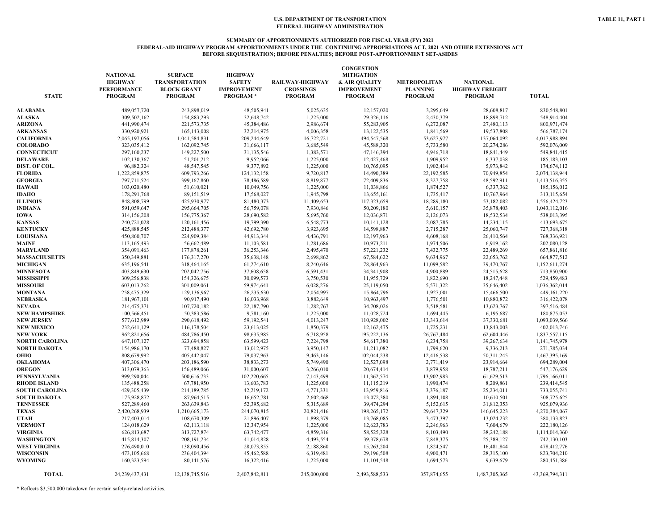#### **SUMMARY OF APPORTIONMENTS AUTHORIZED FOR FISCAL YEAR (FY) 2021 FEDERAL-AID HIGHWAY PROGRAM APPORTIONMENTS UNDER THE CONTINUING APPROPRIATIONS ACT, 2021 AND OTHER EXTENSIONS ACT BEFORE SEQUESTRATION; BEFORE PENALTIES; BEFORE POST-APPORTIONMENT SET-ASIDES**

| <b>STATE</b>          | <b>NATIONAL</b><br><b>HIGHWAY</b><br><b>PERFORMANCE</b><br><b>PROGRAM</b> | <b>SURFACE</b><br><b>TRANSPORTATION</b><br><b>BLOCK GRANT</b><br><b>PROGRAM</b> | <b>HIGHWAY</b><br><b>SAFETY</b><br><b>IMPROVEMENT</b><br><b>PROGRAM*</b> | RAILWAY-HIGHWAY<br><b>CROSSINGS</b><br><b>PROGRAM</b> | <b>CONGESTION</b><br><b>MITIGATION</b><br>& AIR QUALITY<br><b>IMPROVEMENT</b><br><b>PROGRAM</b> | <b>METROPOLITAN</b><br><b>PLANNING</b><br><b>PROGRAM</b> | <b>NATIONAL</b><br><b>HIGHWAY FREIGHT</b><br><b>PROGRAM</b> | <b>TOTAL</b>   |
|-----------------------|---------------------------------------------------------------------------|---------------------------------------------------------------------------------|--------------------------------------------------------------------------|-------------------------------------------------------|-------------------------------------------------------------------------------------------------|----------------------------------------------------------|-------------------------------------------------------------|----------------|
| ALABAMA               | 489,057,720                                                               | 243,898,019                                                                     | 48,505,941                                                               | 5,025,635                                             | 12,157,020                                                                                      | 3,295,649                                                | 28,608,817                                                  | 830,548,801    |
| <b>ALASKA</b>         | 309,502,162                                                               | 154,883,293                                                                     | 32,648,742                                                               | 1,225,000                                             | 29,326,116                                                                                      | 2,430,379                                                | 18,898,712                                                  | 548,914,404    |
| <b>ARIZONA</b>        | 441,990,474                                                               | 221,573,735                                                                     | 45,384,486                                                               | 2,986,674                                             | 55,283,905                                                                                      | 6,272,087                                                | 27,480,113                                                  | 800,971,474    |
| <b>ARKANSAS</b>       | 330,920,921                                                               | 165,143,008                                                                     | 32,214,975                                                               | 4,006,358                                             | 13,122,535                                                                                      | 1,841,569                                                | 19,537,808                                                  | 566,787,174    |
| <b>CALIFORNIA</b>     | 2,065,197,056                                                             | 1,041,584,831                                                                   | 209,244,649                                                              | 16,722,721                                            | 494,547,568                                                                                     | 53,627,977                                               | 137,064,092                                                 | 4,017,988,894  |
| <b>COLORADO</b>       | 323,035,412                                                               | 162,092,745                                                                     | 31,666,117                                                               | 3,685,549                                             | 45,588,320                                                                                      | 5,733,580                                                | 20,274,286                                                  | 592,076,009    |
| <b>CONNECTICUT</b>    | 297,160,237                                                               | 149,227,500                                                                     | 31,135,546                                                               | 1,383,571                                             | 47,146,394                                                                                      | 4,946,718                                                | 18,841,449                                                  | 549,841,415    |
| <b>DELAWARE</b>       | 102,130,367                                                               | 51,201,212                                                                      | 9,952,066                                                                | 1,225,000                                             | 12,427,468                                                                                      | 1,909,952                                                | 6,337,038                                                   | 185, 183, 103  |
| DIST. OF COL.         | 96,882,324                                                                | 48,547,545                                                                      | 9,377,892                                                                | 1,225,000                                             | 10,765,095                                                                                      | 1,902,414                                                | 5,973,842                                                   | 174,674,112    |
| <b>FLORIDA</b>        | 1,222,859,875                                                             | 609,793,266                                                                     | 124, 132, 158                                                            | 9,720,817                                             | 14,490,389                                                                                      | 22,192,585                                               | 70,949,854                                                  | 2,074,138,944  |
| <b>GEORGIA</b>        | 797,711,524                                                               | 399,167,860                                                                     | 78,486,589                                                               | 8,819,877                                             | 72,409,836                                                                                      | 8,327,758                                                | 48,592,911                                                  | 1,413,516,355  |
| HAWAII                | 103,020,480                                                               | 51,610,021                                                                      | 10,049,756                                                               | 1,225,000                                             | 11,038,866                                                                                      | 1,874,527                                                | 6,337,362                                                   | 185,156,012    |
| IDAHO                 | 178,291,768                                                               | 89,151,519                                                                      | 17,568,027                                                               | 1,945,798                                             | 13,655,161                                                                                      | 1,735,417                                                | 10,767,964                                                  | 313,115,654    |
| <b>ILLINOIS</b>       | 848,808,799                                                               | 425,930,977                                                                     | 81,480,373                                                               | 11,409,653                                            | 117,323,659                                                                                     | 18,289,180                                               | 53,182,082                                                  | 1,556,424,723  |
| <b>INDIANA</b>        | 591,059,647                                                               | 295,664,705                                                                     | 56,759,078                                                               | 7,930,846                                             | 50,209,180                                                                                      | 5,610,157                                                | 35,878,403                                                  | 1,043,112,016  |
| <b>IOWA</b>           | 314,156,208                                                               | 156,775,367                                                                     | 28,690,582                                                               | 5,695,760                                             | 12,036,871                                                                                      | 2,126,073                                                | 18,532,534                                                  | 538,013,395    |
| <b>KANSAS</b>         | 240,721,028                                                               | 120, 161, 456                                                                   | 19,799,390                                                               | 6,548,773                                             | 10,141,128                                                                                      | 2,087,785                                                | 14,234,115                                                  | 413,693,675    |
| <b>KENTUCKY</b>       | 425,888,545                                                               | 212,488,377                                                                     | 42,692,780                                                               | 3,923,695                                             | 14,598,887                                                                                      | 2,715,287                                                | 25,060,747                                                  | 727,368,318    |
| <b>LOUISIANA</b>      | 450,860,707                                                               | 224,909,384                                                                     | 44,913,344                                                               | 4,436,791                                             | 12,197,963                                                                                      | 4,608,168                                                | 26,410,564                                                  | 768,336,921    |
| <b>MAINE</b>          | 113,165,493                                                               | 56,662,489                                                                      | 11,103,581                                                               | 1,281,686                                             | 10,973,211                                                                                      | 1,974,506                                                | 6,919,162                                                   | 202,080,128    |
| <b>MARYLAND</b>       | 354,091,463                                                               | 177,878,261                                                                     | 36,253,346                                                               | 2,495,470                                             | 57,221,232                                                                                      | 7,432,775                                                | 22,489,269                                                  | 657,861,816    |
| <b>MASSACHUSETTS</b>  | 350,349,881                                                               | 176,317,270                                                                     | 35,638,148                                                               | 2,698,862                                             | 67,584,622                                                                                      | 9,634,967                                                | 22,653,762                                                  | 664,877,512    |
| <b>MICHIGAN</b>       | 635,196,541                                                               | 318,464,165                                                                     | 61,274,610                                                               | 8,240,646                                             | 78,864,963                                                                                      | 11,099,582                                               | 39,470,767                                                  | 1,152,611,274  |
| <b>MINNESOTA</b>      | 403,849,630                                                               | 202,042,756                                                                     | 37,608,658                                                               | 6,591,431                                             | 34,341,908                                                                                      | 4,900,889                                                | 24,515,628                                                  | 713,850,900    |
| <b>MISSISSIPPI</b>    | 309,256,838                                                               | 154,326,675                                                                     | 30,099,573                                                               | 3,750,530                                             | 11,955,729                                                                                      | 1,822,690                                                | 18,247,448                                                  | 529,459,483    |
| <b>MISSOURI</b>       | 603,013,262                                                               | 301,009,061                                                                     | 59,974,641                                                               | 6,028,276                                             | 25,119,050                                                                                      | 5,571,322                                                | 35,646,402                                                  | 1,036,362,014  |
| <b>MONTANA</b>        | 258,475,329                                                               | 129,136,967                                                                     | 26,235,630                                                               | 2,054,997                                             | 15,864,796                                                                                      | 1,927,001                                                | 15,466,500                                                  | 449, 161, 220  |
| NEBRASKA              | 181,967,101                                                               | 90,917,490                                                                      | 16,033,968                                                               | 3,882,649                                             | 10,963,497                                                                                      | 1,776,501                                                | 10,880,872                                                  | 316,422,078    |
| NEVADA                | 214,475,371                                                               | 107,720,182                                                                     | 22,187,790                                                               | 1,282,767                                             | 34,708,026                                                                                      | 3,518,581                                                | 13,623,767                                                  | 397,516,484    |
| <b>NEW HAMPSHIRE</b>  | 100,566,451                                                               | 50,383,586                                                                      | 9,781,160                                                                | 1,225,000                                             | 11,028,724                                                                                      | 1,694,445                                                | 6,195,687                                                   | 180,875,053    |
| <b>NEW JERSEY</b>     | 577,612,989                                                               | 290,618,492                                                                     | 59,192,541                                                               | 4,013,247                                             | 110,928,002                                                                                     | 13,343,614                                               | 37,330,681                                                  | 1,093,039,566  |
| <b>NEW MEXICO</b>     | 232,641,129                                                               | 116,178,504                                                                     | 23,613,025                                                               | 1,850,379                                             | 12,162,475                                                                                      | 1,725,231                                                | 13,843,003                                                  | 402,013,746    |
| <b>NEW YORK</b>       | 962,821,656                                                               | 484,786,450                                                                     | 98,635,985                                                               | 6,718,958                                             | 195,222,136                                                                                     | 26,767,484                                               | 62,604,446                                                  | 1,837,557,115  |
| NORTH CAROLINA        | 647, 107, 127                                                             | 323,694,858                                                                     | 63,599,423                                                               | 7,224,798                                             | 54,617,380                                                                                      | 6,234,758                                                | 39,267,634                                                  | 1,141,745,978  |
| NORTH DAKOTA          | 154,986,170                                                               | 77,488,827                                                                      | 13,012,975                                                               | 3,950,147                                             | 11,211,082                                                                                      | 1,799,620                                                | 9,336,213                                                   | 271,785,034    |
| OHIO                  | 808,679,992                                                               | 405,442,047                                                                     | 79,037,963                                                               | 9,463,146                                             | 102,044,238                                                                                     | 12,416,538                                               | 50,311,245                                                  | 1,467,395,169  |
| <b>OKLAHOMA</b>       | 407,306,470                                                               | 203,186,590                                                                     | 38,833,273                                                               | 5,749,490                                             | 12,527,098                                                                                      | 2,771,419                                                | 23,914,664                                                  | 694,289,004    |
| <b>OREGON</b>         | 313,079,363                                                               | 156,489,066                                                                     | 31,000,607                                                               | 3,266,010                                             | 20,674,414                                                                                      | 3,879,958                                                | 18,787,211                                                  | 547,176,629    |
| PENNSYLVANIA          | 999,290,044                                                               | 500,616,733                                                                     | 102,220,665                                                              | 7,143,499                                             | 111,362,574                                                                                     | 13,902,983                                               | 61,629,513                                                  | 1,796,166,011  |
| RHODE ISLAND          | 135,488,258                                                               | 67,781,950                                                                      | 13,603,783                                                               | 1,225,000                                             | 11,115,219                                                                                      | 1,990,474                                                | 8,209,861                                                   | 239,414,545    |
| <b>SOUTH CAROLINA</b> | 429,305,439                                                               | 214,189,785                                                                     | 42,219,172                                                               | 4,771,331                                             | 13,959,816                                                                                      | 3,376,187                                                | 25,234,011                                                  | 733,055,741    |
| <b>SOUTH DAKOTA</b>   | 175,928,872                                                               | 87,964,515                                                                      | 16,652,781                                                               | 2,602,468                                             | 13,072,380                                                                                      | 1,894,108                                                | 10,610,501                                                  | 308,725,625    |
| <b>TENNESSEE</b>      | 527,289,460                                                               | 263,639,843                                                                     | 52,395,682                                                               | 5,315,689                                             | 39,474,294                                                                                      | 5,152,615                                                | 31,812,353                                                  | 925,079,936    |
| <b>TEXAS</b>          | 2,420,268,939                                                             | 1,210,665,173                                                                   | 244,070,815                                                              | 20,821,416                                            | 198,265,172                                                                                     | 29,647,329                                               | 146, 645, 223                                               | 4,270,384,067  |
| UTAH                  | 217,403,014                                                               | 108,670,309                                                                     | 21,896,407                                                               | 1,898,379                                             | 13,768,085                                                                                      | 3,473,397                                                | 13,024,232                                                  | 380,133,823    |
| <b>VERMONT</b>        | 124,018,629                                                               | 62,113,118                                                                      | 12,347,954                                                               | 1,225,000                                             | 12,623,783                                                                                      | 2,246,963                                                | 7,604,679                                                   | 222,180,126    |
| <b>VIRGINIA</b>       | 626,813,687                                                               | 313,727,874                                                                     | 63,742,477                                                               | 4,859,316                                             | 58,525,328                                                                                      | 8,103,490                                                | 38,242,188                                                  | 1,114,014,360  |
| WASHINGTON            | 415,814,307                                                               | 208, 191, 234                                                                   | 41,014,828                                                               | 4,493,554                                             | 39,378,678                                                                                      | 7,848,375                                                | 25,389,127                                                  | 742,130,103    |
| <b>WEST VIRGINIA</b>  | 276,490,010                                                               | 138,090,456                                                                     | 28,073,855                                                               | 2,188,860                                             | 15,263,204                                                                                      | 1,824,547                                                | 16,481,844                                                  | 478,412,776    |
| WISCONSIN             | 473,105,668                                                               | 236,404,394                                                                     | 45,462,588                                                               | 6,319,481                                             | 29,196,508                                                                                      | 4,900,471                                                | 28,315,100                                                  | 823,704,210    |
| <b>WYOMING</b>        | 160,323,594                                                               | 80,141,576                                                                      | 16,322,416                                                               | 1,225,000                                             | 11,104,548                                                                                      | 1,694,573                                                | 9,639,679                                                   | 280,451,386    |
| <b>TOTAL</b>          | 24,239,437,431                                                            | 12, 138, 745, 516                                                               | 2,407,842,811                                                            | 245,000,000                                           | 2,493,588,533                                                                                   | 357,874,655                                              | 1,487,305,365                                               | 43,369,794,311 |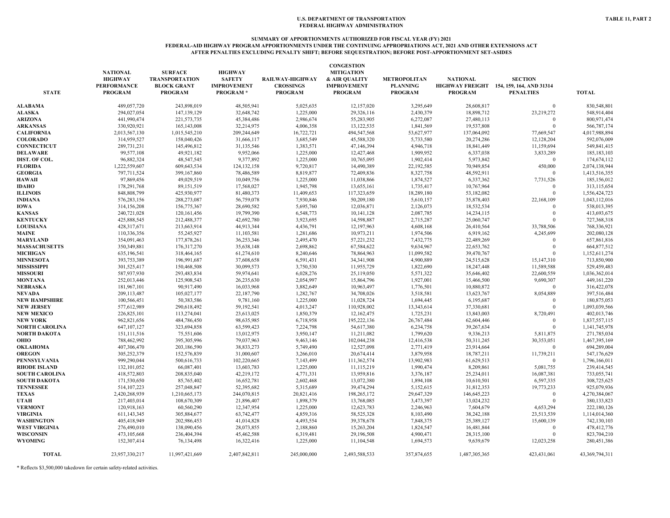#### **FEDERAL-AID HIGHWAY PROGRAM APPORTIONMENTS UNDER THE CONTINUING APPROPRIATIONS ACT, 2021 AND OTHER EXTENSIONS ACT AFTER PENALTIES EXCLUDING PENALTY SHIFT; BEFORE SEQUESTRATION; BEFORE POST-APPORTIONMENT SET-ASIDES**

| <b>STATE</b>          | <b>NATIONAL</b><br><b>HIGHWAY</b><br><b>PERFORMANCE</b><br><b>PROGRAM</b> | <b>SURFACE</b><br><b>TRANSPORTATION</b><br><b>BLOCK GRANT</b><br><b>PROGRAM</b> | <b>HIGHWAY</b><br><b>SAFETY</b><br><b>IMPROVEMENT</b><br><b>PROGRAM*</b> | RAILWAY-HIGHWAY<br><b>CROSSINGS</b><br><b>PROGRAM</b> | <b>CONGESTION</b><br><b>MITIGATION</b><br>& AIR QUALITY<br><b>IMPROVEMENT</b><br><b>PROGRAM</b> | <b>METROPOLITAN</b><br><b>PLANNING</b><br><b>PROGRAM</b> | <b>NATIONAL</b><br><b>PROGRAM</b> | <b>SECTION</b><br>HIGHWAY FREIGHT 154, 159, 164, AND 31314<br><b>PENALTIES</b> | <b>TOTAL</b>   |
|-----------------------|---------------------------------------------------------------------------|---------------------------------------------------------------------------------|--------------------------------------------------------------------------|-------------------------------------------------------|-------------------------------------------------------------------------------------------------|----------------------------------------------------------|-----------------------------------|--------------------------------------------------------------------------------|----------------|
| <b>ALABAMA</b>        | 489,057,720                                                               | 243,898,019                                                                     | 48,505,941                                                               | 5,025,635                                             | 12,157,020                                                                                      | 3,295,649                                                | 28,608,817                        | $\overline{0}$                                                                 | 830,548,801    |
| <b>ALASKA</b>         | 294,027,054                                                               | 147,139,129                                                                     | 32,648,742                                                               | 1,225,000                                             | 29,326,116                                                                                      | 2,430,379                                                | 18,898,712                        | 23,219,272                                                                     | 548,914,404    |
| <b>ARIZONA</b>        | 441,990,474                                                               | 221,573,735                                                                     | 45,384,486                                                               | 2,986,674                                             | 55,283,905                                                                                      | 6,272,087                                                | 27,480,113                        | $\Omega$                                                                       | 800,971,474    |
| <b>ARKANSAS</b>       | 330,920,921                                                               | 165, 143, 008                                                                   | 32,214,975                                                               | 4,006,358                                             | 13,122,535                                                                                      | 1,841,569                                                | 19,537,808                        | $\overline{0}$                                                                 | 566,787,174    |
| <b>CALIFORNIA</b>     | 2,013,567,130                                                             | 1,015,545,210                                                                   | 209,244,649                                                              | 16,722,721                                            | 494,547,568                                                                                     | 53,627,977                                               | 137,064,092                       | 77,669,547                                                                     | 4,017,988,894  |
| <b>COLORADO</b>       | 314,959,527                                                               | 158,040,426                                                                     | 31,666,117                                                               | 3,685,549                                             | 45,588,320                                                                                      | 5,733,580                                                | 20,274,286                        | 12,128,204                                                                     | 592,076,009    |
| <b>CONNECTICUT</b>    | 289,731,231                                                               | 145,496,812                                                                     | 31,135,546                                                               | 1,383,571                                             | 47,146,394                                                                                      | 4,946,718                                                | 18,841,449                        | 11,159,694                                                                     | 549,841,415    |
| <b>DELAWARE</b>       | 99,577,108                                                                | 49,921,182                                                                      | 9,952,066                                                                | 1,225,000                                             | 12,427,468                                                                                      | 1,909,952                                                | 6,337,038                         | 3,833,289                                                                      | 185, 183, 103  |
| DIST. OF COL.         | 96,882,324                                                                | 48,547,545                                                                      | 9,377,892                                                                | 1,225,000                                             | 10,765,095                                                                                      | 1,902,414                                                | 5,973,842                         | $\overline{0}$                                                                 | 174,674,112    |
| <b>FLORIDA</b>        | 1,222,559,607                                                             | 609,643,534                                                                     | 124, 132, 158                                                            | 9,720,817                                             | 14,490,389                                                                                      | 22,192,585                                               | 70,949,854                        | 450,000                                                                        | 2,074,138,944  |
| <b>GEORGIA</b>        | 797,711,524                                                               | 399,167,860                                                                     | 78,486,589                                                               | 8,819,877                                             | 72,409,836                                                                                      | 8,327,758                                                | 48,592,911                        | $\Omega$                                                                       | 1,413,516,355  |
| <b>HAWAII</b>         | 97,869,456                                                                | 49,029,519                                                                      | 10,049,756                                                               | 1,225,000                                             | 11,038,866                                                                                      | 1,874,527                                                | 6,337,362                         | 7,731,526                                                                      | 185,156,012    |
| <b>IDAHO</b>          | 178,291,768                                                               | 89,151,519                                                                      | 17,568,027                                                               | 1,945,798                                             | 13,655,161                                                                                      | 1,735,417                                                | 10,767,964                        | $\Omega$                                                                       | 313,115,654    |
| <b>ILLINOIS</b>       | 848,808,799                                                               | 425,930,977                                                                     | 81,480,373                                                               | 11,409,653                                            | 117,323,659                                                                                     | 18,289,180                                               | 53,182,082                        | $\Omega$                                                                       | 1,556,424,723  |
| <b>INDIANA</b>        | 576,283,156                                                               | 288,273,087                                                                     | 56,759,078                                                               | 7,930,846                                             | 50,209,180                                                                                      | 5,610,157                                                | 35,878,403                        | 22,168,109                                                                     | 1,043,112,016  |
| <b>IOWA</b>           | 314,156,208                                                               | 156,775,367                                                                     | 28,690,582                                                               | 5,695,760                                             | 12,036,871                                                                                      | 2,126,073                                                | 18,532,534                        | $\Omega$                                                                       | 538,013,395    |
| <b>KANSAS</b>         | 240,721,028                                                               | 120, 161, 456                                                                   | 19,799,390                                                               | 6,548,773                                             | 10,141,128                                                                                      | 2,087,785                                                | 14,234,115                        | $\overline{0}$                                                                 | 413,693,675    |
| <b>KENTUCKY</b>       | 425,888,545                                                               | 212,488,377                                                                     | 42,692,780                                                               | 3,923,695                                             | 14,598,887                                                                                      | 2,715,287                                                | 25,060,747                        | $\theta$                                                                       | 727,368,318    |
| <b>LOUISIANA</b>      | 428,317,671                                                               | 213,663,914                                                                     | 44,913,344                                                               | 4,436,791                                             | 12,197,963                                                                                      | 4,608,168                                                | 26,410,564                        | 33,788,506                                                                     | 768,336,921    |
| MAINE                 | 110,336,356                                                               | 55,245,927                                                                      | 11,103,581                                                               | 1,281,686                                             | 10,973,211                                                                                      | 1,974,506                                                | 6,919,162                         | 4,245,699                                                                      | 202,080,128    |
| MARYLAND              | 354,091,463                                                               | 177,878,261                                                                     | 36,253,346                                                               | 2,495,470                                             | 57,221,232                                                                                      | 7,432,775                                                | 22,489,269                        | $\Omega$                                                                       | 657,861,816    |
| <b>MASSACHUSETTS</b>  | 350,349,881                                                               | 176, 317, 270                                                                   | 35,638,148                                                               | 2,698,862                                             | 67,584,622                                                                                      | 9,634,967                                                | 22,653,762                        | $\Omega$                                                                       | 664,877,512    |
| <b>MICHIGAN</b>       | 635,196,541                                                               | 318,464,165                                                                     | 61,274,610                                                               | 8,240,646                                             | 78,864,963                                                                                      | 11,099,582                                               | 39,470,767                        | $\Omega$                                                                       | 1,152,611,274  |
| <b>MINNESOTA</b>      | 393,753,389                                                               | 196,991,687                                                                     | 37,608,658                                                               | 6,591,431                                             | 34, 341, 908                                                                                    | 4,900,889                                                | 24,515,628                        | 15,147,310                                                                     | 713,850,900    |
| <b>MISSISSIPPI</b>    | 301,525,417                                                               | 150,468,508                                                                     | 30,099,573                                                               | 3,750,530                                             | 11,955,729                                                                                      | 1,822,690                                                | 18,247,448                        | 11,589,588                                                                     | 529,459,483    |
| <b>MISSOURI</b>       | 587,937,930                                                               | 293,483,834                                                                     | 59,974,641                                                               | 6,028,276                                             | 25,119,050                                                                                      | 5,571,322                                                | 35,646,402                        | 22,600,559                                                                     | 1,036,362,014  |
| <b>MONTANA</b>        | 252,013,446                                                               | 125,908,543                                                                     | 26,235,630                                                               | 2,054,997                                             | 15,864,796                                                                                      | 1,927,001                                                | 15,466,500                        | 9,690,307                                                                      | 449,161,220    |
| NEBRASKA              | 181,967,101                                                               | 90,917,490                                                                      | 16,033,968                                                               | 3,882,649                                             | 10,963,497                                                                                      | 1,776,501                                                | 10,880,872                        | $\mathbf{0}$                                                                   | 316,422,078    |
| <b>NEVADA</b>         | 209,113,487                                                               | 105,027,177                                                                     | 22,187,790                                                               | 1,282,767                                             | 34,708,026                                                                                      | 3,518,581                                                | 13,623,767                        | 8,054,889                                                                      | 397,516,484    |
| <b>NEW HAMPSHIRE</b>  | 100,566,451                                                               | 50,383,586                                                                      | 9,781,160                                                                | 1,225,000                                             | 11,028,724                                                                                      | 1,694,445                                                | 6,195,687                         | $\Omega$                                                                       | 180,875,053    |
| <b>NEW JERSEY</b>     | 577,612,989                                                               | 290,618,492                                                                     | 59,192,541                                                               | 4,013,247                                             | 110,928,002                                                                                     | 13,343,614                                               | 37,330,681                        | $\theta$                                                                       | 1,093,039,566  |
| <b>NEW MEXICO</b>     | 226,825,101                                                               | 113,274,041                                                                     | 23,613,025                                                               | 1,850,379                                             | 12,162,475                                                                                      | 1,725,231                                                | 13,843,003                        | 8,720,491                                                                      | 402,013,746    |
| <b>NEW YORK</b>       | 962,821,656                                                               | 484,786,450                                                                     | 98,635,985                                                               | 6,718,958                                             | 195,222,136                                                                                     | 26,767,484                                               | 62,604,446                        | $\Omega$                                                                       | 1,837,557,115  |
| <b>NORTH CAROLINA</b> | 647, 107, 127                                                             | 323,694,858                                                                     | 63,599,423                                                               | 7,224,798                                             | 54,617,380                                                                                      | 6,234,758                                                | 39,267,634                        | $\theta$                                                                       | 1,141,745,978  |
| <b>NORTH DAKOTA</b>   | 151,111,516                                                               | 75,551,606                                                                      | 13,012,975                                                               | 3,950,147                                             | 11,211,082                                                                                      | 1,799,620                                                | 9,336,213                         | 5,811,875                                                                      | 271,785,034    |
| OHIO                  | 788,462,992                                                               | 395,305,996                                                                     | 79,037,963                                                               | 9,463,146                                             | 102,044,238                                                                                     | 12,416,538                                               | 50,311,245                        | 30,353,051                                                                     | 1,467,395,169  |
| <b>OKLAHOMA</b>       | 407,306,470                                                               | 203,186,590                                                                     | 38,833,273                                                               | 5,749,490                                             | 12,527,098                                                                                      | 2,771,419                                                | 23,914,664                        | $\overline{0}$                                                                 | 694,289,004    |
| <b>OREGON</b>         | 305,252,379                                                               | 152,576,839                                                                     | 31,000,607                                                               | 3,266,010                                             | 20,674,414                                                                                      | 3,879,958                                                | 18,787,211                        | 11,739,211                                                                     | 547,176,629    |
| PENNSYLVANIA          | 999,290,044                                                               | 500,616,733                                                                     | 102,220,665                                                              | 7,143,499                                             | 111,362,574                                                                                     | 13,902,983                                               | 61,629,513                        | $\overline{0}$                                                                 | 1,796,166,011  |
| <b>RHODE ISLAND</b>   | 132,101,052                                                               | 66,087,401                                                                      | 13,603,783                                                               | 1,225,000                                             | 11,115,219                                                                                      | 1,990,474                                                | 8,209,861                         | 5,081,755                                                                      | 239,414,545    |
| <b>SOUTH CAROLINA</b> | 418,572,803                                                               | 208,835,040                                                                     | 42,219,172                                                               | 4,771,331                                             | 13,959,816                                                                                      | 3,376,187                                                | 25,234,011                        | 16,087,381                                                                     | 733,055,741    |
| <b>SOUTH DAKOTA</b>   | 171,530,650                                                               | 85,765,402                                                                      | 16,652,781                                                               | 2,602,468                                             | 13,072,380                                                                                      | 1,894,108                                                | 10,610,501                        | 6,597,335                                                                      | 308,725,625    |
| <b>TENNESSEE</b>      | 514, 107, 223                                                             | 257,048,847                                                                     | 52,395,682                                                               | 5,315,689                                             | 39,474,294                                                                                      | 5,152,615                                                | 31,812,353                        | 19,773,233                                                                     | 925,079,936    |
| <b>TEXAS</b>          | 2,420,268,939                                                             | 1,210,665,173                                                                   | 244,070,815                                                              | 20,821,416                                            | 198,265,172                                                                                     | 29,647,329                                               | 146, 645, 223                     | $\Omega$                                                                       | 4,270,384,067  |
| UTAH                  | 217,403,014                                                               | 108,670,309                                                                     | 21,896,407                                                               | 1,898,379                                             | 13,768,085                                                                                      | 3,473,397                                                | 13,024,232                        | $\Omega$                                                                       | 380,133,823    |
| <b>VERMONT</b>        | 120,918,163                                                               | 60,560,290                                                                      | 12,347,954                                                               | 1,225,000                                             | 12,623,783                                                                                      | 2,246,963                                                | 7,604,679                         | 4,653,294                                                                      | 222,180,126    |
| <b>VIRGINIA</b>       | 611,143,345                                                               | 305,884,677                                                                     | 63,742,477                                                               | 4,859,316                                             | 58,525,328                                                                                      | 8,103,490                                                | 38,242,188                        | 23,513,539                                                                     | 1,114,014,360  |
| <b>WASHINGTON</b>     | 405,418,949                                                               | 202,986,453                                                                     | 41,014,828                                                               | 4,493,554                                             | 39,378,678                                                                                      | 7,848,375                                                | 25,389,127                        | 15,600,139                                                                     | 742,130,103    |
| WEST VIRGINIA         | 276,490,010                                                               | 138,090,456                                                                     | 28,073,855                                                               | 2,188,860                                             | 15,263,204                                                                                      | 1,824,547                                                | 16,481,844                        | $\mathbf{0}$                                                                   | 478,412,776    |
| <b>WISCONSIN</b>      | 473,105,668                                                               | 236,404,394                                                                     | 45,462,588                                                               | 6,319,481                                             | 29,196,508                                                                                      | 4,900,471                                                | 28,315,100                        | $\Omega$                                                                       | 823,704,210    |
| <b>WYOMING</b>        | 152,307,414                                                               | 76,134,498                                                                      | 16,322,416                                                               | 1,225,000                                             | 11,104,548                                                                                      | 1,694,573                                                | 9,639,679                         | 12,023,258                                                                     | 280,451,386    |
| <b>TOTAL</b>          | 23,957,330,217                                                            | 11,997,421,669                                                                  | 2,407,842,811                                                            | 245,000,000                                           | 2,493,588,533                                                                                   | 357,874,655                                              | 1,487,305,365                     | 423,431,061                                                                    | 43,369,794,311 |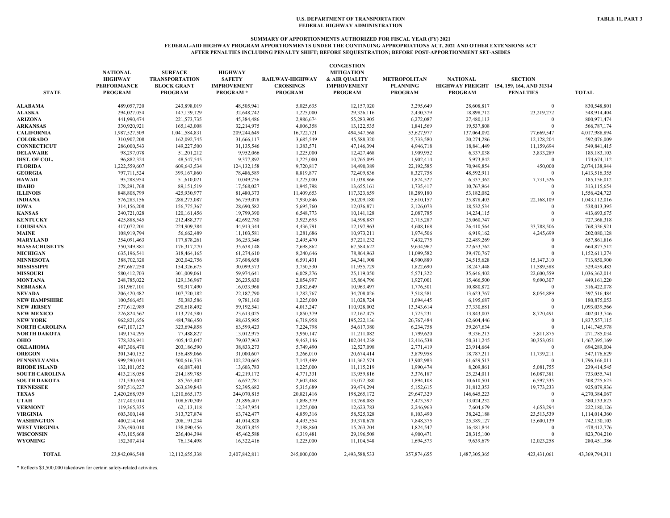### **SUMMARY OF APPORTIONMENTS AUTHORIZED FOR FISCAL YEAR (FY) 2021 FEDERAL-AID HIGHWAY PROGRAM APPORTIONMENTS UNDER THE CONTINUING APPROPRIATIONS ACT, 2021 AND OTHER EXTENSIONS ACT AFTER PENALTIES INCLUDING PENALTY SHIFT; BEFORE SEQUESTRATION; BEFORE POST-APPORTIONMENT SET-ASIDES**

| <b>STATE</b>          | <b>NATIONAL</b><br><b>HIGHWAY</b><br><b>PERFORMANCE</b><br><b>PROGRAM</b> | <b>SURFACE</b><br><b>TRANSPORTATION</b><br><b>BLOCK GRANT</b><br><b>PROGRAM</b> | <b>HIGHWAY</b><br><b>SAFETY</b><br><b>IMPROVEMENT</b><br><b>PROGRAM*</b> | RAILWAY-HIGHWAY<br><b>CROSSINGS</b><br><b>PROGRAM</b> | <b>CONGESTION</b><br><b>MITIGATION</b><br>& AIR QUALITY<br><b>IMPROVEMENT</b><br><b>PROGRAM</b> | <b>METROPOLITAN</b><br><b>PLANNING</b><br><b>PROGRAM</b> | <b>NATIONAL</b><br><b>PROGRAM</b> | <b>SECTION</b><br>HIGHWAY FREIGHT 154, 159, 164, AND 31314<br><b>PENALTIES</b> | <b>TOTAL</b>   |
|-----------------------|---------------------------------------------------------------------------|---------------------------------------------------------------------------------|--------------------------------------------------------------------------|-------------------------------------------------------|-------------------------------------------------------------------------------------------------|----------------------------------------------------------|-----------------------------------|--------------------------------------------------------------------------------|----------------|
| ALABAMA               | 489,057,720                                                               | 243,898,019                                                                     | 48,505,941                                                               | 5,025,635                                             | 12,157,020                                                                                      | 3,295,649                                                | 28,608,817                        | $\mathbf{0}$                                                                   | 830,548,801    |
| <b>ALASKA</b>         | 294,027,054                                                               | 147,139,129                                                                     | 32,648,742                                                               | 1,225,000                                             | 29,326,116                                                                                      | 2,430,379                                                | 18,898,712                        | 23,219,272                                                                     | 548,914,404    |
| ARIZONA               | 441,990,474                                                               | 221,573,735                                                                     | 45,384,486                                                               | 2,986,674                                             | 55,283,905                                                                                      | 6,272,087                                                | 27,480,113                        | $\Omega$                                                                       | 800,971,474    |
| <b>ARKANSAS</b>       | 330,920,921                                                               | 165, 143, 008                                                                   | 32,214,975                                                               | 4,006,358                                             | 13,122,535                                                                                      | 1,841,569                                                | 19,537,808                        | $\Omega$                                                                       | 566,787,174    |
| <b>CALIFORNIA</b>     | 1,987,527,509                                                             | 1,041,584,831                                                                   | 209,244,649                                                              | 16,722,721                                            | 494,547,568                                                                                     | 53,627,977                                               | 137,064,092                       | 77,669,547                                                                     | 4,017,988,894  |
| <b>COLORADO</b>       | 310,907,208                                                               | 162,092,745                                                                     | 31,666,117                                                               | 3,685,549                                             | 45,588,320                                                                                      | 5,733,580                                                | 20,274,286                        | 12,128,204                                                                     | 592,076,009    |
| <b>CONNECTICUT</b>    | 286,000,543                                                               | 149,227,500                                                                     | 31,135,546                                                               | 1,383,571                                             | 47,146,394                                                                                      | 4,946,718                                                | 18,841,449                        | 11,159,694                                                                     | 549,841,415    |
| <b>DELAWARE</b>       | 98,297,078                                                                | 51,201,212                                                                      | 9,952,066                                                                | 1,225,000                                             | 12,427,468                                                                                      | 1,909,952                                                | 6,337,038                         | 3,833,289                                                                      | 185, 183, 103  |
| DIST. OF COL.         | 96,882,324                                                                | 48,547,545                                                                      | 9,377,892                                                                | 1,225,000                                             | 10,765,095                                                                                      | 1,902,414                                                | 5,973,842                         | $\mathbf{0}$                                                                   | 174,674,112    |
| <b>FLORIDA</b>        | 1,222,559,607                                                             | 609,643,534                                                                     | 124, 132, 158                                                            | 9,720,817                                             | 14,490,389                                                                                      | 22,192,585                                               | 70,949,854                        | 450,000                                                                        | 2,074,138,944  |
| <b>GEORGIA</b>        | 797,711,524                                                               | 399,167,860                                                                     | 78,486,589                                                               | 8,819,877                                             | 72,409,836                                                                                      | 8,327,758                                                | 48,592,911                        | $\Omega$                                                                       | 1,413,516,355  |
| <b>HAWAII</b>         | 95,288,954                                                                | 51,610,021                                                                      | 10,049,756                                                               | 1,225,000                                             | 11,038,866                                                                                      | 1,874,527                                                | 6,337,362                         | 7,731,526                                                                      | 185,156,012    |
| <b>IDAHO</b>          | 178,291,768                                                               | 89,151,519                                                                      | 17,568,027                                                               | 1,945,798                                             | 13,655,161                                                                                      | 1,735,417                                                | 10,767,964                        | $\Omega$                                                                       | 313,115,654    |
| <b>ILLINOIS</b>       | 848,808,799                                                               | 425,930,977                                                                     | 81,480,373                                                               | 11,409,653                                            | 117,323,659                                                                                     | 18,289,180                                               | 53,182,082                        | $\Omega$                                                                       | 1,556,424,723  |
| <b>INDIANA</b>        | 576,283,156                                                               | 288,273,087                                                                     | 56,759,078                                                               | 7,930,846                                             | 50,209,180                                                                                      | 5,610,157                                                | 35,878,403                        | 22,168,109                                                                     | 1,043,112,016  |
| <b>IOWA</b>           | 314,156,208                                                               | 156,775,367                                                                     | 28,690,582                                                               | 5,695,760                                             | 12,036,871                                                                                      | 2,126,073                                                | 18,532,534                        | $\Omega$                                                                       | 538,013,395    |
| <b>KANSAS</b>         | 240,721,028                                                               | 120, 161, 456                                                                   | 19,799,390                                                               | 6,548,773                                             | 10,141,128                                                                                      | 2,087,785                                                | 14,234,115                        | $\Omega$                                                                       | 413,693,675    |
| <b>KENTUCKY</b>       | 425,888,545                                                               | 212,488,377                                                                     | 42,692,780                                                               | 3,923,695                                             | 14,598,887                                                                                      | 2,715,287                                                | 25,060,747                        | $\theta$                                                                       | 727,368,318    |
| <b>LOUISIANA</b>      | 417,072,201                                                               | 224,909,384                                                                     | 44,913,344                                                               | 4,436,791                                             | 12,197,963                                                                                      | 4,608,168                                                | 26,410,564                        | 33,788,506                                                                     | 768,336,921    |
| <b>MAINE</b>          | 108,919,794                                                               | 56,662,489                                                                      | 11,103,581                                                               | 1,281,686                                             | 10,973,211                                                                                      | 1,974,506                                                | 6,919,162                         | 4,245,699                                                                      | 202,080,128    |
| <b>MARYLAND</b>       | 354,091,463                                                               | 177,878,261                                                                     | 36,253,346                                                               | 2,495,470                                             | 57,221,232                                                                                      | 7,432,775                                                | 22,489,269                        | $\Omega$                                                                       | 657,861,816    |
| <b>MASSACHUSETTS</b>  | 350,349,881                                                               | 176, 317, 270                                                                   | 35,638,148                                                               | 2,698,862                                             | 67,584,622                                                                                      | 9,634,967                                                | 22,653,762                        | $\theta$                                                                       | 664,877,512    |
| <b>MICHIGAN</b>       | 635,196,541                                                               | 318,464,165                                                                     | 61,274,610                                                               | 8,240,646                                             | 78,864,963                                                                                      | 11,099,582                                               | 39,470,767                        | $\theta$                                                                       | 1,152,611,274  |
| <b>MINNESOTA</b>      | 388,702,320                                                               | 202,042,756                                                                     | 37,608,658                                                               | 6,591,431                                             | 34,341,908                                                                                      | 4,900,889                                                | 24,515,628                        | 15,147,310                                                                     | 713,850,900    |
| <b>MISSISSIPPI</b>    | 297,667,250                                                               | 154,326,675                                                                     | 30,099,573                                                               | 3,750,530                                             | 11,955,729                                                                                      | 1,822,690                                                | 18,247,448                        | 11,589,588                                                                     | 529,459,483    |
| <b>MISSOURI</b>       | 580,412,703                                                               | 301,009,061                                                                     | 59,974,641                                                               | 6,028,276                                             | 25,119,050                                                                                      | 5,571,322                                                | 35,646,402                        | 22,600,559                                                                     | 1,036,362,014  |
| MONTANA               | 248,785,022                                                               | 129,136,967                                                                     | 26,235,630                                                               | 2,054,997                                             | 15,864,796                                                                                      | 1,927,001                                                | 15,466,500                        | 9,690,307                                                                      | 449, 161, 220  |
| <b>NEBRASKA</b>       | 181,967,101                                                               | 90,917,490                                                                      | 16,033,968                                                               | 3,882,649                                             | 10,963,497                                                                                      | 1,776,501                                                | 10,880,872                        | $\Omega$                                                                       | 316,422,078    |
| <b>NEVADA</b>         | 206,420,482                                                               | 107,720,182                                                                     | 22,187,790                                                               | 1,282,767                                             | 34,708,026                                                                                      | 3,518,581                                                | 13,623,767                        | 8,054,889                                                                      | 397,516,484    |
| <b>NEW HAMPSHIRE</b>  | 100,566,451                                                               | 50,383,586                                                                      | 9,781,160                                                                | 1,225,000                                             | 11,028,724                                                                                      | 1,694,445                                                | 6,195,687                         | $\theta$                                                                       | 180,875,053    |
| <b>NEW JERSEY</b>     | 577,612,989                                                               | 290,618,492                                                                     | 59,192,541                                                               | 4,013,247                                             | 110,928,002                                                                                     | 13,343,614                                               | 37,330,681                        | $\Omega$                                                                       | 1,093,039,566  |
| <b>NEW MEXICO</b>     | 226,824,562                                                               | 113,274,580                                                                     | 23,613,025                                                               | 1,850,379                                             | 12,162,475                                                                                      | 1,725,231                                                | 13,843,003                        | 8,720,491                                                                      | 402,013,746    |
| <b>NEW YORK</b>       | 962,821,656                                                               | 484,786,450                                                                     | 98,635,985                                                               | 6,718,958                                             | 195,222,136                                                                                     | 26,767,484                                               | 62,604,446                        | $\theta$                                                                       | 1,837,557,115  |
| <b>NORTH CAROLINA</b> | 647,107,127                                                               | 323,694,858                                                                     | 63,599,423                                                               | 7,224,798                                             | 54,617,380                                                                                      | 6,234,758                                                | 39,267,634                        | $\mathbf{0}$                                                                   | 1,141,745,978  |
| <b>NORTH DAKOTA</b>   | 149,174,295                                                               | 77,488,827                                                                      | 13,012,975                                                               | 3,950,147                                             | 11,211,082                                                                                      | 1,799,620                                                | 9,336,213                         | 5,811,875                                                                      | 271,785,034    |
| OHIO                  | 778,326,941                                                               | 405,442,047                                                                     | 79,037,963                                                               | 9,463,146                                             | 102,044,238                                                                                     | 12,416,538                                               | 50,311,245                        | 30,353,051                                                                     | 1,467,395,169  |
| <b>OKLAHOMA</b>       | 407,306,470                                                               | 203,186,590                                                                     | 38,833,273                                                               | 5,749,490                                             | 12,527,098                                                                                      | 2,771,419                                                | 23,914,664                        | $\mathbf{0}$                                                                   | 694,289,004    |
| <b>OREGON</b>         | 301,340,152                                                               | 156,489,066                                                                     | 31,000,607                                                               | 3,266,010                                             | 20,674,414                                                                                      | 3,879,958                                                | 18,787,211                        | 11,739,211                                                                     | 547,176,629    |
| <b>PENNSYLVANIA</b>   | 999,290,044                                                               | 500,616,733                                                                     | 102,220,665                                                              | 7,143,499                                             | 111,362,574                                                                                     | 13,902,983                                               | 61,629,513                        | $\theta$                                                                       | 1,796,166,011  |
| RHODE ISLAND          | 132,101,052                                                               | 66,087,401                                                                      | 13,603,783                                                               | 1,225,000                                             | 11,115,219                                                                                      | 1,990,474                                                | 8,209,861                         | 5,081,755                                                                      | 239,414,545    |
| <b>SOUTH CAROLINA</b> | 413,218,058                                                               | 214,189,785                                                                     | 42,219,172                                                               | 4,771,331                                             | 13,959,816                                                                                      | 3,376,187                                                | 25,234,011                        | 16,087,381                                                                     | 733,055,741    |
| <b>SOUTH DAKOTA</b>   | 171,530,650                                                               | 85,765,402                                                                      | 16,652,781                                                               | 2,602,468                                             | 13,072,380                                                                                      | 1,894,108                                                | 10,610,501                        | 6,597,335                                                                      | 308,725,625    |
| <b>TENNESSEE</b>      | 507,516,227                                                               | 263,639,843                                                                     | 52,395,682                                                               | 5,315,689                                             | 39,474,294                                                                                      | 5,152,615                                                | 31,812,353                        | 19,773,233                                                                     | 925,079,936    |
| <b>TEXAS</b>          | 2,420,268,939                                                             | 1,210,665,173                                                                   | 244,070,815                                                              | 20,821,416                                            | 198,265,172                                                                                     | 29,647,329                                               | 146, 645, 223                     | $\mathbf{0}$                                                                   | 4,270,384,067  |
| UTAH                  | 217,403,014                                                               | 108,670,309                                                                     | 21,896,407                                                               | 1,898,379                                             | 13,768,085                                                                                      | 3,473,397                                                | 13,024,232                        | $\mathbf{0}$                                                                   | 380,133,823    |
| <b>VERMONT</b>        | 119,365,335                                                               | 62,113,118                                                                      | 12,347,954                                                               | 1,225,000                                             | 12,623,783                                                                                      | 2,246,963                                                | 7,604,679                         | 4,653,294                                                                      | 222,180,126    |
| <b>VIRGINIA</b>       | 603,300,148                                                               | 313,727,874                                                                     | 63,742,477                                                               | 4,859,316                                             | 58,525,328                                                                                      | 8,103,490                                                | 38,242,188                        | 23,513,539                                                                     | 1,114,014,360  |
| <b>WASHINGTON</b>     | 400,214,168                                                               | 208, 191, 234                                                                   | 41,014,828                                                               | 4,493,554                                             | 39,378,678                                                                                      | 7,848,375                                                | 25,389,127                        | 15,600,139                                                                     | 742,130,103    |
| <b>WEST VIRGINIA</b>  | 276,490,010                                                               | 138,090,456                                                                     | 28,073,855                                                               | 2,188,860                                             | 15,263,204                                                                                      | 1,824,547                                                | 16,481,844                        | $\mathbf{0}$                                                                   | 478,412,776    |
| <b>WISCONSIN</b>      | 473,105,668                                                               | 236,404,394                                                                     | 45,462,588                                                               | 6,319,481                                             | 29,196,508                                                                                      | 4,900,471                                                | 28,315,100                        | $\Omega$                                                                       | 823,704,210    |
| <b>WYOMING</b>        | 152,307,414                                                               | 76,134,498                                                                      | 16,322,416                                                               | 1,225,000                                             | 11,104,548                                                                                      | 1,694,573                                                | 9,639,679                         | 12,023,258                                                                     | 280,451,386    |
| <b>TOTAL</b>          | 23,842,096,548                                                            | 12,112,655,338                                                                  | 2,407,842,811                                                            | 245,000,000                                           | 2,493,588,533                                                                                   | 357,874,655                                              | 1,487,305,365                     | 423,431,061                                                                    | 43,369,794,311 |